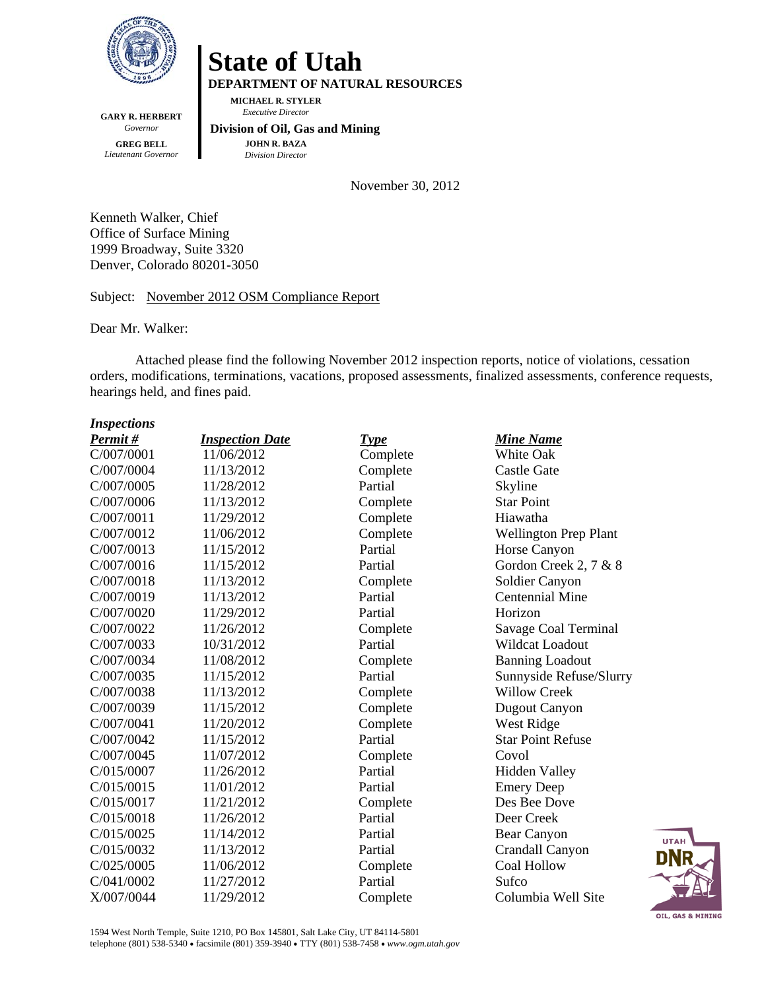

**GARY R. HERBERT**  *Governor*  **GREG BELL**  *Lieutenant Governor* 

# **State of Utah**

**DEPARTMENT OF NATURAL RESOURCES** 

**MICHAEL R. STYLER**   *Executive Director* 

 **Division of Oil, Gas and Mining JOHN R. BAZA**  *Division Director*

November 30, 2012

Kenneth Walker, Chief Office of Surface Mining 1999 Broadway, Suite 3320 Denver, Colorado 80201-3050

Subject: November 2012 OSM Compliance Report

Dear Mr. Walker:

Attached please find the following November 2012 inspection reports, notice of violations, cessation orders, modifications, terminations, vacations, proposed assessments, finalized assessments, conference requests, hearings held, and fines paid.

| <b>Inspections</b> |                        |          |                              |
|--------------------|------------------------|----------|------------------------------|
| Permit#            | <b>Inspection Date</b> | Type     | <b>Mine Name</b>             |
| C/007/0001         | 11/06/2012             | Complete | White Oak                    |
| C/007/0004         | 11/13/2012             | Complete | <b>Castle Gate</b>           |
| C/007/0005         | 11/28/2012             | Partial  | Skyline                      |
| C/007/0006         | 11/13/2012             | Complete | <b>Star Point</b>            |
| C/007/0011         | 11/29/2012             | Complete | Hiawatha                     |
| C/007/0012         | 11/06/2012             | Complete | <b>Wellington Prep Plant</b> |
| C/007/0013         | 11/15/2012             | Partial  | Horse Canyon                 |
| C/007/0016         | 11/15/2012             | Partial  | Gordon Creek 2, 7 & 8        |
| C/007/0018         | 11/13/2012             | Complete | Soldier Canyon               |
| C/007/0019         | 11/13/2012             | Partial  | <b>Centennial Mine</b>       |
| C/007/0020         | 11/29/2012             | Partial  | Horizon                      |
| C/007/0022         | 11/26/2012             | Complete | Savage Coal Terminal         |
| C/007/0033         | 10/31/2012             | Partial  | Wildcat Loadout              |
| C/007/0034         | 11/08/2012             | Complete | <b>Banning Loadout</b>       |
| C/007/0035         | 11/15/2012             | Partial  | Sunnyside Refuse/Slurry      |
| C/007/0038         | 11/13/2012             | Complete | <b>Willow Creek</b>          |
| C/007/0039         | 11/15/2012             | Complete | Dugout Canyon                |
| C/007/0041         | 11/20/2012             | Complete | West Ridge                   |
| C/007/0042         | 11/15/2012             | Partial  | <b>Star Point Refuse</b>     |
| C/007/0045         | 11/07/2012             | Complete | Covol                        |
| C/015/0007         | 11/26/2012             | Partial  | <b>Hidden Valley</b>         |
| C/015/0015         | 11/01/2012             | Partial  | <b>Emery Deep</b>            |
| C/015/0017         | 11/21/2012             | Complete | Des Bee Dove                 |
| C/015/0018         | 11/26/2012             | Partial  | Deer Creek                   |
| C/015/0025         | 11/14/2012             | Partial  | Bear Canyon                  |
| C/015/0032         | 11/13/2012             | Partial  | Crandall Canyon              |
| C/025/0005         | 11/06/2012             | Complete | <b>Coal Hollow</b>           |
| C/041/0002         | 11/27/2012             | Partial  | Sufco                        |
| X/007/0044         | 11/29/2012             | Complete | Columbia Well Site           |



1594 West North Temple, Suite 1210, PO Box 145801, Salt Lake City, UT 84114-5801 telephone (801) 538-5340 facsimile (801) 359-3940 TTY (801) 538-7458 *www.ogm.utah.gov*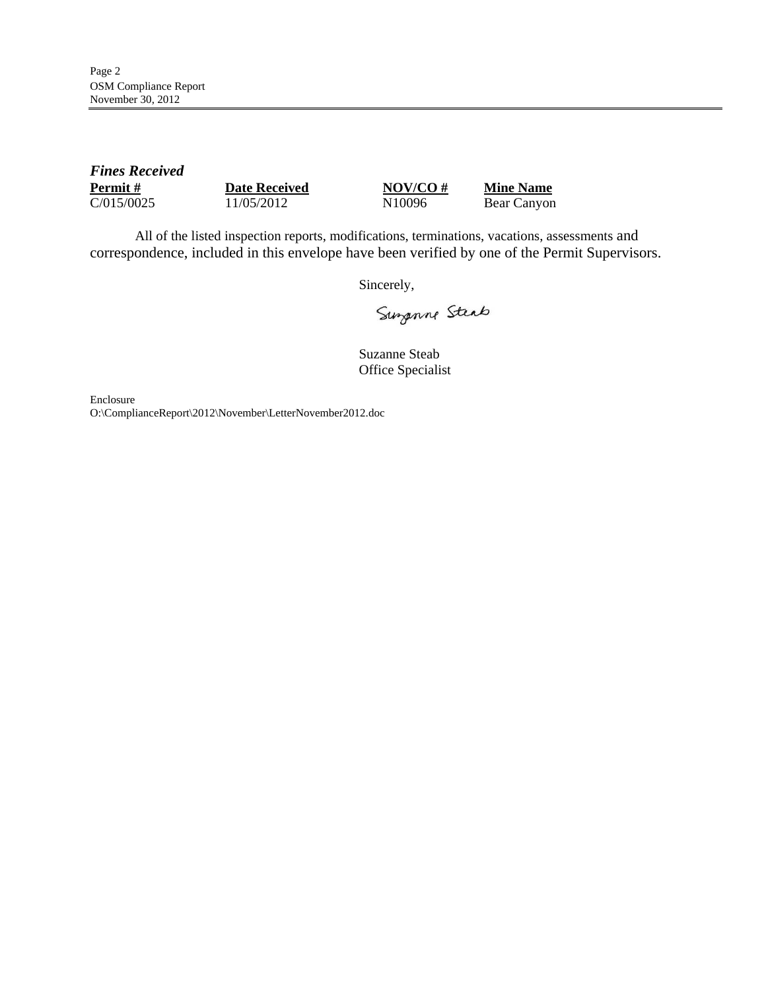| <b>Fines Received</b> |                      |                    |                  |  |
|-----------------------|----------------------|--------------------|------------------|--|
| <b>Permit</b> #       | <b>Date Received</b> | $NOV/CO \#$        | <b>Mine Name</b> |  |
| C/015/0025            | 11/05/2012           | N <sub>10096</sub> | Bear Canyon      |  |

All of the listed inspection reports, modifications, terminations, vacations, assessments and correspondence, included in this envelope have been verified by one of the Permit Supervisors.

Sincerely,

Surgenne Steat

Suzanne Steab Office Specialist

Enclosure O:\ComplianceReport\2012\November\LetterNovember2012.doc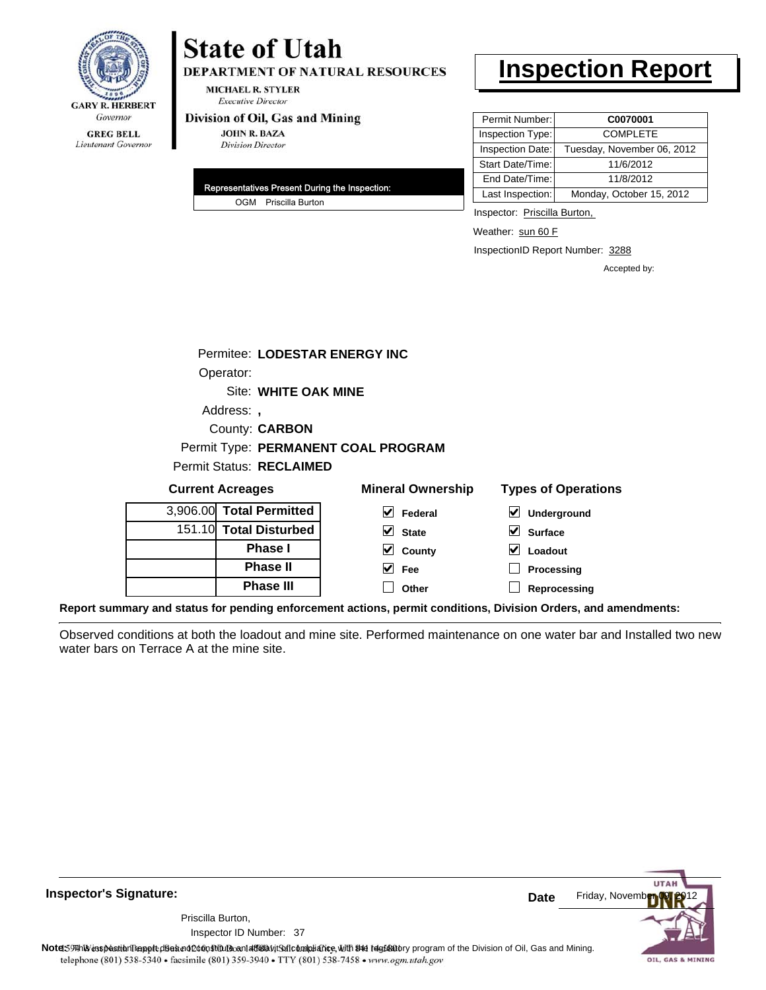

Lieutenant Governor

# **State of Utah**

**DEPARTMENT OF NATURAL RESOURCES** 

**MICHAEL R. STYLER Executive Director** 

### Division of Oil, Gas and Mining

**JOHN R. BAZA Division Director** 

| Representatives Present During the Inspection: |                      |  |  |
|------------------------------------------------|----------------------|--|--|
|                                                | OGM Priscilla Burton |  |  |

# **Inspection Report**

| Permit Number:          | C0070001                   |
|-------------------------|----------------------------|
| Inspection Type:        | <b>COMPLETE</b>            |
| <b>Inspection Date:</b> | Tuesday, November 06, 2012 |
| Start Date/Time:        | 11/6/2012                  |
| End Date/Time:          | 11/8/2012                  |
| Last Inspection:        | Monday, October 15, 2012   |

Inspector: Priscilla Burton,

Weather: sun 60 F

InspectionID Report Number: 3288

Accepted by:

| Permitee: LODESTAR ENERGY INC   |                                     |                            |
|---------------------------------|-------------------------------------|----------------------------|
| Operator:                       |                                     |                            |
| Site: WHITE OAK MINE            |                                     |                            |
| Address:                        |                                     |                            |
| County: <b>CARBON</b>           |                                     |                            |
|                                 | Permit Type: PERMANENT COAL PROGRAM |                            |
| <b>Permit Status: RECLAIMED</b> |                                     |                            |
| <b>Current Acreages</b>         | <b>Mineral Ownership</b>            | <b>Types of Operations</b> |
| 3,906.00 Total Permitted        | M<br>Federal                        | V<br>Underground           |
| 151.10 Total Disturbed          | V<br><b>State</b>                   | <b>Surface</b>             |

| 3,906.00 Total Permitted |
|--------------------------|
| 151.10 Total Disturbed   |
| <b>Phase I</b>           |
| <b>Phase II</b>          |
| <b>Phase III</b>         |

| ■ Undergroun   |
|----------------|
| $\vee$ Surface |
| $\vee$ Loadout |

**Processing**

**Reprocessing**

**Report summary and status for pending enforcement actions, permit conditions, Division Orders, and amendments:**

Observed conditions at both the loadout and mine site. Performed maintenance on one water bar and Installed two new water bars on Terrace A at the mine site.

**County Fee Other**

**Inspector's Signature:** Priscilla Burton,

Inspector ID Number: 37



Note: 59 This inspection report does not do an affidavit Suite and Affidavit Constitute and Division of Coli, Gas and Mining.<br>telephone (801) 538-5340 • facsimile (801) 359-3940 • TTY (801) 538-7458 • www.ogm.utah.gov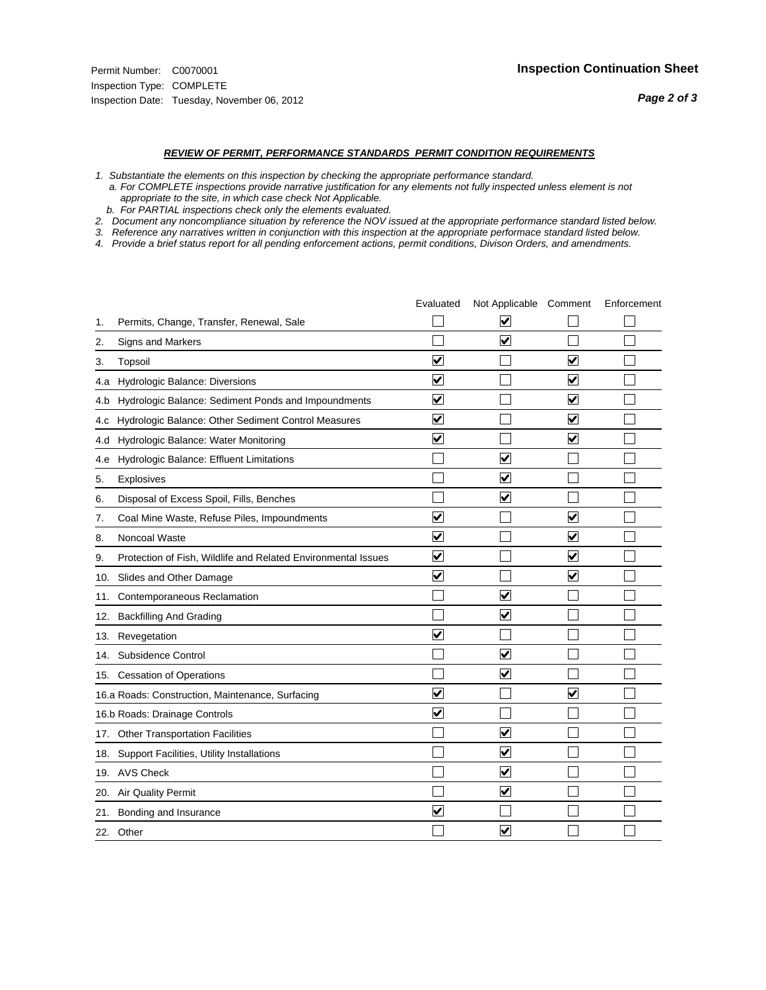#### *REVIEW OF PERMIT, PERFORMANCE STANDARDS PERMIT CONDITION REQUIREMENTS*

*1. Substantiate the elements on this inspection by checking the appropriate performance standard.*

 *a. For COMPLETE inspections provide narrative justification for any elements not fully inspected unless element is not appropriate to the site, in which case check Not Applicable.*

 *b. For PARTIAL inspections check only the elements evaluated.*

*2. Document any noncompliance situation by reference the NOV issued at the appropriate performance standard listed below.*

*3. Reference any narratives written in conjunction with this inspection at the appropriate performace standard listed below.*

*4. Provide a brief status report for all pending enforcement actions, permit conditions, Divison Orders, and amendments.*

|     |                                                               | Evaluated               | Not Applicable Comment          |                         | Enforcement |
|-----|---------------------------------------------------------------|-------------------------|---------------------------------|-------------------------|-------------|
| 1.  | Permits, Change, Transfer, Renewal, Sale                      |                         | ⊽                               |                         |             |
| 2.  | Signs and Markers                                             |                         | $\overline{\mathbf{v}}$         |                         |             |
| 3.  | Topsoil                                                       | $\overline{\mathbf{v}}$ |                                 | $\overline{\mathbf{v}}$ |             |
| 4.a | Hydrologic Balance: Diversions                                | $\blacktriangledown$    |                                 | $\blacktriangledown$    |             |
| 4.b | Hydrologic Balance: Sediment Ponds and Impoundments           | $\blacktriangledown$    |                                 | V                       |             |
| 4.C | Hydrologic Balance: Other Sediment Control Measures           | $\overline{\mathbf{v}}$ |                                 | $\blacktriangledown$    |             |
| 4.d | Hydrologic Balance: Water Monitoring                          | $\overline{\mathbf{v}}$ |                                 | $\overline{\mathbf{v}}$ |             |
| 4.e | Hydrologic Balance: Effluent Limitations                      |                         | ⊽                               |                         |             |
| 5.  | <b>Explosives</b>                                             |                         | $\overline{\mathbf{v}}$         |                         |             |
| 6.  | Disposal of Excess Spoil, Fills, Benches                      |                         | $\blacktriangledown$            |                         |             |
| 7.  | Coal Mine Waste, Refuse Piles, Impoundments                   | $\overline{\mathbf{v}}$ |                                 | $\overline{\mathbf{v}}$ |             |
| 8.  | Noncoal Waste                                                 | $\overline{\mathbf{v}}$ |                                 | $\blacktriangledown$    |             |
| 9.  | Protection of Fish, Wildlife and Related Environmental Issues | $\overline{\mathbf{v}}$ |                                 | ☑                       |             |
|     | 10. Slides and Other Damage                                   | $\overline{\mathbf{v}}$ |                                 | ⊽                       |             |
| 11. | Contemporaneous Reclamation                                   |                         | ☑                               |                         |             |
| 12. | <b>Backfilling And Grading</b>                                |                         | $\overline{\mathbf{v}}$         |                         |             |
| 13. | Revegetation                                                  | $\overline{\mathbf{v}}$ |                                 |                         |             |
| 14. | Subsidence Control                                            |                         | $\overline{\mathbf{v}}$         |                         |             |
|     | 15. Cessation of Operations                                   |                         | $\blacktriangleright$           |                         |             |
|     | 16.a Roads: Construction, Maintenance, Surfacing              | ⊽                       |                                 | $\overline{\mathbf{v}}$ |             |
|     | 16.b Roads: Drainage Controls                                 | $\overline{\mathbf{v}}$ |                                 |                         |             |
|     | 17. Other Transportation Facilities                           |                         | $\overline{\mathbf{v}}$         |                         |             |
| 18. | Support Facilities, Utility Installations                     |                         | $\overline{\mathbf{v}}$         |                         |             |
|     | 19. AVS Check                                                 |                         | $\overline{\blacktriangledown}$ |                         |             |
| 20. | <b>Air Quality Permit</b>                                     |                         | $\blacktriangledown$            |                         |             |
| 21. | Bonding and Insurance                                         | $\overline{\mathbf{v}}$ |                                 |                         |             |
|     | 22. Other                                                     |                         | $\overline{\mathbf{v}}$         |                         |             |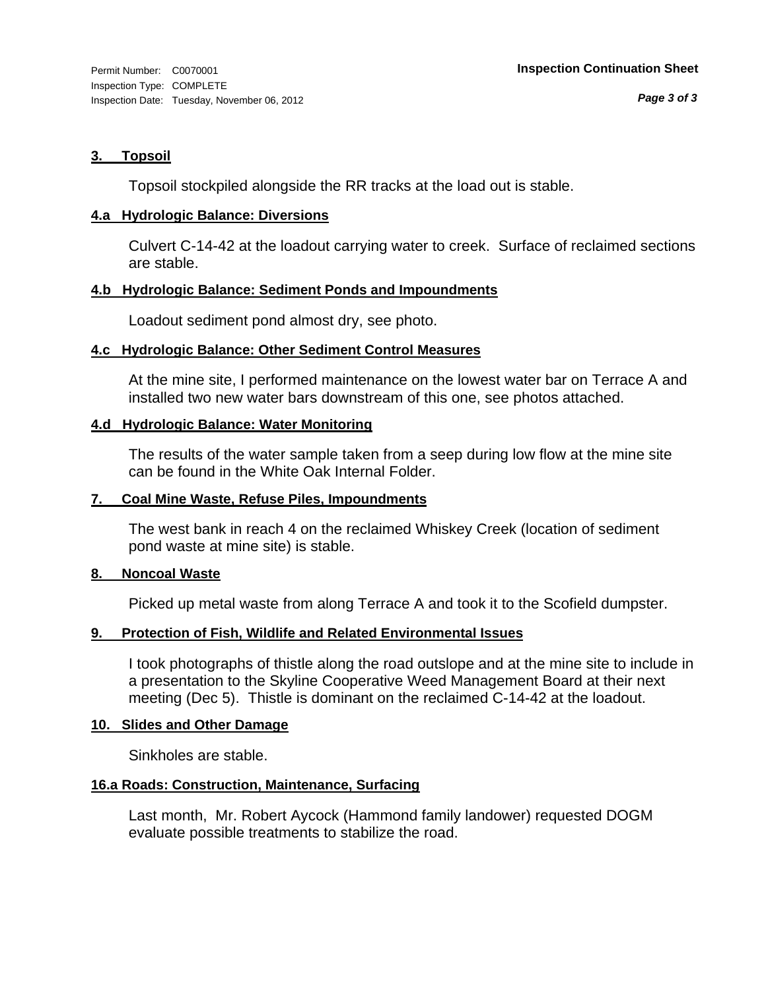# **3. Topsoil**

Topsoil stockpiled alongside the RR tracks at the load out is stable.

# **4.a Hydrologic Balance: Diversions**

Culvert C-14-42 at the loadout carrying water to creek. Surface of reclaimed sections are stable.

# **4.b Hydrologic Balance: Sediment Ponds and Impoundments**

Loadout sediment pond almost dry, see photo.

# **4.c Hydrologic Balance: Other Sediment Control Measures**

At the mine site, I performed maintenance on the lowest water bar on Terrace A and installed two new water bars downstream of this one, see photos attached.

# **4.d Hydrologic Balance: Water Monitoring**

The results of the water sample taken from a seep during low flow at the mine site can be found in the White Oak Internal Folder.

# **7. Coal Mine Waste, Refuse Piles, Impoundments**

The west bank in reach 4 on the reclaimed Whiskey Creek (location of sediment pond waste at mine site) is stable.

# **8. Noncoal Waste**

Picked up metal waste from along Terrace A and took it to the Scofield dumpster.

# **9. Protection of Fish, Wildlife and Related Environmental Issues**

I took photographs of thistle along the road outslope and at the mine site to include in a presentation to the Skyline Cooperative Weed Management Board at their next meeting (Dec 5). Thistle is dominant on the reclaimed C-14-42 at the loadout.

# **10. Slides and Other Damage**

Sinkholes are stable.

# **16.a Roads: Construction, Maintenance, Surfacing**

Last month, Mr. Robert Aycock (Hammond family landower) requested DOGM evaluate possible treatments to stabilize the road.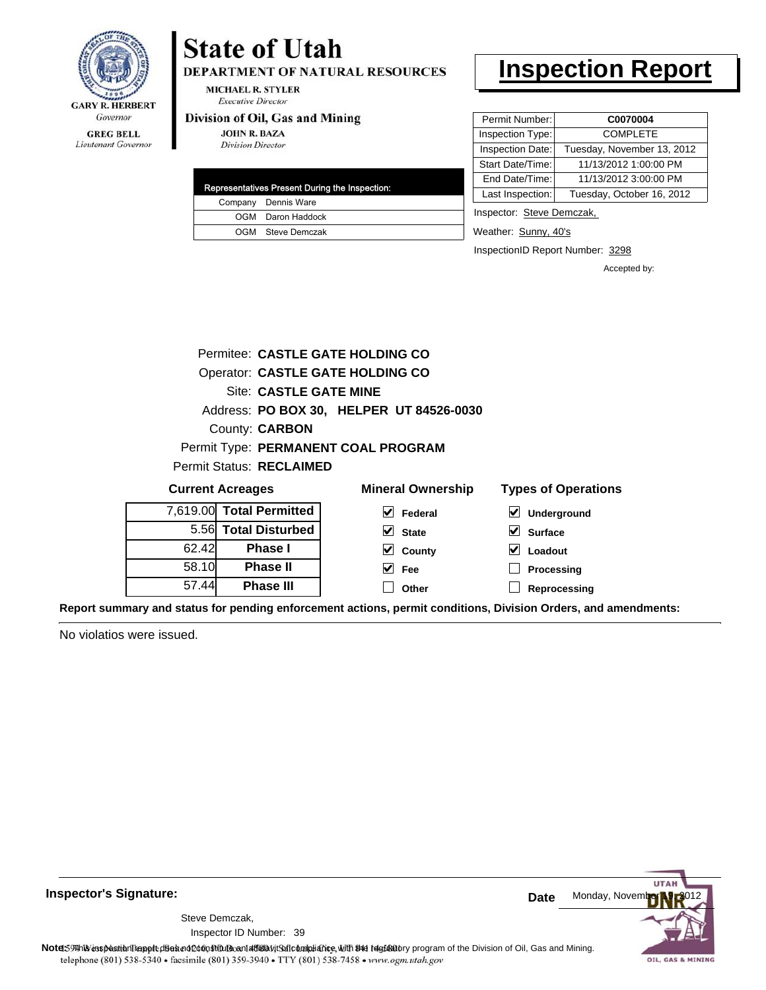

# Lieutenant Governor

# **State of Utah**

DEPARTMENT OF NATURAL RESOURCES

**MICHAEL R. STYLER Executive Director** 

### Division of Oil, Gas and Mining

**JOHN R. BAZA Division Director** 

| Representatives Present During the Inspection: |                     |  |  |
|------------------------------------------------|---------------------|--|--|
|                                                | Company Dennis Ware |  |  |
|                                                | OGM Daron Haddock   |  |  |
|                                                | OGM Steve Demczak   |  |  |

# **Inspection Report**

| Permit Number:   | C0070004                   |
|------------------|----------------------------|
| Inspection Type: | <b>COMPLETE</b>            |
| Inspection Date: | Tuesday, November 13, 2012 |
| Start Date/Time: | 11/13/2012 1:00:00 PM      |
| End Date/Time:   | 11/13/2012 3:00:00 PM      |
| Last Inspection: | Tuesday, October 16, 2012  |
|                  |                            |

Inspector: Steve Demczak,

**Surface Loadout Processing Reprocessing**

Weather: Sunny, 40's

InspectionID Report Number: 3298

Accepted by:

|                          |                        | Permitee: CASTLE GATE HOLDING CO         |                            |
|--------------------------|------------------------|------------------------------------------|----------------------------|
|                          |                        | Operator: CASTLE GATE HOLDING CO         |                            |
|                          | Site: CASTLE GATE MINE |                                          |                            |
|                          |                        | Address: PO BOX 30, HELPER UT 84526-0030 |                            |
| County: <b>CARBON</b>    |                        |                                          |                            |
|                          |                        | Permit Type: PERMANENT COAL PROGRAM      |                            |
| Permit Status: RECLAIMED |                        |                                          |                            |
| <b>Current Acreages</b>  |                        | <b>Mineral Ownership</b>                 | <b>Types of Operations</b> |
| 7,619.00 Total Permitted |                        | Federal                                  | <b>Underground</b>         |

| 94.1  |                          |              |
|-------|--------------------------|--------------|
|       | 7,619.00 Total Permitted | M<br>Federal |
|       | 5.56 Total Disturbed     | <b>State</b> |
| 62.42 | <b>Phase I</b>           | M<br>County  |
| 58.10 | <b>Phase II</b>          | Fee          |
| 57.44 | <b>Phase III</b>         | Other        |

**Report summary and status for pending enforcement actions, permit conditions, Division Orders, and amendments:**

No violatios were issued.



**Inspector's Signature:**

Inspector ID Number: 39 Steve Demczak,

Note: 59 This inspection report does not do an affidavit Suite and Affidavit Constitute and Division of Coli, Gas and Mining.<br>telephone (801) 538-5340 • facsimile (801) 359-3940 • TTY (801) 538-7458 • www.ogm.utah.gov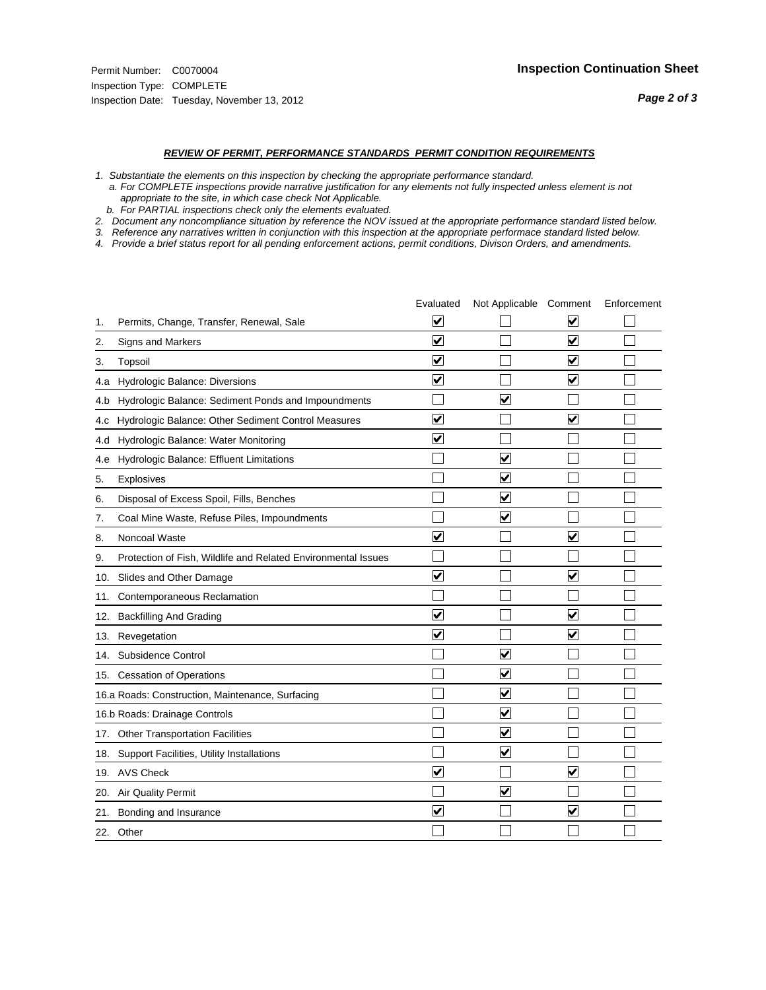#### *REVIEW OF PERMIT, PERFORMANCE STANDARDS PERMIT CONDITION REQUIREMENTS*

*1. Substantiate the elements on this inspection by checking the appropriate performance standard.*

 *a. For COMPLETE inspections provide narrative justification for any elements not fully inspected unless element is not appropriate to the site, in which case check Not Applicable.*

 *b. For PARTIAL inspections check only the elements evaluated.*

*2. Document any noncompliance situation by reference the NOV issued at the appropriate performance standard listed below.*

*3. Reference any narratives written in conjunction with this inspection at the appropriate performace standard listed below.*

*4. Provide a brief status report for all pending enforcement actions, permit conditions, Divison Orders, and amendments.*

|     |                                                               | Evaluated               | Not Applicable Comment          |                         | Enforcement |
|-----|---------------------------------------------------------------|-------------------------|---------------------------------|-------------------------|-------------|
| 1.  | Permits, Change, Transfer, Renewal, Sale                      | ⊻                       |                                 | V                       |             |
| 2.  | Signs and Markers                                             | $\overline{\mathbf{v}}$ |                                 | $\blacktriangledown$    |             |
| 3.  | Topsoil                                                       | $\overline{\mathbf{v}}$ |                                 | $\overline{\mathbf{v}}$ |             |
| 4.a | <b>Hydrologic Balance: Diversions</b>                         | $\overline{\mathsf{v}}$ |                                 | $\blacktriangledown$    |             |
| 4.b | Hydrologic Balance: Sediment Ponds and Impoundments           |                         | $\overline{\mathbf{v}}$         |                         |             |
| 4.C | Hydrologic Balance: Other Sediment Control Measures           | $\overline{\mathbf{v}}$ |                                 | $\blacktriangledown$    |             |
| 4.d | Hydrologic Balance: Water Monitoring                          | $\overline{\mathbf{v}}$ |                                 |                         |             |
| 4.e | Hydrologic Balance: Effluent Limitations                      |                         | $\overline{\blacktriangledown}$ |                         |             |
| 5.  | <b>Explosives</b>                                             |                         | $\blacktriangledown$            |                         |             |
| 6.  | Disposal of Excess Spoil, Fills, Benches                      |                         | $\blacktriangledown$            |                         |             |
| 7.  | Coal Mine Waste, Refuse Piles, Impoundments                   |                         | $\blacktriangledown$            |                         |             |
| 8.  | Noncoal Waste                                                 | $\overline{\mathsf{v}}$ |                                 | $\blacktriangledown$    |             |
| 9.  | Protection of Fish, Wildlife and Related Environmental Issues |                         |                                 |                         |             |
| 10. | Slides and Other Damage                                       | ⊽                       |                                 | $\overline{\mathbf{v}}$ |             |
| 11. | Contemporaneous Reclamation                                   |                         |                                 |                         |             |
| 12. | <b>Backfilling And Grading</b>                                | $\overline{\mathbf{v}}$ |                                 | $\blacktriangledown$    |             |
| 13. | Revegetation                                                  | $\overline{\mathbf{v}}$ |                                 | $\overline{\mathbf{v}}$ |             |
| 14. | Subsidence Control                                            |                         | $\overline{\mathbf{v}}$         |                         |             |
|     | 15. Cessation of Operations                                   |                         | $\blacktriangledown$            |                         |             |
|     | 16.a Roads: Construction, Maintenance, Surfacing              |                         | $\overline{\mathbf{v}}$         |                         |             |
|     | 16.b Roads: Drainage Controls                                 |                         | $\blacktriangledown$            |                         |             |
|     | 17. Other Transportation Facilities                           |                         | $\overline{\blacktriangledown}$ |                         |             |
| 18. | Support Facilities, Utility Installations                     |                         | $\overline{\blacktriangledown}$ |                         |             |
|     | 19. AVS Check                                                 | $\overline{\mathbf{v}}$ |                                 | $\blacktriangledown$    |             |
| 20. | <b>Air Quality Permit</b>                                     |                         | $\blacktriangledown$            |                         |             |
| 21. | Bonding and Insurance                                         | $\overline{\mathbf{v}}$ |                                 | $\blacktriangledown$    |             |
|     | 22. Other                                                     |                         |                                 |                         |             |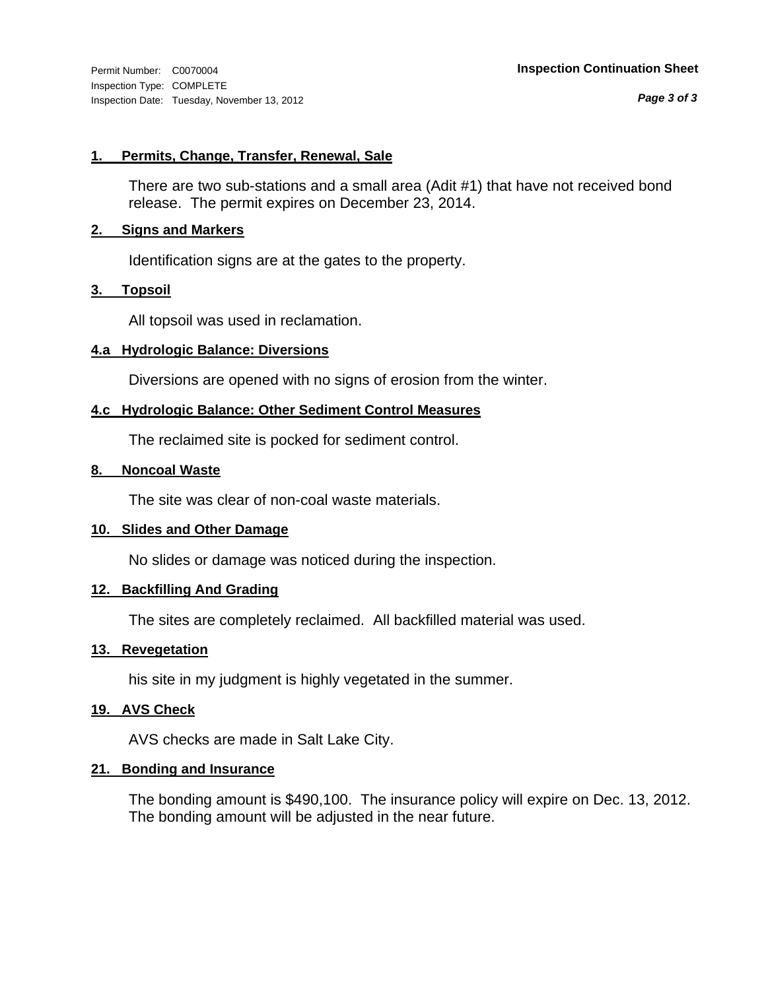*Page 3 of 3*

# **1. Permits, Change, Transfer, Renewal, Sale**

There are two sub-stations and a small area (Adit #1) that have not received bond release. The permit expires on December 23, 2014.

# **2. Signs and Markers**

Identification signs are at the gates to the property.

# **3. Topsoil**

All topsoil was used in reclamation.

# **4.a Hydrologic Balance: Diversions**

Diversions are opened with no signs of erosion from the winter.

# **4.c Hydrologic Balance: Other Sediment Control Measures**

The reclaimed site is pocked for sediment control.

# **8. Noncoal Waste**

The site was clear of non-coal waste materials.

# **10. Slides and Other Damage**

No slides or damage was noticed during the inspection.

# **12. Backfilling And Grading**

The sites are completely reclaimed. All backfilled material was used.

# **13. Revegetation**

his site in my judgment is highly vegetated in the summer.

# **19. AVS Check**

AVS checks are made in Salt Lake City.

# **21. Bonding and Insurance**

The bonding amount is \$490,100. The insurance policy will expire on Dec. 13, 2012. The bonding amount will be adjusted in the near future.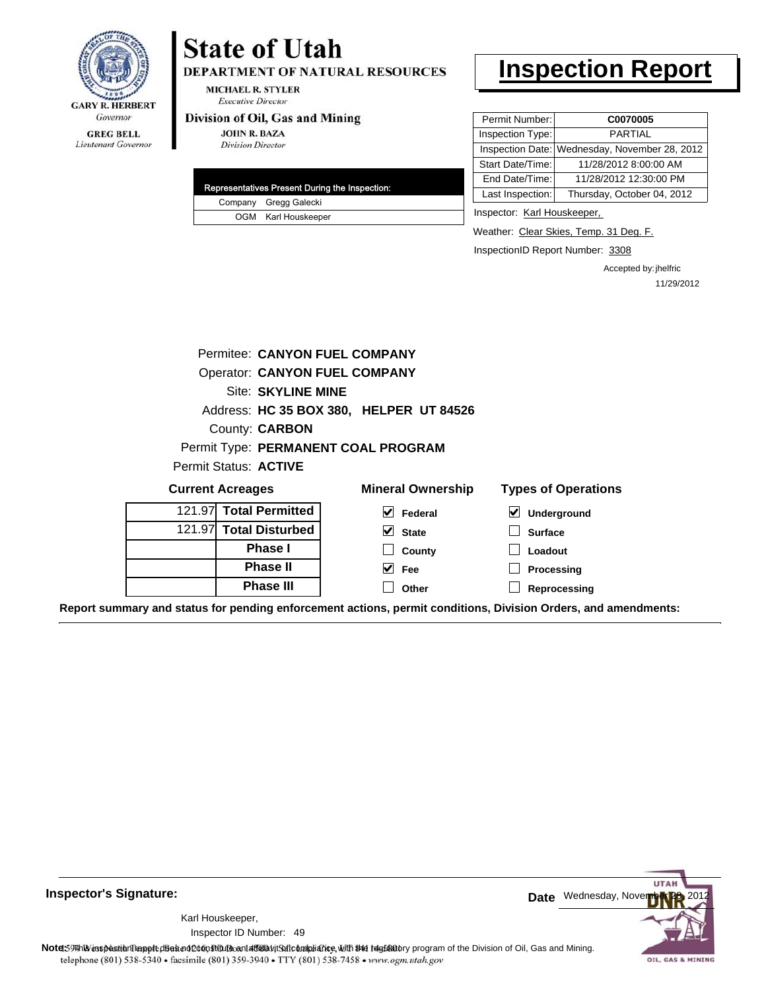

#### **GREG BELL** Lieutenant Governor

# **State of Utah**

DEPARTMENT OF NATURAL RESOURCES

**MICHAEL R. STYLER Executive Director** 

### Division of Oil, Gas and Mining

**JOHN R. BAZA Division Director** 

| Representatives Present During the Inspection: |
|------------------------------------------------|
| Company Gregg Galecki                          |
| OGM Karl Houskeeper                            |

# **Inspection Report**

| Permit Number:   | C0070005                                      |
|------------------|-----------------------------------------------|
| Inspection Type: | <b>PARTIAL</b>                                |
|                  | Inspection Date: Wednesday, November 28, 2012 |
| Start Date/Time: | 11/28/2012 8:00:00 AM                         |
| End Date/Time:   | 11/28/2012 12:30:00 PM                        |
| Last Inspection: | Thursday, October 04, 2012                    |
|                  |                                               |

Inspector: Karl Houskeeper,

Weather: Clear Skies, Temp. 31 Deg. F.

InspectionID Report Number: 3308

Accepted by: jhelfric 11/29/2012

|                                                                                                                | Permitee: CANYON FUEL COMPANY           |                       |                          |                            |
|----------------------------------------------------------------------------------------------------------------|-----------------------------------------|-----------------------|--------------------------|----------------------------|
|                                                                                                                | <b>Operator: CANYON FUEL COMPANY</b>    |                       |                          |                            |
|                                                                                                                | Site: SKYLINE MINE                      |                       |                          |                            |
|                                                                                                                | Address: HC 35 BOX 380, HELPER UT 84526 |                       |                          |                            |
|                                                                                                                | County: CARBON                          |                       |                          |                            |
|                                                                                                                | Permit Type: PERMANENT COAL PROGRAM     |                       |                          |                            |
| Permit Status: ACTIVE                                                                                          |                                         |                       |                          |                            |
| <b>Current Acreages</b>                                                                                        |                                         |                       | <b>Mineral Ownership</b> | <b>Types of Operations</b> |
| 121.97 Total Permitted                                                                                         |                                         | $\blacktriangledown$  | Federal                  | ⊻<br>Underground           |
| 121.97 Total Disturbed                                                                                         |                                         | M                     | <b>State</b>             | <b>Surface</b>             |
|                                                                                                                | <b>Phase I</b>                          |                       | County                   | Loadout                    |
|                                                                                                                | <b>Phase II</b>                         | $\overline{\vee}$ Fee |                          | Processing                 |
|                                                                                                                | <b>Phase III</b>                        |                       | Other                    | Reprocessing               |
| Report summary and status for pending enforcement actions, permit conditions, Division Orders, and amendments: |                                         |                       |                          |                            |

**UTA** Date Wednesday, November 28, 2012 Note: This inspection report does not constitute and affidavit for compliance, with the regulatory program of the Division of Oil, Gas and Mining. telephone (801) 538-5340 · facsimile (801) 359-3940 · TTY (801) 538-7458 · www.ogm.utah.gov OIL, GAS & MINING

**Inspector's Signature:**

49 Inspector ID Number:Karl Houskeeper,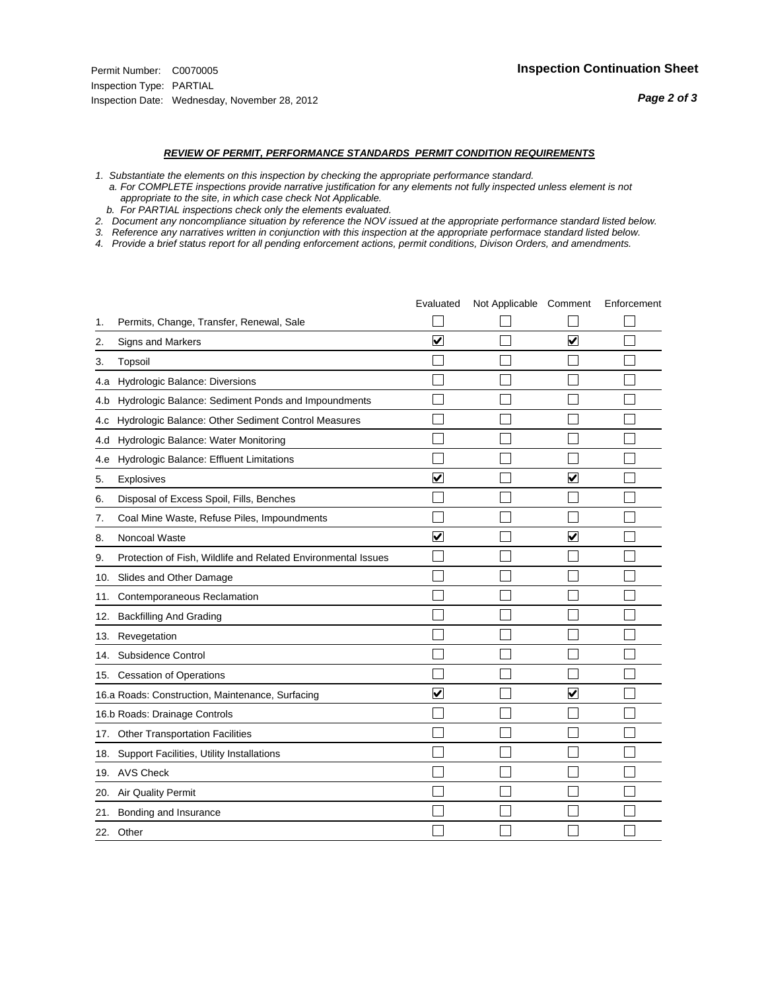#### *REVIEW OF PERMIT, PERFORMANCE STANDARDS PERMIT CONDITION REQUIREMENTS*

- *1. Substantiate the elements on this inspection by checking the appropriate performance standard.*
- *a. For COMPLETE inspections provide narrative justification for any elements not fully inspected unless element is not appropriate to the site, in which case check Not Applicable.*
- *b. For PARTIAL inspections check only the elements evaluated.*
- *2. Document any noncompliance situation by reference the NOV issued at the appropriate performance standard listed below.*
- *3. Reference any narratives written in conjunction with this inspection at the appropriate performace standard listed below.*
- *4. Provide a brief status report for all pending enforcement actions, permit conditions, Divison Orders, and amendments.*

|     |                                                               | Evaluated               | Not Applicable Comment |                      | Enforcement |
|-----|---------------------------------------------------------------|-------------------------|------------------------|----------------------|-------------|
| 1.  | Permits, Change, Transfer, Renewal, Sale                      |                         |                        |                      |             |
| 2.  | Signs and Markers                                             | $\overline{\mathbf{v}}$ |                        | ☑                    |             |
| 3.  | Topsoil                                                       |                         |                        |                      |             |
| 4.a | Hydrologic Balance: Diversions                                |                         |                        |                      |             |
| 4.b | Hydrologic Balance: Sediment Ponds and Impoundments           |                         |                        |                      |             |
| 4.c | Hydrologic Balance: Other Sediment Control Measures           |                         |                        |                      |             |
| 4.d | Hydrologic Balance: Water Monitoring                          |                         |                        |                      |             |
| 4.e | Hydrologic Balance: Effluent Limitations                      |                         |                        |                      |             |
| 5.  | <b>Explosives</b>                                             | $\overline{\mathbf{v}}$ |                        | ☑                    |             |
| 6.  | Disposal of Excess Spoil, Fills, Benches                      |                         |                        |                      |             |
| 7.  | Coal Mine Waste, Refuse Piles, Impoundments                   |                         |                        |                      |             |
| 8.  | Noncoal Waste                                                 | $\overline{\mathsf{v}}$ |                        | V                    |             |
| 9.  | Protection of Fish, Wildlife and Related Environmental Issues |                         |                        |                      |             |
| 10. | Slides and Other Damage                                       |                         |                        |                      |             |
| 11. | Contemporaneous Reclamation                                   |                         |                        |                      |             |
| 12. | <b>Backfilling And Grading</b>                                |                         |                        |                      |             |
| 13. | Revegetation                                                  |                         |                        |                      |             |
| 14. | Subsidence Control                                            |                         |                        |                      |             |
|     | 15. Cessation of Operations                                   |                         |                        |                      |             |
|     | 16.a Roads: Construction, Maintenance, Surfacing              | $\blacktriangledown$    |                        | $\blacktriangledown$ |             |
|     | 16.b Roads: Drainage Controls                                 |                         |                        |                      |             |
| 17. | <b>Other Transportation Facilities</b>                        |                         |                        |                      |             |
| 18. | Support Facilities, Utility Installations                     |                         |                        |                      |             |
|     | 19. AVS Check                                                 |                         |                        |                      |             |
| 20. | <b>Air Quality Permit</b>                                     |                         |                        |                      |             |
| 21. | Bonding and Insurance                                         |                         |                        |                      |             |
|     | 22. Other                                                     |                         |                        |                      |             |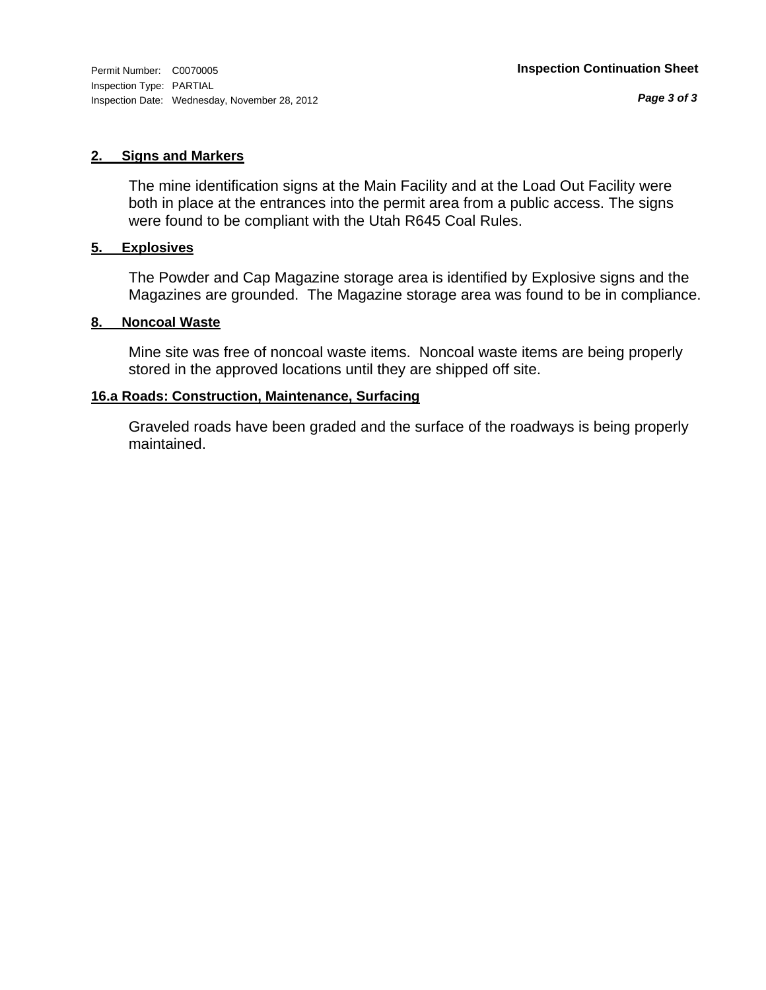# **2. Signs and Markers**

The mine identification signs at the Main Facility and at the Load Out Facility were both in place at the entrances into the permit area from a public access. The signs were found to be compliant with the Utah R645 Coal Rules.

# **5. Explosives**

The Powder and Cap Magazine storage area is identified by Explosive signs and the Magazines are grounded. The Magazine storage area was found to be in compliance.

# **8. Noncoal Waste**

Mine site was free of noncoal waste items. Noncoal waste items are being properly stored in the approved locations until they are shipped off site.

# **16.a Roads: Construction, Maintenance, Surfacing**

Graveled roads have been graded and the surface of the roadways is being properly maintained.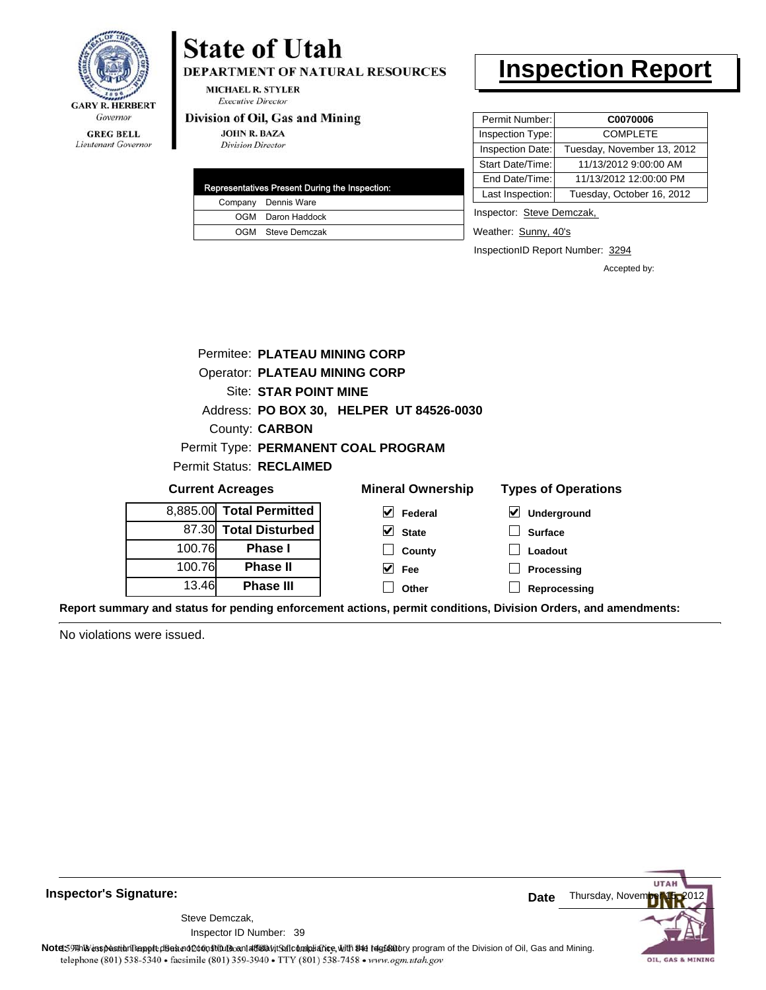

Lieutenant Governor

# **State of Utah**

DEPARTMENT OF NATURAL RESOURCES

**MICHAEL R. STYLER Executive Director** 

### Division of Oil, Gas and Mining

**JOHN R. BAZA Division Director** 

|  | Representatives Present During the Inspection: |
|--|------------------------------------------------|
|  | Company Dennis Ware                            |
|  | OGM Daron Haddock                              |
|  | OGM Steve Demczak                              |

# **Inspection Report**

| Permit Number:   | C0070006                   |
|------------------|----------------------------|
| Inspection Type: | <b>COMPLETE</b>            |
| Inspection Date: | Tuesday, November 13, 2012 |
| Start Date/Time: | 11/13/2012 9:00:00 AM      |
| End Date/Time:   | 11/13/2012 12:00:00 PM     |
| Last Inspection: | Tuesday, October 16, 2012  |
|                  |                            |

Inspector: Steve Demczak,

Weather: Sunny, 40's

InspectionID Report Number: 3294

**Processing Reprocessing** Accepted by:

|                                      | Permitee: PLATEAU MINING CORP |                                 |                                          |                            |
|--------------------------------------|-------------------------------|---------------------------------|------------------------------------------|----------------------------|
| <b>Operator: PLATEAU MINING CORP</b> |                               |                                 |                                          |                            |
|                                      | Site: STAR POINT MINE         |                                 |                                          |                            |
|                                      |                               |                                 | Address: PO BOX 30, HELPER UT 84526-0030 |                            |
| County: <b>CARBON</b>                |                               |                                 |                                          |                            |
|                                      |                               |                                 | Permit Type: PERMANENT COAL PROGRAM      |                            |
|                                      |                               | <b>Permit Status: RECLAIMED</b> |                                          |                            |
| <b>Current Acreages</b>              |                               |                                 | <b>Mineral Ownership</b>                 | <b>Types of Operations</b> |
| 8,885.00 Total Permitted             |                               |                                 | $\vee$ Federal                           | ⊻<br>Underground           |
|                                      |                               | 87.30 Total Disturbed           | $\vee$ State                             | <b>Surface</b>             |
| 100.76                               |                               | <b>Phase I</b>                  | County                                   | Loadout                    |

**Fee Other**

**Report summary and status for pending enforcement actions, permit conditions, Division Orders, and amendments:**

No violations were issued.

100.76 13.46

**Phase II Phase III**



**Inspector's Signature:**

Inspector ID Number: 39 Steve Demczak,

Note: 59 This inspection report does not do an affidavit Suite and Affidavit Constitute and Division of Coli, Gas and Mining.<br>telephone (801) 538-5340 • facsimile (801) 359-3940 • TTY (801) 538-7458 • www.ogm.utah.gov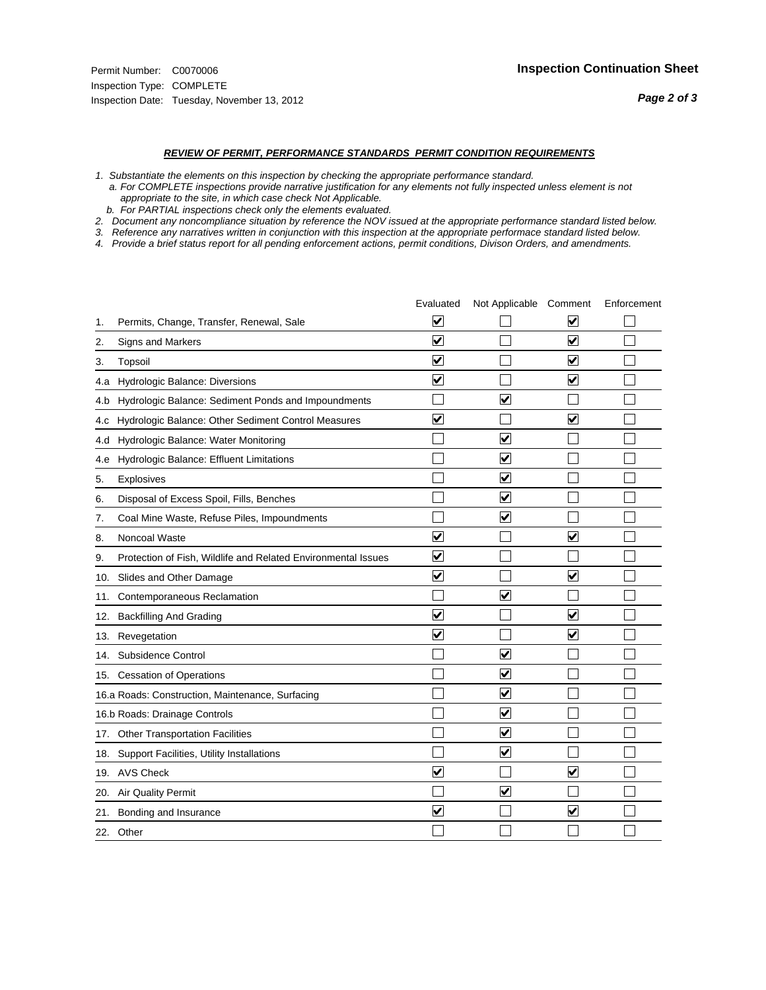#### *REVIEW OF PERMIT, PERFORMANCE STANDARDS PERMIT CONDITION REQUIREMENTS*

*1. Substantiate the elements on this inspection by checking the appropriate performance standard.*

 *a. For COMPLETE inspections provide narrative justification for any elements not fully inspected unless element is not appropriate to the site, in which case check Not Applicable.*

 *b. For PARTIAL inspections check only the elements evaluated.*

*2. Document any noncompliance situation by reference the NOV issued at the appropriate performance standard listed below.*

*3. Reference any narratives written in conjunction with this inspection at the appropriate performace standard listed below.*

*4. Provide a brief status report for all pending enforcement actions, permit conditions, Divison Orders, and amendments.*

|     |                                                               | Evaluated               | Not Applicable Comment  |                         | Enforcement |
|-----|---------------------------------------------------------------|-------------------------|-------------------------|-------------------------|-------------|
| 1.  | Permits, Change, Transfer, Renewal, Sale                      | $\overline{\mathbf{v}}$ |                         | V                       |             |
| 2.  | Signs and Markers                                             | $\overline{\mathbf{v}}$ |                         | $\blacktriangledown$    |             |
| 3.  | Topsoil                                                       | $\overline{\mathbf{v}}$ |                         | $\overline{\mathsf{v}}$ |             |
| 4.a | Hydrologic Balance: Diversions                                | $\blacktriangledown$    |                         | $\blacktriangledown$    |             |
| 4.b | Hydrologic Balance: Sediment Ponds and Impoundments           |                         | ⊽                       |                         |             |
| 4.C | Hydrologic Balance: Other Sediment Control Measures           | $\overline{\mathbf{v}}$ |                         | $\blacktriangledown$    |             |
| 4.d | Hydrologic Balance: Water Monitoring                          |                         | $\overline{\mathbf{v}}$ |                         |             |
| 4.e | Hydrologic Balance: Effluent Limitations                      |                         | $\blacktriangledown$    |                         |             |
| 5.  | <b>Explosives</b>                                             |                         | $\overline{\mathbf{v}}$ |                         |             |
| 6.  | Disposal of Excess Spoil, Fills, Benches                      |                         | $\blacktriangledown$    |                         |             |
| 7.  | Coal Mine Waste, Refuse Piles, Impoundments                   |                         | $\overline{\mathbf{v}}$ |                         |             |
| 8.  | Noncoal Waste                                                 | $\overline{\mathsf{v}}$ |                         | $\overline{\mathbf{v}}$ |             |
| 9.  | Protection of Fish, Wildlife and Related Environmental Issues | $\overline{\mathbf{v}}$ |                         |                         |             |
|     | 10. Slides and Other Damage                                   | $\overline{\mathbf{v}}$ |                         | ⊽                       |             |
| 11. | Contemporaneous Reclamation                                   |                         | ☑                       |                         |             |
| 12. | <b>Backfilling And Grading</b>                                | $\overline{\mathbf{v}}$ |                         | $\blacktriangledown$    |             |
| 13. | Revegetation                                                  | $\overline{\mathbf{v}}$ |                         | $\overline{\mathbf{v}}$ |             |
| 14. | Subsidence Control                                            |                         | $\overline{\mathbf{v}}$ |                         |             |
|     | 15. Cessation of Operations                                   |                         | $\blacktriangledown$    |                         |             |
|     | 16.a Roads: Construction, Maintenance, Surfacing              |                         | $\overline{\mathbf{v}}$ |                         |             |
|     | 16.b Roads: Drainage Controls                                 |                         | $\blacktriangledown$    |                         |             |
|     | 17. Other Transportation Facilities                           |                         | $\overline{\mathbf{v}}$ |                         |             |
| 18. | Support Facilities, Utility Installations                     |                         | $\blacktriangledown$    |                         |             |
|     | 19. AVS Check                                                 | $\overline{\mathbf{v}}$ |                         | $\blacktriangledown$    |             |
| 20. | <b>Air Quality Permit</b>                                     |                         | $\blacktriangledown$    |                         |             |
| 21. | Bonding and Insurance                                         | $\overline{\mathbf{v}}$ |                         | $\blacktriangledown$    |             |
|     | 22. Other                                                     |                         |                         |                         |             |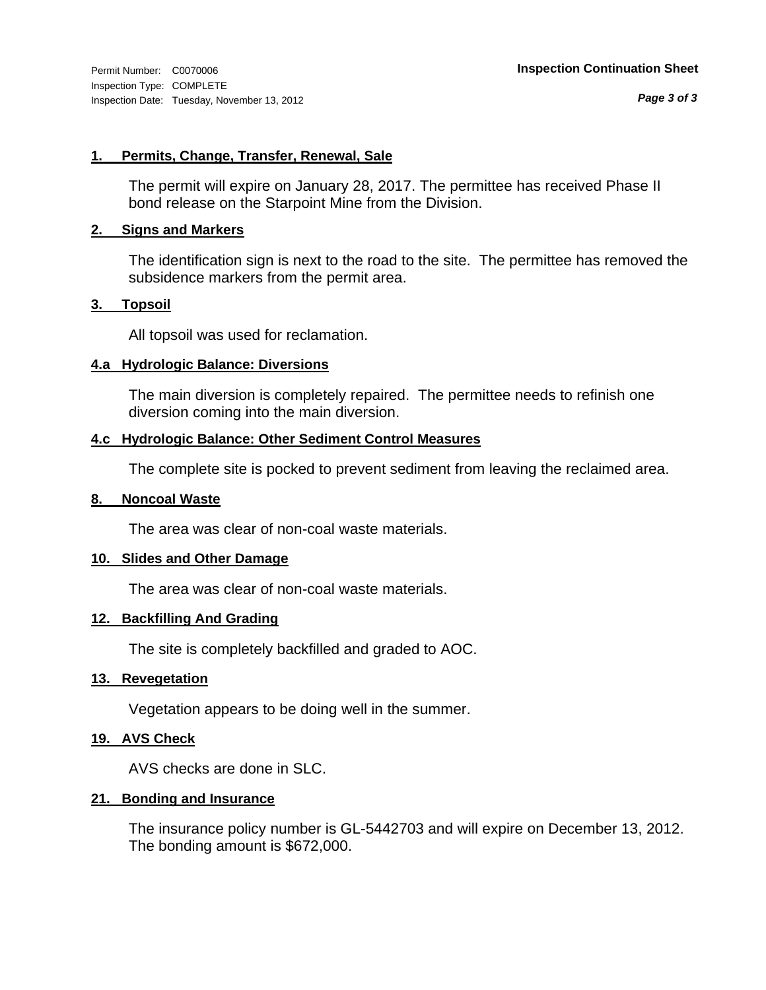# **1. Permits, Change, Transfer, Renewal, Sale**

The permit will expire on January 28, 2017. The permittee has received Phase II bond release on the Starpoint Mine from the Division.

# **2. Signs and Markers**

The identification sign is next to the road to the site. The permittee has removed the subsidence markers from the permit area.

# **3. Topsoil**

All topsoil was used for reclamation.

# **4.a Hydrologic Balance: Diversions**

The main diversion is completely repaired. The permittee needs to refinish one diversion coming into the main diversion.

# **4.c Hydrologic Balance: Other Sediment Control Measures**

The complete site is pocked to prevent sediment from leaving the reclaimed area.

# **8. Noncoal Waste**

The area was clear of non-coal waste materials.

# **10. Slides and Other Damage**

The area was clear of non-coal waste materials.

# **12. Backfilling And Grading**

The site is completely backfilled and graded to AOC.

# **13. Revegetation**

Vegetation appears to be doing well in the summer.

# **19. AVS Check**

AVS checks are done in SLC.

# **21. Bonding and Insurance**

The insurance policy number is GL-5442703 and will expire on December 13, 2012. The bonding amount is \$672,000.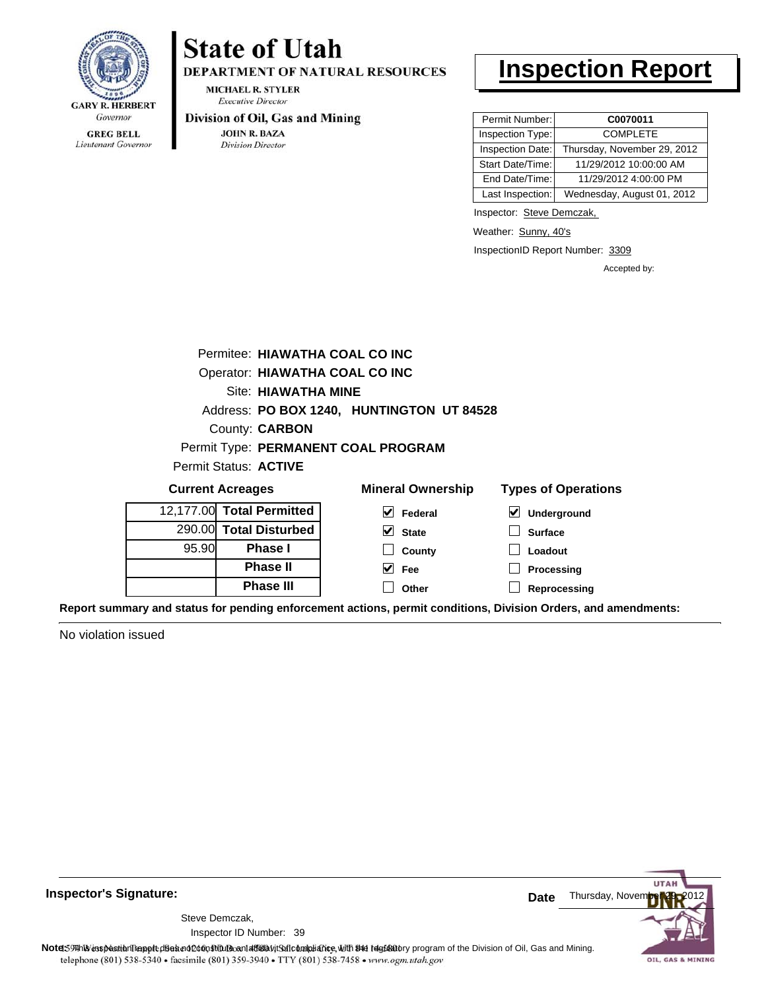

Lieutenant Governor

# **State of Utah**

DEPARTMENT OF NATURAL RESOURCES

**MICHAEL R. STYLER Executive Director** 

### Division of Oil, Gas and Mining

**JOHN R. BAZA** Division Director

# **Inspection Report**

| Permit Number:   | C0070011                    |
|------------------|-----------------------------|
| Inspection Type: | <b>COMPLETE</b>             |
| Inspection Date: | Thursday, November 29, 2012 |
| Start Date/Time: | 11/29/2012 10:00:00 AM      |
| End Date/Time:   | 11/29/2012 4:00:00 PM       |
| Last Inspection: | Wednesday, August 01, 2012  |

Inspector: Steve Demczak,

Weather: Sunny, 40's

InspectionID Report Number: 3309

**Reprocessing**

Accepted by:

|                                           | Permitee: HIAWATHA COAL CO INC |                                     |                            |  |  |
|-------------------------------------------|--------------------------------|-------------------------------------|----------------------------|--|--|
|                                           | Operator: HIAWATHA COAL CO INC |                                     |                            |  |  |
|                                           | Site: HIAWATHA MINE            |                                     |                            |  |  |
| Address: PO BOX 1240, HUNTINGTON UT 84528 |                                |                                     |                            |  |  |
|                                           | County: CARBON                 |                                     |                            |  |  |
|                                           |                                | Permit Type: PERMANENT COAL PROGRAM |                            |  |  |
|                                           | Permit Status: ACTIVE          |                                     |                            |  |  |
|                                           | <b>Current Acreages</b>        | <b>Mineral Ownership</b>            | <b>Types of Operations</b> |  |  |
|                                           | 12,177.00 Total Permitted      | V<br>Federal                        | $\vee$ Underground         |  |  |
|                                           | 290.00 Total Disturbed         | V<br><b>State</b>                   | <b>Surface</b>             |  |  |
| 95.90                                     | <b>Phase I</b>                 | County                              | Loadout                    |  |  |
|                                           | <b>Phase II</b>                | Fee                                 | Processing                 |  |  |

**Other**

**Report summary and status for pending enforcement actions, permit conditions, Division Orders, and amendments:**

No violation issued



**Inspector's Signature:**

Inspector ID Number: 39 Steve Demczak,

**Phase III**

Note: 59 This inspection report does not do an affidavit Suite and Affidavit Constitute and Division of Coli, Gas and Mining.<br>telephone (801) 538-5340 • facsimile (801) 359-3940 • TTY (801) 538-7458 • www.ogm.utah.gov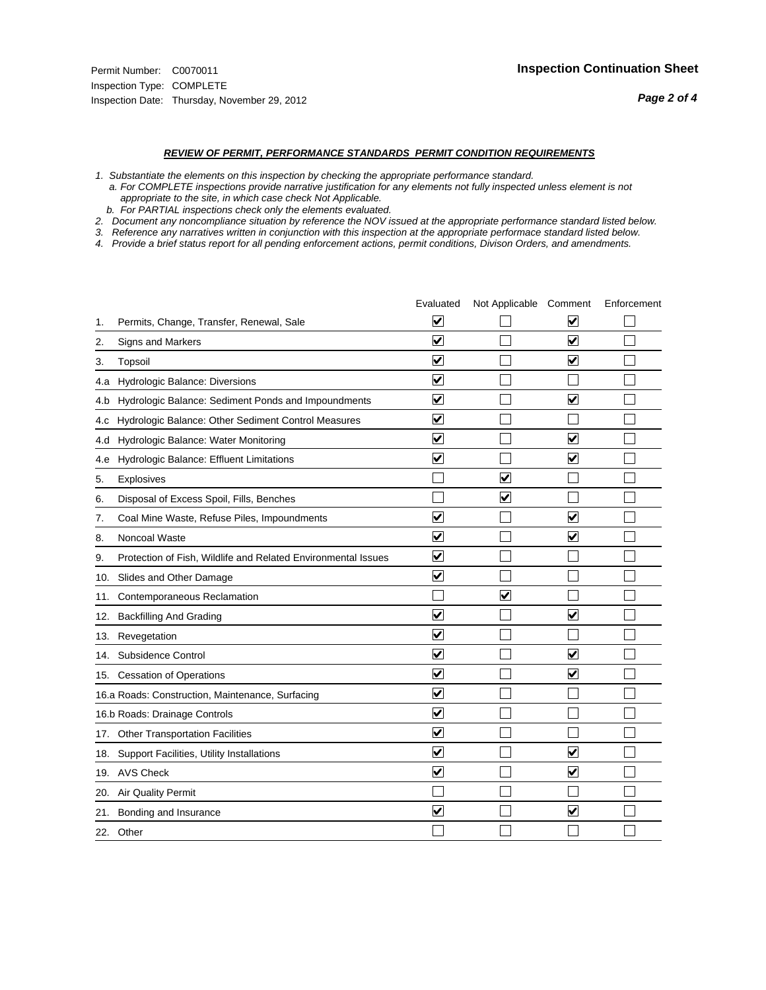#### *REVIEW OF PERMIT, PERFORMANCE STANDARDS PERMIT CONDITION REQUIREMENTS*

*1. Substantiate the elements on this inspection by checking the appropriate performance standard.*

 *a. For COMPLETE inspections provide narrative justification for any elements not fully inspected unless element is not appropriate to the site, in which case check Not Applicable.*

 *b. For PARTIAL inspections check only the elements evaluated.*

*2. Document any noncompliance situation by reference the NOV issued at the appropriate performance standard listed below.*

*3. Reference any narratives written in conjunction with this inspection at the appropriate performace standard listed below.*

*4. Provide a brief status report for all pending enforcement actions, permit conditions, Divison Orders, and amendments.*

|     |                                                               | Evaluated               | Not Applicable Comment |                         | Enforcement |
|-----|---------------------------------------------------------------|-------------------------|------------------------|-------------------------|-------------|
| 1.  | Permits, Change, Transfer, Renewal, Sale                      | $\overline{\mathbf{v}}$ |                        | V                       |             |
| 2.  | Signs and Markers                                             | $\overline{\mathbf{v}}$ |                        | $\blacktriangledown$    |             |
| 3.  | Topsoil                                                       | $\overline{\mathbf{v}}$ |                        | $\overline{\mathsf{v}}$ |             |
| 4.a | Hydrologic Balance: Diversions                                | $\blacktriangledown$    |                        |                         |             |
| 4.b | Hydrologic Balance: Sediment Ponds and Impoundments           | $\blacktriangledown$    |                        | V                       |             |
| 4.C | Hydrologic Balance: Other Sediment Control Measures           | $\overline{\mathbf{v}}$ |                        |                         |             |
| 4.d | Hydrologic Balance: Water Monitoring                          | $\overline{\mathbf{v}}$ |                        | $\overline{\mathbf{v}}$ |             |
| 4.e | Hydrologic Balance: Effluent Limitations                      | $\overline{\mathbf{v}}$ |                        | $\blacktriangledown$    |             |
| 5.  | <b>Explosives</b>                                             |                         | ⊽                      |                         |             |
| 6.  | Disposal of Excess Spoil, Fills, Benches                      |                         | $\blacktriangledown$   |                         |             |
| 7.  | Coal Mine Waste, Refuse Piles, Impoundments                   | $\overline{\mathsf{v}}$ |                        | $\overline{\mathbf{v}}$ |             |
| 8.  | Noncoal Waste                                                 | $\overline{\mathbf{v}}$ |                        | $\overline{\mathbf{v}}$ |             |
| 9.  | Protection of Fish, Wildlife and Related Environmental Issues | $\overline{\mathbf{v}}$ |                        |                         |             |
|     | 10. Slides and Other Damage                                   | $\overline{\mathbf{v}}$ |                        |                         |             |
| 11. | Contemporaneous Reclamation                                   |                         | ☑                      |                         |             |
| 12. | <b>Backfilling And Grading</b>                                | $\overline{\mathbf{v}}$ |                        | $\blacktriangledown$    |             |
| 13. | Revegetation                                                  | $\overline{\mathbf{v}}$ |                        |                         |             |
| 14. | Subsidence Control                                            | $\overline{\mathbf{v}}$ |                        | $\overline{\mathbf{v}}$ |             |
|     | 15. Cessation of Operations                                   | $\overline{\mathbf{v}}$ |                        | $\blacktriangledown$    |             |
|     | 16.a Roads: Construction, Maintenance, Surfacing              | $\blacktriangledown$    |                        |                         |             |
|     | 16.b Roads: Drainage Controls                                 | $\overline{\mathbf{v}}$ |                        |                         |             |
|     | 17. Other Transportation Facilities                           | $\overline{\mathbf{v}}$ |                        |                         |             |
| 18. | Support Facilities, Utility Installations                     | $\overline{\mathbf{v}}$ |                        | $\blacktriangledown$    |             |
|     | 19. AVS Check                                                 | $\overline{\mathbf{v}}$ |                        | $\blacktriangledown$    |             |
| 20. | <b>Air Quality Permit</b>                                     |                         |                        |                         |             |
| 21. | Bonding and Insurance                                         | $\overline{\mathbf{v}}$ |                        | $\blacktriangledown$    |             |
|     | 22. Other                                                     |                         |                        |                         |             |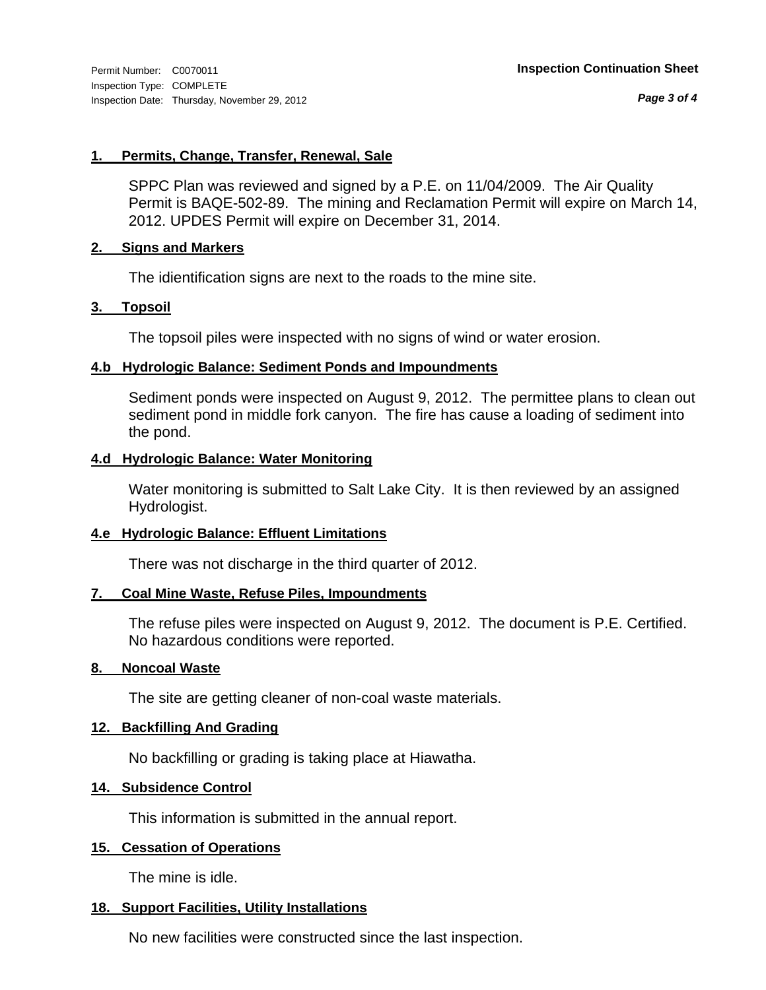*Page 3 of 4*

# **1. Permits, Change, Transfer, Renewal, Sale**

SPPC Plan was reviewed and signed by a P.E. on 11/04/2009. The Air Quality Permit is BAQE-502-89. The mining and Reclamation Permit will expire on March 14, 2012. UPDES Permit will expire on December 31, 2014.

# **2. Signs and Markers**

The idientification signs are next to the roads to the mine site.

# **3. Topsoil**

The topsoil piles were inspected with no signs of wind or water erosion.

# **4.b Hydrologic Balance: Sediment Ponds and Impoundments**

Sediment ponds were inspected on August 9, 2012. The permittee plans to clean out sediment pond in middle fork canyon. The fire has cause a loading of sediment into the pond.

# **4.d Hydrologic Balance: Water Monitoring**

Water monitoring is submitted to Salt Lake City. It is then reviewed by an assigned Hydrologist.

# **4.e Hydrologic Balance: Effluent Limitations**

There was not discharge in the third quarter of 2012.

# **7. Coal Mine Waste, Refuse Piles, Impoundments**

The refuse piles were inspected on August 9, 2012. The document is P.E. Certified. No hazardous conditions were reported.

# **8. Noncoal Waste**

The site are getting cleaner of non-coal waste materials.

# **12. Backfilling And Grading**

No backfilling or grading is taking place at Hiawatha.

# **14. Subsidence Control**

This information is submitted in the annual report.

# **15. Cessation of Operations**

The mine is idle.

# **18. Support Facilities, Utility Installations**

No new facilities were constructed since the last inspection.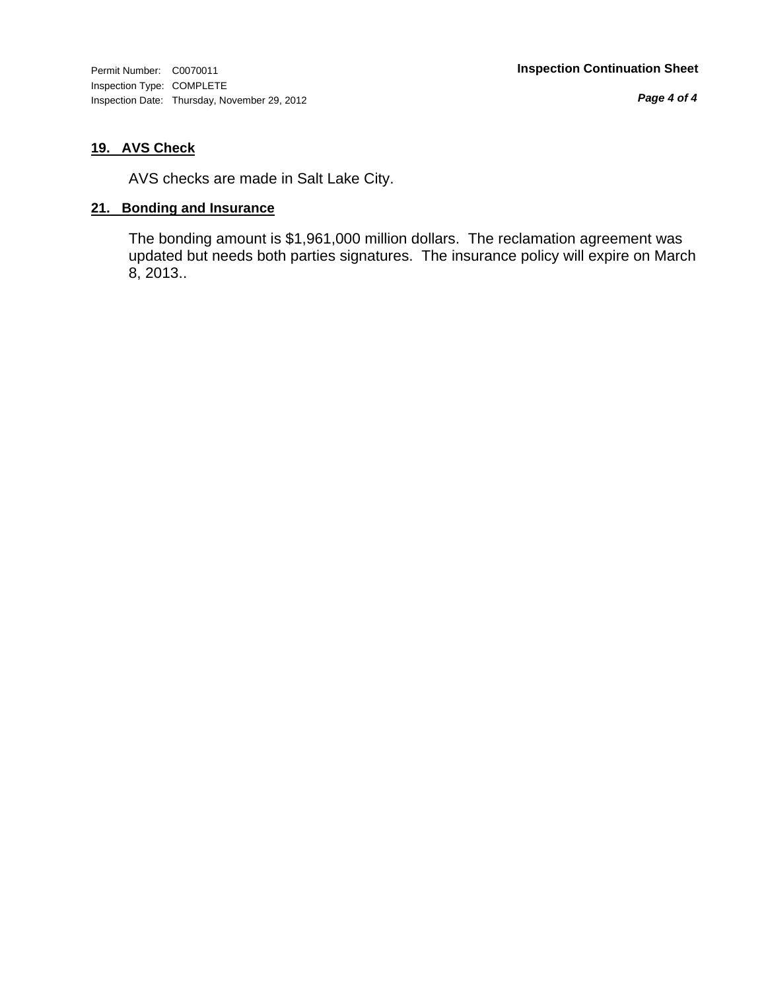*Page 4 of 4*

# **19. AVS Check**

AVS checks are made in Salt Lake City.

# **21. Bonding and Insurance**

The bonding amount is \$1,961,000 million dollars. The reclamation agreement was updated but needs both parties signatures. The insurance policy will expire on March 8, 2013..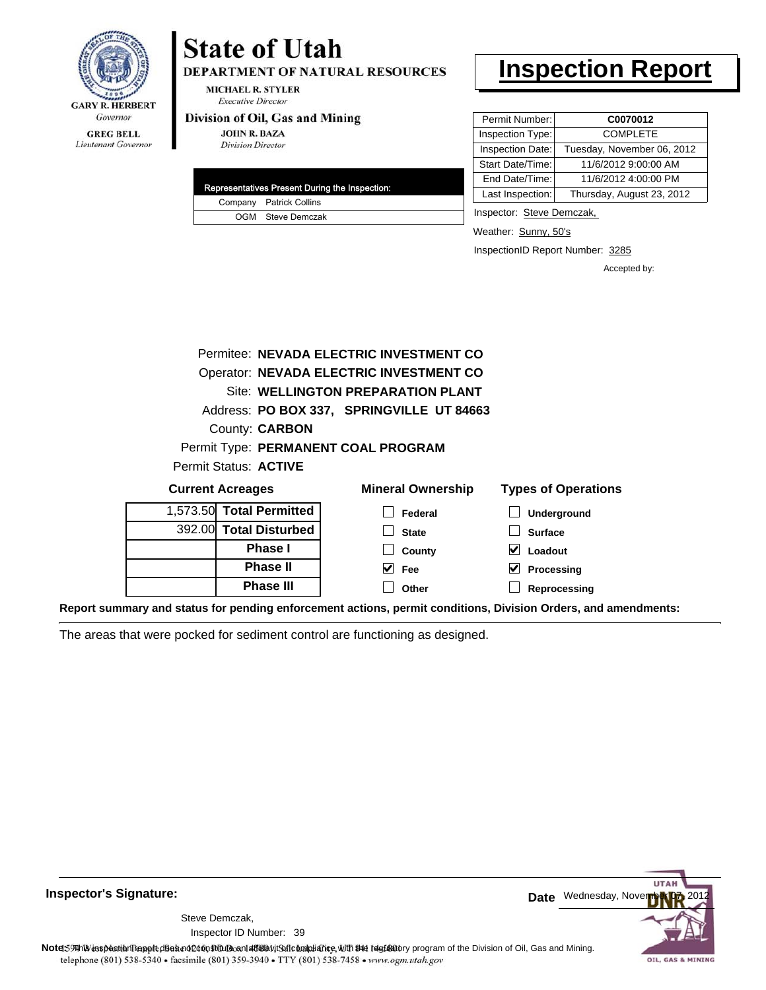

Lieutenant Governor

# **State of Utah**

DEPARTMENT OF NATURAL RESOURCES

**MICHAEL R. STYLER Executive Director** 

# Division of Oil, Gas and Mining

**JOHN R. BAZA Division Director** 

|  | Representatives Present During the Inspection: |
|--|------------------------------------------------|
|  | Company Patrick Collins                        |
|  | OGM Steve Demczak                              |

# **Inspection Report**

| Permit Number:   | C0070012                   |
|------------------|----------------------------|
| Inspection Type: | <b>COMPLETE</b>            |
| Inspection Date: | Tuesday, November 06, 2012 |
| Start Date/Time: | 11/6/2012 9:00:00 AM       |
| End Date/Time:   | 11/6/2012 4:00:00 PM       |
| Last Inspection: | Thursday, August 23, 2012  |

Inspector: Steve Demczak,

Weather: Sunny, 50's

InspectionID Report Number: 3285

Accepted by:

| 1,573.50 Total Permitted            | Federal                                        | Underground                |
|-------------------------------------|------------------------------------------------|----------------------------|
| <b>Current Acreages</b>             | <b>Mineral Ownership</b>                       | <b>Types of Operations</b> |
| Permit Status: ACTIVE               |                                                |                            |
| Permit Type: PERMANENT COAL PROGRAM |                                                |                            |
| County: <b>CARBON</b>               |                                                |                            |
|                                     | Address: PO BOX 337, SPRINGVILLE UT 84663      |                            |
|                                     | Site: WELLINGTON PREPARATION PLANT             |                            |
|                                     | <b>Operator: NEVADA ELECTRIC INVESTMENT CO</b> |                            |
|                                     | Permitee: NEVADA ELECTRIC INVESTMENT CO        |                            |
|                                     |                                                |                            |

**County Fee Other**

| 1,573.50 Total Permitted |
|--------------------------|
| 392.00 Total Disturbed   |
| <b>Phase I</b>           |
| <b>Phase II</b>          |
| <b>Phase III</b>         |

| າeral Ownership | Typ |
|-----------------|-----|
| $\Box$ Federal  |     |
| $\Box$ State    |     |

| $\Box$ Underground         |
|----------------------------|
| $\Box$ Surface             |
| $\vee$ Loadout             |
| $\triangledown$ Processing |
| $\Box$ Reprocessing        |

**Report summary and status for pending enforcement actions, permit conditions, Division Orders, and amendments:**

The areas that were pocked for sediment control are functioning as designed.



### **Inspector's Signature:**

Inspector ID Number: 39 Steve Demczak,

Note: This inspection report does not constitute and affidavit for compliance, with the regulatory program of the Division of Oil, Gas and Mining. telephone (801) 538-5340 · facsimile (801) 359-3940 · TTY (801) 538-7458 · www.ogm.utah.gov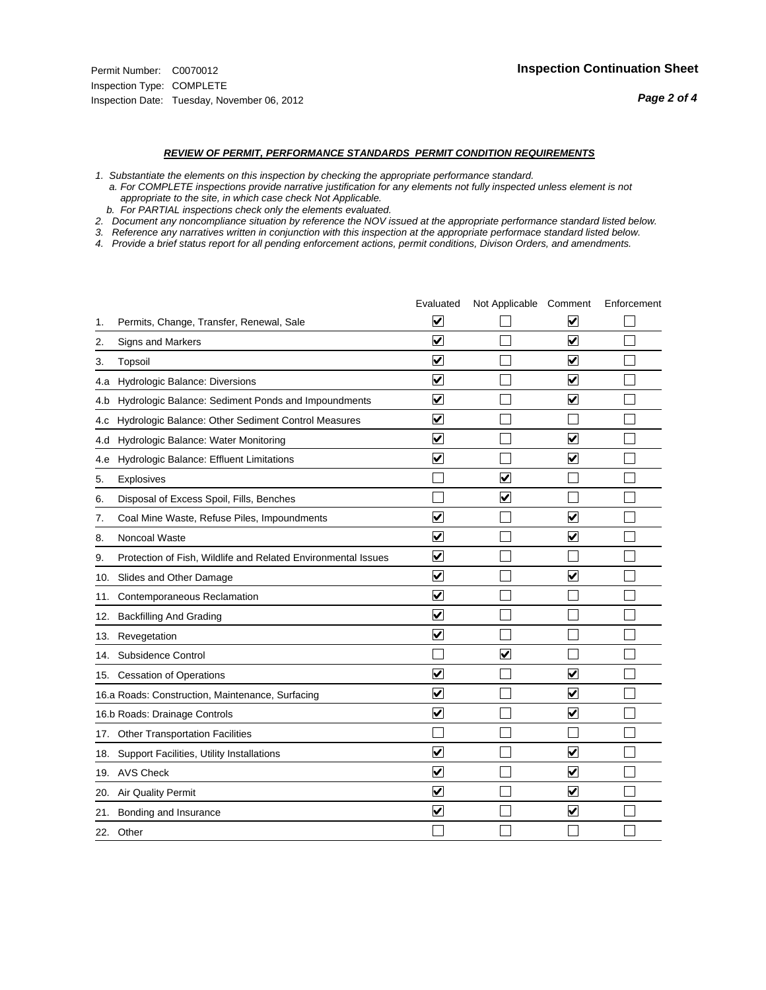#### *REVIEW OF PERMIT, PERFORMANCE STANDARDS PERMIT CONDITION REQUIREMENTS*

*1. Substantiate the elements on this inspection by checking the appropriate performance standard.*

 *a. For COMPLETE inspections provide narrative justification for any elements not fully inspected unless element is not appropriate to the site, in which case check Not Applicable.*

 *b. For PARTIAL inspections check only the elements evaluated.*

*2. Document any noncompliance situation by reference the NOV issued at the appropriate performance standard listed below.*

*3. Reference any narratives written in conjunction with this inspection at the appropriate performace standard listed below.*

*4. Provide a brief status report for all pending enforcement actions, permit conditions, Divison Orders, and amendments.*

|     |                                                               | Evaluated               | Not Applicable Comment  |                         | Enforcement |
|-----|---------------------------------------------------------------|-------------------------|-------------------------|-------------------------|-------------|
| 1.  | Permits, Change, Transfer, Renewal, Sale                      | ⊻                       |                         | V                       |             |
| 2.  | Signs and Markers                                             | $\overline{\mathbf{v}}$ |                         | $\blacktriangledown$    |             |
| 3.  | Topsoil                                                       | $\overline{\mathbf{v}}$ |                         | $\overline{\mathbf{v}}$ |             |
| 4.a | <b>Hydrologic Balance: Diversions</b>                         | $\overline{\mathsf{v}}$ |                         | $\blacktriangledown$    |             |
| 4.b | Hydrologic Balance: Sediment Ponds and Impoundments           | $\blacktriangledown$    |                         | $\blacktriangledown$    |             |
| 4.C | Hydrologic Balance: Other Sediment Control Measures           | $\checkmark$            |                         |                         |             |
| 4.d | Hydrologic Balance: Water Monitoring                          | $\overline{\mathbf{v}}$ |                         | $\blacktriangledown$    |             |
| 4.e | Hydrologic Balance: Effluent Limitations                      | $\overline{\mathbf{v}}$ |                         | $\blacktriangledown$    |             |
| 5.  | <b>Explosives</b>                                             |                         | $\overline{\mathbf{v}}$ |                         |             |
| 6.  | Disposal of Excess Spoil, Fills, Benches                      |                         | $\blacktriangledown$    |                         |             |
| 7.  | Coal Mine Waste, Refuse Piles, Impoundments                   | $\overline{\mathbf{v}}$ |                         | $\overline{\mathbf{v}}$ |             |
| 8.  | Noncoal Waste                                                 | $\overline{\mathbf{v}}$ |                         | $\blacktriangledown$    |             |
| 9.  | Protection of Fish, Wildlife and Related Environmental Issues | $\blacktriangledown$    |                         |                         |             |
| 10. | Slides and Other Damage                                       | $\overline{\mathbf{v}}$ |                         | $\overline{\mathbf{v}}$ |             |
| 11. | Contemporaneous Reclamation                                   | ⊻                       |                         |                         |             |
| 12. | <b>Backfilling And Grading</b>                                | $\overline{\mathbf{v}}$ |                         |                         |             |
| 13. | Revegetation                                                  | $\overline{\mathbf{v}}$ |                         |                         |             |
| 14. | Subsidence Control                                            |                         | $\overline{\mathbf{v}}$ |                         |             |
|     | 15. Cessation of Operations                                   | $\blacktriangledown$    |                         | $\blacktriangledown$    |             |
|     | 16.a Roads: Construction, Maintenance, Surfacing              | $\overline{\mathsf{v}}$ |                         | $\overline{\mathbf{v}}$ |             |
|     | 16.b Roads: Drainage Controls                                 | $\blacktriangledown$    |                         | $\overline{\mathbf{v}}$ |             |
|     | 17. Other Transportation Facilities                           |                         |                         |                         |             |
| 18. | Support Facilities, Utility Installations                     | $\overline{\mathbf{v}}$ |                         | $\blacktriangledown$    |             |
|     | 19. AVS Check                                                 | $\overline{\mathbf{v}}$ |                         | $\blacktriangledown$    |             |
| 20. | <b>Air Quality Permit</b>                                     | $\checkmark$            |                         | $\blacktriangledown$    |             |
| 21. | Bonding and Insurance                                         | $\overline{\mathbf{v}}$ |                         | $\blacktriangledown$    |             |
|     | 22. Other                                                     |                         |                         |                         |             |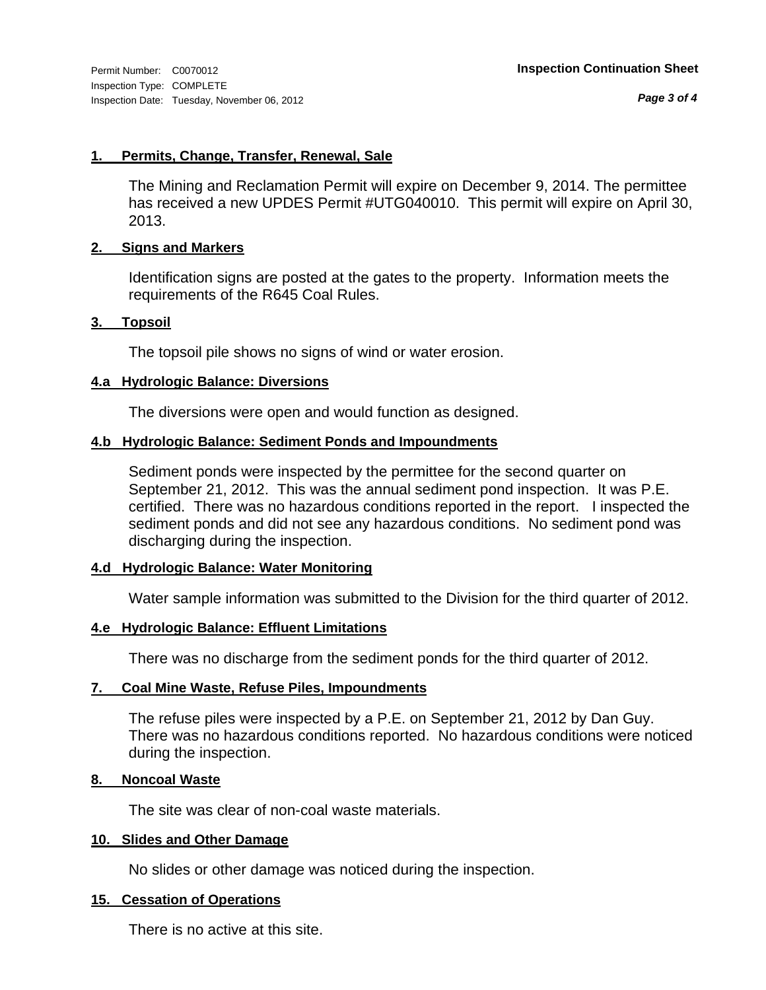*Page 3 of 4*

# **1. Permits, Change, Transfer, Renewal, Sale**

The Mining and Reclamation Permit will expire on December 9, 2014. The permittee has received a new UPDES Permit #UTG040010. This permit will expire on April 30, 2013.

# **2. Signs and Markers**

Identification signs are posted at the gates to the property. Information meets the requirements of the R645 Coal Rules.

# **3. Topsoil**

The topsoil pile shows no signs of wind or water erosion.

# **4.a Hydrologic Balance: Diversions**

The diversions were open and would function as designed.

# **4.b Hydrologic Balance: Sediment Ponds and Impoundments**

Sediment ponds were inspected by the permittee for the second quarter on September 21, 2012. This was the annual sediment pond inspection. It was P.E. certified. There was no hazardous conditions reported in the report. I inspected the sediment ponds and did not see any hazardous conditions. No sediment pond was discharging during the inspection.

# **4.d Hydrologic Balance: Water Monitoring**

Water sample information was submitted to the Division for the third quarter of 2012.

# **4.e Hydrologic Balance: Effluent Limitations**

There was no discharge from the sediment ponds for the third quarter of 2012.

# **7. Coal Mine Waste, Refuse Piles, Impoundments**

The refuse piles were inspected by a P.E. on September 21, 2012 by Dan Guy. There was no hazardous conditions reported. No hazardous conditions were noticed during the inspection.

# **8. Noncoal Waste**

The site was clear of non-coal waste materials.

# **10. Slides and Other Damage**

No slides or other damage was noticed during the inspection.

# **15. Cessation of Operations**

There is no active at this site.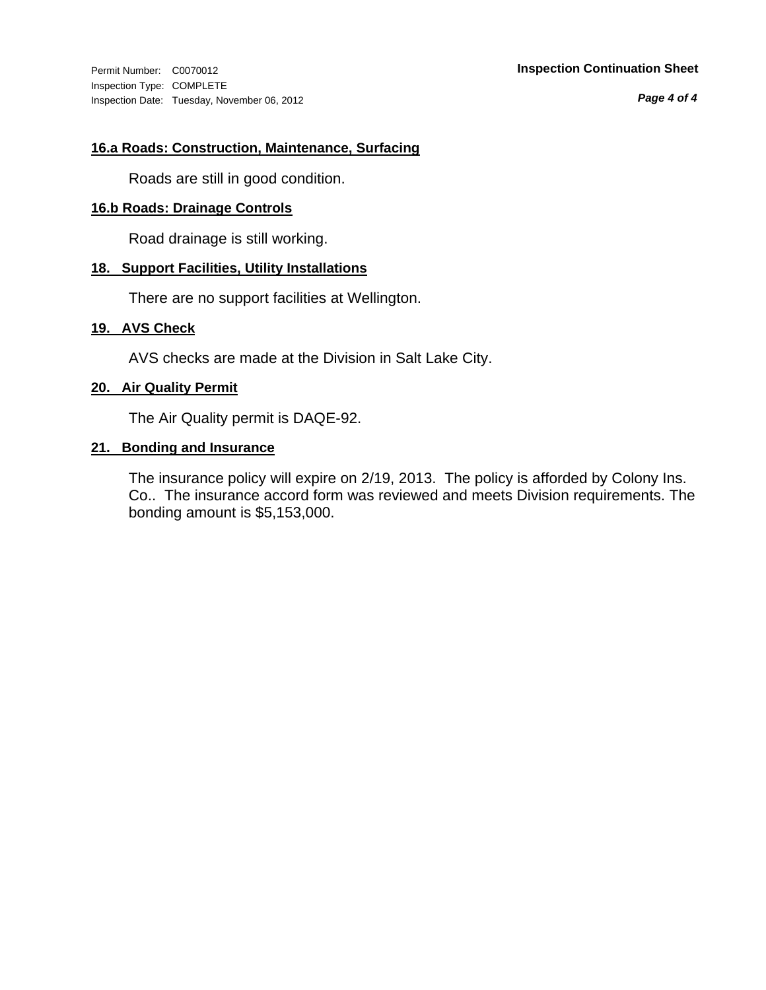Inspection Type: COMPLETE Inspection Date: Tuesday, November 06, 2012

*Page 4 of 4*

# **16.a Roads: Construction, Maintenance, Surfacing**

Roads are still in good condition.

# **16.b Roads: Drainage Controls**

Road drainage is still working.

# **18. Support Facilities, Utility Installations**

There are no support facilities at Wellington.

# **19. AVS Check**

AVS checks are made at the Division in Salt Lake City.

# **20. Air Quality Permit**

The Air Quality permit is DAQE-92.

# **21. Bonding and Insurance**

The insurance policy will expire on 2/19, 2013. The policy is afforded by Colony Ins. Co.. The insurance accord form was reviewed and meets Division requirements. The bonding amount is \$5,153,000.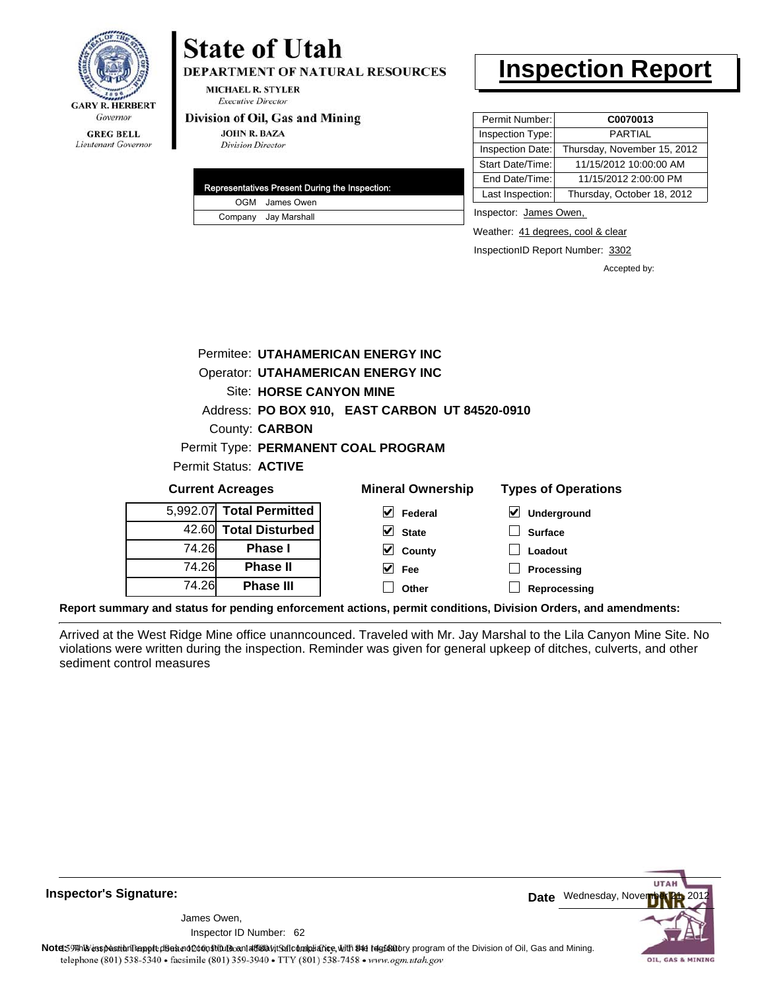

**GREG BELL** Lieutenant Governor

# **State of Utah**

**DEPARTMENT OF NATURAL RESOURCES** 

**MICHAEL R. STYLER Executive Director** 

### Division of Oil, Gas and Mining

**JOHN R. BAZA Division Director** 

| Representatives Present During the Inspection: |
|------------------------------------------------|
| OGM James Owen                                 |
| Company Jay Marshall                           |

# **Inspection Report**

| Permit Number:   | C0070013                    |
|------------------|-----------------------------|
| Inspection Type: | <b>PARTIAL</b>              |
| Inspection Date: | Thursday, November 15, 2012 |
| Start Date/Time: | 11/15/2012 10:00:00 AM      |
| End Date/Time:   | 11/15/2012 2:00:00 PM       |
| Last Inspection: | Thursday, October 18, 2012  |

Inspector: James Owen,

Weather: 41 degrees, cool & clear

InspectionID Report Number: 3302

Accepted by:

|                                     |                                | Permitee: UTAHAMERICAN ENERGY INC              |                            |
|-------------------------------------|--------------------------------|------------------------------------------------|----------------------------|
|                                     |                                | <b>Operator: UTAHAMERICAN ENERGY INC</b>       |                            |
|                                     | <b>Site: HORSE CANYON MINE</b> |                                                |                            |
|                                     |                                | Address: PO BOX 910, EAST CARBON UT 84520-0910 |                            |
| County: <b>CARBON</b>               |                                |                                                |                            |
| Permit Type: PERMANENT COAL PROGRAM |                                |                                                |                            |
| Permit Status: ACTIVE               |                                |                                                |                            |
| <b>Current Acreages</b>             |                                | <b>Mineral Ownership</b>                       | <b>Types of Operations</b> |
| 5,992.07 Total Permitted            |                                | V<br>Federal                                   | V<br><b>Underground</b>    |
| 42.60 Total Disturbed               |                                | $ v $ cinin                                    | C <sub>1</sub>             |

5 42.60 74.26 74.26 74.26 **Total Disturbed Phase I Phase II Phase III**

| eral Ownership               | Types of Op       |  |  |
|------------------------------|-------------------|--|--|
| $\sqrt{\phantom{a}}$ Federal | $\nabla$ Undergro |  |  |
| $\vee$ State                 | $\Box$ Surface    |  |  |
| $\vee$ County                | $\Box$ Loadout    |  |  |
| $\vee$ Fee                   | Processi          |  |  |
| $\Box$ Other                 | $\Box$ Reproce    |  |  |

**essing Reprocessing**

**Report summary and status for pending enforcement actions, permit conditions, Division Orders, and amendments:**

Arrived at the West Ridge Mine office unanncounced. Traveled with Mr. Jay Marshal to the Lila Canyon Mine Site. No violations were written during the inspection. Reminder was given for general upkeep of ditches, culverts, and other sediment control measures



**Inspector's Signature:**

62 Inspector ID Number:James Owen,

Note: This inspection report does not constitute and affidavit for compliance, with the regulatory program of the Division of Oil, Gas and Mining. telephone (801) 538-5340 · facsimile (801) 359-3940 · TTY (801) 538-7458 · www.ogm.utah.gov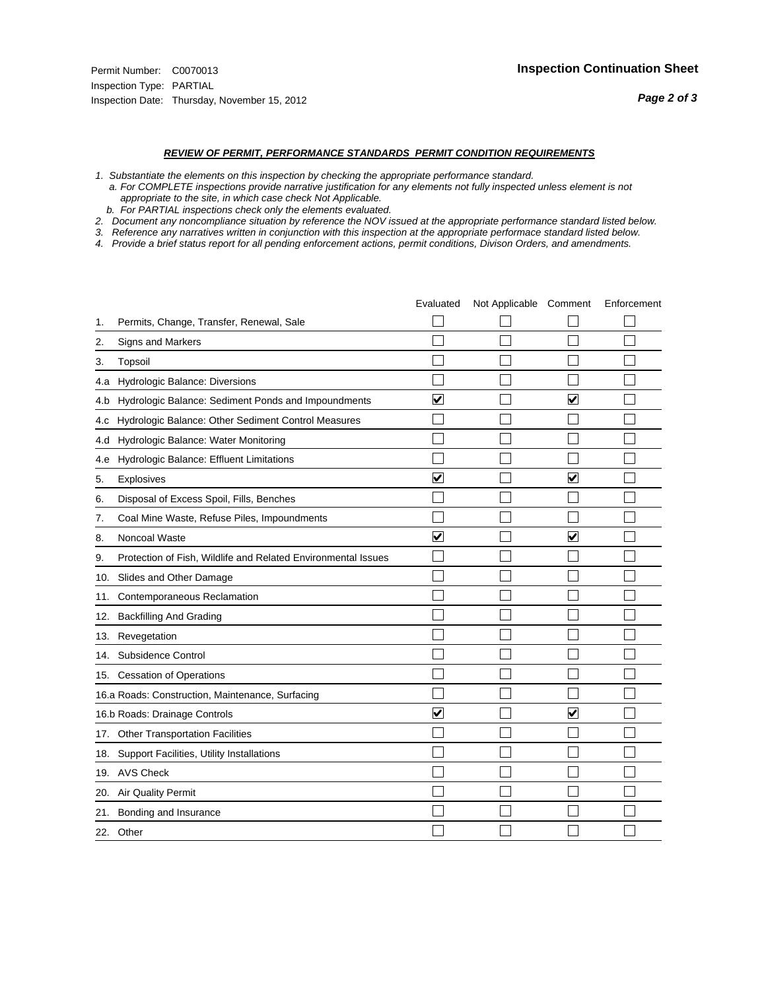#### *REVIEW OF PERMIT, PERFORMANCE STANDARDS PERMIT CONDITION REQUIREMENTS*

- *1. Substantiate the elements on this inspection by checking the appropriate performance standard.*
- *a. For COMPLETE inspections provide narrative justification for any elements not fully inspected unless element is not appropriate to the site, in which case check Not Applicable.*
- *b. For PARTIAL inspections check only the elements evaluated.*
- *2. Document any noncompliance situation by reference the NOV issued at the appropriate performance standard listed below.*
- *3. Reference any narratives written in conjunction with this inspection at the appropriate performace standard listed below.*
- *4. Provide a brief status report for all pending enforcement actions, permit conditions, Divison Orders, and amendments.*

|     |                                                               | Evaluated               | Not Applicable Comment |                         | Enforcement |
|-----|---------------------------------------------------------------|-------------------------|------------------------|-------------------------|-------------|
| 1.  | Permits, Change, Transfer, Renewal, Sale                      |                         |                        |                         |             |
| 2.  | <b>Signs and Markers</b>                                      |                         |                        |                         |             |
| 3.  | Topsoil                                                       |                         |                        |                         |             |
| 4.a | Hydrologic Balance: Diversions                                |                         |                        |                         |             |
| 4.b | Hydrologic Balance: Sediment Ponds and Impoundments           | $\blacktriangledown$    |                        | $\blacktriangledown$    |             |
| 4.C | Hydrologic Balance: Other Sediment Control Measures           |                         |                        |                         |             |
| 4.d | Hydrologic Balance: Water Monitoring                          |                         |                        |                         |             |
| 4.e | Hydrologic Balance: Effluent Limitations                      |                         |                        |                         |             |
| 5.  | <b>Explosives</b>                                             | $\overline{\mathsf{v}}$ |                        | $\overline{\mathbf{v}}$ |             |
| 6.  | Disposal of Excess Spoil, Fills, Benches                      |                         |                        |                         |             |
| 7.  | Coal Mine Waste, Refuse Piles, Impoundments                   |                         |                        |                         |             |
| 8.  | Noncoal Waste                                                 | $\overline{\mathbf{v}}$ |                        | $\overline{\mathbf{v}}$ |             |
| 9.  | Protection of Fish, Wildlife and Related Environmental Issues |                         |                        |                         |             |
| 10. | Slides and Other Damage                                       |                         |                        |                         |             |
| 11. | Contemporaneous Reclamation                                   |                         |                        |                         |             |
| 12. | <b>Backfilling And Grading</b>                                |                         |                        |                         |             |
| 13. | Revegetation                                                  |                         |                        |                         |             |
| 14. | Subsidence Control                                            |                         |                        |                         |             |
|     | 15. Cessation of Operations                                   |                         |                        |                         |             |
|     | 16.a Roads: Construction, Maintenance, Surfacing              |                         |                        |                         |             |
|     | 16.b Roads: Drainage Controls                                 | $\blacktriangledown$    |                        | V                       |             |
|     | 17. Other Transportation Facilities                           |                         |                        |                         |             |
| 18. | Support Facilities, Utility Installations                     |                         |                        |                         |             |
|     | 19. AVS Check                                                 |                         |                        |                         |             |
| 20. | Air Quality Permit                                            |                         |                        |                         |             |
|     | 21. Bonding and Insurance                                     |                         |                        |                         |             |
|     | 22. Other                                                     |                         |                        |                         |             |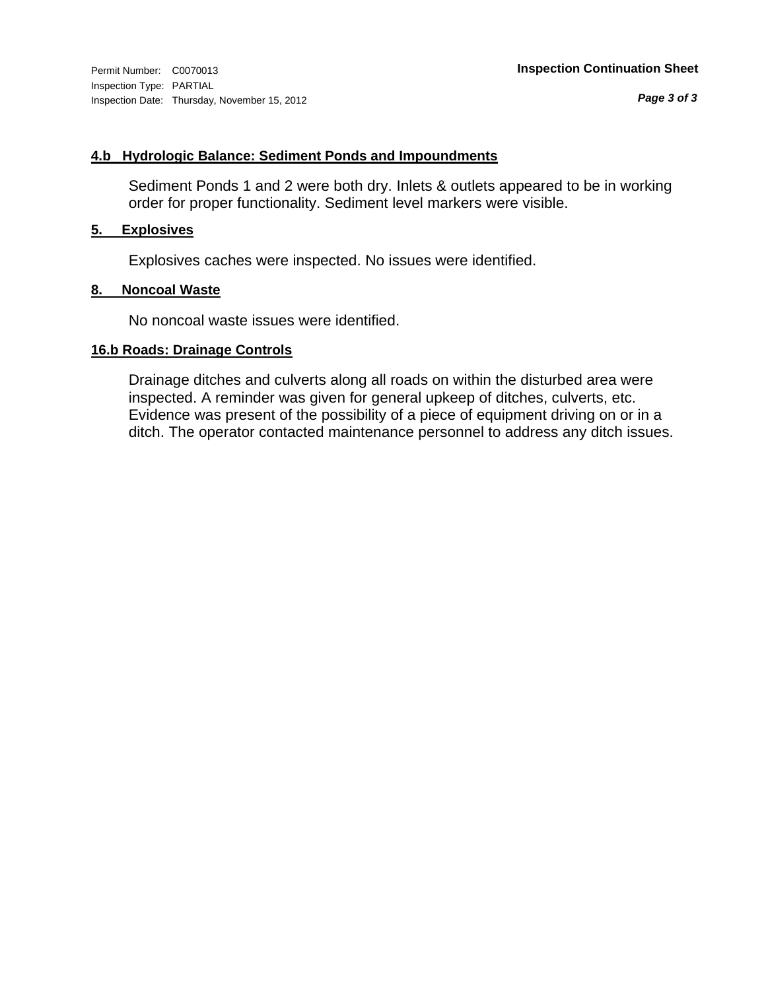# **4.b Hydrologic Balance: Sediment Ponds and Impoundments**

Sediment Ponds 1 and 2 were both dry. Inlets & outlets appeared to be in working order for proper functionality. Sediment level markers were visible.

# **5. Explosives**

Explosives caches were inspected. No issues were identified.

# **8. Noncoal Waste**

No noncoal waste issues were identified.

# **16.b Roads: Drainage Controls**

Drainage ditches and culverts along all roads on within the disturbed area were inspected. A reminder was given for general upkeep of ditches, culverts, etc. Evidence was present of the possibility of a piece of equipment driving on or in a ditch. The operator contacted maintenance personnel to address any ditch issues.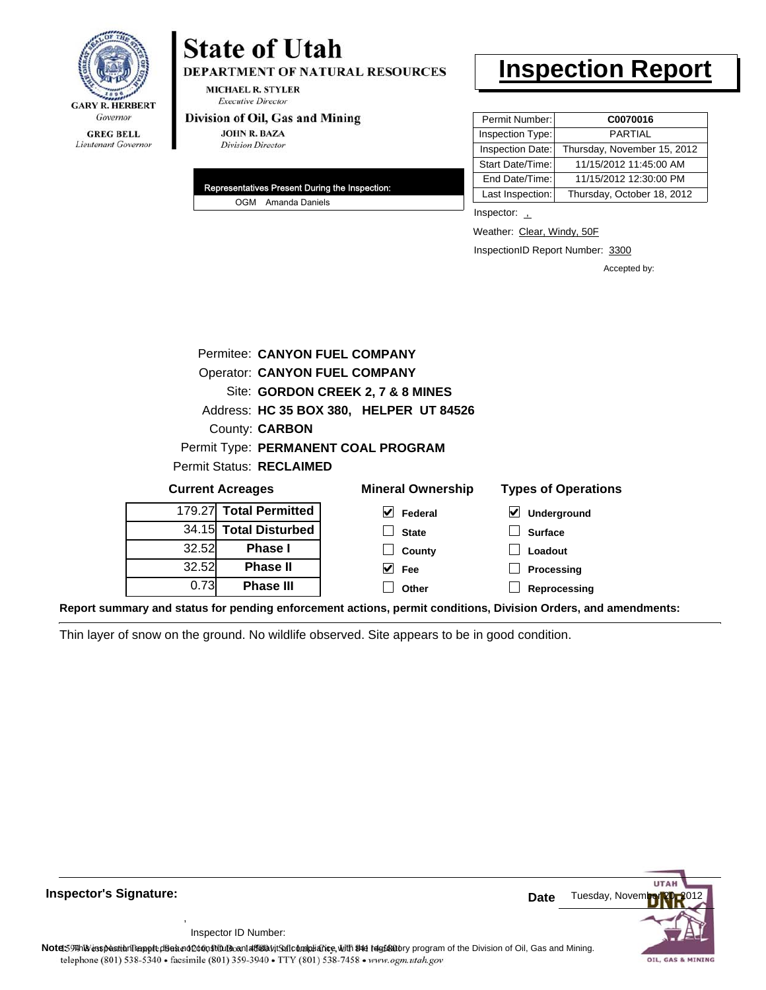

# **State of Utah**

DEPARTMENT OF NATURAL RESOURCES

**MICHAEL R. STYLER Executive Director** 

### Division of Oil, Gas and Mining

**JOHN R. BAZA Division Director** 

| Representatives Present During the Inspection: |
|------------------------------------------------|
| OGM Amanda Daniels                             |

# **Inspection Report**

| Permit Number:   | C0070016                    |
|------------------|-----------------------------|
| Inspection Type: | <b>PARTIAL</b>              |
| Inspection Date: | Thursday, November 15, 2012 |
| Start Date/Time: | 11/15/2012 11:45:00 AM      |
| End Date/Time:   | 11/15/2012 12:30:00 PM      |
| Last Inspection: | Thursday, October 18, 2012  |

Inspector: 1

Weather: Clear, Windy, 50F

InspectionID Report Number: 3300

**Reprocessing**

Accepted by:

|       | Permitee: CANYON FUEL COMPANY           |                                     |                            |  |  |
|-------|-----------------------------------------|-------------------------------------|----------------------------|--|--|
|       | <b>Operator: CANYON FUEL COMPANY</b>    |                                     |                            |  |  |
|       | Site: GORDON CREEK 2, 7 & 8 MINES       |                                     |                            |  |  |
|       | Address: HC 35 BOX 380, HELPER UT 84526 |                                     |                            |  |  |
|       | County: <b>CARBON</b>                   |                                     |                            |  |  |
|       |                                         | Permit Type: PERMANENT COAL PROGRAM |                            |  |  |
|       | Permit Status: RECLAIMED                |                                     |                            |  |  |
|       | <b>Current Acreages</b>                 | <b>Mineral Ownership</b>            | <b>Types of Operations</b> |  |  |
|       | 179.27 Total Permitted                  | V<br>Federal                        | M<br>Underground           |  |  |
|       | 34.15 Total Disturbed                   | <b>State</b>                        | <b>Surface</b>             |  |  |
| 32.52 | <b>Phase I</b>                          | County                              | Loadout                    |  |  |
| 32.52 | <b>Phase II</b>                         | Fee                                 | Processing                 |  |  |

**Other**

**Report summary and status for pending enforcement actions, permit conditions, Division Orders, and amendments:**

Thin layer of snow on the ground. No wildlife observed. Site appears to be in good condition.

**Phase III**



**Inspector's Signature: Date Date Date Date** 

Inspector ID Number:

,

0.73

Note: This inspection report does not constitute and affidavit for compliance, with the regulatory program of the Division of Oil, Gas and Mining. telephone (801) 538-5340 · facsimile (801) 359-3940 · TTY (801) 538-7458 · www.ogm.utah.gov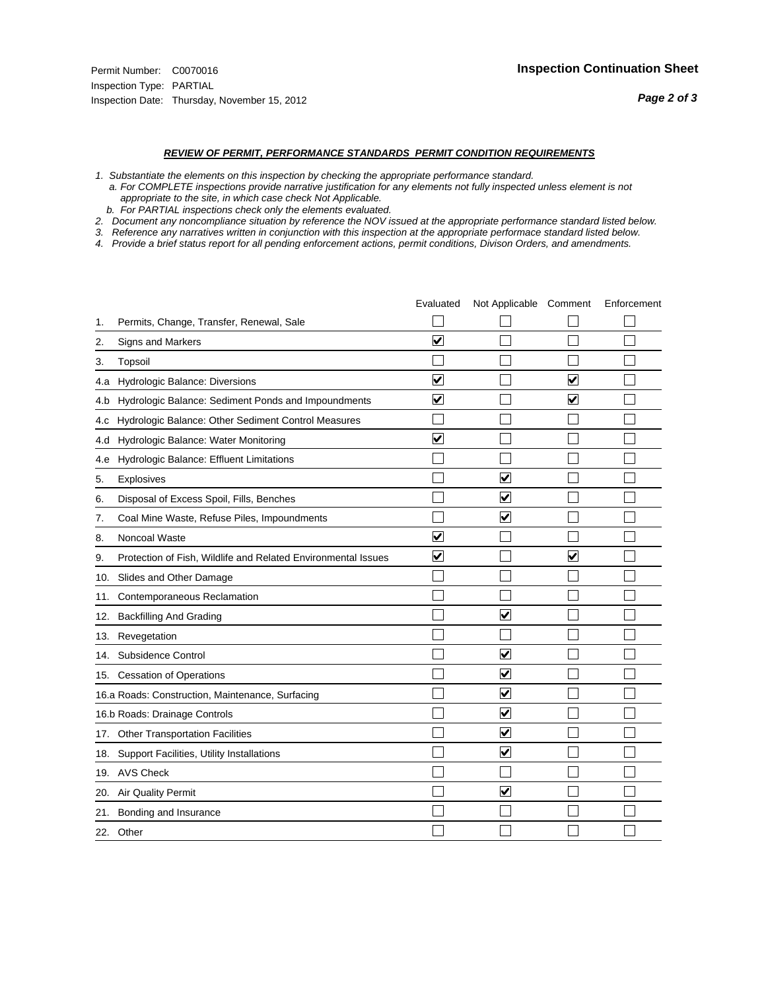#### *REVIEW OF PERMIT, PERFORMANCE STANDARDS PERMIT CONDITION REQUIREMENTS*

*1. Substantiate the elements on this inspection by checking the appropriate performance standard.*

 *a. For COMPLETE inspections provide narrative justification for any elements not fully inspected unless element is not appropriate to the site, in which case check Not Applicable.*

 *b. For PARTIAL inspections check only the elements evaluated.*

*2. Document any noncompliance situation by reference the NOV issued at the appropriate performance standard listed below.*

*3. Reference any narratives written in conjunction with this inspection at the appropriate performace standard listed below.*

*4. Provide a brief status report for all pending enforcement actions, permit conditions, Divison Orders, and amendments.*

|     |                                                               | Evaluated               | Not Applicable Comment          |                         | Enforcement |
|-----|---------------------------------------------------------------|-------------------------|---------------------------------|-------------------------|-------------|
| 1.  | Permits, Change, Transfer, Renewal, Sale                      |                         |                                 |                         |             |
| 2.  | <b>Signs and Markers</b>                                      | $\overline{\mathbf{v}}$ |                                 |                         |             |
| 3.  | Topsoil                                                       |                         |                                 |                         |             |
| 4.a | Hydrologic Balance: Diversions                                | ⊽                       |                                 | $\overline{\mathbf{v}}$ |             |
| 4.b | Hydrologic Balance: Sediment Ponds and Impoundments           | $\blacktriangledown$    |                                 | ⊻                       |             |
| 4.C | Hydrologic Balance: Other Sediment Control Measures           |                         |                                 |                         |             |
| 4.d | Hydrologic Balance: Water Monitoring                          | ☑                       |                                 |                         |             |
| 4.e | Hydrologic Balance: Effluent Limitations                      |                         |                                 |                         |             |
| 5.  | Explosives                                                    |                         | $\overline{\mathbf{v}}$         |                         |             |
| 6.  | Disposal of Excess Spoil, Fills, Benches                      |                         | $\blacktriangledown$            |                         |             |
| 7.  | Coal Mine Waste, Refuse Piles, Impoundments                   |                         | $\blacktriangledown$            |                         |             |
| 8.  | Noncoal Waste                                                 | $\overline{\mathsf{v}}$ |                                 |                         |             |
| 9.  | Protection of Fish, Wildlife and Related Environmental Issues | $\blacktriangledown$    |                                 | ☑                       |             |
|     | 10. Slides and Other Damage                                   |                         |                                 |                         |             |
| 11. | Contemporaneous Reclamation                                   |                         |                                 |                         |             |
| 12. | <b>Backfilling And Grading</b>                                |                         | $\overline{\mathbf{v}}$         |                         |             |
| 13. | Revegetation                                                  |                         |                                 |                         |             |
| 14. | Subsidence Control                                            |                         | $\overline{\mathbf{v}}$         |                         |             |
|     | 15. Cessation of Operations                                   |                         | $\blacktriangledown$            |                         |             |
|     | 16.a Roads: Construction, Maintenance, Surfacing              |                         | $\blacktriangledown$            |                         |             |
|     | 16.b Roads: Drainage Controls                                 |                         | $\blacktriangledown$            |                         |             |
|     | 17. Other Transportation Facilities                           |                         | $\overline{\mathbf{v}}$         |                         |             |
| 18. | Support Facilities, Utility Installations                     |                         | $\overline{\blacktriangledown}$ |                         |             |
|     | 19. AVS Check                                                 |                         |                                 |                         |             |
| 20. | Air Quality Permit                                            |                         | $\blacktriangledown$            |                         |             |
|     | 21. Bonding and Insurance                                     |                         |                                 |                         |             |
|     | 22. Other                                                     |                         |                                 |                         |             |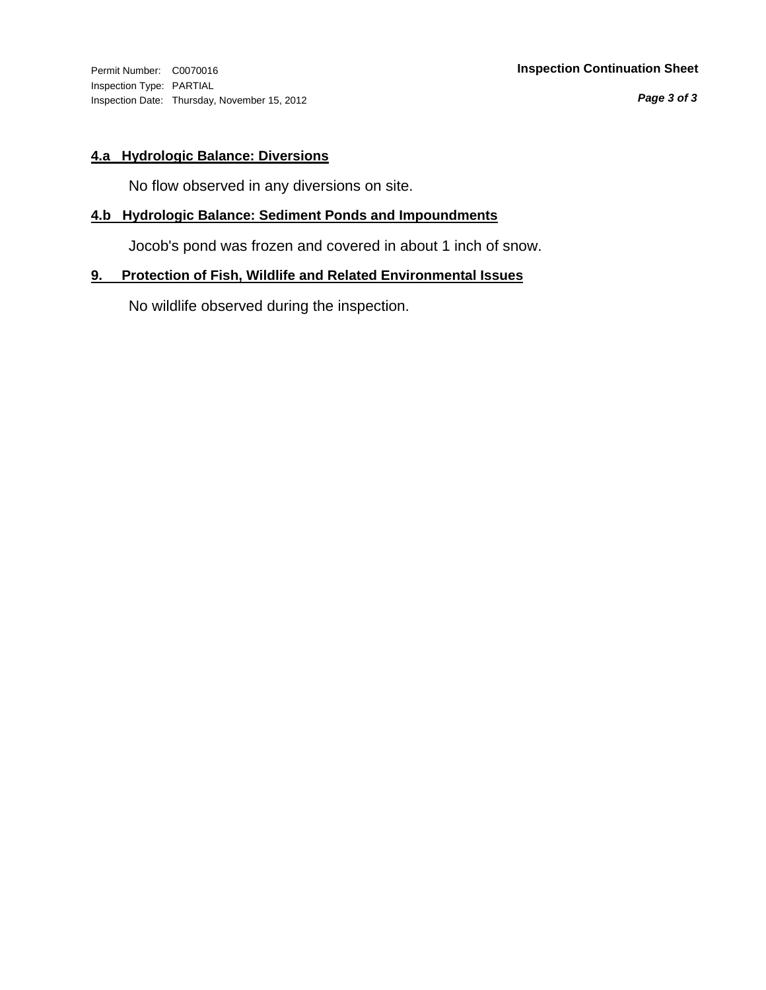Inspection Type: PARTIAL Inspection Date: Thursday, November 15, 2012

*Page 3 of 3*

# **4.a Hydrologic Balance: Diversions**

No flow observed in any diversions on site.

# **4.b Hydrologic Balance: Sediment Ponds and Impoundments**

Jocob's pond was frozen and covered in about 1 inch of snow.

# **9. Protection of Fish, Wildlife and Related Environmental Issues**

No wildlife observed during the inspection.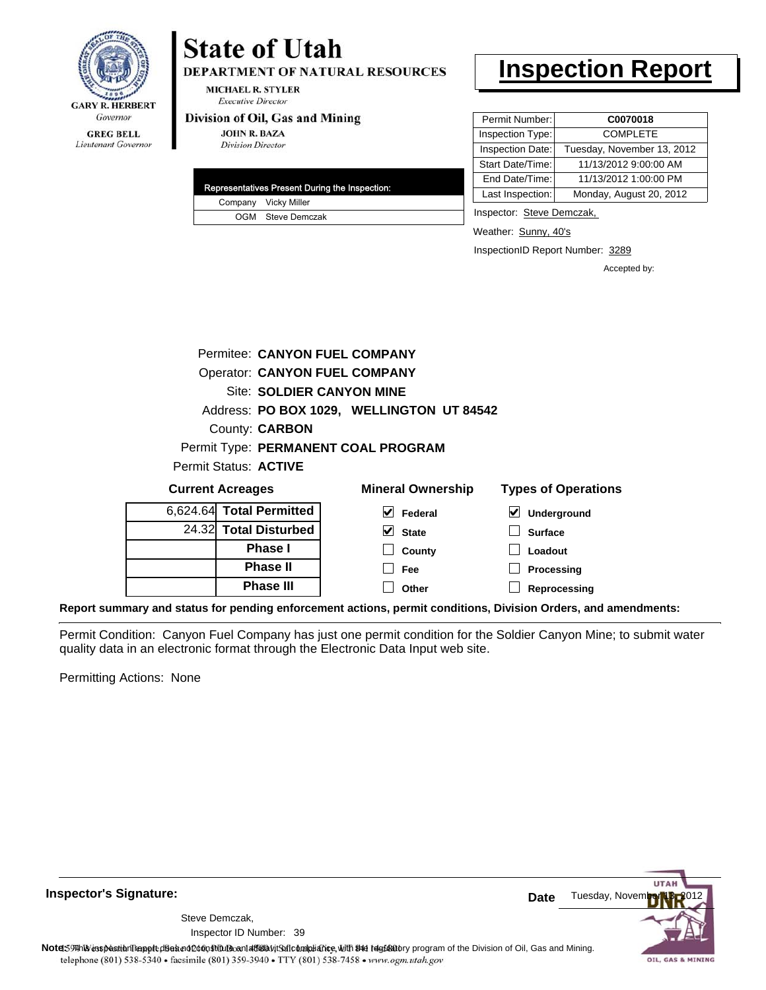

# **GREG BELL**

Lieutenant Governor

# **State of Utah**

**DEPARTMENT OF NATURAL RESOURCES** 

**MICHAEL R. STYLER Executive Director** 

### Division of Oil, Gas and Mining

**JOHN R. BAZA Division Director** 

|  | Representatives Present During the Inspection: |
|--|------------------------------------------------|
|  | Company Vicky Miller                           |
|  | OGM Steve Demczak                              |

# **Inspection Report**

| Permit Number:   | C0070018                   |
|------------------|----------------------------|
| Inspection Type: | <b>COMPLETE</b>            |
| Inspection Date: | Tuesday, November 13, 2012 |
| Start Date/Time: | 11/13/2012 9:00:00 AM      |
| End Date/Time:   | 11/13/2012 1:00:00 PM      |
| Last Inspection: | Monday, August 20, 2012    |

Inspector: Steve Demczak,

**Loadout Processing**

Weather: Sunny, 40's

InspectionID Report Number: 3289

Accepted by:

|                          |                       | Permitee: CANYON FUEL COMPANY        |                                           |                            |  |
|--------------------------|-----------------------|--------------------------------------|-------------------------------------------|----------------------------|--|
|                          |                       | <b>Operator: CANYON FUEL COMPANY</b> |                                           |                            |  |
|                          |                       | Site: SOLDIER CANYON MINE            |                                           |                            |  |
|                          |                       |                                      | Address: PO BOX 1029, WELLINGTON UT 84542 |                            |  |
|                          | County: <b>CARBON</b> |                                      |                                           |                            |  |
|                          |                       | Permit Type: PERMANENT COAL PROGRAM  |                                           |                            |  |
| Permit Status: ACTIVE    |                       |                                      |                                           |                            |  |
| <b>Current Acreages</b>  |                       |                                      | <b>Mineral Ownership</b>                  | <b>Types of Operations</b> |  |
| 6,624.64 Total Permitted |                       | V                                    | Federal                                   | V<br>Underground           |  |
|                          | 24.32 Total Disturbed |                                      | <b>State</b>                              | Surface                    |  |

**County Fee**

**Reprocessing Phase III Report summary and status for pending enforcement actions, permit conditions, Division Orders, and amendments: Other**

**Phase I Phase II**

Permit Condition: Canyon Fuel Company has just one permit condition for the Soldier Canyon Mine; to submit water quality data in an electronic format through the Electronic Data Input web site.

Permitting Actions: None

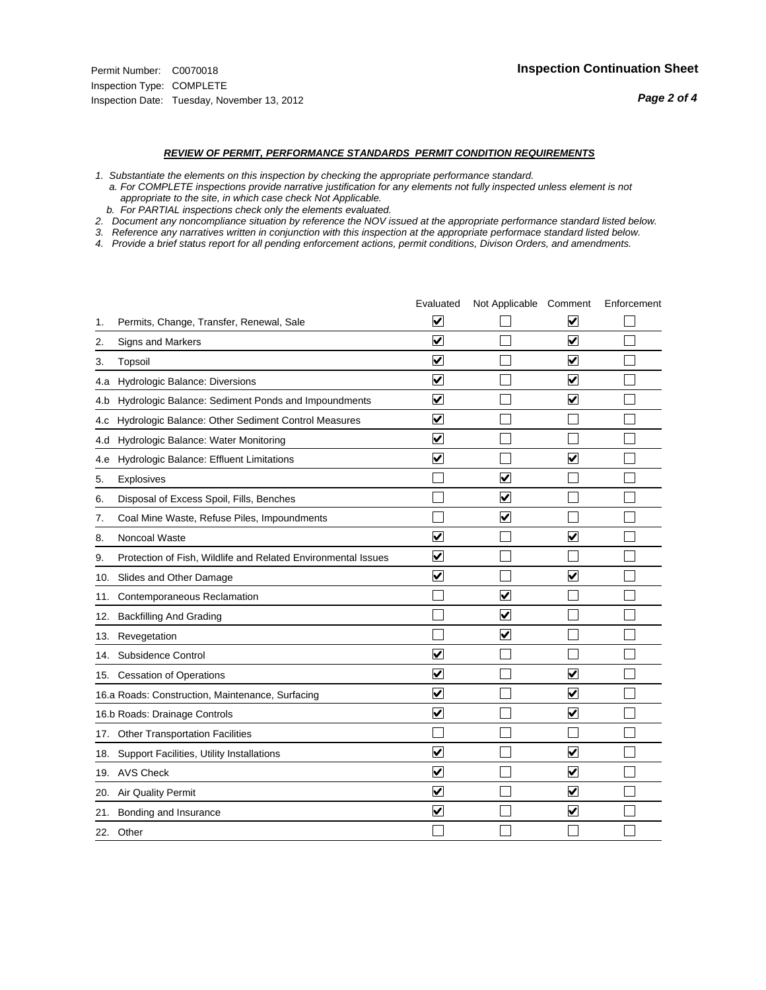#### *REVIEW OF PERMIT, PERFORMANCE STANDARDS PERMIT CONDITION REQUIREMENTS*

*1. Substantiate the elements on this inspection by checking the appropriate performance standard.*

 *a. For COMPLETE inspections provide narrative justification for any elements not fully inspected unless element is not appropriate to the site, in which case check Not Applicable.*

 *b. For PARTIAL inspections check only the elements evaluated.*

*2. Document any noncompliance situation by reference the NOV issued at the appropriate performance standard listed below.*

*3. Reference any narratives written in conjunction with this inspection at the appropriate performace standard listed below.*

*4. Provide a brief status report for all pending enforcement actions, permit conditions, Divison Orders, and amendments.*

|     |                                                               | Evaluated               | Not Applicable Comment          |                         | Enforcement |
|-----|---------------------------------------------------------------|-------------------------|---------------------------------|-------------------------|-------------|
| 1.  | Permits, Change, Transfer, Renewal, Sale                      | $\overline{\mathbf{v}}$ |                                 | V                       |             |
| 2.  | Signs and Markers                                             | $\overline{\mathbf{v}}$ |                                 | $\blacktriangledown$    |             |
| 3.  | Topsoil                                                       | $\overline{\mathbf{v}}$ |                                 | $\overline{\mathsf{v}}$ |             |
| 4.a | Hydrologic Balance: Diversions                                | $\overline{\mathbf{v}}$ |                                 | $\blacktriangledown$    |             |
| 4.b | Hydrologic Balance: Sediment Ponds and Impoundments           | $\blacktriangledown$    |                                 | ⊻                       |             |
| 4.C | Hydrologic Balance: Other Sediment Control Measures           | $\overline{\mathbf{v}}$ |                                 |                         |             |
| 4.d | Hydrologic Balance: Water Monitoring                          | $\overline{\mathbf{v}}$ |                                 |                         |             |
| 4.e | Hydrologic Balance: Effluent Limitations                      | $\overline{\mathbf{v}}$ |                                 | $\blacktriangledown$    |             |
| 5.  | <b>Explosives</b>                                             |                         | ⊽                               |                         |             |
| 6.  | Disposal of Excess Spoil, Fills, Benches                      |                         | $\blacktriangledown$            |                         |             |
| 7.  | Coal Mine Waste, Refuse Piles, Impoundments                   |                         | $\overline{\mathbf{v}}$         |                         |             |
| 8.  | Noncoal Waste                                                 | $\overline{\mathsf{v}}$ |                                 | $\overline{\mathbf{v}}$ |             |
| 9.  | Protection of Fish, Wildlife and Related Environmental Issues | $\overline{\mathbf{v}}$ |                                 |                         |             |
|     | 10. Slides and Other Damage                                   | $\overline{\mathbf{v}}$ |                                 | $\overline{\mathbf{v}}$ |             |
| 11. | Contemporaneous Reclamation                                   |                         | ☑                               |                         |             |
| 12. | <b>Backfilling And Grading</b>                                |                         | $\overline{\mathbf{v}}$         |                         |             |
| 13. | Revegetation                                                  |                         | $\overline{\blacktriangledown}$ |                         |             |
| 14. | Subsidence Control                                            | $\overline{\mathbf{v}}$ |                                 |                         |             |
|     | 15. Cessation of Operations                                   | $\overline{\mathbf{v}}$ |                                 | $\blacktriangledown$    |             |
|     | 16.a Roads: Construction, Maintenance, Surfacing              | $\blacktriangledown$    |                                 | $\blacktriangledown$    |             |
|     | 16.b Roads: Drainage Controls                                 | $\overline{\mathbf{v}}$ |                                 | $\overline{\mathbf{v}}$ |             |
|     | 17. Other Transportation Facilities                           |                         |                                 |                         |             |
| 18. | Support Facilities, Utility Installations                     | $\overline{\mathbf{v}}$ |                                 | $\blacktriangledown$    |             |
|     | 19. AVS Check                                                 | $\overline{\mathbf{v}}$ |                                 | $\blacktriangledown$    |             |
| 20. | <b>Air Quality Permit</b>                                     | $\checkmark$            |                                 | $\blacktriangledown$    |             |
| 21. | Bonding and Insurance                                         | $\overline{\mathbf{v}}$ |                                 | $\blacktriangledown$    |             |
|     | 22. Other                                                     |                         |                                 |                         |             |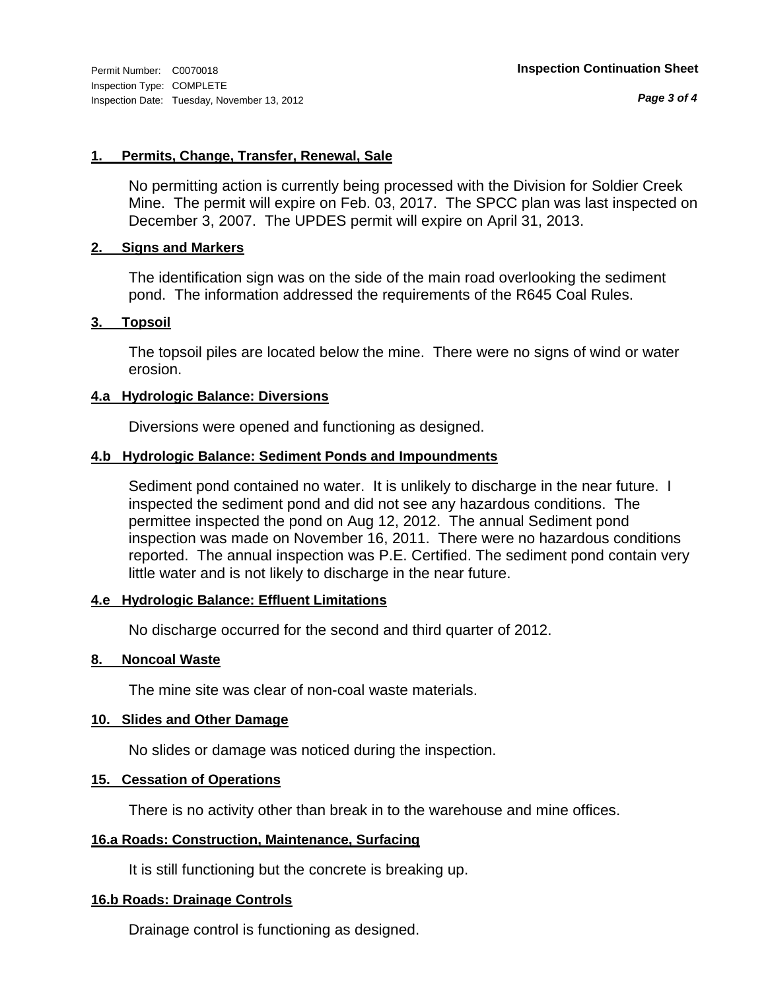*Page 3 of 4*

# **1. Permits, Change, Transfer, Renewal, Sale**

No permitting action is currently being processed with the Division for Soldier Creek Mine. The permit will expire on Feb. 03, 2017. The SPCC plan was last inspected on December 3, 2007. The UPDES permit will expire on April 31, 2013.

# **2. Signs and Markers**

The identification sign was on the side of the main road overlooking the sediment pond. The information addressed the requirements of the R645 Coal Rules.

# **3. Topsoil**

The topsoil piles are located below the mine. There were no signs of wind or water erosion.

# **4.a Hydrologic Balance: Diversions**

Diversions were opened and functioning as designed.

# **4.b Hydrologic Balance: Sediment Ponds and Impoundments**

Sediment pond contained no water. It is unlikely to discharge in the near future. I inspected the sediment pond and did not see any hazardous conditions. The permittee inspected the pond on Aug 12, 2012. The annual Sediment pond inspection was made on November 16, 2011. There were no hazardous conditions reported. The annual inspection was P.E. Certified. The sediment pond contain very little water and is not likely to discharge in the near future.

# **4.e Hydrologic Balance: Effluent Limitations**

No discharge occurred for the second and third quarter of 2012.

# **8. Noncoal Waste**

The mine site was clear of non-coal waste materials.

# **10. Slides and Other Damage**

No slides or damage was noticed during the inspection.

# **15. Cessation of Operations**

There is no activity other than break in to the warehouse and mine offices.

# **16.a Roads: Construction, Maintenance, Surfacing**

It is still functioning but the concrete is breaking up.

# **16.b Roads: Drainage Controls**

Drainage control is functioning as designed.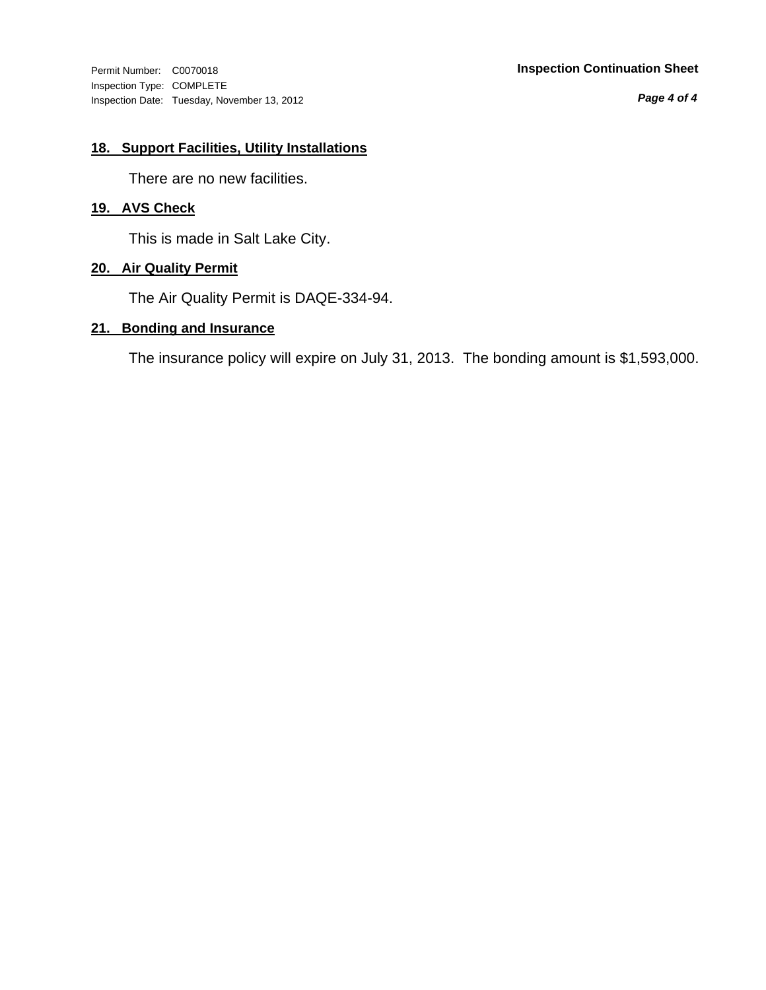Inspection Type: COMPLETE Inspection Date: Tuesday, November 13, 2012

# Permit Number: C0070018 **Inspection Continuation Sheet**

*Page 4 of 4*

# **18. Support Facilities, Utility Installations**

There are no new facilities.

# **19. AVS Check**

This is made in Salt Lake City.

# **20. Air Quality Permit**

The Air Quality Permit is DAQE-334-94.

# **21. Bonding and Insurance**

The insurance policy will expire on July 31, 2013. The bonding amount is \$1,593,000.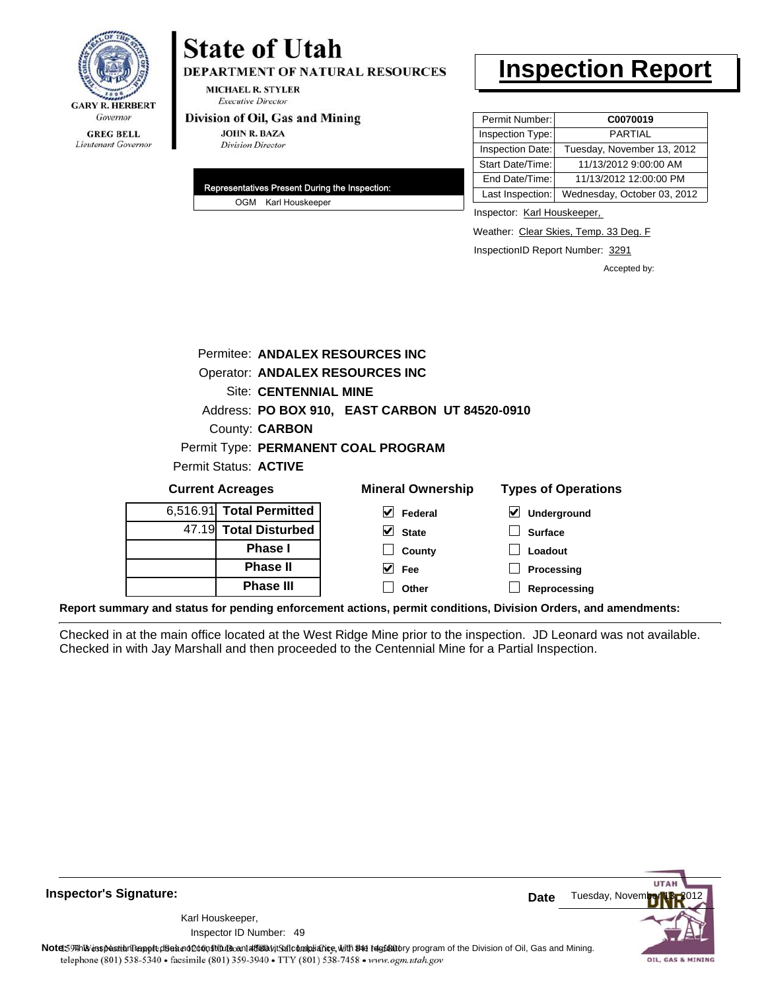

# **State of Utah**

**DEPARTMENT OF NATURAL RESOURCES** 

**MICHAEL R. STYLER Executive Director** 

### Division of Oil, Gas and Mining

**JOHN R. BAZA Division Director** 

| Representatives Present During the Inspection: |
|------------------------------------------------|
| OGM Karl Houskeeper                            |

# **Inspection Report**

| Permit Number:   | C0070019                    |
|------------------|-----------------------------|
| Inspection Type: | <b>PARTIAL</b>              |
| Inspection Date: | Tuesday, November 13, 2012  |
| Start Date/Time: | 11/13/2012 9:00:00 AM       |
| End Date/Time:   | 11/13/2012 12:00:00 PM      |
| Last Inspection: | Wednesday, October 03, 2012 |

Inspector: Karl Houskeeper,

Weather: Clear Skies, Temp. 33 Deg. F

InspectionID Report Number: 3291

Accepted by:

|                         | Permitee: ANDALEX RESOURCES INC        |   |                                                |                            |  |
|-------------------------|----------------------------------------|---|------------------------------------------------|----------------------------|--|
|                         | <b>Operator: ANDALEX RESOURCES INC</b> |   |                                                |                            |  |
|                         | <b>Site: CENTENNIAL MINE</b>           |   |                                                |                            |  |
|                         |                                        |   | Address: PO BOX 910, EAST CARBON UT 84520-0910 |                            |  |
|                         | County: <b>CARBON</b>                  |   |                                                |                            |  |
|                         | Permit Type: PERMANENT COAL PROGRAM    |   |                                                |                            |  |
|                         | Permit Status: ACTIVE                  |   |                                                |                            |  |
| <b>Current Acreages</b> |                                        |   | <b>Mineral Ownership</b>                       | <b>Types of Operations</b> |  |
|                         | 6,516.91 Total Permitted               | M | Federal                                        | Underground                |  |
|                         | 47.19 Total Disturbed                  | ✔ | <b>State</b>                                   | <b>Surface</b>             |  |

| 47.19 Total Disturbed |
|-----------------------|
| <b>Phase</b> I        |
| <b>Phase II</b>       |
| <b>Phase III</b>      |

| eral Ownership    | <b>Types of Operat</b> |
|-------------------|------------------------|
| $\sqrt{}$ Federal | $\vee$ Underground     |
| $\vee$ State      | $\Box$ Surface         |
| $\Box$ County     | $\Box$ Loadout         |
| $ v $ Fee         | $\Box$ Processing      |
| Other             | $\Box$ Reprocessing    |

**Report summary and status for pending enforcement actions, permit conditions, Division Orders, and amendments:**

Checked in at the main office located at the West Ridge Mine prior to the inspection. JD Leonard was not available. Checked in with Jay Marshall and then proceeded to the Centennial Mine for a Partial Inspection.



**Inspector's Signature:**

49 Inspector ID Number:Karl Houskeeper,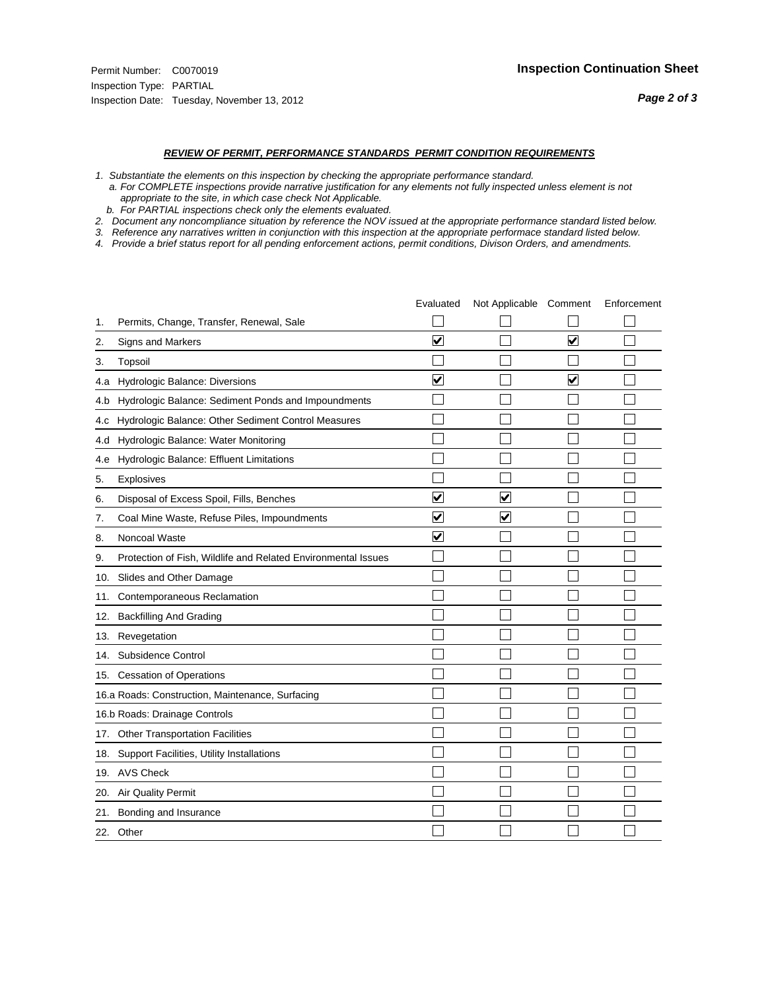#### *REVIEW OF PERMIT, PERFORMANCE STANDARDS PERMIT CONDITION REQUIREMENTS*

- *1. Substantiate the elements on this inspection by checking the appropriate performance standard.*
- *a. For COMPLETE inspections provide narrative justification for any elements not fully inspected unless element is not appropriate to the site, in which case check Not Applicable.*
- *b. For PARTIAL inspections check only the elements evaluated.*
- *2. Document any noncompliance situation by reference the NOV issued at the appropriate performance standard listed below.*
- *3. Reference any narratives written in conjunction with this inspection at the appropriate performace standard listed below.*
- *4. Provide a brief status report for all pending enforcement actions, permit conditions, Divison Orders, and amendments.*

|     |                                                               | Evaluated               | Not Applicable Comment  |                         | Enforcement |
|-----|---------------------------------------------------------------|-------------------------|-------------------------|-------------------------|-------------|
| 1.  | Permits, Change, Transfer, Renewal, Sale                      |                         |                         |                         |             |
| 2.  | <b>Signs and Markers</b>                                      | $\overline{\mathbf{v}}$ |                         | $\overline{\mathbf{v}}$ |             |
| 3.  | Topsoil                                                       |                         |                         |                         |             |
| 4.a | Hydrologic Balance: Diversions                                | $\blacktriangledown$    |                         | $\blacktriangledown$    |             |
| 4.b | Hydrologic Balance: Sediment Ponds and Impoundments           |                         |                         |                         |             |
| 4.c | Hydrologic Balance: Other Sediment Control Measures           |                         |                         |                         |             |
| 4.d | Hydrologic Balance: Water Monitoring                          |                         |                         |                         |             |
| 4.e | Hydrologic Balance: Effluent Limitations                      |                         |                         |                         |             |
| 5.  | <b>Explosives</b>                                             |                         |                         |                         |             |
| 6.  | Disposal of Excess Spoil, Fills, Benches                      | ⊽                       | $\overline{\mathbf{v}}$ |                         |             |
| 7.  | Coal Mine Waste, Refuse Piles, Impoundments                   | $\overline{\mathbf{v}}$ | $\blacktriangledown$    |                         |             |
| 8.  | Noncoal Waste                                                 | $\overline{\mathsf{v}}$ |                         |                         |             |
| 9.  | Protection of Fish, Wildlife and Related Environmental Issues |                         |                         |                         |             |
|     | 10. Slides and Other Damage                                   |                         |                         |                         |             |
| 11. | Contemporaneous Reclamation                                   |                         |                         |                         |             |
| 12. | <b>Backfilling And Grading</b>                                |                         |                         |                         |             |
| 13. | Revegetation                                                  |                         |                         |                         |             |
| 14. | Subsidence Control                                            |                         |                         |                         |             |
|     | 15. Cessation of Operations                                   |                         |                         |                         |             |
|     | 16.a Roads: Construction, Maintenance, Surfacing              |                         |                         |                         |             |
|     | 16.b Roads: Drainage Controls                                 |                         |                         |                         |             |
|     | 17. Other Transportation Facilities                           |                         |                         |                         |             |
| 18. | Support Facilities, Utility Installations                     |                         |                         |                         |             |
|     | 19. AVS Check                                                 |                         |                         |                         |             |
| 20. | Air Quality Permit                                            |                         |                         |                         |             |
| 21. | Bonding and Insurance                                         |                         |                         |                         |             |
|     | 22. Other                                                     |                         |                         |                         |             |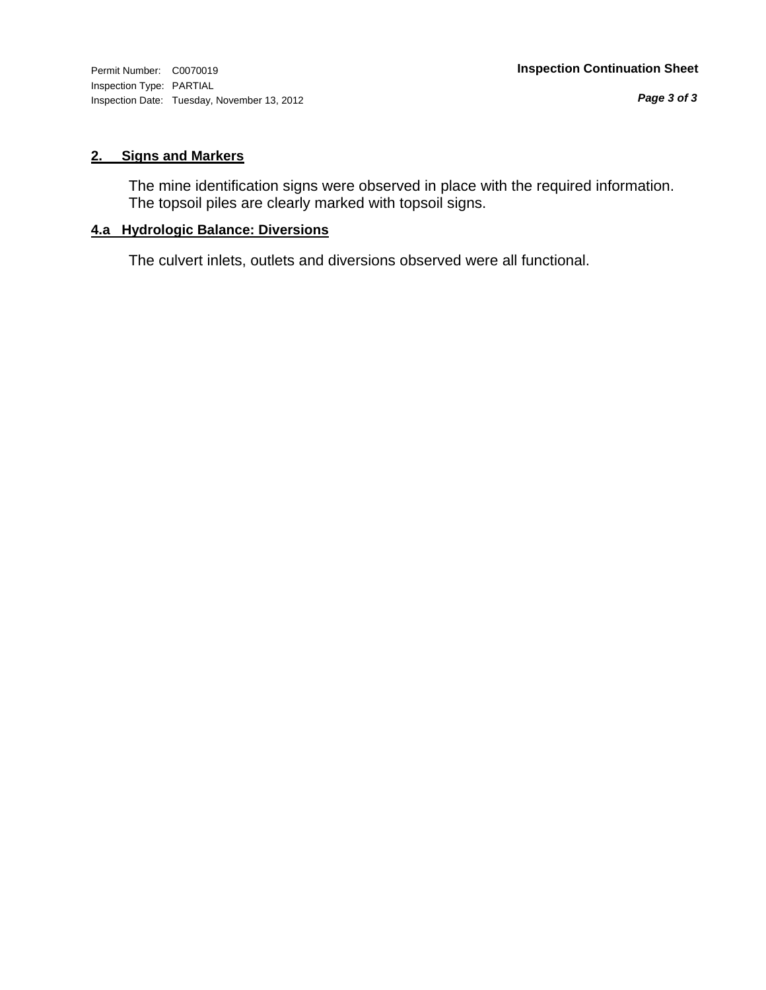Inspection Type: PARTIAL Inspection Date: Tuesday, November 13, 2012

# **2. Signs and Markers**

The mine identification signs were observed in place with the required information. The topsoil piles are clearly marked with topsoil signs.

# **4.a Hydrologic Balance: Diversions**

The culvert inlets, outlets and diversions observed were all functional.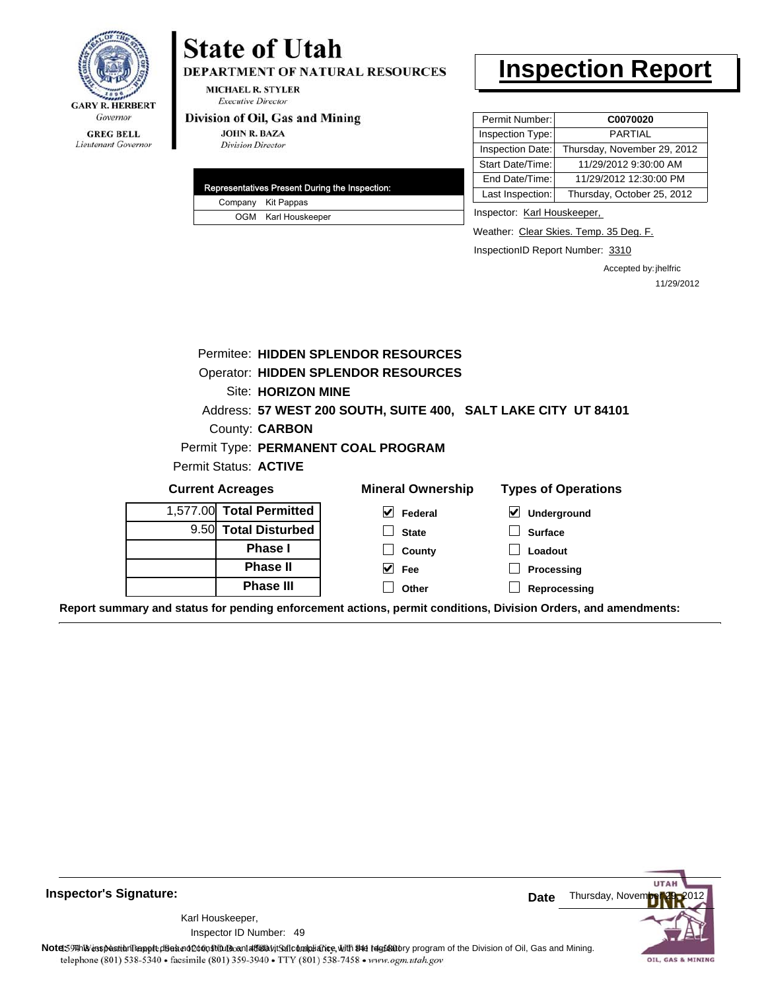

Lieutenant Governor

# **State of Utah**

DEPARTMENT OF NATURAL RESOURCES

**MICHAEL R. STYLER Executive Director** 

### Division of Oil, Gas and Mining

**JOHN R. BAZA Division Director** 

|  | Representatives Present During the Inspection: |
|--|------------------------------------------------|
|  | Company Kit Pappas                             |
|  | OGM Karl Houskeeper                            |

# **Inspection Report**

| C0070020                    |
|-----------------------------|
| <b>PARTIAL</b>              |
| Thursday, November 29, 2012 |
| 11/29/2012 9:30:00 AM       |
| 11/29/2012 12:30:00 PM      |
| Thursday, October 25, 2012  |
|                             |

Inspector: Karl Houskeeper,

Weather: Clear Skies. Temp. 35 Deg. F.

InspectionID Report Number: 3310

Accepted by: jhelfric 11/29/2012

|                              | Permitee: HIDDEN SPLENDOR RESOURCES                            |                            |
|------------------------------|----------------------------------------------------------------|----------------------------|
|                              | <b>Operator: HIDDEN SPLENDOR RESOURCES</b>                     |                            |
| Site: HORIZON MINE           |                                                                |                            |
|                              | Address: 57 WEST 200 SOUTH, SUITE 400, SALT LAKE CITY UT 84101 |                            |
| <b>County: CARBON</b>        |                                                                |                            |
|                              | Permit Type: PERMANENT COAL PROGRAM                            |                            |
| <b>Permit Status: ACTIVE</b> |                                                                |                            |
| <b>Current Acreages</b>      | <b>Mineral Ownership</b>                                       | <b>Types of Operations</b> |
| 1,577.00 Total Permitted     | V<br>Federal                                                   | ⊻<br><b>Underground</b>    |
| 9.50 Total Disturbed         | <b>State</b>                                                   | <b>Surface</b>             |
| <b>Phase I</b>               | County                                                         | Loadout                    |
|                              |                                                                |                            |
| <b>Phase II</b>              | V<br>Fee                                                       | <b>Processing</b>          |

**Report summary and status for pending enforcement actions, permit conditions, Division Orders, and amendments:**

**Inspector's Signature:**

49 Inspector ID Number:Karl Houskeeper,



**Note: Note: Note: Note: Note: Note: Note: Note: Note: Note: Note: Note: Note: Note: Note: Note: Note: Note: Note: Note: Note: Note: Note: Note: Note:**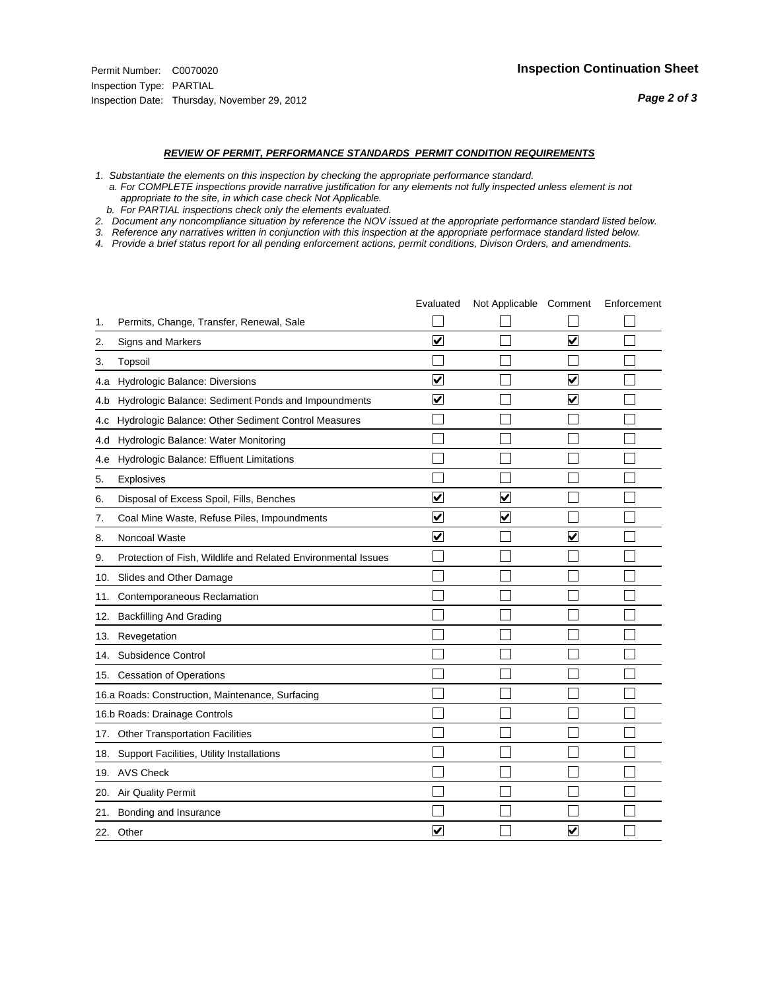#### *REVIEW OF PERMIT, PERFORMANCE STANDARDS PERMIT CONDITION REQUIREMENTS*

- *1. Substantiate the elements on this inspection by checking the appropriate performance standard.*
- *a. For COMPLETE inspections provide narrative justification for any elements not fully inspected unless element is not appropriate to the site, in which case check Not Applicable.*
- *b. For PARTIAL inspections check only the elements evaluated.*
- *2. Document any noncompliance situation by reference the NOV issued at the appropriate performance standard listed below.*
- *3. Reference any narratives written in conjunction with this inspection at the appropriate performace standard listed below.*
- *4. Provide a brief status report for all pending enforcement actions, permit conditions, Divison Orders, and amendments.*

|     |                                                               | Evaluated               | Not Applicable Comment  |                         | Enforcement |
|-----|---------------------------------------------------------------|-------------------------|-------------------------|-------------------------|-------------|
| 1.  | Permits, Change, Transfer, Renewal, Sale                      |                         |                         |                         |             |
| 2.  | <b>Signs and Markers</b>                                      | $\overline{\mathbf{v}}$ |                         | $\blacktriangledown$    |             |
| 3.  | Topsoil                                                       |                         |                         |                         |             |
| 4.a | Hydrologic Balance: Diversions                                | $\blacktriangledown$    |                         | $\overline{\mathbf{v}}$ |             |
| 4.b | Hydrologic Balance: Sediment Ponds and Impoundments           | $\blacktriangledown$    |                         | ⊻                       |             |
| 4.c | Hydrologic Balance: Other Sediment Control Measures           |                         |                         |                         |             |
| 4.d | Hydrologic Balance: Water Monitoring                          |                         |                         |                         |             |
| 4.e | Hydrologic Balance: Effluent Limitations                      |                         |                         |                         |             |
| 5.  | <b>Explosives</b>                                             |                         |                         |                         |             |
| 6.  | Disposal of Excess Spoil, Fills, Benches                      | ⊽                       | $\overline{\mathbf{v}}$ |                         |             |
| 7.  | Coal Mine Waste, Refuse Piles, Impoundments                   | $\overline{\mathbf{v}}$ | $\blacktriangledown$    |                         |             |
| 8.  | Noncoal Waste                                                 | $\overline{\mathsf{v}}$ |                         | $\overline{\mathsf{v}}$ |             |
| 9.  | Protection of Fish, Wildlife and Related Environmental Issues |                         |                         |                         |             |
|     | 10. Slides and Other Damage                                   |                         |                         |                         |             |
| 11. | Contemporaneous Reclamation                                   |                         |                         |                         |             |
| 12. | <b>Backfilling And Grading</b>                                |                         |                         |                         |             |
| 13. | Revegetation                                                  |                         |                         |                         |             |
| 14. | Subsidence Control                                            |                         |                         |                         |             |
|     | 15. Cessation of Operations                                   |                         |                         |                         |             |
|     | 16.a Roads: Construction, Maintenance, Surfacing              |                         |                         |                         |             |
|     | 16.b Roads: Drainage Controls                                 |                         |                         |                         |             |
|     | 17. Other Transportation Facilities                           |                         |                         |                         |             |
| 18. | Support Facilities, Utility Installations                     |                         |                         |                         |             |
|     | 19. AVS Check                                                 |                         |                         |                         |             |
| 20. | Air Quality Permit                                            |                         |                         |                         |             |
| 21. | Bonding and Insurance                                         |                         |                         |                         |             |
|     | 22. Other                                                     | $\overline{\mathbf{v}}$ |                         | $\overline{\mathbf{v}}$ |             |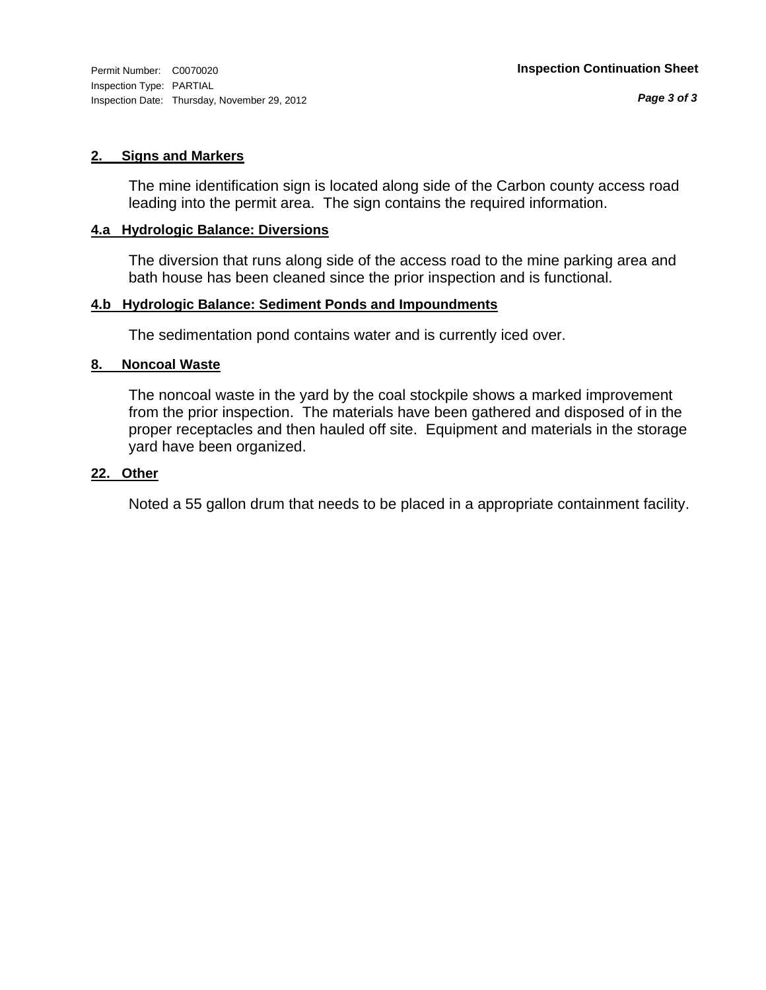# **2. Signs and Markers**

The mine identification sign is located along side of the Carbon county access road leading into the permit area. The sign contains the required information.

# **4.a Hydrologic Balance: Diversions**

The diversion that runs along side of the access road to the mine parking area and bath house has been cleaned since the prior inspection and is functional.

# **4.b Hydrologic Balance: Sediment Ponds and Impoundments**

The sedimentation pond contains water and is currently iced over.

# **8. Noncoal Waste**

The noncoal waste in the yard by the coal stockpile shows a marked improvement from the prior inspection. The materials have been gathered and disposed of in the proper receptacles and then hauled off site. Equipment and materials in the storage yard have been organized.

# **22. Other**

Noted a 55 gallon drum that needs to be placed in a appropriate containment facility.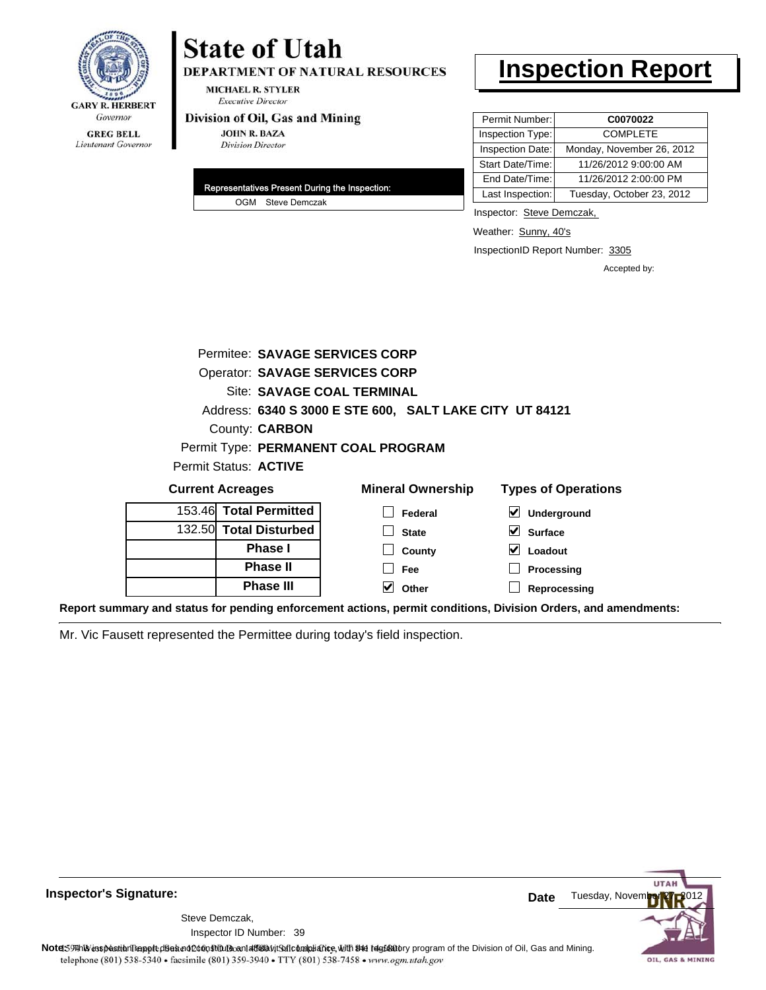

# **State of Utah**

DEPARTMENT OF NATURAL RESOURCES

**MICHAEL R. STYLER Executive Director** 

#### Division of Oil, Gas and Mining

**JOHN R. BAZA Division Director** 

| Representatives Present During the Inspection: |
|------------------------------------------------|
| OGM Steve Demczak                              |

# **Inspection Report**

| Permit Number:   | C0070022                  |
|------------------|---------------------------|
| Inspection Type: | <b>COMPLETE</b>           |
| Inspection Date: | Monday, November 26, 2012 |
| Start Date/Time: | 11/26/2012 9:00:00 AM     |
| End Date/Time:   | 11/26/2012 2:00:00 PM     |
| Last Inspection: | Tuesday, October 23, 2012 |

Inspector: Steve Demczak,

Weather: Sunny, 40's

InspectionID Report Number: 3305

**Reprocessing**

Accepted by:

| Permitee: SAVAGE SERVICES CORP        |                                                         |                                     |
|---------------------------------------|---------------------------------------------------------|-------------------------------------|
| <b>Operator: SAVAGE SERVICES CORP</b> |                                                         |                                     |
|                                       | <b>Site: SAVAGE COAL TERMINAL</b>                       |                                     |
|                                       | Address: 6340 S 3000 E STE 600, SALT LAKE CITY UT 84121 |                                     |
| County: <b>CARBON</b>                 |                                                         |                                     |
|                                       | Permit Type: PERMANENT COAL PROGRAM                     |                                     |
| Permit Status: <b>ACTIVE</b>          |                                                         |                                     |
| <b>Current Acreages</b>               | <b>Mineral Ownership</b>                                | <b>Types of Operations</b>          |
| 153.46 Total Permitted                | <b>Federal</b>                                          | $\blacktriangledown$<br>Underground |
| 132.50 Total Disturbed                | <b>State</b>                                            | V<br><b>Surface</b>                 |
| <b>Phase I</b>                        | County                                                  | Loadout                             |
| <b>Phase II</b>                       | Fee                                                     | Processing                          |

**Other**

**Report summary and status for pending enforcement actions, permit conditions, Division Orders, and amendments:**

Mr. Vic Fausett represented the Permittee during today's field inspection.

**Phase III**



**Inspector's Signature:**

Inspector ID Number: 39 Steve Demczak,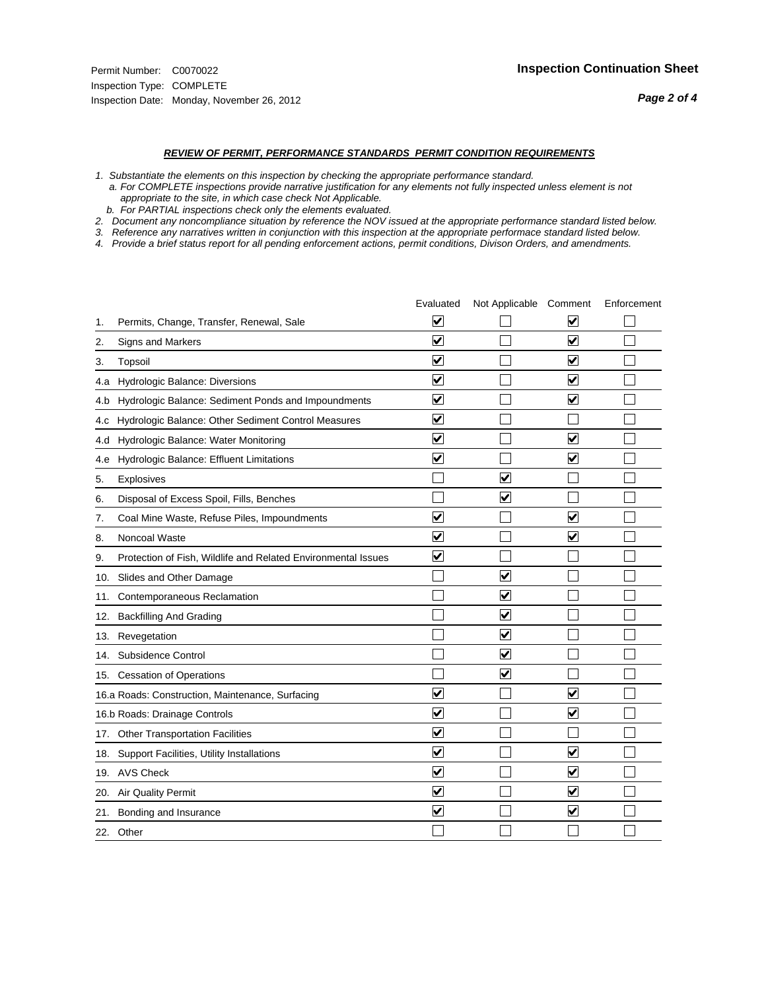#### *REVIEW OF PERMIT, PERFORMANCE STANDARDS PERMIT CONDITION REQUIREMENTS*

*1. Substantiate the elements on this inspection by checking the appropriate performance standard.*

 *a. For COMPLETE inspections provide narrative justification for any elements not fully inspected unless element is not appropriate to the site, in which case check Not Applicable.*

 *b. For PARTIAL inspections check only the elements evaluated.*

*2. Document any noncompliance situation by reference the NOV issued at the appropriate performance standard listed below.*

*3. Reference any narratives written in conjunction with this inspection at the appropriate performace standard listed below.*

*4. Provide a brief status report for all pending enforcement actions, permit conditions, Divison Orders, and amendments.*

|     |                                                               | Evaluated               | Not Applicable Comment          |                         | Enforcement |
|-----|---------------------------------------------------------------|-------------------------|---------------------------------|-------------------------|-------------|
| 1.  | Permits, Change, Transfer, Renewal, Sale                      | $\overline{\mathbf{v}}$ |                                 | V                       |             |
| 2.  | Signs and Markers                                             | $\overline{\mathbf{v}}$ |                                 | $\blacktriangledown$    |             |
| 3.  | Topsoil                                                       | $\overline{\mathbf{v}}$ |                                 | $\overline{\mathsf{v}}$ |             |
| 4.a | Hydrologic Balance: Diversions                                | $\overline{\mathsf{v}}$ |                                 | $\blacktriangledown$    |             |
| 4.b | Hydrologic Balance: Sediment Ponds and Impoundments           | $\blacktriangledown$    |                                 | ⊻                       |             |
| 4.C | Hydrologic Balance: Other Sediment Control Measures           | $\overline{\mathbf{v}}$ |                                 |                         |             |
| 4.d | Hydrologic Balance: Water Monitoring                          | $\overline{\mathbf{v}}$ |                                 | $\overline{\mathbf{v}}$ |             |
| 4.e | Hydrologic Balance: Effluent Limitations                      | $\overline{\mathbf{v}}$ |                                 | $\blacktriangledown$    |             |
| 5.  | <b>Explosives</b>                                             |                         | ⊽                               |                         |             |
| 6.  | Disposal of Excess Spoil, Fills, Benches                      |                         | $\blacktriangledown$            |                         |             |
| 7.  | Coal Mine Waste, Refuse Piles, Impoundments                   | $\overline{\mathsf{v}}$ |                                 | $\overline{\mathbf{v}}$ |             |
| 8.  | Noncoal Waste                                                 | $\overline{\mathbf{v}}$ |                                 | $\overline{\mathbf{v}}$ |             |
| 9.  | Protection of Fish, Wildlife and Related Environmental Issues | $\blacktriangledown$    |                                 |                         |             |
|     | 10. Slides and Other Damage                                   |                         | ☑                               |                         |             |
| 11. | Contemporaneous Reclamation                                   |                         | ☑                               |                         |             |
| 12. | <b>Backfilling And Grading</b>                                |                         | $\overline{\mathbf{v}}$         |                         |             |
| 13. | Revegetation                                                  |                         | $\overline{\blacktriangledown}$ |                         |             |
| 14. | Subsidence Control                                            |                         | $\overline{\mathbf{v}}$         |                         |             |
|     | 15. Cessation of Operations                                   |                         | $\overline{\blacktriangledown}$ |                         |             |
|     | 16.a Roads: Construction, Maintenance, Surfacing              | ⊽                       |                                 | $\overline{\mathbf{v}}$ |             |
|     | 16.b Roads: Drainage Controls                                 | $\overline{\mathbf{v}}$ |                                 | $\overline{\mathbf{v}}$ |             |
|     | 17. Other Transportation Facilities                           | $\overline{\mathbf{v}}$ |                                 |                         |             |
| 18. | Support Facilities, Utility Installations                     | $\overline{\mathbf{v}}$ |                                 | $\blacktriangledown$    |             |
|     | 19. AVS Check                                                 | $\overline{\mathbf{v}}$ |                                 | $\blacktriangledown$    |             |
| 20. | <b>Air Quality Permit</b>                                     | $\checkmark$            |                                 | $\blacktriangledown$    |             |
| 21. | Bonding and Insurance                                         | $\overline{\mathbf{v}}$ |                                 | $\blacktriangledown$    |             |
|     | 22. Other                                                     |                         |                                 |                         |             |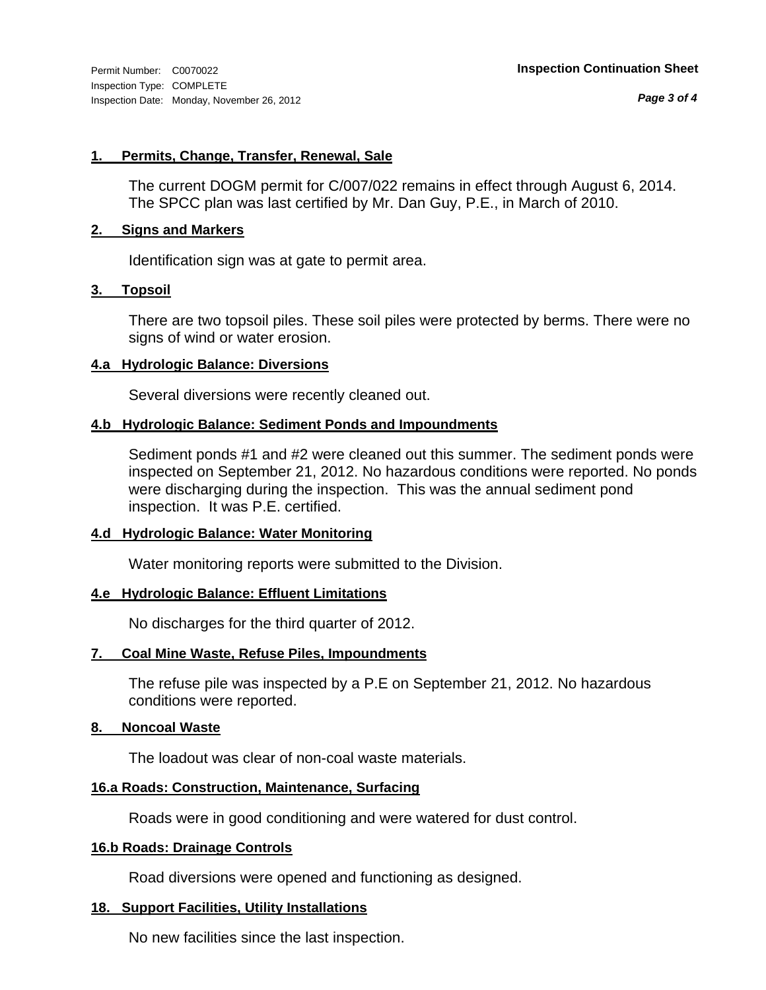*Page 3 of 4*

# **1. Permits, Change, Transfer, Renewal, Sale**

The current DOGM permit for C/007/022 remains in effect through August 6, 2014. The SPCC plan was last certified by Mr. Dan Guy, P.E., in March of 2010.

# **2. Signs and Markers**

Identification sign was at gate to permit area.

# **3. Topsoil**

There are two topsoil piles. These soil piles were protected by berms. There were no signs of wind or water erosion.

# **4.a Hydrologic Balance: Diversions**

Several diversions were recently cleaned out.

# **4.b Hydrologic Balance: Sediment Ponds and Impoundments**

Sediment ponds #1 and #2 were cleaned out this summer. The sediment ponds were inspected on September 21, 2012. No hazardous conditions were reported. No ponds were discharging during the inspection. This was the annual sediment pond inspection. It was P.E. certified.

# **4.d Hydrologic Balance: Water Monitoring**

Water monitoring reports were submitted to the Division.

# **4.e Hydrologic Balance: Effluent Limitations**

No discharges for the third quarter of 2012.

# **7. Coal Mine Waste, Refuse Piles, Impoundments**

The refuse pile was inspected by a P.E on September 21, 2012. No hazardous conditions were reported.

# **8. Noncoal Waste**

The loadout was clear of non-coal waste materials.

# **16.a Roads: Construction, Maintenance, Surfacing**

Roads were in good conditioning and were watered for dust control.

# **16.b Roads: Drainage Controls**

Road diversions were opened and functioning as designed.

# **18. Support Facilities, Utility Installations**

No new facilities since the last inspection.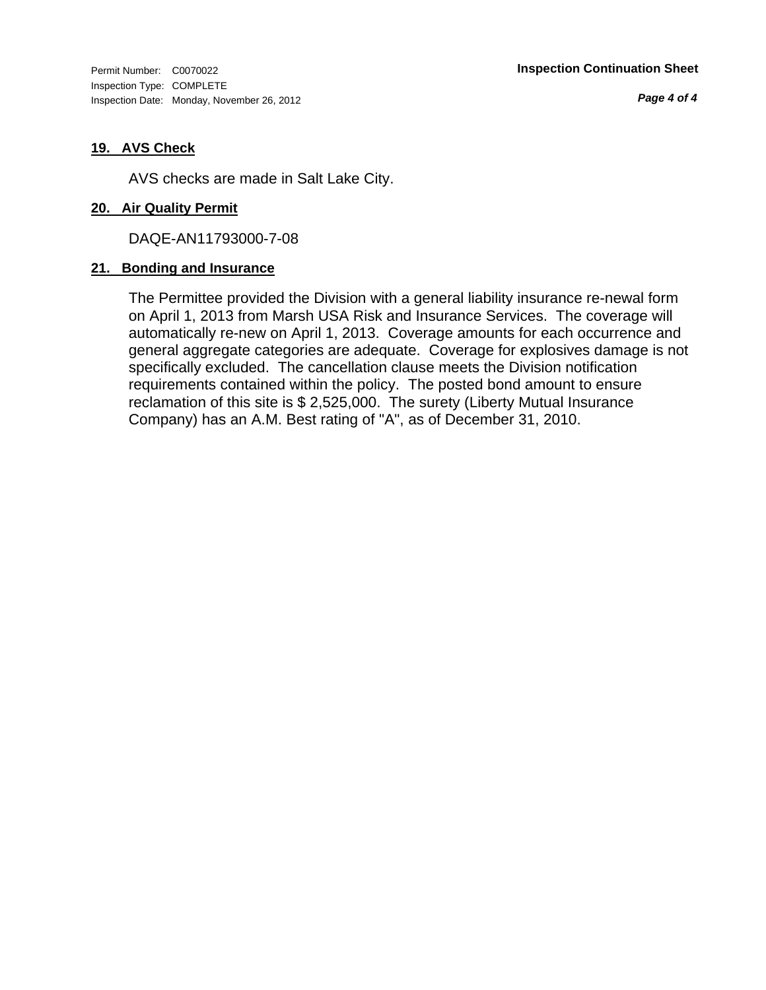Inspection Type: COMPLETE Inspection Date: Monday, November 26, 2012

*Page 4 of 4*

# **19. AVS Check**

AVS checks are made in Salt Lake City.

# **20. Air Quality Permit**

DAQE-AN11793000-7-08

# **21. Bonding and Insurance**

The Permittee provided the Division with a general liability insurance re-newal form on April 1, 2013 from Marsh USA Risk and Insurance Services. The coverage will automatically re-new on April 1, 2013. Coverage amounts for each occurrence and general aggregate categories are adequate. Coverage for explosives damage is not specifically excluded. The cancellation clause meets the Division notification requirements contained within the policy. The posted bond amount to ensure reclamation of this site is \$ 2,525,000. The surety (Liberty Mutual Insurance Company) has an A.M. Best rating of "A", as of December 31, 2010.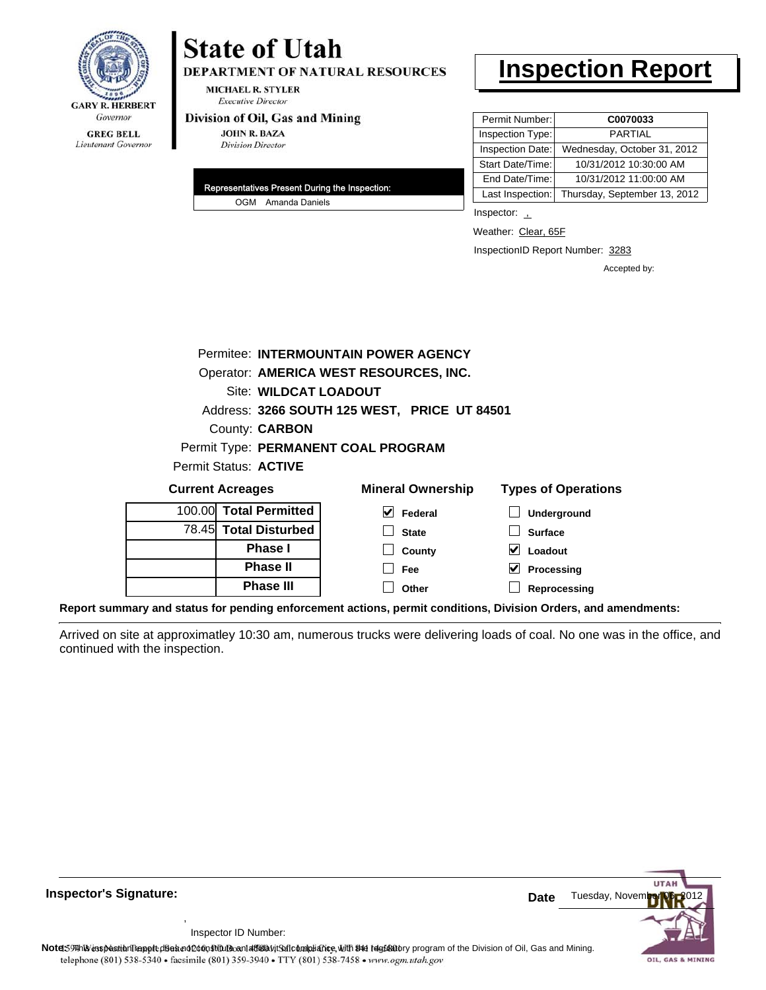

# **State of Utah**

DEPARTMENT OF NATURAL RESOURCES

**MICHAEL R. STYLER Executive Director** 

#### Division of Oil, Gas and Mining

**JOHN R. BAZA Division Director** 

| Representatives Present During the Inspection: |
|------------------------------------------------|
| OGM Amanda Daniels                             |

# **Inspection Report**

| Permit Number:   | C0070033                     |
|------------------|------------------------------|
| Inspection Type: | <b>PARTIAL</b>               |
| Inspection Date: | Wednesday, October 31, 2012  |
| Start Date/Time: | 10/31/2012 10:30:00 AM       |
| End Date/Time:   | 10/31/2012 11:00:00 AM       |
| Last Inspection: | Thursday, September 13, 2012 |

Inspector: 1

Weather: Clear, 65F

InspectionID Report Number: 3283

Accepted by:

|        |                              | Permitee: INTERMOUNTAIN POWER AGENCY         |                            |
|--------|------------------------------|----------------------------------------------|----------------------------|
|        |                              | Operator: AMERICA WEST RESOURCES, INC.       |                            |
|        | <b>Site: WILDCAT LOADOUT</b> |                                              |                            |
|        |                              | Address: 3266 SOUTH 125 WEST, PRICE UT 84501 |                            |
|        | County: <b>CARBON</b>        |                                              |                            |
|        |                              | Permit Type: PERMANENT COAL PROGRAM          |                            |
|        | Permit Status: ACTIVE        |                                              |                            |
|        | <b>Current Acreages</b>      | <b>Mineral Ownership</b>                     | <b>Types of Operations</b> |
| 100.00 | <b>Total Permitted</b>       | V<br>Federal                                 | Underground                |
| 78.45  | <b>Total Disturbed</b>       | <b>State</b>                                 | <b>Surface</b>             |
|        | <b>Phase I</b>               | County                                       | Loadout<br>V               |
|        | <b>Phase II</b>              | Fee                                          | Processing                 |

**Report summary and status for pending enforcement actions, permit conditions, Division Orders, and amendments:**

Arrived on site at approximatley 10:30 am, numerous trucks were delivering loads of coal. No one was in the office, and continued with the inspection.

**Other**



**Reprocessing**

Inspector ID Number:

,

**Phase III**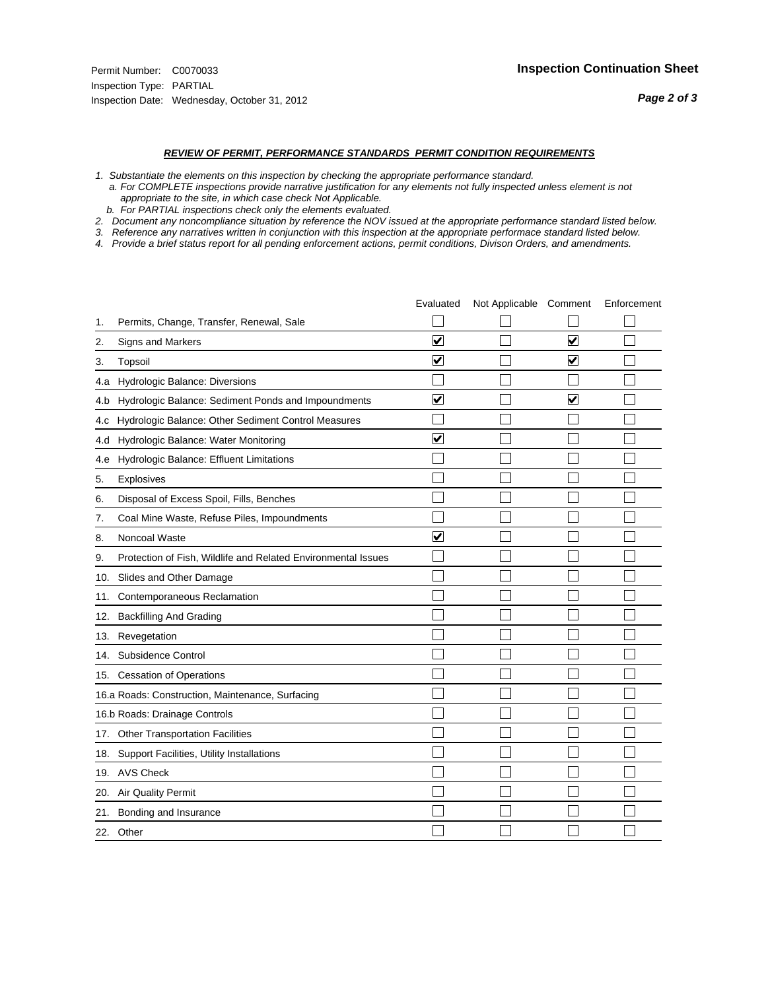#### *REVIEW OF PERMIT, PERFORMANCE STANDARDS PERMIT CONDITION REQUIREMENTS*

- *1. Substantiate the elements on this inspection by checking the appropriate performance standard.*
- *a. For COMPLETE inspections provide narrative justification for any elements not fully inspected unless element is not appropriate to the site, in which case check Not Applicable.*
- *b. For PARTIAL inspections check only the elements evaluated.*
- *2. Document any noncompliance situation by reference the NOV issued at the appropriate performance standard listed below.*
- *3. Reference any narratives written in conjunction with this inspection at the appropriate performace standard listed below.*
- *4. Provide a brief status report for all pending enforcement actions, permit conditions, Divison Orders, and amendments.*

|     |                                                               | Evaluated               | Not Applicable Comment |                         | Enforcement |
|-----|---------------------------------------------------------------|-------------------------|------------------------|-------------------------|-------------|
| 1.  | Permits, Change, Transfer, Renewal, Sale                      |                         |                        |                         |             |
| 2.  | <b>Signs and Markers</b>                                      | $\overline{\mathbf{v}}$ |                        | $\blacktriangledown$    |             |
| 3.  | Topsoil                                                       | $\overline{\mathbf{v}}$ |                        | $\overline{\mathsf{v}}$ |             |
| 4.a | Hydrologic Balance: Diversions                                |                         |                        |                         |             |
| 4.b | Hydrologic Balance: Sediment Ponds and Impoundments           | ⊻                       |                        | V                       |             |
| 4.c | Hydrologic Balance: Other Sediment Control Measures           |                         |                        |                         |             |
| 4.d | Hydrologic Balance: Water Monitoring                          | $\overline{\mathbf{v}}$ |                        |                         |             |
| 4.e | Hydrologic Balance: Effluent Limitations                      |                         |                        |                         |             |
| 5.  | <b>Explosives</b>                                             |                         |                        |                         |             |
| 6.  | Disposal of Excess Spoil, Fills, Benches                      |                         |                        |                         |             |
| 7.  | Coal Mine Waste, Refuse Piles, Impoundments                   |                         |                        |                         |             |
| 8.  | Noncoal Waste                                                 | $\overline{\mathbf{v}}$ |                        |                         |             |
| 9.  | Protection of Fish, Wildlife and Related Environmental Issues |                         |                        |                         |             |
|     | 10. Slides and Other Damage                                   |                         |                        |                         |             |
| 11. | Contemporaneous Reclamation                                   |                         |                        |                         |             |
| 12. | <b>Backfilling And Grading</b>                                |                         |                        |                         |             |
| 13. | Revegetation                                                  |                         |                        |                         |             |
| 14. | Subsidence Control                                            |                         |                        |                         |             |
|     | 15. Cessation of Operations                                   |                         |                        |                         |             |
|     | 16.a Roads: Construction, Maintenance, Surfacing              |                         |                        |                         |             |
|     | 16.b Roads: Drainage Controls                                 |                         |                        |                         |             |
|     | 17. Other Transportation Facilities                           |                         |                        |                         |             |
| 18. | Support Facilities, Utility Installations                     |                         |                        |                         |             |
|     | 19. AVS Check                                                 |                         |                        |                         |             |
| 20. | Air Quality Permit                                            |                         |                        |                         |             |
| 21. | Bonding and Insurance                                         |                         |                        |                         |             |
|     | 22. Other                                                     |                         |                        |                         |             |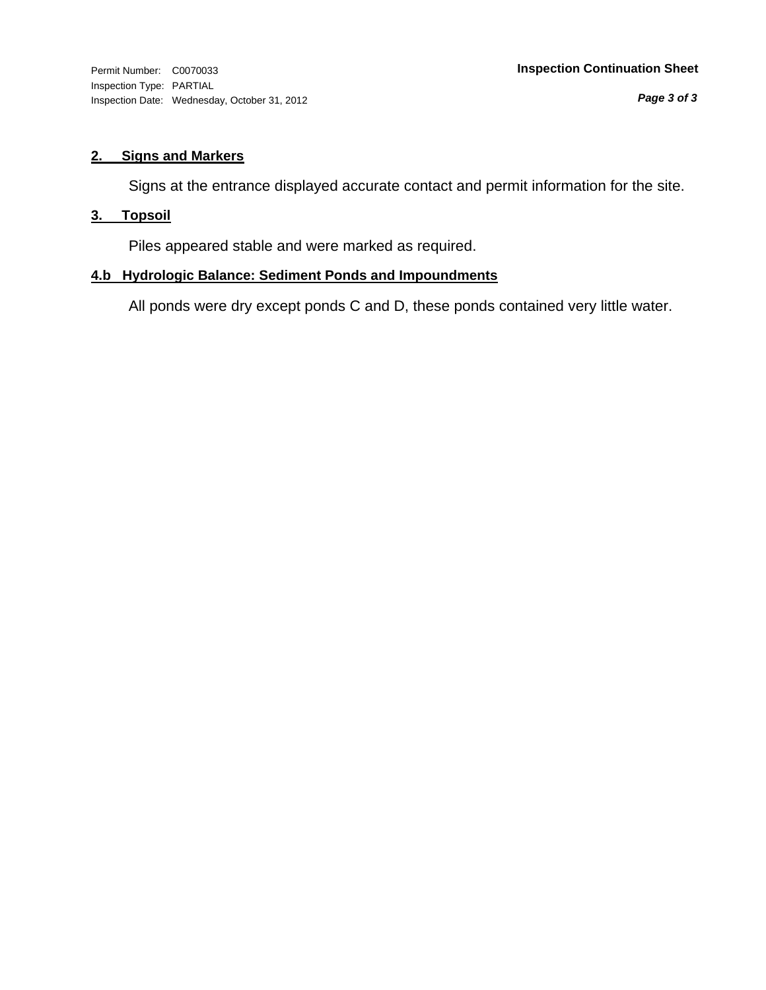*Page 3 of 3*

# **2. Signs and Markers**

Signs at the entrance displayed accurate contact and permit information for the site.

# **3. Topsoil**

Piles appeared stable and were marked as required.

# **4.b Hydrologic Balance: Sediment Ponds and Impoundments**

All ponds were dry except ponds C and D, these ponds contained very little water.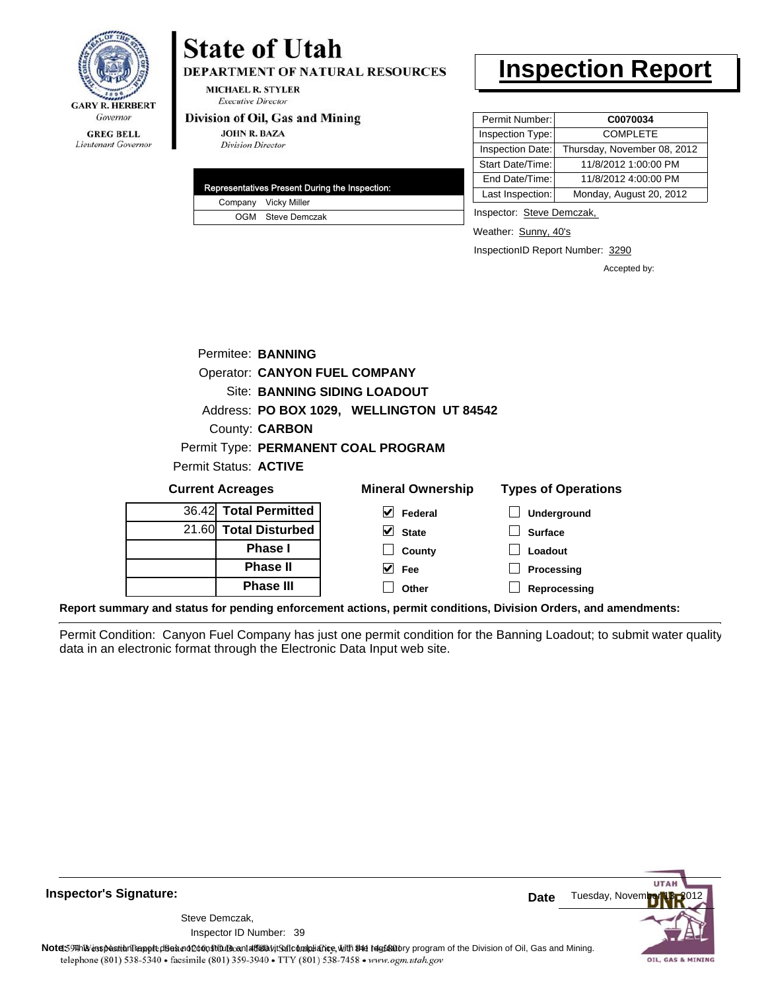

#### **GREG BELL** Lieutenant Governor

# **State of Utah**

DEPARTMENT OF NATURAL RESOURCES

**MICHAEL R. STYLER Executive Director** 

### Division of Oil, Gas and Mining

**JOHN R. BAZA Division Director** 

| Representatives Present During the Inspection: |
|------------------------------------------------|
| Company Vicky Miller                           |
| OGM Steve Demczak                              |

# **Inspection Report**

| Permit Number:   | C0070034                    |
|------------------|-----------------------------|
| Inspection Type: | <b>COMPLETE</b>             |
| Inspection Date: | Thursday, November 08, 2012 |
| Start Date/Time: | 11/8/2012 1:00:00 PM        |
| End Date/Time:   | 11/8/2012 4:00:00 PM        |
| Last Inspection: | Monday, August 20, 2012     |

Inspector: Steve Demczak,

Weather: Sunny, 40's

InspectionID Report Number: 3290

Accepted by:

|                       | Permitee: BANNING                    |                                           |     |
|-----------------------|--------------------------------------|-------------------------------------------|-----|
|                       | <b>Operator: CANYON FUEL COMPANY</b> |                                           |     |
|                       | <b>Site: BANNING SIDING LOADOUT</b>  |                                           |     |
|                       |                                      | Address: PO BOX 1029, WELLINGTON UT 84542 |     |
|                       | <b>County: CARBON</b>                |                                           |     |
|                       |                                      | Permit Type: PERMANENT COAL PROGRAM       |     |
| Permit Status: ACTIVE |                                      |                                           |     |
| Current Acreages      |                                      | Mineral Ownershin                         | Tvn |

| <b>Current Acreages</b> | <b>Mineral Ownership</b>      | <b>Types of Operations</b> |
|-------------------------|-------------------------------|----------------------------|
| 36.42 Total Permitted   | V<br>Federal                  | Underground                |
| 21.60 Total Disturbed   | $\overline{\mathsf{v}}$ State | <b>Surface</b>             |
| <b>Phase I</b>          | County                        | Loadout                    |
| <b>Phase II</b>         | ✓<br>Fee                      | Processing                 |
| <b>Phase III</b>        | Other                         | Reprocessing               |
|                         |                               |                            |

**Report summary and status for pending enforcement actions, permit conditions, Division Orders, and amendments:**

Permit Condition: Canyon Fuel Company has just one permit condition for the Banning Loadout; to submit water quality data in an electronic format through the Electronic Data Input web site.



**Inspector's Signature:**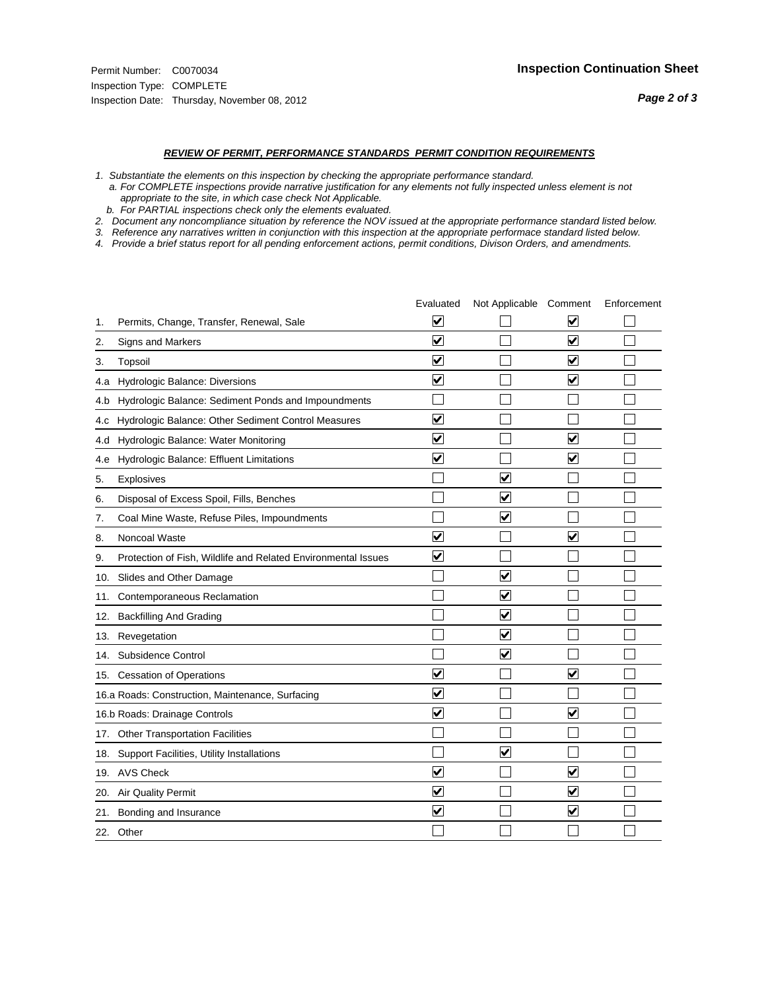#### *REVIEW OF PERMIT, PERFORMANCE STANDARDS PERMIT CONDITION REQUIREMENTS*

*1. Substantiate the elements on this inspection by checking the appropriate performance standard.*

 *a. For COMPLETE inspections provide narrative justification for any elements not fully inspected unless element is not appropriate to the site, in which case check Not Applicable.*

 *b. For PARTIAL inspections check only the elements evaluated.*

*2. Document any noncompliance situation by reference the NOV issued at the appropriate performance standard listed below.*

*3. Reference any narratives written in conjunction with this inspection at the appropriate performace standard listed below.*

*4. Provide a brief status report for all pending enforcement actions, permit conditions, Divison Orders, and amendments.*

|     |                                                               | Evaluated               | Not Applicable Comment          |                         | Enforcement |
|-----|---------------------------------------------------------------|-------------------------|---------------------------------|-------------------------|-------------|
| 1.  | Permits, Change, Transfer, Renewal, Sale                      | $\overline{\mathbf{v}}$ |                                 | V                       |             |
| 2.  | Signs and Markers                                             | $\overline{\mathbf{v}}$ |                                 | $\blacktriangledown$    |             |
| 3.  | Topsoil                                                       | $\overline{\mathbf{v}}$ |                                 | $\blacktriangledown$    |             |
| 4.a | Hydrologic Balance: Diversions                                | ⊽                       |                                 | $\overline{\mathbf{v}}$ |             |
| 4.b | Hydrologic Balance: Sediment Ponds and Impoundments           |                         |                                 |                         |             |
| 4.C | Hydrologic Balance: Other Sediment Control Measures           | $\overline{\mathbf{v}}$ |                                 |                         |             |
| 4.d | Hydrologic Balance: Water Monitoring                          | $\overline{\mathbf{v}}$ |                                 | $\blacktriangledown$    |             |
| 4.e | Hydrologic Balance: Effluent Limitations                      | $\overline{\mathbf{v}}$ |                                 | $\overline{\mathbf{v}}$ |             |
| 5.  | <b>Explosives</b>                                             |                         | $\overline{\mathsf{v}}$         |                         |             |
| 6.  | Disposal of Excess Spoil, Fills, Benches                      |                         | $\blacktriangledown$            |                         |             |
| 7.  | Coal Mine Waste, Refuse Piles, Impoundments                   |                         | $\overline{\mathbf{v}}$         |                         |             |
| 8.  | Noncoal Waste                                                 | $\overline{\mathsf{v}}$ |                                 | $\blacktriangledown$    |             |
| 9.  | Protection of Fish, Wildlife and Related Environmental Issues | $\blacktriangledown$    |                                 |                         |             |
|     | 10. Slides and Other Damage                                   |                         | $\overline{\mathbf{v}}$         |                         |             |
| 11. | Contemporaneous Reclamation                                   |                         | $\blacktriangledown$            |                         |             |
| 12. | <b>Backfilling And Grading</b>                                |                         | $\overline{\mathbf{v}}$         |                         |             |
| 13. | Revegetation                                                  |                         | $\overline{\mathbf{v}}$         |                         |             |
| 14. | Subsidence Control                                            |                         | $\overline{\mathbf{v}}$         |                         |             |
|     | 15. Cessation of Operations                                   | $\overline{\mathbf{v}}$ |                                 | $\blacktriangledown$    |             |
|     | 16.a Roads: Construction, Maintenance, Surfacing              | $\overline{\mathsf{v}}$ |                                 |                         |             |
|     | 16.b Roads: Drainage Controls                                 | $\overline{\mathbf{v}}$ |                                 | $\blacktriangledown$    |             |
|     | 17. Other Transportation Facilities                           |                         |                                 |                         |             |
|     | 18. Support Facilities, Utility Installations                 |                         | $\overline{\blacktriangledown}$ |                         |             |
|     | 19. AVS Check                                                 | $\blacktriangledown$    |                                 | $\blacktriangledown$    |             |
| 20. | <b>Air Quality Permit</b>                                     | $\overline{\mathsf{v}}$ |                                 | $\blacktriangledown$    |             |
| 21. | Bonding and Insurance                                         | $\overline{\mathbf{v}}$ |                                 | $\blacktriangledown$    |             |
|     | 22. Other                                                     |                         |                                 |                         |             |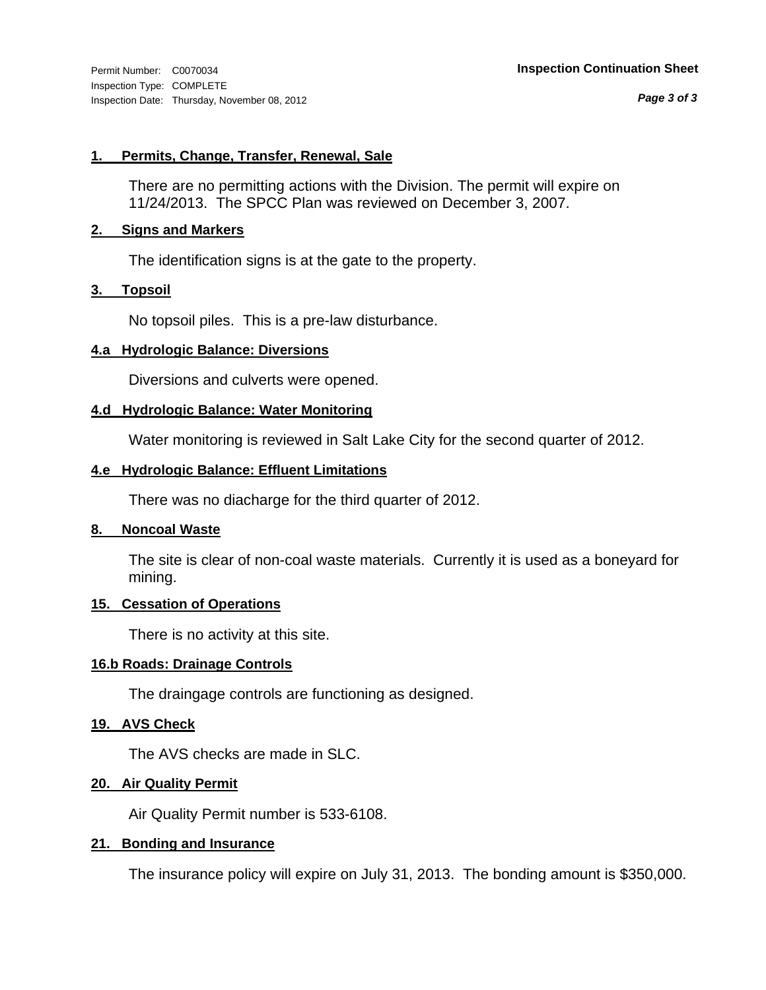*Page 3 of 3*

# **1. Permits, Change, Transfer, Renewal, Sale**

There are no permitting actions with the Division. The permit will expire on 11/24/2013. The SPCC Plan was reviewed on December 3, 2007.

# **2. Signs and Markers**

The identification signs is at the gate to the property.

# **3. Topsoil**

No topsoil piles. This is a pre-law disturbance.

# **4.a Hydrologic Balance: Diversions**

Diversions and culverts were opened.

# **4.d Hydrologic Balance: Water Monitoring**

Water monitoring is reviewed in Salt Lake City for the second quarter of 2012.

# **4.e Hydrologic Balance: Effluent Limitations**

There was no diacharge for the third quarter of 2012.

# **8. Noncoal Waste**

The site is clear of non-coal waste materials. Currently it is used as a boneyard for mining.

# **15. Cessation of Operations**

There is no activity at this site.

# **16.b Roads: Drainage Controls**

The draingage controls are functioning as designed.

# **19. AVS Check**

The AVS checks are made in SLC.

# **20. Air Quality Permit**

Air Quality Permit number is 533-6108.

# **21. Bonding and Insurance**

The insurance policy will expire on July 31, 2013. The bonding amount is \$350,000.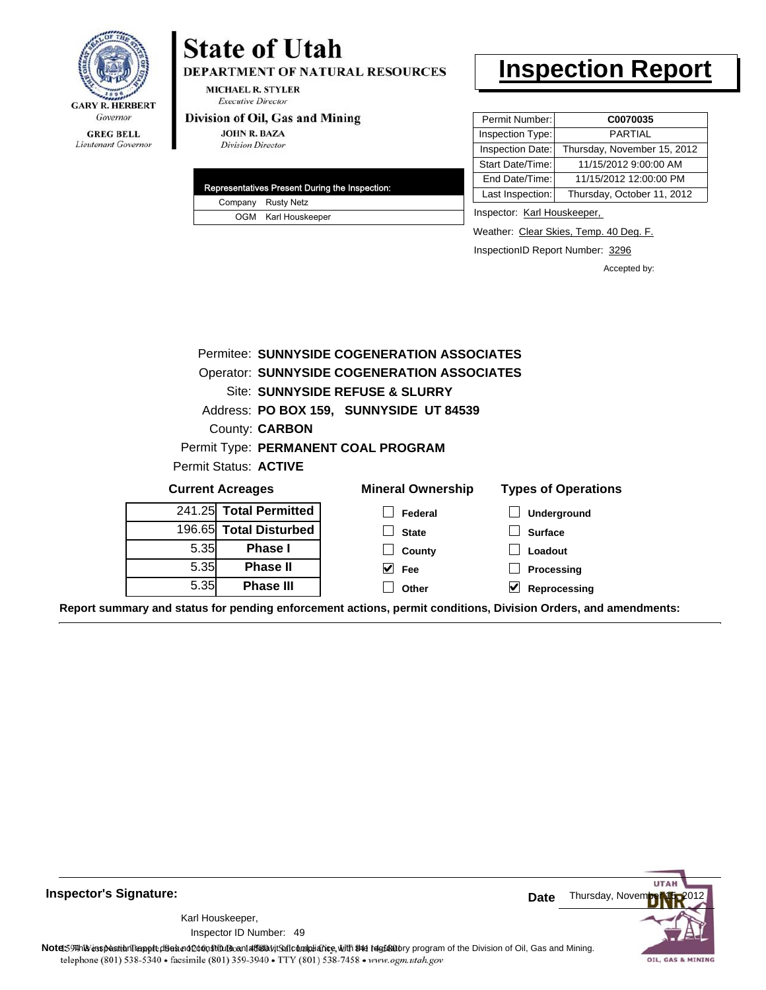

# **GREG BELL** Lieutenant Governor

# **State of Utah**

DEPARTMENT OF NATURAL RESOURCES

**MICHAEL R. STYLER Executive Director** 

#### Division of Oil, Gas and Mining

**JOHN R. BAZA Division Director** 

|  | <b>Representatives Present During the Inspection:</b> |
|--|-------------------------------------------------------|
|  | Company Rusty Netz                                    |
|  | OGM Karl Houskeeper                                   |

# **Inspection Report**

| Permit Number:   | C0070035                    |
|------------------|-----------------------------|
| Inspection Type: | <b>PARTIAL</b>              |
| Inspection Date: | Thursday, November 15, 2012 |
| Start Date/Time: | 11/15/2012 9:00:00 AM       |
| End Date/Time:   | 11/15/2012 12:00:00 PM      |
| Last Inspection: | Thursday, October 11, 2012  |

Inspector: Karl Houskeeper,

Weather: Clear Skies, Temp. 40 Deg. F.

InspectionID Report Number: 3296

Accepted by:

|                                                     |                              | Permitee: SUNNYSIDE COGENERATION ASSOCIATES        |                   |
|-----------------------------------------------------|------------------------------|----------------------------------------------------|-------------------|
|                                                     |                              | <b>Operator: SUNNYSIDE COGENERATION ASSOCIATES</b> |                   |
|                                                     |                              | Site: SUNNYSIDE REFUSE & SLURRY                    |                   |
|                                                     |                              | Address: PO BOX 159, SUNNYSIDE UT 84539            |                   |
|                                                     | County: <b>CARBON</b>        |                                                    |                   |
|                                                     |                              | Permit Type: PERMANENT COAL PROGRAM                |                   |
|                                                     | Permit Status: <b>ACTIVE</b> |                                                    |                   |
| <b>Mineral Ownership</b><br><b>Current Acreages</b> |                              | <b>Types of Operations</b>                         |                   |
|                                                     | 241.25 Total Permitted       | Federal                                            | Underground       |
|                                                     | 196.65 Total Disturbed       | <b>State</b>                                       | <b>Surface</b>    |
| 5.35                                                | <b>Phase I</b>               | County                                             | Loadout           |
| 5.35                                                | <b>Phase II</b>              | M<br>Fee                                           | Processing        |
| 5.35                                                | <b>Phase III</b>             | Other                                              | V<br>Reprocessing |

**Report summary and status for pending enforcement actions, permit conditions, Division Orders, and amendments:**

**Inspector's Signature:**

49 Inspector ID Number:Karl Houskeeper,



Note: This inspection report does not constitute and affidavit for compliance, with the regulatory program of the Division of Oil, Gas and Mining. telephone (801) 538-5340 · facsimile (801) 359-3940 · TTY (801) 538-7458 · www.ogm.utah.gov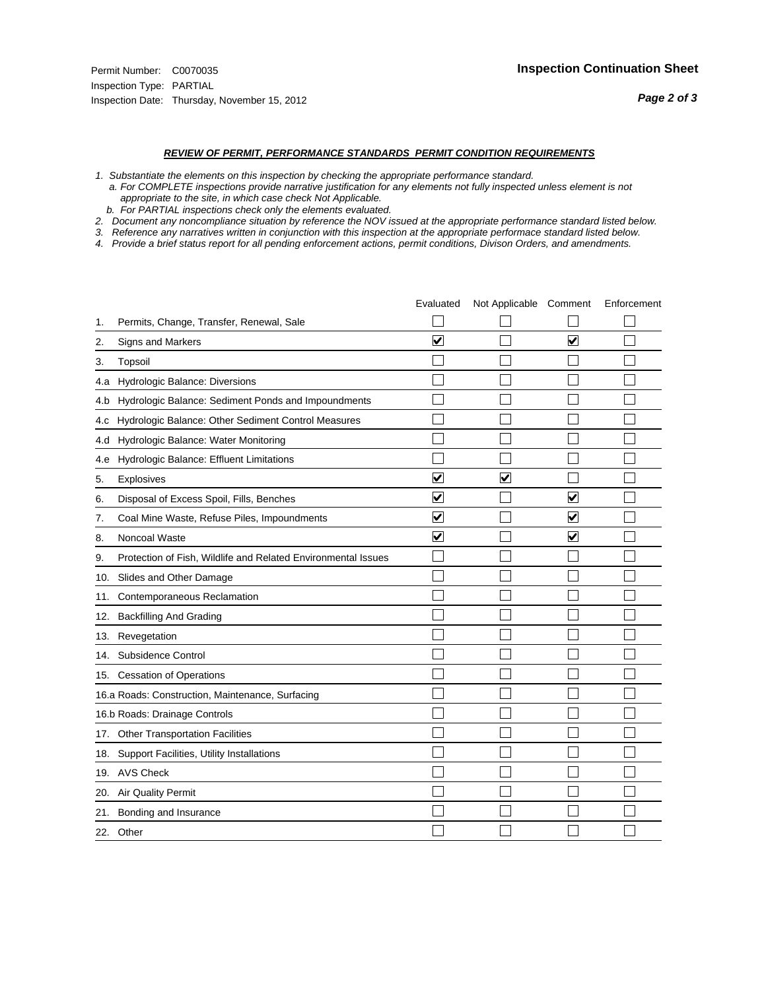#### *REVIEW OF PERMIT, PERFORMANCE STANDARDS PERMIT CONDITION REQUIREMENTS*

- *1. Substantiate the elements on this inspection by checking the appropriate performance standard.*
- *a. For COMPLETE inspections provide narrative justification for any elements not fully inspected unless element is not appropriate to the site, in which case check Not Applicable.*
- *b. For PARTIAL inspections check only the elements evaluated.*
- *2. Document any noncompliance situation by reference the NOV issued at the appropriate performance standard listed below.*
- *3. Reference any narratives written in conjunction with this inspection at the appropriate performace standard listed below.*
- *4. Provide a brief status report for all pending enforcement actions, permit conditions, Divison Orders, and amendments.*

|     |                                                               | Evaluated               | Not Applicable Comment  |                         | Enforcement |
|-----|---------------------------------------------------------------|-------------------------|-------------------------|-------------------------|-------------|
| 1.  | Permits, Change, Transfer, Renewal, Sale                      |                         |                         |                         |             |
| 2.  | <b>Signs and Markers</b>                                      | $\overline{\mathbf{v}}$ |                         | $\overline{\mathbf{v}}$ |             |
| 3.  | Topsoil                                                       |                         |                         |                         |             |
| 4.a | Hydrologic Balance: Diversions                                |                         |                         |                         |             |
| 4.b | Hydrologic Balance: Sediment Ponds and Impoundments           |                         |                         |                         |             |
| 4.C | Hydrologic Balance: Other Sediment Control Measures           |                         |                         |                         |             |
| 4.d | Hydrologic Balance: Water Monitoring                          |                         |                         |                         |             |
| 4.e | Hydrologic Balance: Effluent Limitations                      |                         |                         |                         |             |
| 5.  | <b>Explosives</b>                                             | $\overline{\mathbf{v}}$ | $\overline{\mathsf{v}}$ |                         |             |
| 6.  | Disposal of Excess Spoil, Fills, Benches                      | $\blacktriangledown$    |                         | ⊻                       |             |
| 7.  | Coal Mine Waste, Refuse Piles, Impoundments                   | $\overline{\mathbf{v}}$ |                         | $\overline{\mathbf{v}}$ |             |
| 8.  | Noncoal Waste                                                 | $\overline{\mathbf{v}}$ |                         | ☑                       |             |
| 9.  | Protection of Fish, Wildlife and Related Environmental Issues |                         |                         |                         |             |
| 10. | Slides and Other Damage                                       |                         |                         |                         |             |
| 11. | Contemporaneous Reclamation                                   |                         |                         |                         |             |
| 12. | <b>Backfilling And Grading</b>                                |                         |                         |                         |             |
| 13. | Revegetation                                                  |                         |                         |                         |             |
| 14. | Subsidence Control                                            |                         |                         |                         |             |
|     | 15. Cessation of Operations                                   |                         |                         |                         |             |
|     | 16.a Roads: Construction, Maintenance, Surfacing              |                         |                         |                         |             |
|     | 16.b Roads: Drainage Controls                                 |                         |                         |                         |             |
|     | 17. Other Transportation Facilities                           |                         |                         |                         |             |
| 18. | Support Facilities, Utility Installations                     |                         |                         |                         |             |
|     | 19. AVS Check                                                 |                         |                         |                         |             |
| 20. | Air Quality Permit                                            |                         |                         |                         |             |
|     | 21. Bonding and Insurance                                     |                         |                         |                         |             |
|     | 22. Other                                                     |                         |                         |                         |             |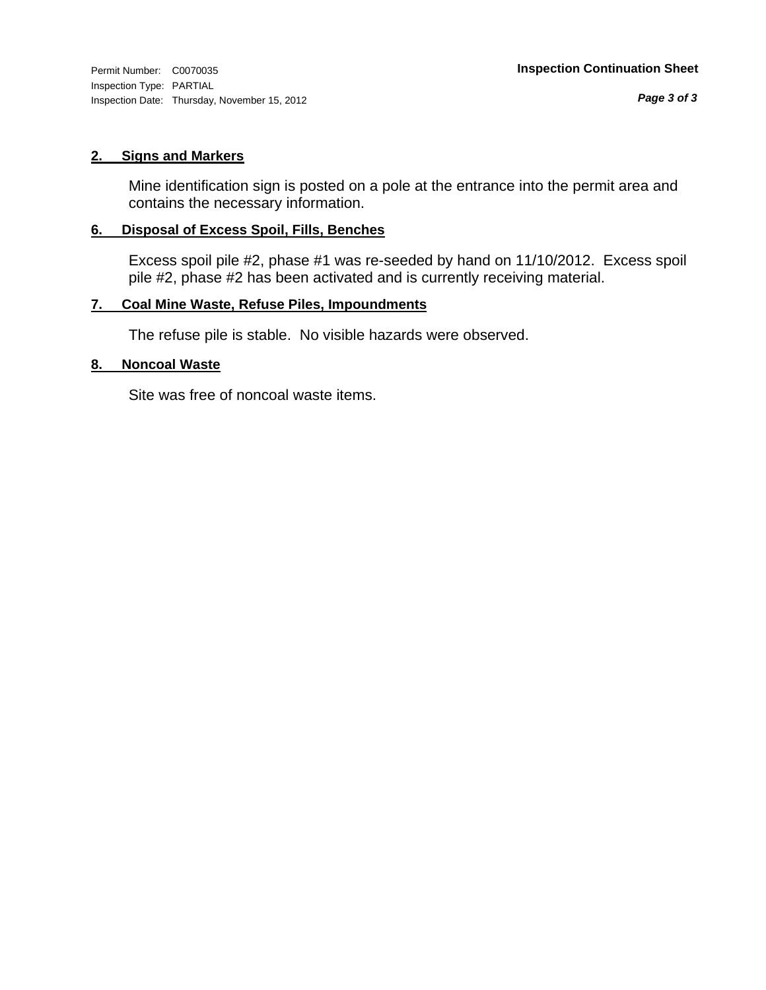Inspection Type: PARTIAL Inspection Date: Thursday, November 15, 2012

# **2. Signs and Markers**

Mine identification sign is posted on a pole at the entrance into the permit area and contains the necessary information.

# **6. Disposal of Excess Spoil, Fills, Benches**

Excess spoil pile #2, phase #1 was re-seeded by hand on 11/10/2012. Excess spoil pile #2, phase #2 has been activated and is currently receiving material.

# **7. Coal Mine Waste, Refuse Piles, Impoundments**

The refuse pile is stable. No visible hazards were observed.

# **8. Noncoal Waste**

Site was free of noncoal waste items.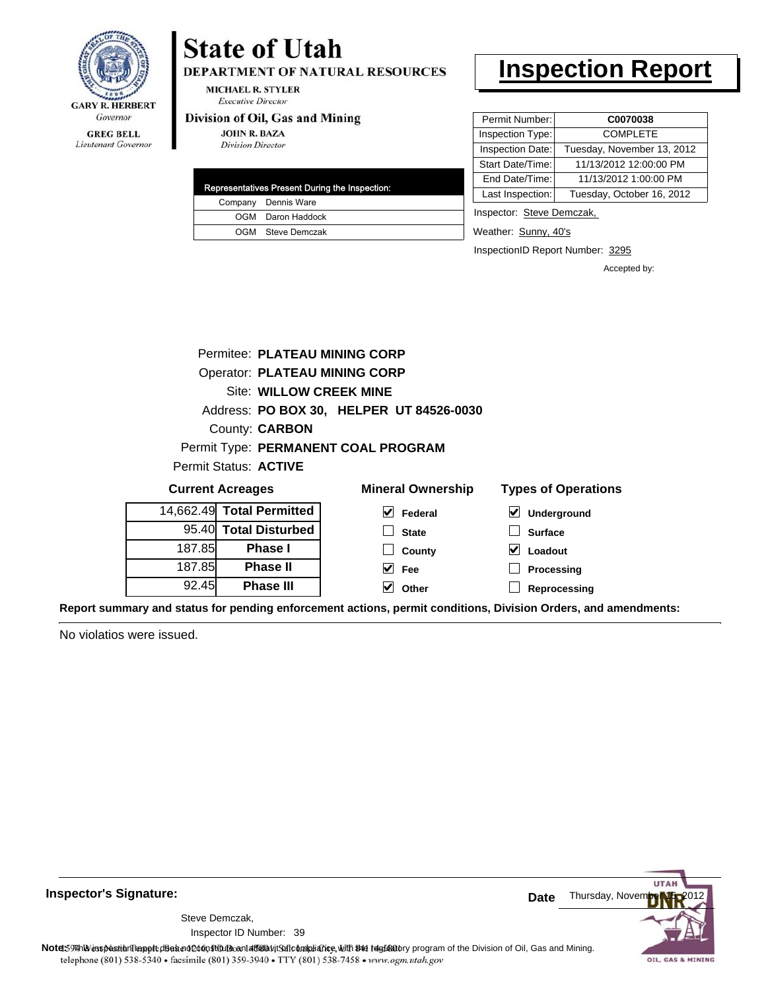

Lieutenant Governor

# DEPARTMENT OF NATURAL RESOURCES **MICHAEL R. STYLER**

**Executive Director** 

#### Division of Oil, Gas and Mining

**State of Utah** 

**JOHN R. BAZA Division Director** 

|  | Representatives Present During the Inspection: |
|--|------------------------------------------------|
|  | Company Dennis Ware                            |
|  | OGM Daron Haddock                              |
|  | OGM Steve Demczak                              |

# **Inspection Report**

| Permit Number:   | C0070038                   |
|------------------|----------------------------|
| Inspection Type: | <b>COMPLETE</b>            |
| Inspection Date: | Tuesday, November 13, 2012 |
| Start Date/Time: | 11/13/2012 12:00:00 PM     |
| End Date/Time:   | 11/13/2012 1:00:00 PM      |
| Last Inspection: | Tuesday, October 16, 2012  |
|                  |                            |

Inspector: Steve Demczak,

Weather: Sunny, 40's

InspectionID Report Number: 3295

**Processing Reprocessing** Accepted by:

|        | Permitee: PLATEAU MINING CORP        |                                          |                            |
|--------|--------------------------------------|------------------------------------------|----------------------------|
|        | <b>Operator: PLATEAU MINING CORP</b> |                                          |                            |
|        | Site: WILLOW CREEK MINE              |                                          |                            |
|        |                                      | Address: PO BOX 30, HELPER UT 84526-0030 |                            |
|        | County: <b>CARBON</b>                |                                          |                            |
|        |                                      | Permit Type: PERMANENT COAL PROGRAM      |                            |
|        | Permit Status: <b>ACTIVE</b>         |                                          |                            |
|        | <b>Current Acreages</b>              | <b>Mineral Ownership</b>                 | <b>Types of Operations</b> |
|        | 14,662.49 Total Permitted            | V<br>Federal                             | ⊻<br>Underground           |
|        | 95.40 Total Disturbed                | <b>State</b>                             | <b>Surface</b>             |
| 187.85 | <b>Phase I</b>                       | County                                   | V<br>Loadout               |

**Fee Other**

**Report summary and status for pending enforcement actions, permit conditions, Division Orders, and amendments:**

No violatios were issued.

187.85 92.45

**Phase II Phase III**



**Inspector's Signature:**

Inspector ID Number: 39 Steve Demczak,

Note: 59 This inspection report does not do an affidavit Suite and Affidavit Constitute and Division of Coli, Gas and Mining.<br>telephone (801) 538-5340 • facsimile (801) 359-3940 • TTY (801) 538-7458 • www.ogm.utah.gov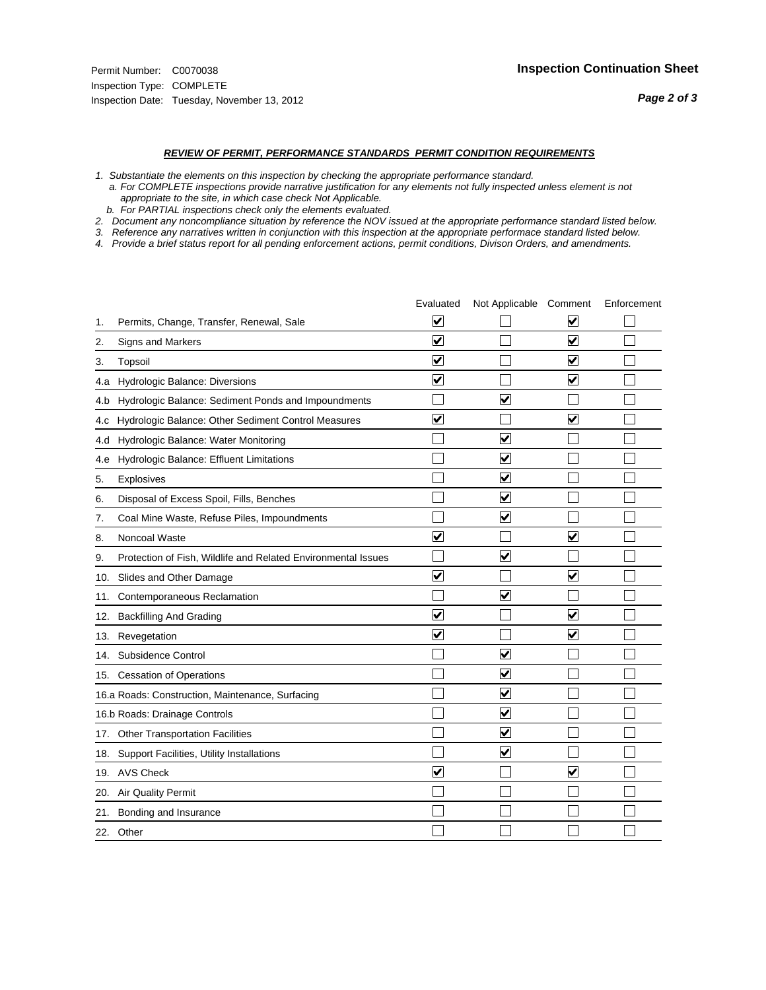#### *REVIEW OF PERMIT, PERFORMANCE STANDARDS PERMIT CONDITION REQUIREMENTS*

*1. Substantiate the elements on this inspection by checking the appropriate performance standard.*

 *a. For COMPLETE inspections provide narrative justification for any elements not fully inspected unless element is not appropriate to the site, in which case check Not Applicable.*

 *b. For PARTIAL inspections check only the elements evaluated.*

*2. Document any noncompliance situation by reference the NOV issued at the appropriate performance standard listed below.*

*3. Reference any narratives written in conjunction with this inspection at the appropriate performace standard listed below.*

*4. Provide a brief status report for all pending enforcement actions, permit conditions, Divison Orders, and amendments.*

|     |                                                               | Evaluated               | Not Applicable Comment  |                         | Enforcement |
|-----|---------------------------------------------------------------|-------------------------|-------------------------|-------------------------|-------------|
| 1.  | Permits, Change, Transfer, Renewal, Sale                      | $\overline{\mathbf{v}}$ |                         | V                       |             |
| 2.  | Signs and Markers                                             | $\overline{\mathbf{v}}$ |                         | $\blacktriangledown$    |             |
| 3.  | Topsoil                                                       | $\overline{\mathbf{v}}$ |                         | $\overline{\mathsf{v}}$ |             |
| 4.a | Hydrologic Balance: Diversions                                | $\blacktriangledown$    |                         | $\blacktriangledown$    |             |
| 4.b | Hydrologic Balance: Sediment Ponds and Impoundments           |                         | ⊽                       |                         |             |
| 4.C | Hydrologic Balance: Other Sediment Control Measures           | $\overline{\mathbf{v}}$ |                         | $\blacktriangledown$    |             |
| 4.d | Hydrologic Balance: Water Monitoring                          |                         | $\overline{\mathbf{v}}$ |                         |             |
| 4.e | Hydrologic Balance: Effluent Limitations                      |                         | $\blacktriangledown$    |                         |             |
| 5.  | <b>Explosives</b>                                             |                         | $\overline{\mathbf{v}}$ |                         |             |
| 6.  | Disposal of Excess Spoil, Fills, Benches                      |                         | $\blacktriangledown$    |                         |             |
| 7.  | Coal Mine Waste, Refuse Piles, Impoundments                   |                         | $\overline{\mathbf{v}}$ |                         |             |
| 8.  | Noncoal Waste                                                 | $\overline{\mathsf{v}}$ |                         | $\overline{\mathbf{v}}$ |             |
| 9.  | Protection of Fish, Wildlife and Related Environmental Issues |                         | ⊽                       |                         |             |
|     | 10. Slides and Other Damage                                   | $\blacktriangledown$    |                         | ⊽                       |             |
| 11. | Contemporaneous Reclamation                                   |                         | ⊽                       |                         |             |
| 12. | <b>Backfilling And Grading</b>                                | $\overline{\mathbf{v}}$ |                         | $\blacktriangledown$    |             |
| 13. | Revegetation                                                  | $\overline{\mathbf{v}}$ |                         | $\overline{\mathbf{v}}$ |             |
| 14. | Subsidence Control                                            |                         | $\overline{\mathbf{v}}$ |                         |             |
|     | 15. Cessation of Operations                                   |                         | $\blacktriangledown$    |                         |             |
|     | 16.a Roads: Construction, Maintenance, Surfacing              |                         | $\overline{\mathbf{v}}$ |                         |             |
|     | 16.b Roads: Drainage Controls                                 |                         | $\blacktriangledown$    |                         |             |
|     | 17. Other Transportation Facilities                           |                         | $\overline{\mathbf{v}}$ |                         |             |
| 18. | Support Facilities, Utility Installations                     |                         | $\overline{\mathbf{v}}$ |                         |             |
|     | 19. AVS Check                                                 | $\overline{\mathbf{v}}$ |                         | $\blacktriangledown$    |             |
| 20. | <b>Air Quality Permit</b>                                     |                         |                         |                         |             |
| 21. | Bonding and Insurance                                         |                         |                         |                         |             |
|     | 22. Other                                                     |                         |                         |                         |             |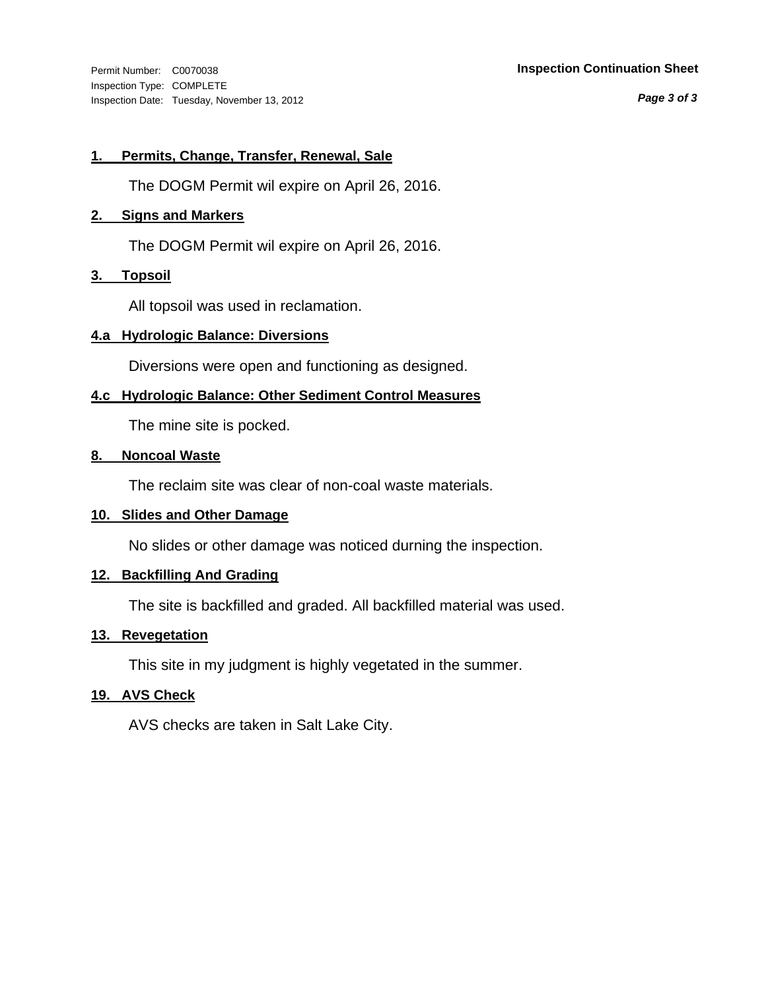Inspection Type: COMPLETE Inspection Date: Tuesday, November 13, 2012

### Permit Number: C0070038 **Inspection Continuation Sheet**

*Page 3 of 3*

# **1. Permits, Change, Transfer, Renewal, Sale**

The DOGM Permit wil expire on April 26, 2016.

# **2. Signs and Markers**

The DOGM Permit wil expire on April 26, 2016.

# **3. Topsoil**

All topsoil was used in reclamation.

# **4.a Hydrologic Balance: Diversions**

Diversions were open and functioning as designed.

# **4.c Hydrologic Balance: Other Sediment Control Measures**

The mine site is pocked.

# **8. Noncoal Waste**

The reclaim site was clear of non-coal waste materials.

# **10. Slides and Other Damage**

No slides or other damage was noticed durning the inspection.

# **12. Backfilling And Grading**

The site is backfilled and graded. All backfilled material was used.

# **13. Revegetation**

This site in my judgment is highly vegetated in the summer.

# **19. AVS Check**

AVS checks are taken in Salt Lake City.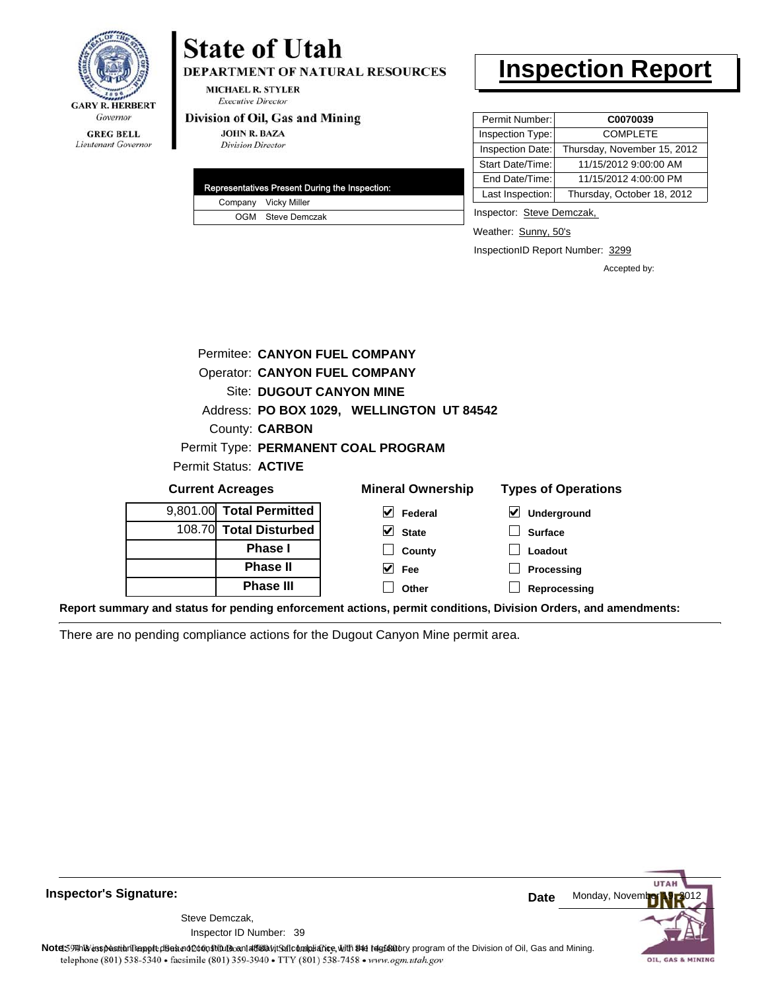

Lieutenant Governor

# **State of Utah DEPARTMENT OF NATURAL RESOURCES**

**MICHAEL R. STYLER Executive Director** 

# Division of Oil, Gas and Mining

**JOHN R. BAZA Division Director** 

|  | Representatives Present During the Inspection: |
|--|------------------------------------------------|
|  | Company Vicky Miller                           |
|  | OGM Steve Demczak                              |

# **Inspection Report**

| Permit Number:   | C0070039                    |
|------------------|-----------------------------|
| Inspection Type: | <b>COMPLETE</b>             |
| Inspection Date: | Thursday, November 15, 2012 |
| Start Date/Time: | 11/15/2012 9:00:00 AM       |
| End Date/Time:   | 11/15/2012 4:00:00 PM       |
| Last Inspection: | Thursday, October 18, 2012  |

Inspector: Steve Demczak,

Weather: Sunny, 50's

InspectionID Report Number: 3299

Accepted by:

|                         |                        |                          | Permitee: CANYON FUEL COMPANY             |                            |
|-------------------------|------------------------|--------------------------|-------------------------------------------|----------------------------|
|                         |                        |                          | <b>Operator: CANYON FUEL COMPANY</b>      |                            |
|                         |                        |                          | <b>Site: DUGOUT CANYON MINE</b>           |                            |
|                         |                        |                          | Address: PO BOX 1029, WELLINGTON UT 84542 |                            |
|                         | County: <b>CARBON</b>  |                          |                                           |                            |
|                         |                        |                          | Permit Type: PERMANENT COAL PROGRAM       |                            |
|                         | Permit Status: ACTIVE  |                          |                                           |                            |
| <b>Current Acreages</b> |                        |                          | <b>Mineral Ownership</b>                  | <b>Types of Operations</b> |
|                         |                        | 9,801.00 Total Permitted | M<br>Federal                              | Underground                |
|                         | 108.70 Total Disturbed |                          | M<br><b>State</b>                         | <b>Surface</b>             |

**County Fee Other**

| 9,001.00 <b>TOtal Permitted</b> |
|---------------------------------|
| 108.70 Total Disturbed          |
| <b>Phase I</b>                  |
| <b>Phase II</b>                 |
| <b>Phase III</b>                |

| $\vert \blacktriangleright$ Underground |
|-----------------------------------------|
| $\Box$ Surface                          |
| $\Box$ Loadout                          |
| $\Box$ Processing                       |

**Reprocessing**

**Report summary and status for pending enforcement actions, permit conditions, Division Orders, and amendments:**

There are no pending compliance actions for the Dugout Canyon Mine permit area.



**Inspector's Signature:**

Inspector ID Number: 39 Steve Demczak,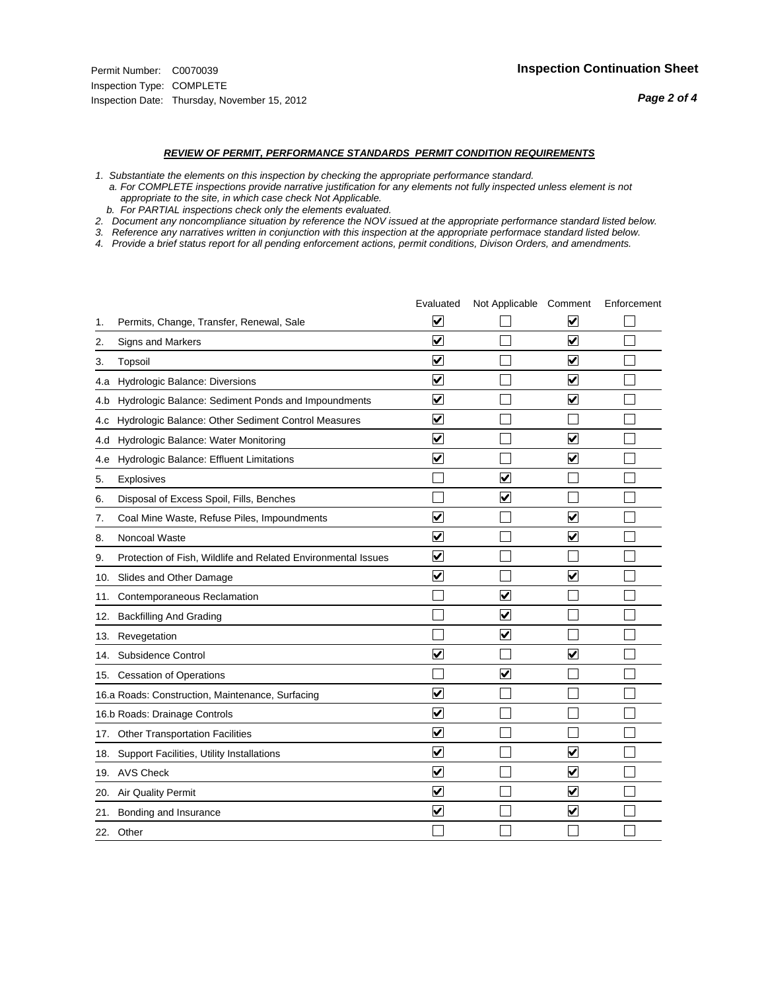#### *REVIEW OF PERMIT, PERFORMANCE STANDARDS PERMIT CONDITION REQUIREMENTS*

*1. Substantiate the elements on this inspection by checking the appropriate performance standard.*

 *a. For COMPLETE inspections provide narrative justification for any elements not fully inspected unless element is not appropriate to the site, in which case check Not Applicable.*

 *b. For PARTIAL inspections check only the elements evaluated.*

*2. Document any noncompliance situation by reference the NOV issued at the appropriate performance standard listed below.*

*3. Reference any narratives written in conjunction with this inspection at the appropriate performace standard listed below.*

*4. Provide a brief status report for all pending enforcement actions, permit conditions, Divison Orders, and amendments.*

|     |                                                               | Evaluated                       | Not Applicable Comment  |                         | Enforcement |
|-----|---------------------------------------------------------------|---------------------------------|-------------------------|-------------------------|-------------|
| 1.  | Permits, Change, Transfer, Renewal, Sale                      | $\overline{\mathbf{v}}$         |                         | V                       |             |
| 2.  | Signs and Markers                                             | $\overline{\mathbf{v}}$         |                         | $\blacktriangledown$    |             |
| 3.  | Topsoil                                                       | $\overline{\mathbf{v}}$         |                         | $\overline{\mathsf{v}}$ |             |
| 4.a | Hydrologic Balance: Diversions                                | ⊽                               |                         | $\overline{\mathbf{v}}$ |             |
| 4.b | Hydrologic Balance: Sediment Ponds and Impoundments           | $\blacktriangledown$            |                         | ⊻                       |             |
| 4.C | Hydrologic Balance: Other Sediment Control Measures           | $\overline{\mathbf{v}}$         |                         |                         |             |
| 4.d | Hydrologic Balance: Water Monitoring                          | $\overline{\mathbf{v}}$         |                         | $\blacktriangledown$    |             |
| 4.e | Hydrologic Balance: Effluent Limitations                      | $\overline{\mathbf{v}}$         |                         | $\overline{\mathbf{v}}$ |             |
| 5.  | <b>Explosives</b>                                             |                                 | $\overline{\mathsf{v}}$ |                         |             |
| 6.  | Disposal of Excess Spoil, Fills, Benches                      |                                 | $\blacktriangledown$    |                         |             |
| 7.  | Coal Mine Waste, Refuse Piles, Impoundments                   | $\overline{\mathbf{v}}$         |                         | $\overline{\mathbf{v}}$ |             |
| 8.  | Noncoal Waste                                                 | $\overline{\blacktriangledown}$ |                         | ☑                       |             |
| 9.  | Protection of Fish, Wildlife and Related Environmental Issues | $\blacktriangledown$            |                         |                         |             |
|     | 10. Slides and Other Damage                                   | $\overline{\mathbf{v}}$         |                         | $\overline{\mathbf{v}}$ |             |
| 11. | Contemporaneous Reclamation                                   |                                 | $\blacktriangledown$    |                         |             |
| 12. | <b>Backfilling And Grading</b>                                |                                 | $\overline{\mathbf{v}}$ |                         |             |
| 13. | Revegetation                                                  |                                 | ☑                       |                         |             |
| 14. | Subsidence Control                                            | $\overline{\mathbf{v}}$         |                         | $\overline{\mathbf{v}}$ |             |
|     | 15. Cessation of Operations                                   |                                 | $\overline{\mathbf{v}}$ |                         |             |
|     | 16.a Roads: Construction, Maintenance, Surfacing              | $\overline{\mathsf{v}}$         |                         |                         |             |
|     | 16.b Roads: Drainage Controls                                 | ⊽                               |                         |                         |             |
|     | 17. Other Transportation Facilities                           | $\overline{\mathbf{v}}$         |                         |                         |             |
|     | 18. Support Facilities, Utility Installations                 | $\overline{\mathbf{v}}$         |                         | $\overline{\mathbf{v}}$ |             |
|     | 19. AVS Check                                                 | $\overline{\mathbf{v}}$         |                         | $\blacktriangledown$    |             |
| 20. | <b>Air Quality Permit</b>                                     | $\overline{\mathsf{v}}$         |                         | $\blacktriangledown$    |             |
| 21. | Bonding and Insurance                                         | $\overline{\mathbf{v}}$         |                         | $\blacktriangledown$    |             |
|     | 22. Other                                                     |                                 |                         |                         |             |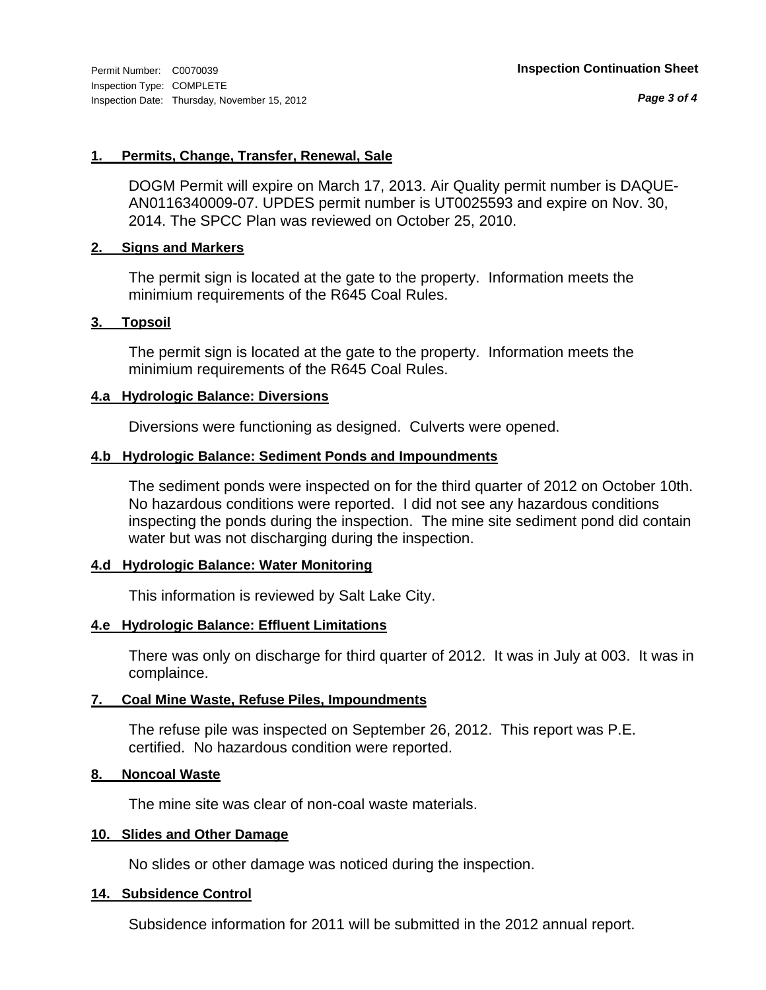*Page 3 of 4*

# **1. Permits, Change, Transfer, Renewal, Sale**

DOGM Permit will expire on March 17, 2013. Air Quality permit number is DAQUE-AN0116340009-07. UPDES permit number is UT0025593 and expire on Nov. 30, 2014. The SPCC Plan was reviewed on October 25, 2010.

# **2. Signs and Markers**

The permit sign is located at the gate to the property. Information meets the minimium requirements of the R645 Coal Rules.

# **3. Topsoil**

The permit sign is located at the gate to the property. Information meets the minimium requirements of the R645 Coal Rules.

# **4.a Hydrologic Balance: Diversions**

Diversions were functioning as designed. Culverts were opened.

# **4.b Hydrologic Balance: Sediment Ponds and Impoundments**

The sediment ponds were inspected on for the third quarter of 2012 on October 10th. No hazardous conditions were reported. I did not see any hazardous conditions inspecting the ponds during the inspection. The mine site sediment pond did contain water but was not discharging during the inspection.

# **4.d Hydrologic Balance: Water Monitoring**

This information is reviewed by Salt Lake City.

# **4.e Hydrologic Balance: Effluent Limitations**

There was only on discharge for third quarter of 2012. It was in July at 003. It was in complaince.

# **7. Coal Mine Waste, Refuse Piles, Impoundments**

The refuse pile was inspected on September 26, 2012. This report was P.E. certified. No hazardous condition were reported.

# **8. Noncoal Waste**

The mine site was clear of non-coal waste materials.

# **10. Slides and Other Damage**

No slides or other damage was noticed during the inspection.

# **14. Subsidence Control**

Subsidence information for 2011 will be submitted in the 2012 annual report.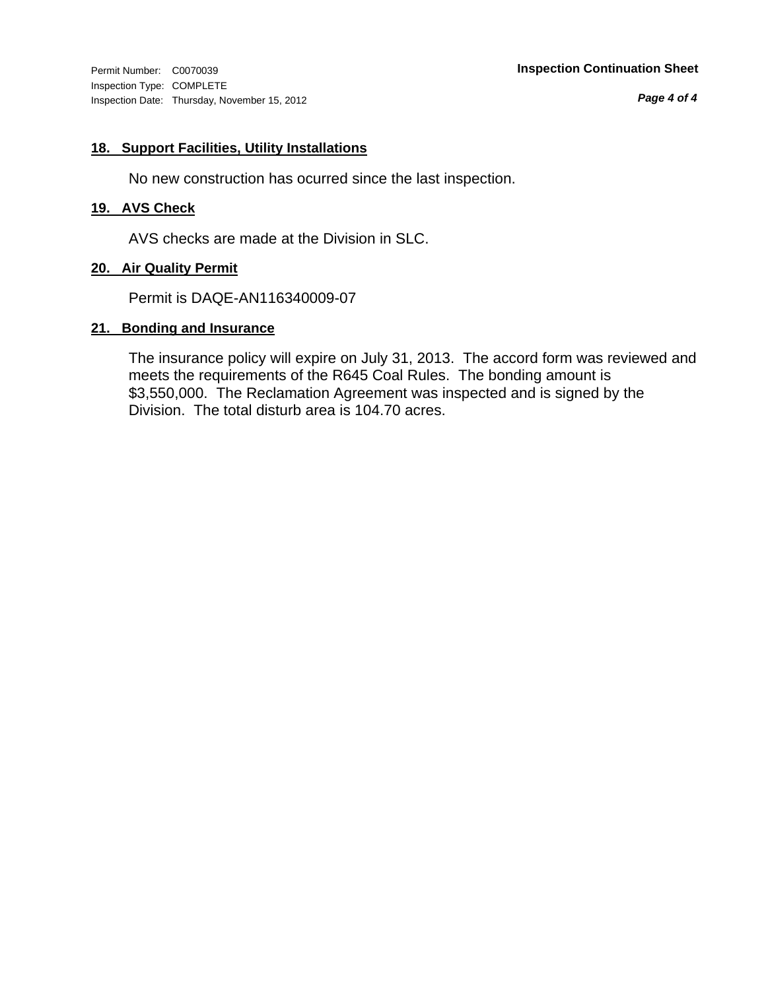Inspection Type: COMPLETE Inspection Date: Thursday, November 15, 2012

*Page 4 of 4*

# **18. Support Facilities, Utility Installations**

No new construction has ocurred since the last inspection.

# **19. AVS Check**

AVS checks are made at the Division in SLC.

# **20. Air Quality Permit**

Permit is DAQE-AN116340009-07

# **21. Bonding and Insurance**

The insurance policy will expire on July 31, 2013. The accord form was reviewed and meets the requirements of the R645 Coal Rules. The bonding amount is \$3,550,000. The Reclamation Agreement was inspected and is signed by the Division. The total disturb area is 104.70 acres.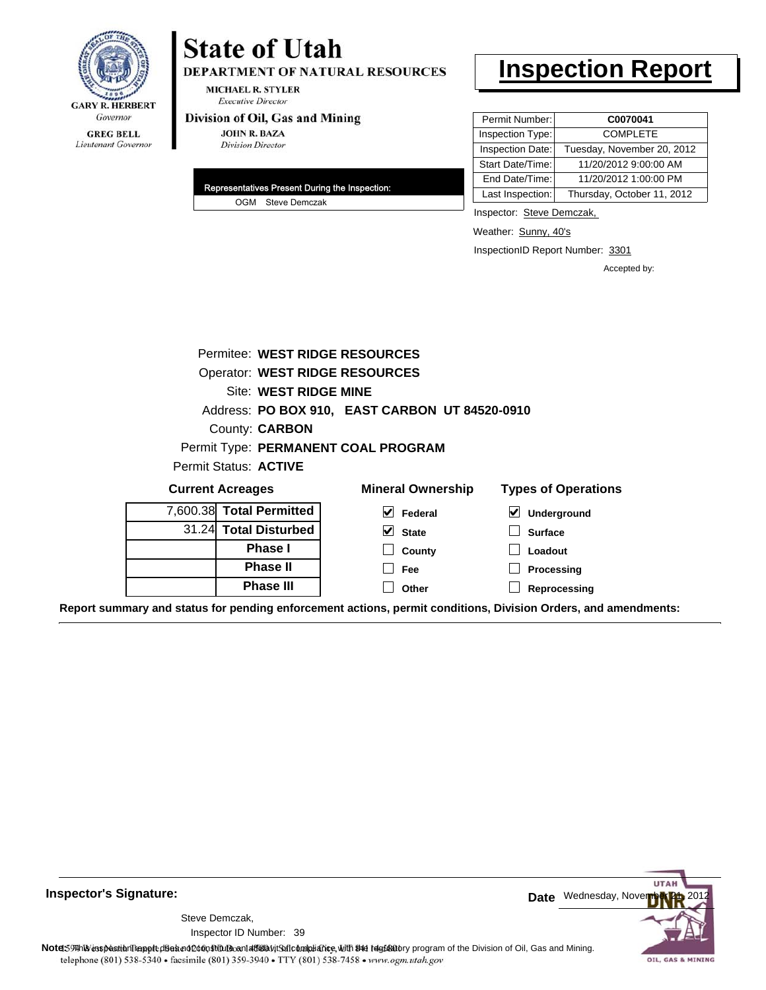

# **State of Utah**

DEPARTMENT OF NATURAL RESOURCES

**MICHAEL R. STYLER Executive Director** 

#### Division of Oil, Gas and Mining

**JOHN R. BAZA Division Director** 

| Representatives Present During the Inspection: |
|------------------------------------------------|
| OGM Steve Demczak                              |

# **Inspection Report**

| Permit Number:   | C0070041                   |
|------------------|----------------------------|
| Inspection Type: | <b>COMPLETE</b>            |
| Inspection Date: | Tuesday, November 20, 2012 |
| Start Date/Time: | 11/20/2012 9:00:00 AM      |
| End Date/Time:   | 11/20/2012 1:00:00 PM      |
| Last Inspection: | Thursday, October 11, 2012 |

Inspector: Steve Demczak,

Weather: Sunny, 40's

InspectionID Report Number: 3301

Accepted by:

|       | Permitee: WEST RIDGE RESOURCES        |                                                |                            |  |  |  |
|-------|---------------------------------------|------------------------------------------------|----------------------------|--|--|--|
|       | <b>Operator: WEST RIDGE RESOURCES</b> |                                                |                            |  |  |  |
|       | Site: WEST RIDGE MINE                 |                                                |                            |  |  |  |
|       |                                       | Address: PO BOX 910, EAST CARBON UT 84520-0910 |                            |  |  |  |
|       | County: <b>CARBON</b>                 |                                                |                            |  |  |  |
|       |                                       | Permit Type: PERMANENT COAL PROGRAM            |                            |  |  |  |
|       |                                       |                                                |                            |  |  |  |
|       | Permit Status: <b>ACTIVE</b>          |                                                |                            |  |  |  |
|       | <b>Current Acreages</b>               | <b>Mineral Ownership</b>                       | <b>Types of Operations</b> |  |  |  |
|       | 7,600.38 Total Permitted              | V<br>Federal                                   | M<br>Underground           |  |  |  |
| 31.24 | <b>Total Disturbed</b>                | V<br><b>State</b>                              | <b>Surface</b>             |  |  |  |
|       | <b>Phase I</b>                        | County                                         | Loadout                    |  |  |  |
|       | <b>Phase II</b>                       | <b>Fee</b>                                     | Processing                 |  |  |  |
|       | <b>Phase III</b>                      | Other                                          | Reprocessing               |  |  |  |

**Report summary and status for pending enforcement actions, permit conditions, Division Orders, and amendments:**

**Inspector's Signature:**

Inspector ID Number: 39 Steve Demczak,



Note59 This inspection leppted besind 260n Stftube and affidavit Soft compliance, with SHe regulatory program of the Division of Oil, Gas and Mining. telephone (801) 538-5340 · facsimile (801) 359-3940 · TTY (801) 538-7458 · www.ogm.utah.gov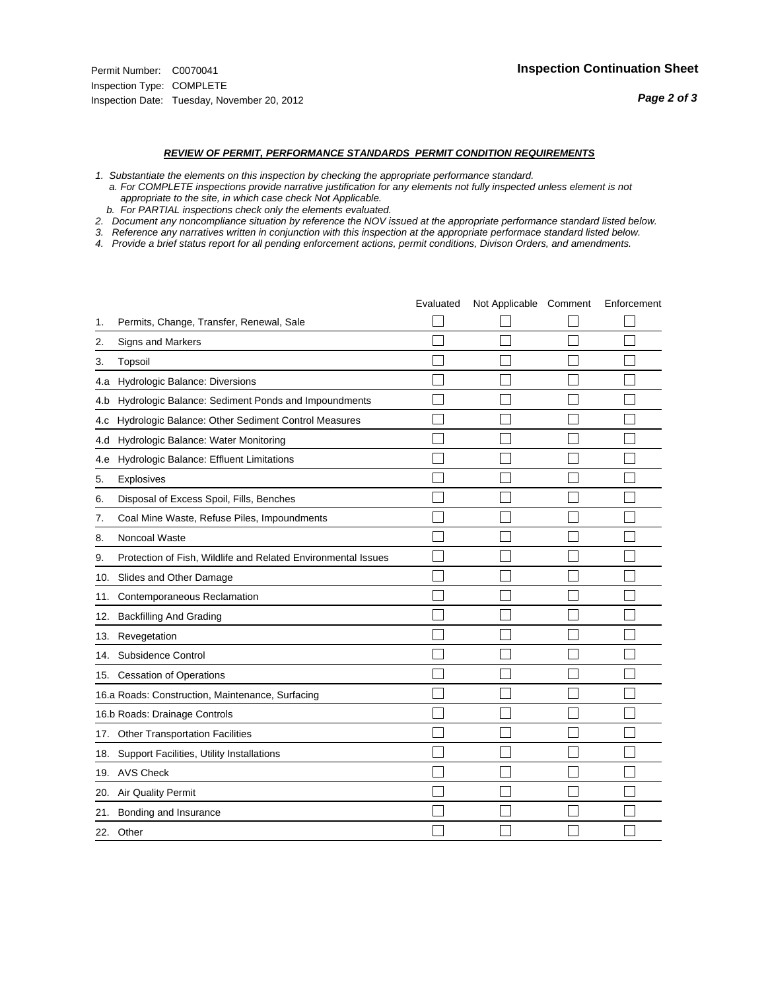#### *REVIEW OF PERMIT, PERFORMANCE STANDARDS PERMIT CONDITION REQUIREMENTS*

- *1. Substantiate the elements on this inspection by checking the appropriate performance standard.*
- *a. For COMPLETE inspections provide narrative justification for any elements not fully inspected unless element is not appropriate to the site, in which case check Not Applicable.*
- *b. For PARTIAL inspections check only the elements evaluated.*
- *2. Document any noncompliance situation by reference the NOV issued at the appropriate performance standard listed below.*
- *3. Reference any narratives written in conjunction with this inspection at the appropriate performace standard listed below.*
- *4. Provide a brief status report for all pending enforcement actions, permit conditions, Divison Orders, and amendments.*

|     |                                                               | Evaluated | Not Applicable Comment | Enforcement |
|-----|---------------------------------------------------------------|-----------|------------------------|-------------|
| 1.  | Permits, Change, Transfer, Renewal, Sale                      |           |                        |             |
| 2.  | Signs and Markers                                             |           |                        |             |
| 3.  | Topsoil                                                       |           |                        |             |
| 4.a | Hydrologic Balance: Diversions                                |           |                        |             |
| 4.b | Hydrologic Balance: Sediment Ponds and Impoundments           |           |                        |             |
| 4.c | Hydrologic Balance: Other Sediment Control Measures           |           |                        |             |
| 4.d | Hydrologic Balance: Water Monitoring                          |           |                        |             |
| 4.e | Hydrologic Balance: Effluent Limitations                      |           |                        |             |
| 5.  | <b>Explosives</b>                                             |           |                        |             |
| 6.  | Disposal of Excess Spoil, Fills, Benches                      |           |                        |             |
| 7.  | Coal Mine Waste, Refuse Piles, Impoundments                   |           |                        |             |
| 8.  | Noncoal Waste                                                 |           |                        |             |
| 9.  | Protection of Fish, Wildlife and Related Environmental Issues |           |                        |             |
| 10. | Slides and Other Damage                                       |           |                        |             |
| 11. | Contemporaneous Reclamation                                   |           |                        |             |
| 12. | <b>Backfilling And Grading</b>                                |           |                        |             |
| 13. | Revegetation                                                  |           |                        |             |
| 14. | Subsidence Control                                            |           |                        |             |
|     | 15. Cessation of Operations                                   |           |                        |             |
|     | 16.a Roads: Construction, Maintenance, Surfacing              |           |                        |             |
|     | 16.b Roads: Drainage Controls                                 |           |                        |             |
| 17. | <b>Other Transportation Facilities</b>                        |           |                        |             |
| 18. | Support Facilities, Utility Installations                     |           |                        |             |
|     | 19. AVS Check                                                 |           |                        |             |
| 20. | <b>Air Quality Permit</b>                                     |           |                        |             |
| 21. | Bonding and Insurance                                         |           |                        |             |
|     | 22. Other                                                     |           |                        |             |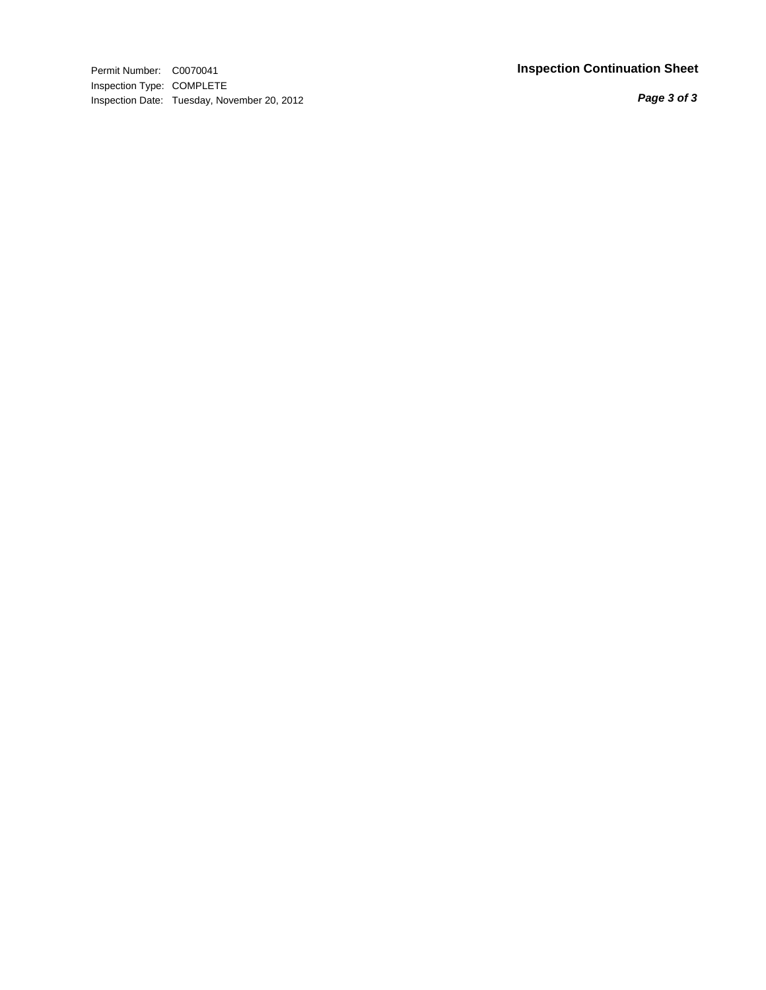Permit Number: C0070041 **Inspection Continuation Shee t** Inspection Type: COMPLETE Inspection Date: Tuesday, November 20, 2012

*Page 3 of 3*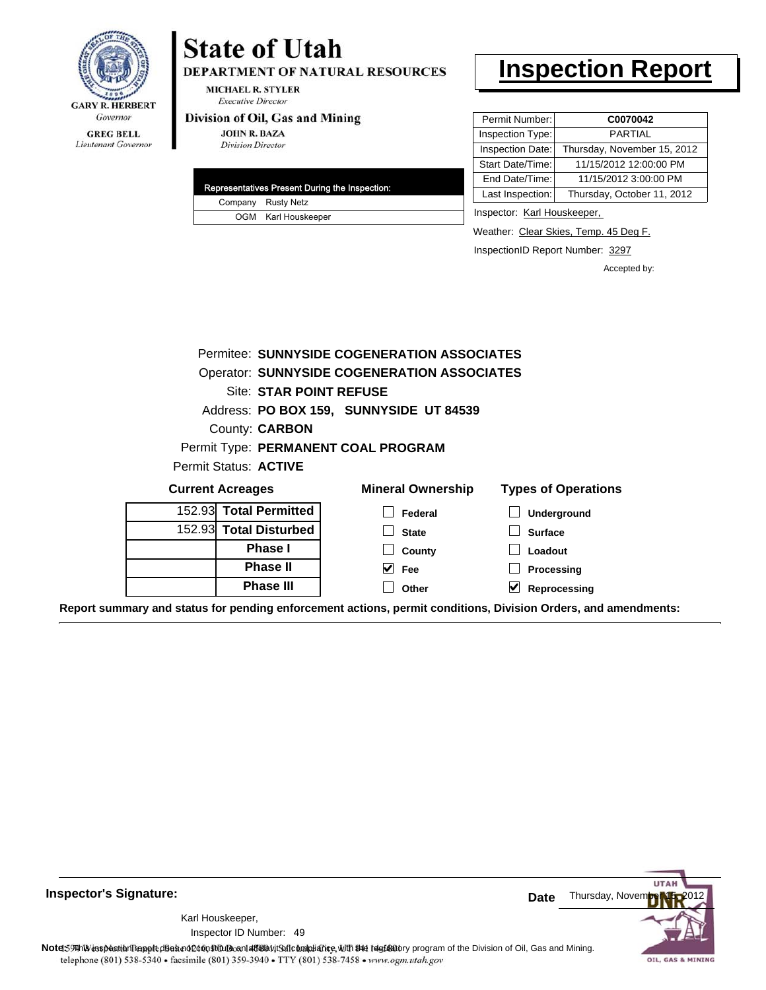

Lieutenant Governor

# DEPARTMENT OF NATURAL RESOURCES

**MICHAEL R. STYLER Executive Director** 

**State of Utah** 

#### Division of Oil, Gas and Mining

**JOHN R. BAZA Division Director** 

|  | Representatives Present During the Inspection: |
|--|------------------------------------------------|
|  | Company Rusty Netz                             |
|  | OGM Karl Houskeeper                            |

# **Inspection Report**

| Permit Number:   | C0070042                    |
|------------------|-----------------------------|
| Inspection Type: | <b>PARTIAL</b>              |
| Inspection Date: | Thursday, November 15, 2012 |
| Start Date/Time: | 11/15/2012 12:00:00 PM      |
| End Date/Time:   | 11/15/2012 3:00:00 PM       |
| Last Inspection: | Thursday, October 11, 2012  |

Inspector: Karl Houskeeper,

Weather: Clear Skies, Temp. 45 Deg F.

InspectionID Report Number: 3297

Accepted by:

|                                | Permitee: SUNNYSIDE COGENERATION ASSOCIATES        |                            |
|--------------------------------|----------------------------------------------------|----------------------------|
|                                | <b>Operator: SUNNYSIDE COGENERATION ASSOCIATES</b> |                            |
| <b>Site: STAR POINT REFUSE</b> |                                                    |                            |
|                                | Address: PO BOX 159, SUNNYSIDE UT 84539            |                            |
| County: <b>CARBON</b>          |                                                    |                            |
|                                | Permit Type: PERMANENT COAL PROGRAM                |                            |
| Permit Status: ACTIVE          |                                                    |                            |
| <b>Current Acreages</b>        | <b>Mineral Ownership</b>                           | <b>Types of Operations</b> |
| 152.93 Total Permitted         | Federal                                            | Underground                |
| 152.93 Total Disturbed         | <b>State</b>                                       | <b>Surface</b>             |
| <b>Phase I</b>                 | County                                             | Loadout                    |
| <b>Phase II</b>                | M<br>Fee                                           | Processing                 |
| <b>Phase III</b>               | Other                                              | Reprocessing               |

**Report summary and status for pending enforcement actions, permit conditions, Division Orders, and amendments:**



49 Inspector ID Number:Karl Houskeeper,



Note: This inspection report does not constitute and affidavit for compliance, with the regulatory program of the Division of Oil, Gas and Mining. telephone (801) 538-5340 · facsimile (801) 359-3940 · TTY (801) 538-7458 · www.ogm.utah.gov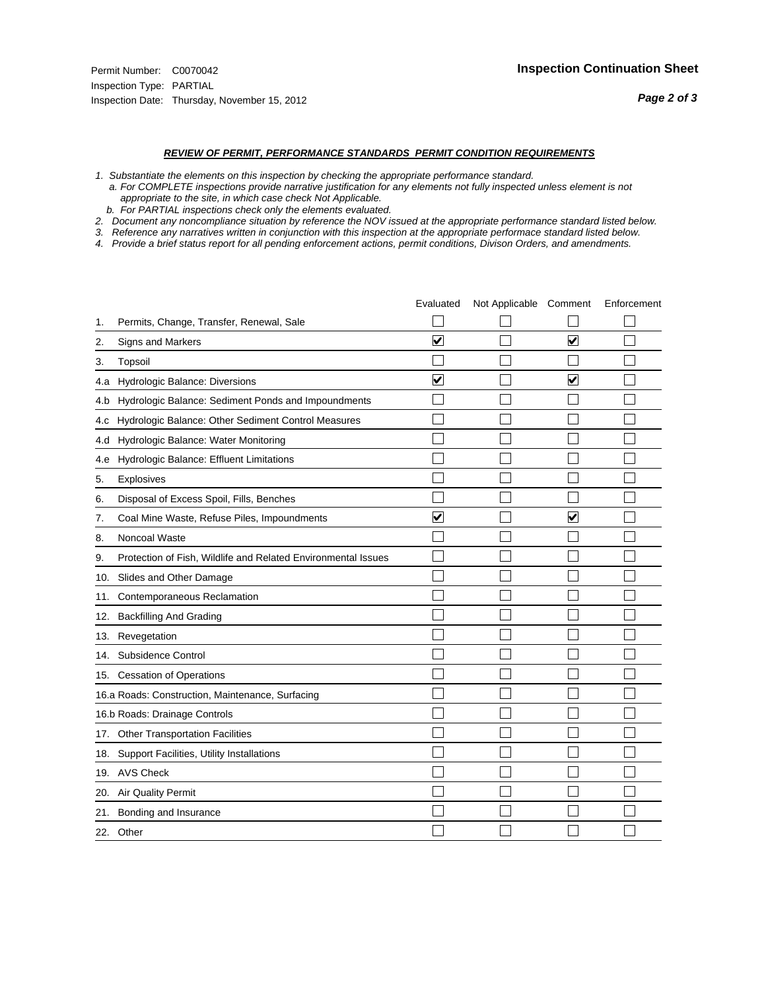#### *REVIEW OF PERMIT, PERFORMANCE STANDARDS PERMIT CONDITION REQUIREMENTS*

- *1. Substantiate the elements on this inspection by checking the appropriate performance standard.*
- *a. For COMPLETE inspections provide narrative justification for any elements not fully inspected unless element is not appropriate to the site, in which case check Not Applicable.*
- *b. For PARTIAL inspections check only the elements evaluated.*
- *2. Document any noncompliance situation by reference the NOV issued at the appropriate performance standard listed below.*
- *3. Reference any narratives written in conjunction with this inspection at the appropriate performace standard listed below.*
- *4. Provide a brief status report for all pending enforcement actions, permit conditions, Divison Orders, and amendments.*

|     |                                                               | Evaluated               | Not Applicable Comment |                         | Enforcement |
|-----|---------------------------------------------------------------|-------------------------|------------------------|-------------------------|-------------|
| 1.  | Permits, Change, Transfer, Renewal, Sale                      |                         |                        |                         |             |
| 2.  | Signs and Markers                                             | $\overline{\mathbf{v}}$ |                        | $\overline{\mathbf{v}}$ |             |
| 3.  | Topsoil                                                       |                         |                        |                         |             |
| 4.a | Hydrologic Balance: Diversions                                | $\blacktriangledown$    |                        | V                       |             |
| 4.b | Hydrologic Balance: Sediment Ponds and Impoundments           |                         |                        |                         |             |
| 4.c | Hydrologic Balance: Other Sediment Control Measures           |                         |                        |                         |             |
| 4.d | Hydrologic Balance: Water Monitoring                          |                         |                        |                         |             |
| 4.e | Hydrologic Balance: Effluent Limitations                      |                         |                        |                         |             |
| 5.  | <b>Explosives</b>                                             |                         |                        |                         |             |
| 6.  | Disposal of Excess Spoil, Fills, Benches                      |                         |                        |                         |             |
| 7.  | Coal Mine Waste, Refuse Piles, Impoundments                   | $\overline{\mathbf{v}}$ |                        | $\overline{\mathbf{v}}$ |             |
| 8.  | Noncoal Waste                                                 |                         |                        |                         |             |
| 9.  | Protection of Fish, Wildlife and Related Environmental Issues |                         |                        |                         |             |
| 10. | Slides and Other Damage                                       |                         |                        |                         |             |
| 11. | Contemporaneous Reclamation                                   |                         |                        |                         |             |
| 12. | <b>Backfilling And Grading</b>                                |                         |                        |                         |             |
| 13. | Revegetation                                                  |                         |                        |                         |             |
| 14. | Subsidence Control                                            |                         |                        |                         |             |
|     | 15. Cessation of Operations                                   |                         |                        |                         |             |
|     | 16.a Roads: Construction, Maintenance, Surfacing              |                         |                        |                         |             |
|     | 16.b Roads: Drainage Controls                                 |                         |                        |                         |             |
| 17. | <b>Other Transportation Facilities</b>                        |                         |                        |                         |             |
| 18. | Support Facilities, Utility Installations                     |                         |                        |                         |             |
|     | 19. AVS Check                                                 |                         |                        |                         |             |
| 20. | <b>Air Quality Permit</b>                                     |                         |                        |                         |             |
| 21. | Bonding and Insurance                                         |                         |                        |                         |             |
|     | 22. Other                                                     |                         |                        |                         |             |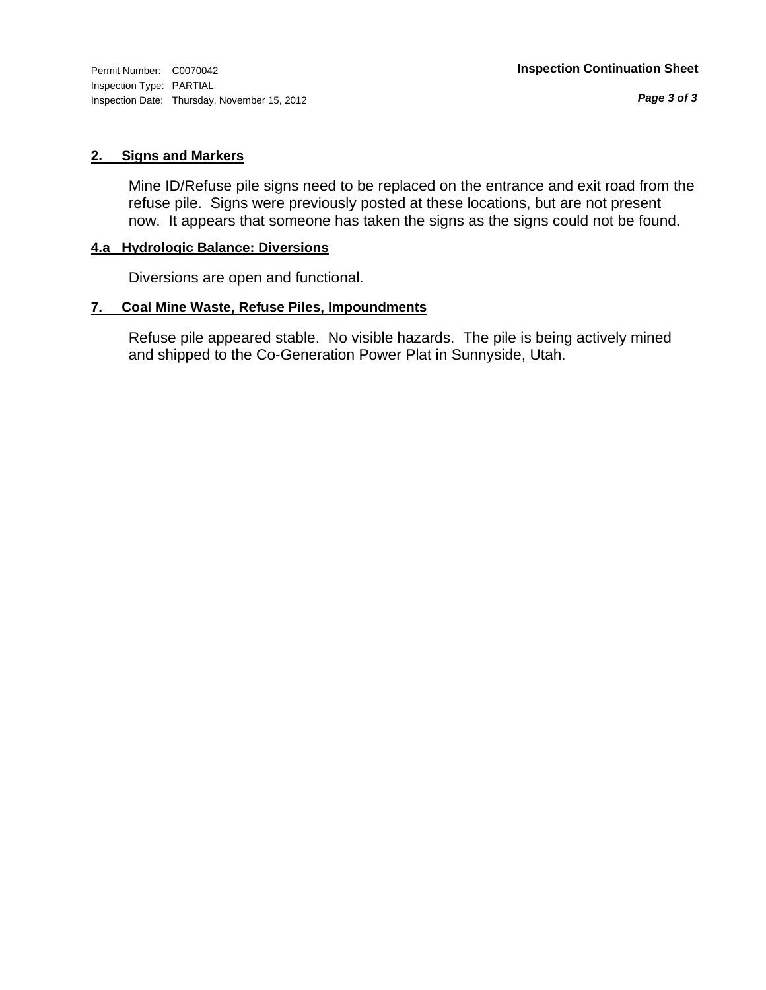Inspection Type: PARTIAL Inspection Date: Thursday, November 15, 2012

*Page 3 of 3*

# **2. Signs and Markers**

Mine ID/Refuse pile signs need to be replaced on the entrance and exit road from the refuse pile. Signs were previously posted at these locations, but are not present now. It appears that someone has taken the signs as the signs could not be found.

# **4.a Hydrologic Balance: Diversions**

Diversions are open and functional.

# **7. Coal Mine Waste, Refuse Piles, Impoundments**

Refuse pile appeared stable. No visible hazards. The pile is being actively mined and shipped to the Co-Generation Power Plat in Sunnyside, Utah.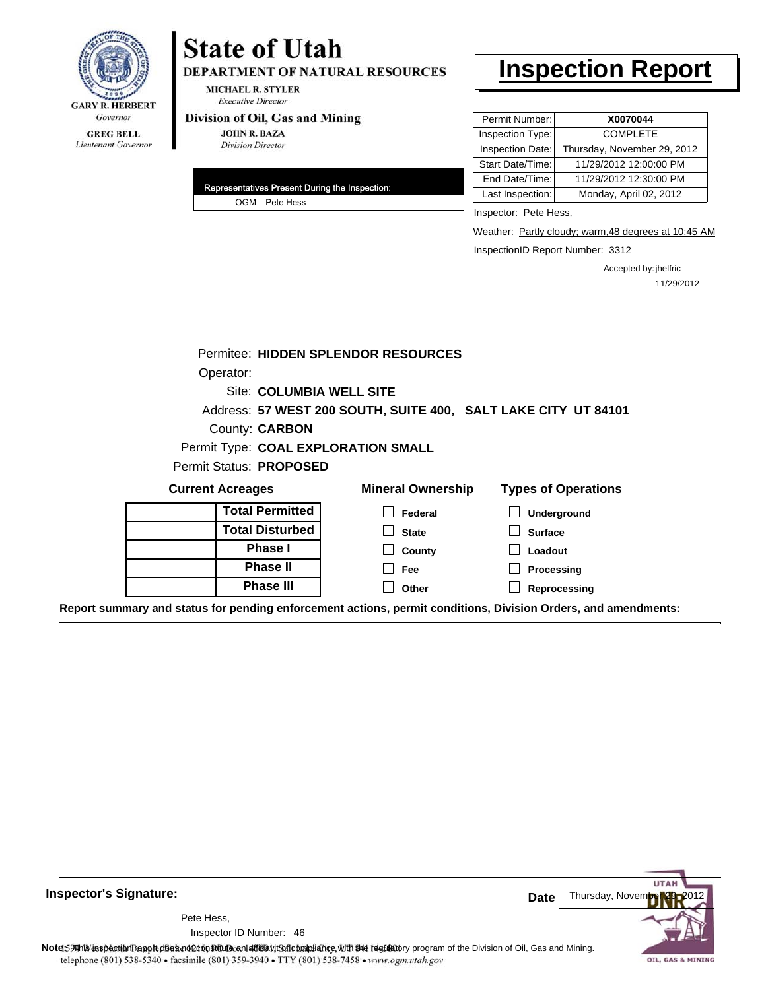

# Lieutenant Governor

# **State of Utah**

DEPARTMENT OF NATURAL RESOURCES

**MICHAEL R. STYLER Executive Director** 

#### Division of Oil, Gas and Mining

**JOHN R. BAZA Division Director** 

| Representatives Present During the Inspection: |
|------------------------------------------------|
| OGM Pete Hess                                  |

# **Inspection Report**

| Permit Number:   | X0070044                    |
|------------------|-----------------------------|
| Inspection Type: | <b>COMPLETE</b>             |
| Inspection Date: | Thursday, November 29, 2012 |
| Start Date/Time: | 11/29/2012 12:00:00 PM      |
| End Date/Time:   | 11/29/2012 12:30:00 PM      |
| Last Inspection: | Monday, April 02, 2012      |

Inspector: Pete Hess,

Weather: Partly cloudy; warm, 48 degrees at 10:45 AM

InspectionID Report Number: 3312

Accepted by: jhelfric 11/29/2012

**UTAF** 

OIL, GAS & MINING

|                                                                                                                | Permitee: HIDDEN SPLENDOR RESOURCES                            |                            |
|----------------------------------------------------------------------------------------------------------------|----------------------------------------------------------------|----------------------------|
| Operator:                                                                                                      |                                                                |                            |
| Site: COLUMBIA WELL SITE                                                                                       |                                                                |                            |
|                                                                                                                | Address: 57 WEST 200 SOUTH, SUITE 400, SALT LAKE CITY UT 84101 |                            |
| County: <b>CARBON</b>                                                                                          |                                                                |                            |
| Permit Type: COAL EXPLORATION SMALL                                                                            |                                                                |                            |
| Permit Status: PROPOSED                                                                                        |                                                                |                            |
| <b>Current Acreages</b>                                                                                        | <b>Mineral Ownership</b>                                       | <b>Types of Operations</b> |
| <b>Total Permitted</b>                                                                                         | Federal                                                        | Underground                |
| <b>Total Disturbed</b>                                                                                         | <b>State</b>                                                   | <b>Surface</b>             |
| <b>Phase I</b>                                                                                                 | County                                                         | Loadout                    |
| <b>Phase II</b>                                                                                                | Fee                                                            | Processing                 |
| <b>Phase III</b>                                                                                               | Other                                                          | Reprocessing               |
| Report summary and status for pending enforcement actions, permit conditions, Division Orders, and amendments: |                                                                |                            |

**Inspector's Signature:**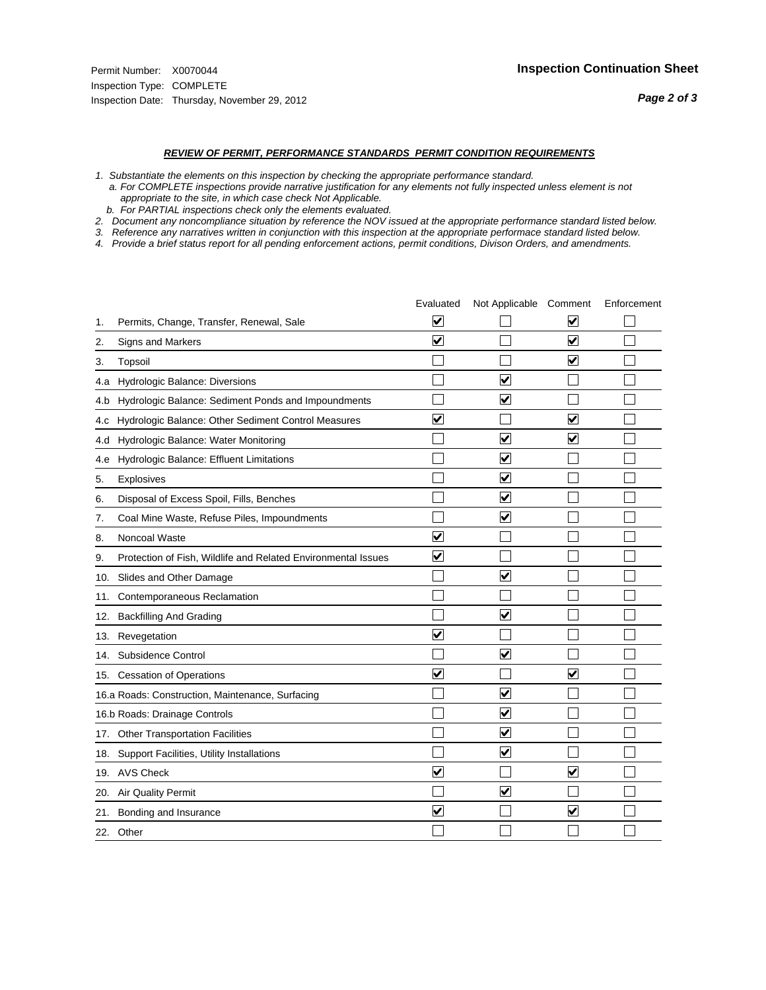#### *REVIEW OF PERMIT, PERFORMANCE STANDARDS PERMIT CONDITION REQUIREMENTS*

*1. Substantiate the elements on this inspection by checking the appropriate performance standard.*

 *a. For COMPLETE inspections provide narrative justification for any elements not fully inspected unless element is not appropriate to the site, in which case check Not Applicable.*

 *b. For PARTIAL inspections check only the elements evaluated.*

*2. Document any noncompliance situation by reference the NOV issued at the appropriate performance standard listed below.*

*3. Reference any narratives written in conjunction with this inspection at the appropriate performace standard listed below.*

*4. Provide a brief status report for all pending enforcement actions, permit conditions, Divison Orders, and amendments.*

|     |                                                               | Evaluated               | Not Applicable Comment  |                         | Enforcement |
|-----|---------------------------------------------------------------|-------------------------|-------------------------|-------------------------|-------------|
| 1.  | Permits, Change, Transfer, Renewal, Sale                      | $\overline{\mathsf{v}}$ |                         | V                       |             |
| 2.  | Signs and Markers                                             | $\overline{\mathbf{v}}$ |                         | $\blacktriangledown$    |             |
| 3.  | Topsoil                                                       |                         |                         | $\overline{\mathbf{v}}$ |             |
| 4.a | Hydrologic Balance: Diversions                                |                         | V                       |                         |             |
| 4.b | Hydrologic Balance: Sediment Ponds and Impoundments           |                         | $\blacktriangledown$    |                         |             |
| 4.C | Hydrologic Balance: Other Sediment Control Measures           | $\overline{\mathsf{v}}$ |                         | $\overline{\mathbf{v}}$ |             |
| 4.d | Hydrologic Balance: Water Monitoring                          |                         | $\overline{\mathbf{v}}$ | $\blacktriangledown$    |             |
| 4.e | Hydrologic Balance: Effluent Limitations                      |                         | $\overline{\mathbf{v}}$ |                         |             |
| 5.  | <b>Explosives</b>                                             |                         | $\blacktriangledown$    |                         |             |
| 6.  | Disposal of Excess Spoil, Fills, Benches                      |                         | $\overline{\mathbf{v}}$ |                         |             |
| 7.  | Coal Mine Waste, Refuse Piles, Impoundments                   |                         | $\overline{\mathbf{v}}$ |                         |             |
| 8.  | Noncoal Waste                                                 | $\overline{\mathsf{v}}$ |                         |                         |             |
| 9.  | Protection of Fish, Wildlife and Related Environmental Issues | $\overline{\mathbf{v}}$ |                         |                         |             |
|     | 10. Slides and Other Damage                                   |                         | ☑                       |                         |             |
| 11. | Contemporaneous Reclamation                                   |                         |                         |                         |             |
| 12. | <b>Backfilling And Grading</b>                                |                         | $\blacktriangledown$    |                         |             |
| 13. | Revegetation                                                  | $\overline{\mathbf{v}}$ |                         |                         |             |
| 14. | Subsidence Control                                            |                         | $\overline{\mathbf{v}}$ |                         |             |
|     | 15. Cessation of Operations                                   | $\blacktriangledown$    |                         | ☑                       |             |
|     | 16.a Roads: Construction, Maintenance, Surfacing              |                         | $\overline{\mathsf{v}}$ |                         |             |
|     | 16.b Roads: Drainage Controls                                 |                         | $\blacktriangledown$    |                         |             |
|     | 17. Other Transportation Facilities                           |                         | $\overline{\mathbf{v}}$ |                         |             |
| 18. | Support Facilities, Utility Installations                     |                         | $\overline{\mathbf{v}}$ |                         |             |
|     | 19. AVS Check                                                 | $\blacktriangledown$    |                         | $\blacktriangledown$    |             |
|     | 20. Air Quality Permit                                        |                         | ⊽                       |                         |             |
| 21. | Bonding and Insurance                                         | $\overline{\mathbf{v}}$ |                         | $\blacktriangledown$    |             |
|     | 22. Other                                                     |                         |                         |                         |             |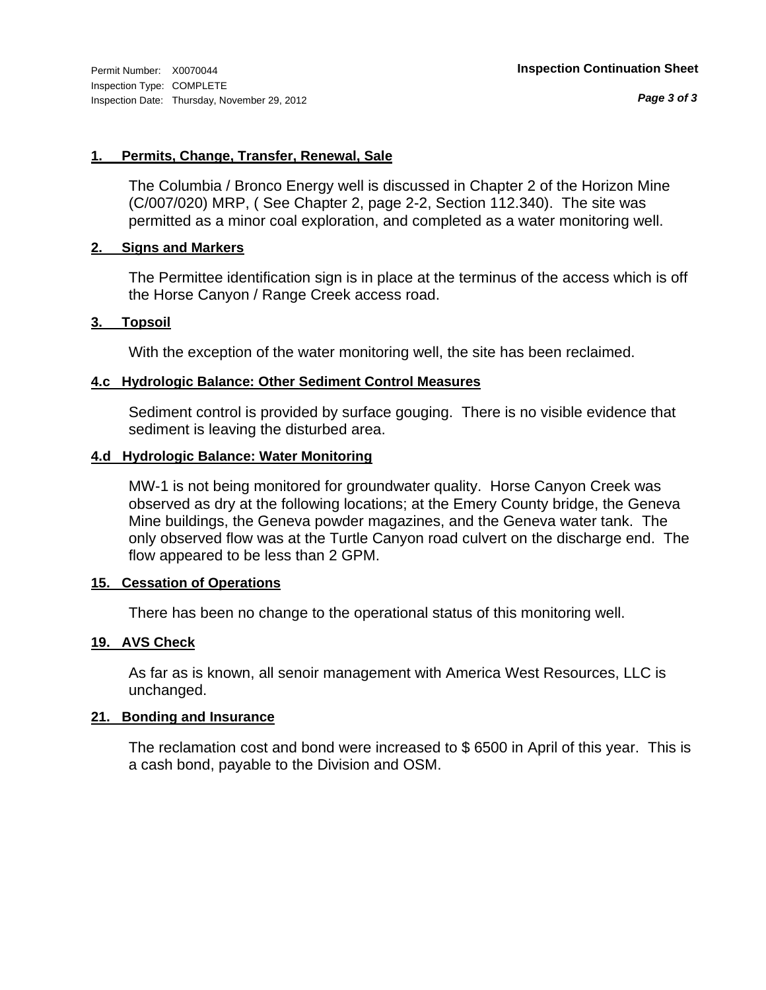*Page 3 of 3*

# **1. Permits, Change, Transfer, Renewal, Sale**

The Columbia / Bronco Energy well is discussed in Chapter 2 of the Horizon Mine (C/007/020) MRP, ( See Chapter 2, page 2-2, Section 112.340). The site was permitted as a minor coal exploration, and completed as a water monitoring well.

# **2. Signs and Markers**

The Permittee identification sign is in place at the terminus of the access which is off the Horse Canyon / Range Creek access road.

# **3. Topsoil**

With the exception of the water monitoring well, the site has been reclaimed.

# **4.c Hydrologic Balance: Other Sediment Control Measures**

Sediment control is provided by surface gouging. There is no visible evidence that sediment is leaving the disturbed area.

# **4.d Hydrologic Balance: Water Monitoring**

MW-1 is not being monitored for groundwater quality. Horse Canyon Creek was observed as dry at the following locations; at the Emery County bridge, the Geneva Mine buildings, the Geneva powder magazines, and the Geneva water tank. The only observed flow was at the Turtle Canyon road culvert on the discharge end. The flow appeared to be less than 2 GPM.

# **15. Cessation of Operations**

There has been no change to the operational status of this monitoring well.

# **19. AVS Check**

As far as is known, all senoir management with America West Resources, LLC is unchanged.

# **21. Bonding and Insurance**

The reclamation cost and bond were increased to \$ 6500 in April of this year. This is a cash bond, payable to the Division and OSM.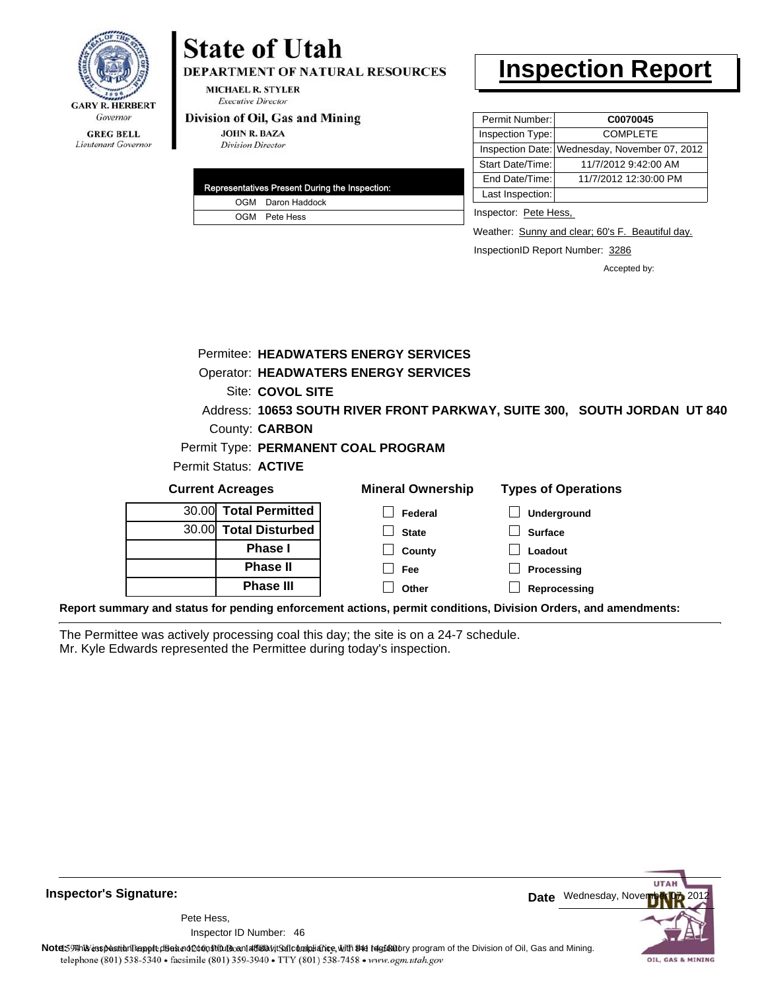

# **State of Utah**

DEPARTMENT OF NATURAL RESOURCES

**MICHAEL R. STYLER Executive Director** 

#### Division of Oil, Gas and Mining

**JOHN R. BAZA Division Director** 

|  | Representatives Present During the Inspection: |
|--|------------------------------------------------|
|  | OGM Daron Haddock                              |
|  | OGM Pete Hess                                  |

# **Inspection Report**

| Permit Number:   | C0070045                                      |
|------------------|-----------------------------------------------|
| Inspection Type: | <b>COMPLETE</b>                               |
|                  | Inspection Date: Wednesday, November 07, 2012 |
| Start Date/Time: | 11/7/2012 9:42:00 AM                          |
| End Date/Time:   | 11/7/2012 12:30:00 PM                         |
| Last Inspection: |                                               |

Inspector: Pete Hess,

Weather: Sunny and clear; 60's F. Beautiful day.

InspectionID Report Number: 3286

Accepted by:

|  | Site: COVOL SITE<br>County: <b>CARBON</b><br>Permit Status: ACTIVE                               | Permitee: HEADWATERS ENERGY SERVICES<br><b>Operator: HEADWATERS ENERGY SERVICES</b><br>Address: 10653 SOUTH RIVER FRONT PARKWAY, SUITE 300, SOUTH JORDAN UT 840<br>Permit Type: PERMANENT COAL PROGRAM |                                                                               |  |
|--|--------------------------------------------------------------------------------------------------|--------------------------------------------------------------------------------------------------------------------------------------------------------------------------------------------------------|-------------------------------------------------------------------------------|--|
|  | <b>Current Acreages</b>                                                                          | <b>Mineral Ownership</b>                                                                                                                                                                               | <b>Types of Operations</b>                                                    |  |
|  | 30.00 Total Permitted<br>30.00 Total Disturbed<br>Phase I<br><b>Phase II</b><br><b>Phase III</b> | Federal<br><b>State</b><br>County<br>Fee<br>Other                                                                                                                                                      | <b>Underground</b><br><b>Surface</b><br>Loadout<br>Processing<br>Reprocessing |  |
|  |                                                                                                  | Report summary and status for pending enforcement actions, permit conditions, Division Orders, and amendments:                                                                                         |                                                                               |  |

The Permittee was actively processing coal this day; the site is on a 24-7 schedule. Mr. Kyle Edwards represented the Permittee during today's inspection.



**Inspector's Signature:**

46 Inspector ID Number:Pete Hess,

**Note**:59 This inspection report disean of constitute and affidavit Saft compliance, with the desidatory program of the Division of Oil, Gas and Mining. telephone (801) 538-5340 · facsimile (801) 359-3940 · TTY (801) 538-7458 · www.ogm.utah.gov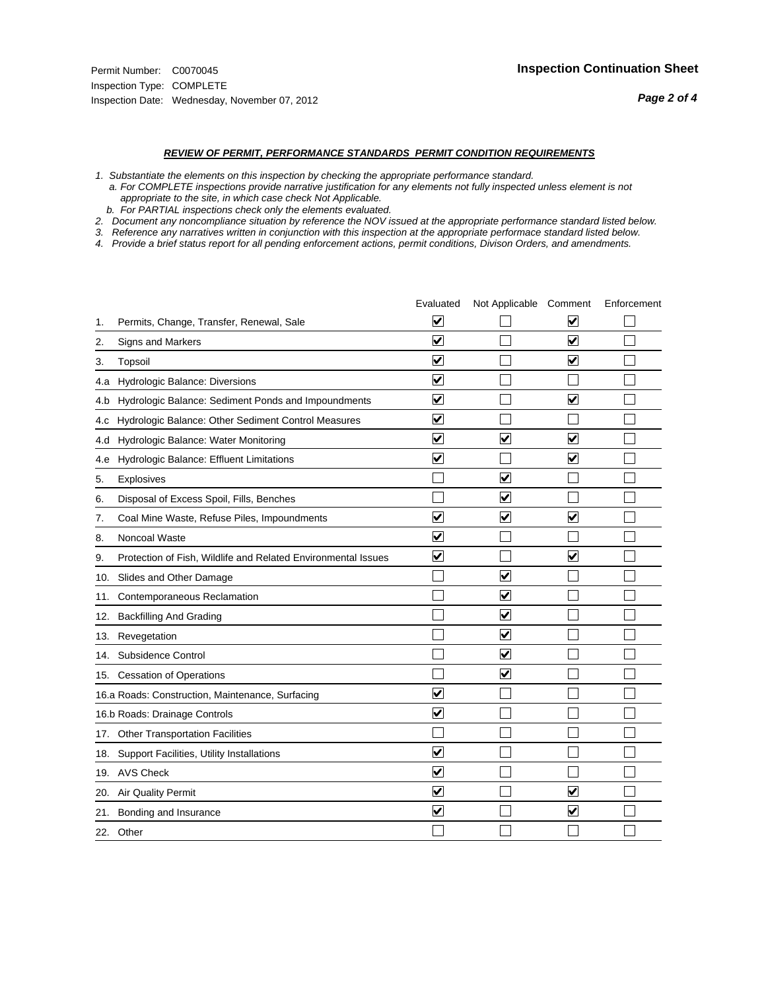#### *REVIEW OF PERMIT, PERFORMANCE STANDARDS PERMIT CONDITION REQUIREMENTS*

*1. Substantiate the elements on this inspection by checking the appropriate performance standard.*

 *a. For COMPLETE inspections provide narrative justification for any elements not fully inspected unless element is not appropriate to the site, in which case check Not Applicable.*

 *b. For PARTIAL inspections check only the elements evaluated.*

*2. Document any noncompliance situation by reference the NOV issued at the appropriate performance standard listed below.*

*3. Reference any narratives written in conjunction with this inspection at the appropriate performace standard listed below.*

*4. Provide a brief status report for all pending enforcement actions, permit conditions, Divison Orders, and amendments.*

|     |                                                               | Evaluated               | Not Applicable Comment          |                         | Enforcement |
|-----|---------------------------------------------------------------|-------------------------|---------------------------------|-------------------------|-------------|
| 1.  | Permits, Change, Transfer, Renewal, Sale                      | ⊻                       |                                 | V                       |             |
| 2.  | Signs and Markers                                             | $\overline{\mathbf{v}}$ |                                 | $\blacktriangledown$    |             |
| 3.  | Topsoil                                                       | $\overline{\mathbf{v}}$ |                                 | $\overline{\mathbf{v}}$ |             |
| 4.a | Hydrologic Balance: Diversions                                | $\blacktriangledown$    |                                 |                         |             |
| 4.b | Hydrologic Balance: Sediment Ponds and Impoundments           | $\overline{\mathsf{v}}$ |                                 | $\blacktriangledown$    |             |
| 4.c | Hydrologic Balance: Other Sediment Control Measures           | $\overline{\mathbf{v}}$ |                                 |                         |             |
| 4.d | Hydrologic Balance: Water Monitoring                          | $\overline{\mathbf{v}}$ | $\overline{\mathbf{v}}$         | $\overline{\mathbf{v}}$ |             |
| 4.e | Hydrologic Balance: Effluent Limitations                      | $\overline{\mathbf{v}}$ |                                 | $\blacktriangledown$    |             |
| 5.  | Explosives                                                    |                         | $\blacktriangledown$            |                         |             |
| 6.  | Disposal of Excess Spoil, Fills, Benches                      |                         | $\overline{\mathsf{v}}$         |                         |             |
| 7.  | Coal Mine Waste, Refuse Piles, Impoundments                   | $\overline{\mathbf{v}}$ | ☑                               | $\blacktriangledown$    |             |
| 8.  | Noncoal Waste                                                 | $\overline{\mathbf{v}}$ |                                 |                         |             |
| 9.  | Protection of Fish, Wildlife and Related Environmental Issues | $\blacktriangledown$    |                                 | $\blacktriangledown$    |             |
| 10. | Slides and Other Damage                                       |                         | $\blacktriangledown$            |                         |             |
| 11. | Contemporaneous Reclamation                                   |                         | $\blacktriangledown$            |                         |             |
| 12. | <b>Backfilling And Grading</b>                                |                         | $\overline{\mathbf{v}}$         |                         |             |
| 13. | Revegetation                                                  |                         | $\overline{\blacktriangledown}$ |                         |             |
| 14. | Subsidence Control                                            |                         | $\overline{\mathbf{v}}$         |                         |             |
|     | 15. Cessation of Operations                                   |                         | $\blacktriangledown$            |                         |             |
|     | 16.a Roads: Construction, Maintenance, Surfacing              | $\overline{\mathbf{v}}$ |                                 |                         |             |
|     | 16.b Roads: Drainage Controls                                 | $\overline{\mathsf{v}}$ |                                 |                         |             |
|     | 17. Other Transportation Facilities                           |                         |                                 |                         |             |
|     | 18. Support Facilities, Utility Installations                 | $\overline{\mathbf{v}}$ |                                 |                         |             |
|     | 19. AVS Check                                                 | $\overline{\mathbf{v}}$ |                                 |                         |             |
| 20. | <b>Air Quality Permit</b>                                     | $\overline{\mathsf{v}}$ |                                 | $\blacktriangledown$    |             |
| 21. | Bonding and Insurance                                         | $\overline{\mathbf{v}}$ |                                 | $\blacktriangledown$    |             |
|     | 22. Other                                                     |                         |                                 |                         |             |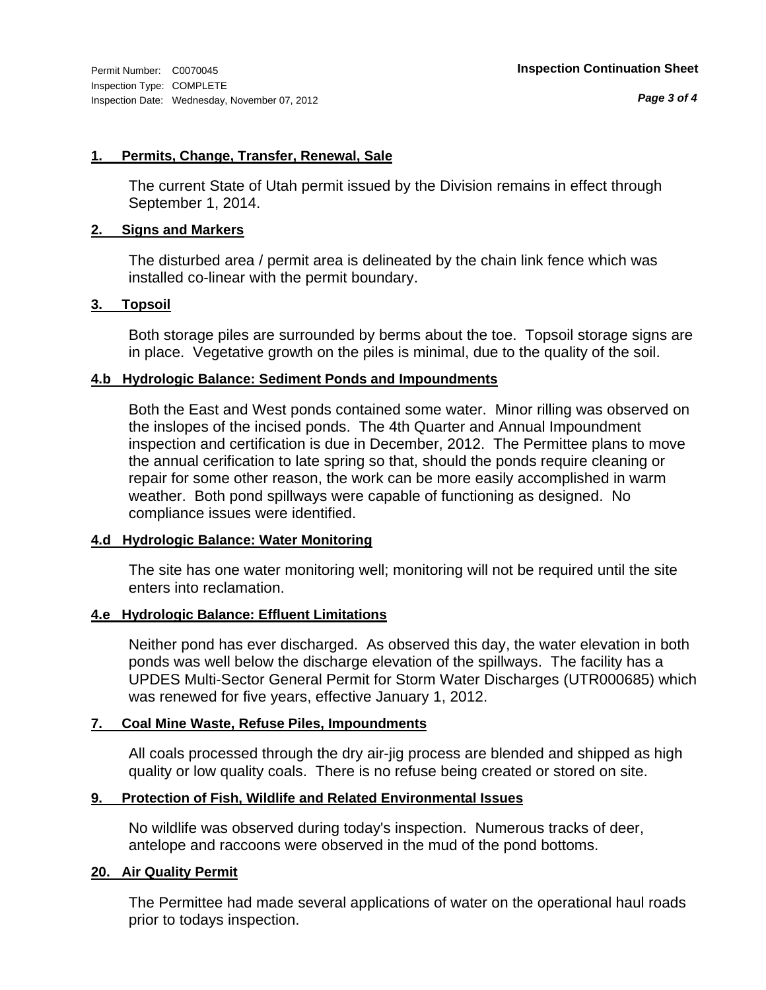# **1. Permits, Change, Transfer, Renewal, Sale**

The current State of Utah permit issued by the Division remains in effect through September 1, 2014.

# **2. Signs and Markers**

The disturbed area / permit area is delineated by the chain link fence which was installed co-linear with the permit boundary.

# **3. Topsoil**

Both storage piles are surrounded by berms about the toe. Topsoil storage signs are in place. Vegetative growth on the piles is minimal, due to the quality of the soil.

# **4.b Hydrologic Balance: Sediment Ponds and Impoundments**

Both the East and West ponds contained some water. Minor rilling was observed on the inslopes of the incised ponds. The 4th Quarter and Annual Impoundment inspection and certification is due in December, 2012. The Permittee plans to move the annual cerification to late spring so that, should the ponds require cleaning or repair for some other reason, the work can be more easily accomplished in warm weather. Both pond spillways were capable of functioning as designed. No compliance issues were identified.

# **4.d Hydrologic Balance: Water Monitoring**

The site has one water monitoring well; monitoring will not be required until the site enters into reclamation.

# **4.e Hydrologic Balance: Effluent Limitations**

Neither pond has ever discharged. As observed this day, the water elevation in both ponds was well below the discharge elevation of the spillways. The facility has a UPDES Multi-Sector General Permit for Storm Water Discharges (UTR000685) which was renewed for five years, effective January 1, 2012.

# **7. Coal Mine Waste, Refuse Piles, Impoundments**

All coals processed through the dry air-jig process are blended and shipped as high quality or low quality coals. There is no refuse being created or stored on site.

# **9. Protection of Fish, Wildlife and Related Environmental Issues**

No wildlife was observed during today's inspection. Numerous tracks of deer, antelope and raccoons were observed in the mud of the pond bottoms.

# **20. Air Quality Permit**

The Permittee had made several applications of water on the operational haul roads prior to todays inspection.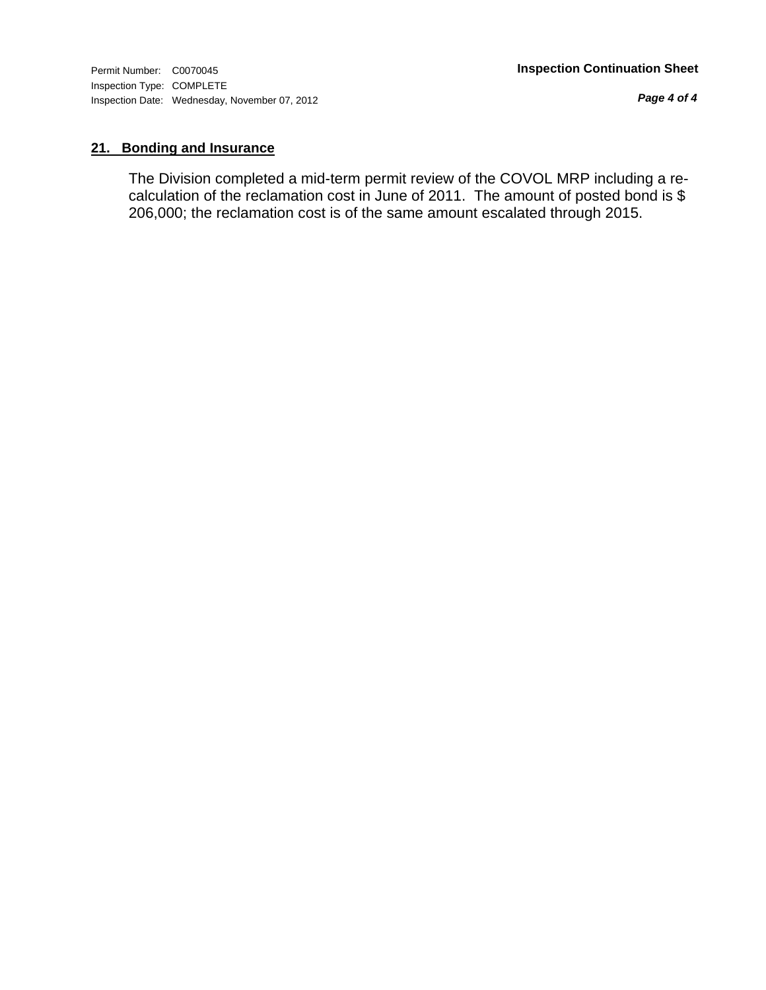*Page 4 of 4*

# **21. Bonding and Insurance**

The Division completed a mid-term permit review of the COVOL MRP including a recalculation of the reclamation cost in June of 2011. The amount of posted bond is \$ 206,000; the reclamation cost is of the same amount escalated through 2015.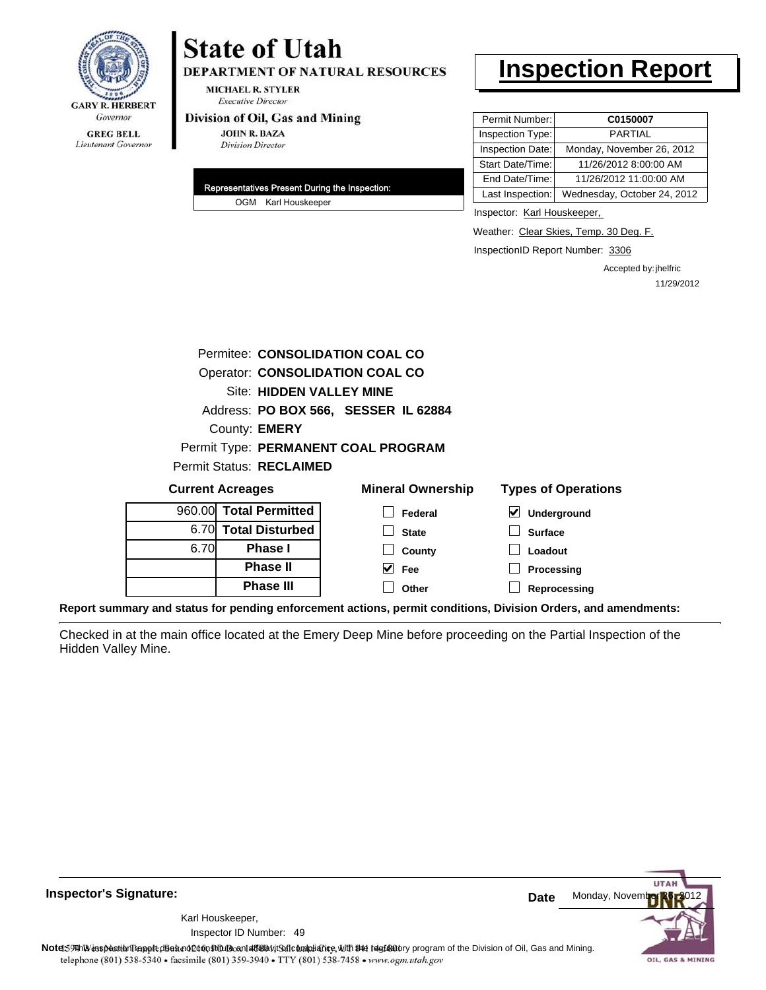

# **State of Utah**

DEPARTMENT OF NATURAL RESOURCES

**MICHAEL R. STYLER Executive Director** 

#### Division of Oil, Gas and Mining

**JOHN R. BAZA Division Director** 

| Representatives Present During the Inspection: |
|------------------------------------------------|
| OGM Karl Houskeeper                            |

# **Inspection Report**

| Permit Number:   | C0150007                    |
|------------------|-----------------------------|
| Inspection Type: | <b>PARTIAL</b>              |
| Inspection Date: | Monday, November 26, 2012   |
| Start Date/Time: | 11/26/2012 8:00:00 AM       |
| End Date/Time:   | 11/26/2012 11:00:00 AM      |
| Last Inspection: | Wednesday, October 24, 2012 |

Inspector: Karl Houskeeper,

Weather: Clear Skies, Temp. 30 Deg. F.

InspectionID Report Number: 3306

Accepted by: jhelfric 11/29/2012

|                                      | Permitee: CONSOLIDATION COAL CO        |                                     |                            |  |  |  |
|--------------------------------------|----------------------------------------|-------------------------------------|----------------------------|--|--|--|
|                                      |                                        |                                     |                            |  |  |  |
|                                      | <b>Operator: CONSOLIDATION COAL CO</b> |                                     |                            |  |  |  |
| <b>Site: HIDDEN VALLEY MINE</b>      |                                        |                                     |                            |  |  |  |
| Address: PO BOX 566, SESSER IL 62884 |                                        |                                     |                            |  |  |  |
|                                      | County: <b>EMERY</b>                   |                                     |                            |  |  |  |
|                                      |                                        | Permit Type: PERMANENT COAL PROGRAM |                            |  |  |  |
|                                      | <b>Permit Status: RECLAIMED</b>        |                                     |                            |  |  |  |
| <b>Current Acreages</b>              |                                        | <b>Mineral Ownership</b>            | <b>Types of Operations</b> |  |  |  |
|                                      | 960.00 Total Permitted                 | Federal                             | V<br>Underground           |  |  |  |
|                                      | 6.70 Total Disturbed                   | <b>State</b>                        | <b>Surface</b>             |  |  |  |
| 6.70                                 | <b>Phase I</b>                         | County                              | Loadout                    |  |  |  |
|                                      | <b>Phase II</b>                        | V<br>Fee                            | Processing                 |  |  |  |
|                                      | <b>Phase III</b>                       | Other                               | Reprocessing               |  |  |  |

**Report summary and status for pending enforcement actions, permit conditions, Division Orders, and amendments:**

Checked in at the main office located at the Emery Deep Mine before proceeding on the Partial Inspection of the Hidden Valley Mine.

**Inspector's Signature:**

49 Inspector ID Number:Karl Houskeeper,

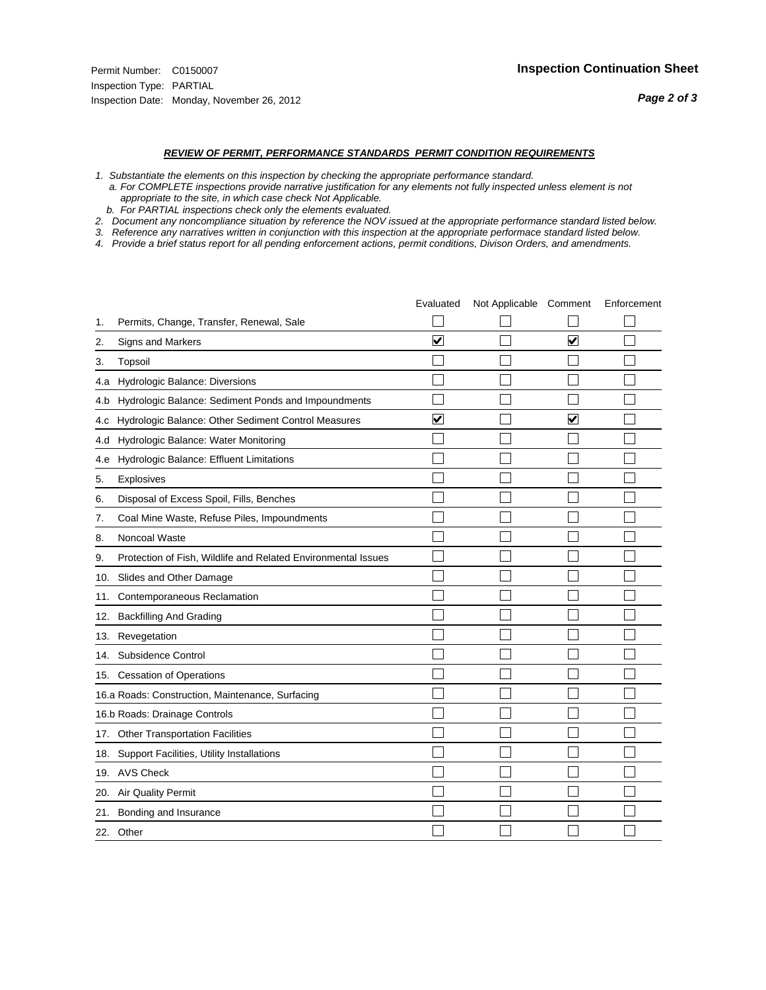- *1. Substantiate the elements on this inspection by checking the appropriate performance standard.*
- *a. For COMPLETE inspections provide narrative justification for any elements not fully inspected unless element is not appropriate to the site, in which case check Not Applicable.*
- *b. For PARTIAL inspections check only the elements evaluated.*
- *2. Document any noncompliance situation by reference the NOV issued at the appropriate performance standard listed below.*
- *3. Reference any narratives written in conjunction with this inspection at the appropriate performace standard listed below.*
- *4. Provide a brief status report for all pending enforcement actions, permit conditions, Divison Orders, and amendments.*

|     |                                                               | Evaluated               | Not Applicable Comment |                         | Enforcement |
|-----|---------------------------------------------------------------|-------------------------|------------------------|-------------------------|-------------|
| 1.  | Permits, Change, Transfer, Renewal, Sale                      |                         |                        |                         |             |
| 2.  | <b>Signs and Markers</b>                                      | $\overline{\mathbf{v}}$ |                        | $\overline{\mathbf{v}}$ |             |
| 3.  | Topsoil                                                       |                         |                        |                         |             |
| 4.a | Hydrologic Balance: Diversions                                |                         |                        |                         |             |
| 4.b | Hydrologic Balance: Sediment Ponds and Impoundments           |                         |                        |                         |             |
| 4.c | Hydrologic Balance: Other Sediment Control Measures           | $\overline{\mathbf{v}}$ |                        | $\overline{\mathbf{v}}$ |             |
| 4.d | Hydrologic Balance: Water Monitoring                          |                         |                        |                         |             |
| 4.e | Hydrologic Balance: Effluent Limitations                      |                         |                        |                         |             |
| 5.  | <b>Explosives</b>                                             |                         |                        |                         |             |
| 6.  | Disposal of Excess Spoil, Fills, Benches                      |                         |                        |                         |             |
| 7.  | Coal Mine Waste, Refuse Piles, Impoundments                   |                         |                        |                         |             |
| 8.  | Noncoal Waste                                                 |                         |                        |                         |             |
| 9.  | Protection of Fish, Wildlife and Related Environmental Issues |                         |                        |                         |             |
|     | 10. Slides and Other Damage                                   |                         |                        |                         |             |
| 11. | Contemporaneous Reclamation                                   |                         |                        |                         |             |
| 12. | <b>Backfilling And Grading</b>                                |                         |                        |                         |             |
| 13. | Revegetation                                                  |                         |                        |                         |             |
| 14. | Subsidence Control                                            |                         |                        |                         |             |
|     | 15. Cessation of Operations                                   |                         |                        |                         |             |
|     | 16.a Roads: Construction, Maintenance, Surfacing              |                         |                        |                         |             |
|     | 16.b Roads: Drainage Controls                                 |                         |                        |                         |             |
|     | 17. Other Transportation Facilities                           |                         |                        |                         |             |
| 18. | Support Facilities, Utility Installations                     |                         |                        |                         |             |
|     | 19. AVS Check                                                 |                         |                        |                         |             |
| 20. | Air Quality Permit                                            |                         |                        |                         |             |
| 21. | Bonding and Insurance                                         |                         |                        |                         |             |
|     | 22. Other                                                     |                         |                        |                         |             |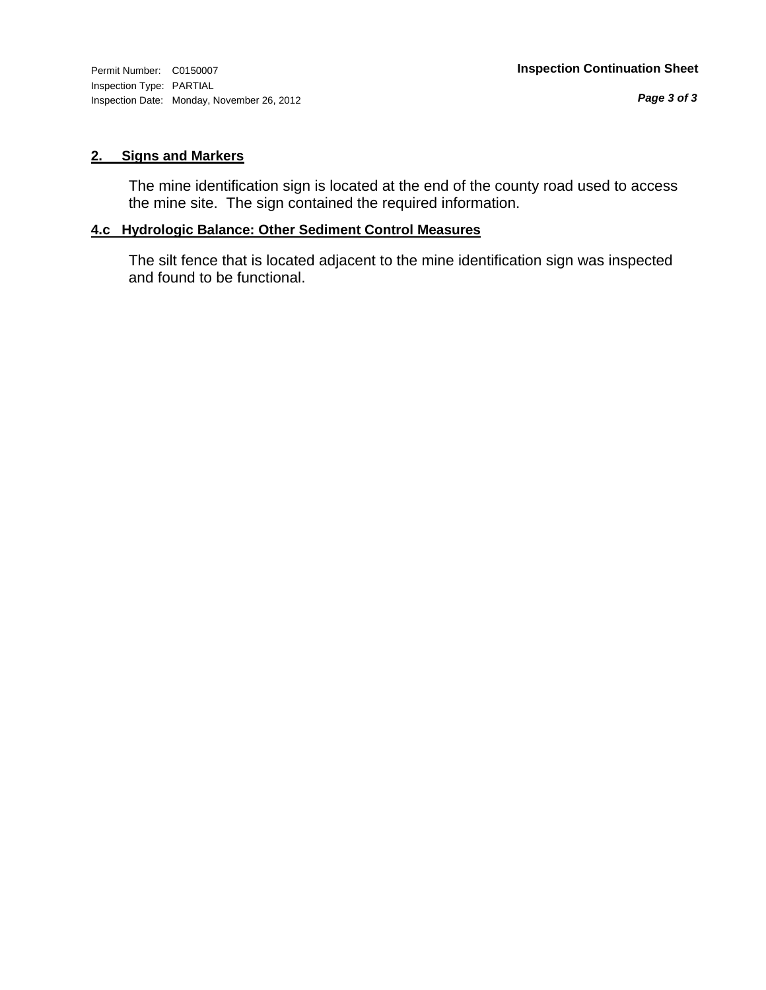#### **2. Signs and Markers**

The mine identification sign is located at the end of the county road used to access the mine site. The sign contained the required information.

### **4.c Hydrologic Balance: Other Sediment Control Measures**

The silt fence that is located adjacent to the mine identification sign was inspected and found to be functional.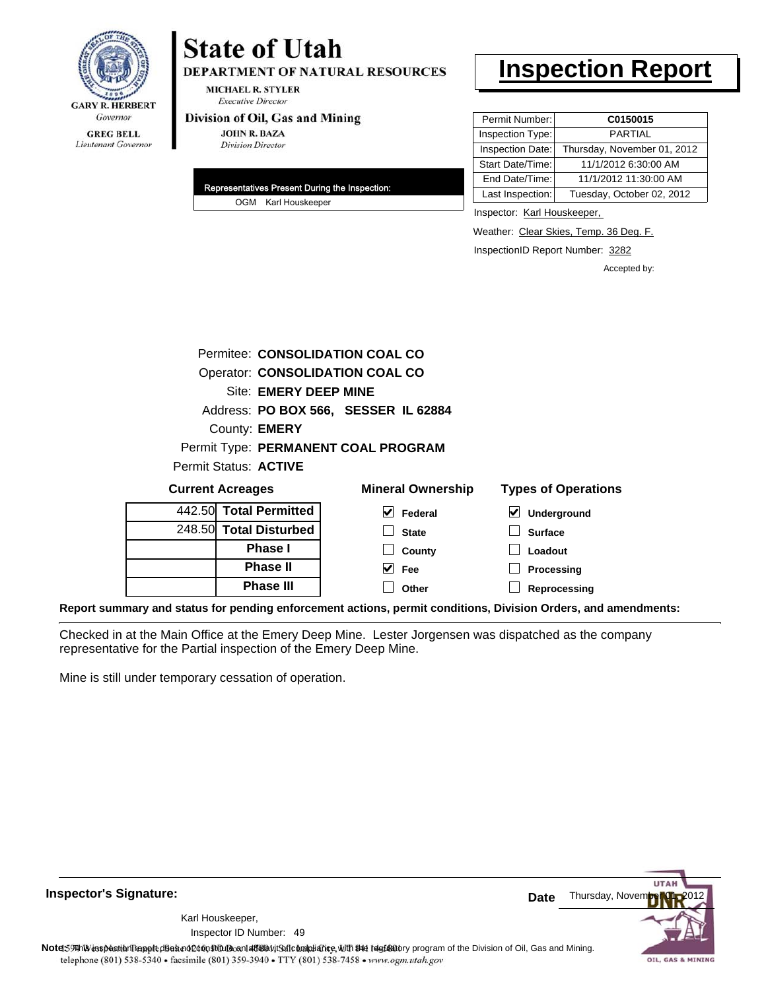

# **State of Utah**

**DEPARTMENT OF NATURAL RESOURCES** 

**MICHAEL R. STYLER Executive Director** 

#### Division of Oil, Gas and Mining

**JOHN R. BAZA Division Director** 

| Representatives Present During the Inspection: |
|------------------------------------------------|
| OGM Karl Houskeeper                            |

## **Inspection Report**

| Permit Number:   | C0150015                    |
|------------------|-----------------------------|
| Inspection Type: | <b>PARTIAL</b>              |
| Inspection Date: | Thursday, November 01, 2012 |
| Start Date/Time: | 11/1/2012 6:30:00 AM        |
| End Date/Time:   | 11/1/2012 11:30:00 AM       |
| Last Inspection: | Tuesday, October 02, 2012   |

Inspector: Karl Houskeeper,

Weather: Clear Skies, Temp. 36 Deg. F.

InspectionID Report Number: 3282

**Reprocessing**

Accepted by:

|                         | Permitee: CONSOLIDATION COAL CO        |                                            |
|-------------------------|----------------------------------------|--------------------------------------------|
|                         | <b>Operator: CONSOLIDATION COAL CO</b> |                                            |
| Site: EMERY DEEP MINE   |                                        |                                            |
|                         | Address: PO BOX 566, SESSER IL 62884   |                                            |
| County: <b>EMERY</b>    |                                        |                                            |
|                         | Permit Type: PERMANENT COAL PROGRAM    |                                            |
| Permit Status: ACTIVE   |                                        |                                            |
| <b>Current Acreages</b> | <b>Mineral Ownership</b>               | <b>Types of Operations</b>                 |
| 442.50 Total Permitted  | V<br>Federal                           | $\blacktriangledown$<br><b>Underground</b> |
| 248.50 Total Disturbed  | <b>State</b>                           | <b>Surface</b>                             |
| <b>Phase I</b>          | County                                 | Loadout                                    |
| <b>Phase II</b>         | M<br><b>Fee</b>                        | Processing                                 |
| <b>Phase III</b>        | Other                                  | Reprocessing                               |

**Report summary and status for pending enforcement actions, permit conditions, Division Orders, and amendments:**

Checked in at the Main Office at the Emery Deep Mine. Lester Jorgensen was dispatched as the company representative for the Partial inspection of the Emery Deep Mine.

Mine is still under temporary cessation of operation.

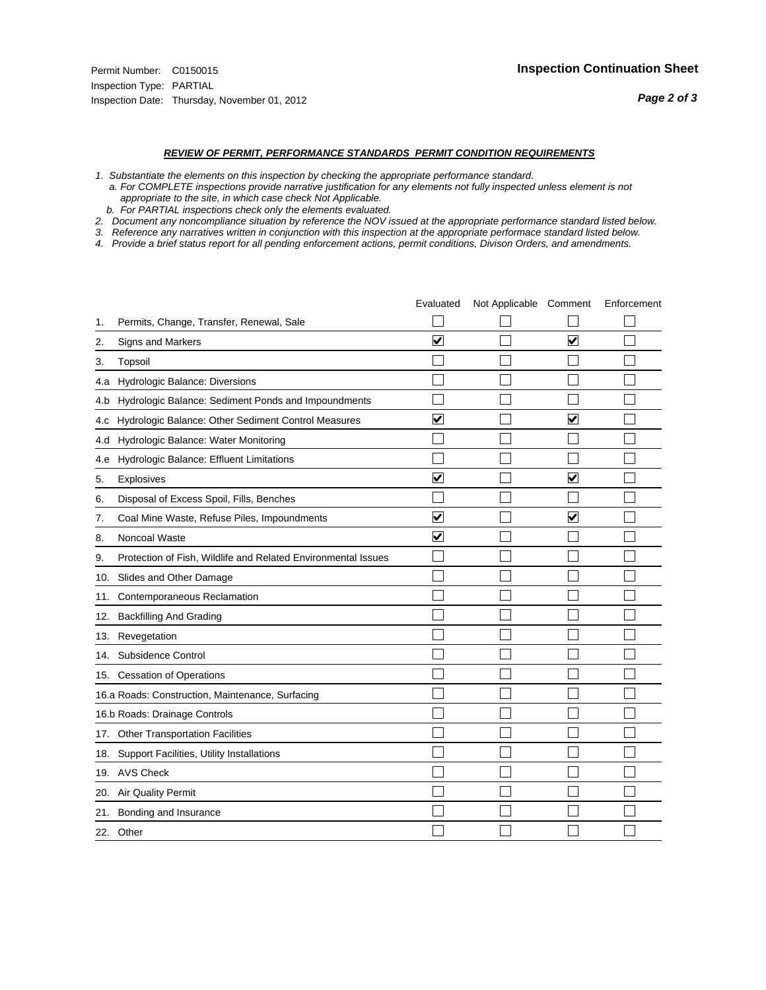- *1. Substantiate the elements on this inspection by checking the appropriate performance standard.*
- *a. For COMPLETE inspections provide narrative justification for any elements not fully inspected unless element is not appropriate to the site, in which case check Not Applicable.*
- *b. For PARTIAL inspections check only the elements evaluated.*
- *2. Document any noncompliance situation by reference the NOV issued at the appropriate performance standard listed below.*
- *3. Reference any narratives written in conjunction with this inspection at the appropriate performace standard listed below.*
- *4. Provide a brief status report for all pending enforcement actions, permit conditions, Divison Orders, and amendments.*

|     |                                                               | Evaluated               | Not Applicable Comment |                         | Enforcement |
|-----|---------------------------------------------------------------|-------------------------|------------------------|-------------------------|-------------|
| 1.  | Permits, Change, Transfer, Renewal, Sale                      |                         |                        |                         |             |
| 2.  | Signs and Markers                                             | $\overline{\mathbf{v}}$ |                        | ☑                       |             |
| 3.  | Topsoil                                                       |                         |                        |                         |             |
| 4.a | Hydrologic Balance: Diversions                                |                         |                        |                         |             |
| 4.b | Hydrologic Balance: Sediment Ponds and Impoundments           |                         |                        |                         |             |
| 4.c | Hydrologic Balance: Other Sediment Control Measures           | $\overline{\mathbf{v}}$ |                        | $\blacktriangledown$    |             |
| 4.d | Hydrologic Balance: Water Monitoring                          |                         |                        |                         |             |
| 4.e | Hydrologic Balance: Effluent Limitations                      |                         |                        |                         |             |
| 5.  | <b>Explosives</b>                                             | $\overline{\mathbf{v}}$ |                        | ☑                       |             |
| 6.  | Disposal of Excess Spoil, Fills, Benches                      |                         |                        |                         |             |
| 7.  | Coal Mine Waste, Refuse Piles, Impoundments                   | $\blacktriangledown$    |                        | $\overline{\mathbf{v}}$ |             |
| 8.  | Noncoal Waste                                                 | $\overline{\mathsf{v}}$ |                        |                         |             |
| 9.  | Protection of Fish, Wildlife and Related Environmental Issues |                         |                        |                         |             |
| 10. | Slides and Other Damage                                       |                         |                        |                         |             |
| 11. | Contemporaneous Reclamation                                   |                         |                        |                         |             |
| 12. | <b>Backfilling And Grading</b>                                |                         |                        |                         |             |
| 13. | Revegetation                                                  |                         |                        |                         |             |
| 14. | Subsidence Control                                            |                         |                        |                         |             |
|     | 15. Cessation of Operations                                   |                         |                        |                         |             |
|     | 16.a Roads: Construction, Maintenance, Surfacing              |                         |                        |                         |             |
|     | 16.b Roads: Drainage Controls                                 |                         |                        |                         |             |
| 17. | <b>Other Transportation Facilities</b>                        |                         |                        |                         |             |
| 18. | Support Facilities, Utility Installations                     |                         |                        |                         |             |
|     | 19. AVS Check                                                 |                         |                        |                         |             |
| 20. | <b>Air Quality Permit</b>                                     |                         |                        |                         |             |
| 21. | Bonding and Insurance                                         |                         |                        |                         |             |
|     | 22. Other                                                     |                         |                        |                         |             |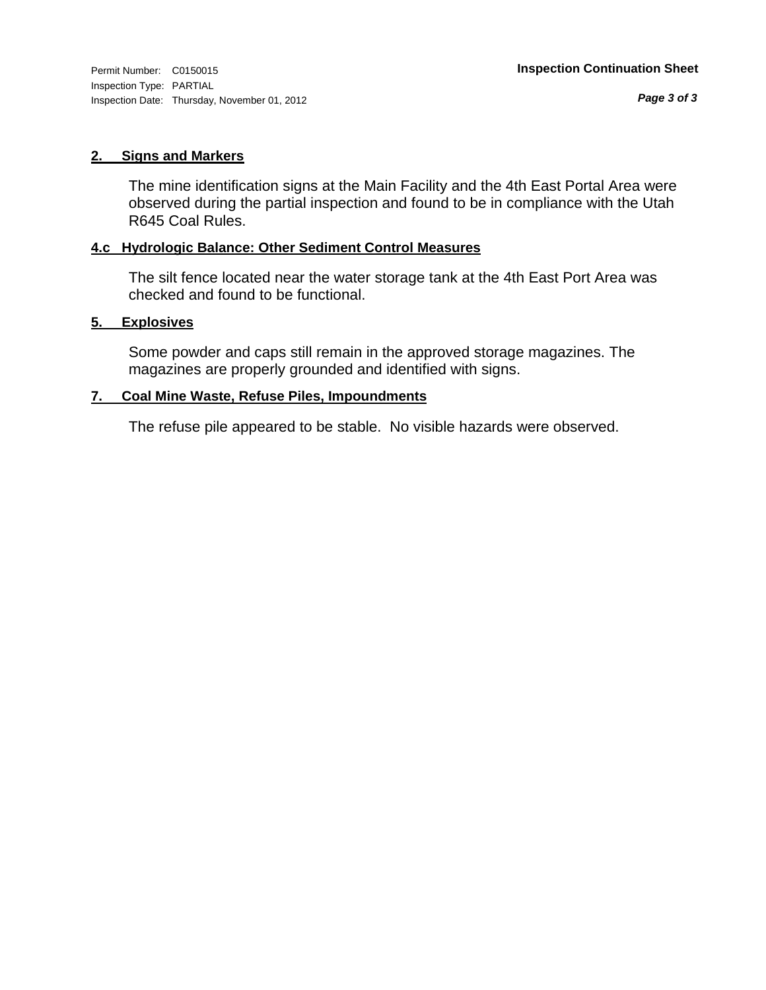#### **2. Signs and Markers**

The mine identification signs at the Main Facility and the 4th East Portal Area were observed during the partial inspection and found to be in compliance with the Utah R645 Coal Rules.

#### **4.c Hydrologic Balance: Other Sediment Control Measures**

The silt fence located near the water storage tank at the 4th East Port Area was checked and found to be functional.

#### **5. Explosives**

Some powder and caps still remain in the approved storage magazines. The magazines are properly grounded and identified with signs.

#### **7. Coal Mine Waste, Refuse Piles, Impoundments**

The refuse pile appeared to be stable. No visible hazards were observed.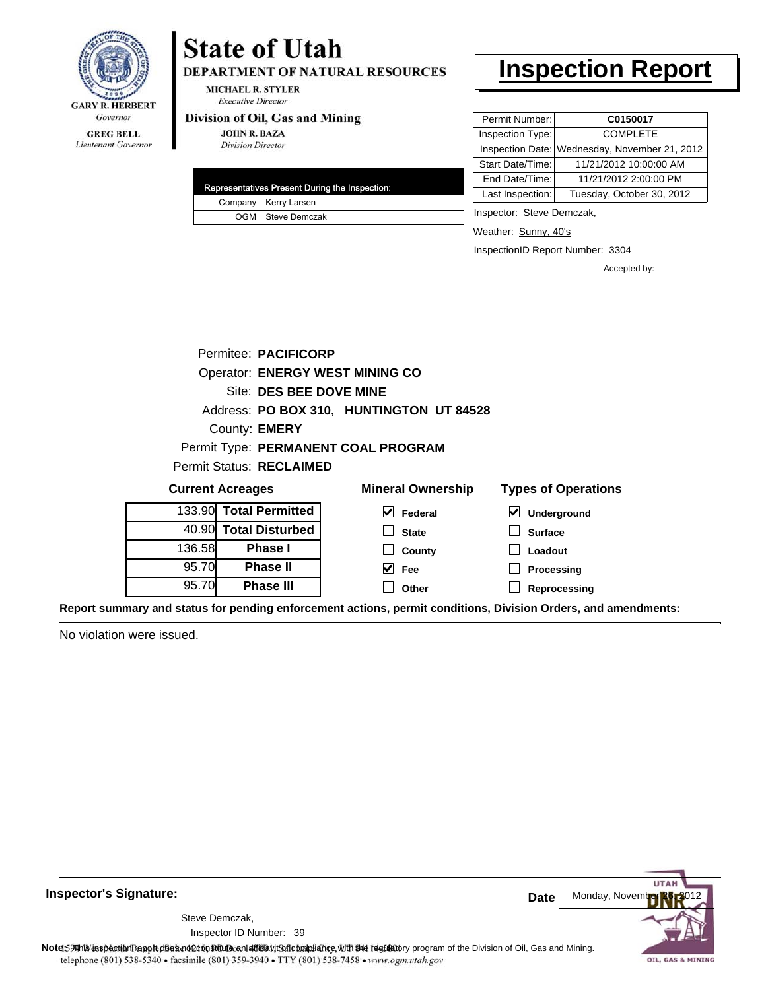

#### **GREG BELL** Lieutenant Governor

## **State of Utah**

DEPARTMENT OF NATURAL RESOURCES

**MICHAEL R. STYLER Executive Director** 

#### Division of Oil, Gas and Mining

**JOHN R. BAZA Division Director** 

| Representatives Present During the Inspection: |
|------------------------------------------------|
| Company Kerry Larsen                           |
| OGM Steve Demczak                              |

## **Inspection Report**

| Permit Number:   | C0150017                                      |
|------------------|-----------------------------------------------|
| Inspection Type: | <b>COMPLETE</b>                               |
|                  | Inspection Date: Wednesday, November 21, 2012 |
| Start Date/Time: | 11/21/2012 10:00:00 AM                        |
| End Date/Time:   | 11/21/2012 2:00:00 PM                         |
| Last Inspection: | Tuesday, October 30, 2012                     |

Inspector: Steve Demczak,

Weather: Sunny, 40's

InspectionID Report Number: 3304

**Processing Reprocessing** Accepted by:

|        | Permitee: PACIFICORP                   |                                          |                                     |
|--------|----------------------------------------|------------------------------------------|-------------------------------------|
|        | <b>Operator: ENERGY WEST MINING CO</b> |                                          |                                     |
|        | Site: DES BEE DOVE MINE                |                                          |                                     |
|        |                                        | Address: PO BOX 310, HUNTINGTON UT 84528 |                                     |
|        | County: <b>EMERY</b>                   |                                          |                                     |
|        |                                        | Permit Type: PERMANENT COAL PROGRAM      |                                     |
|        | <b>Permit Status: RECLAIMED</b>        |                                          |                                     |
|        | <b>Current Acreages</b>                | <b>Mineral Ownership</b>                 | <b>Types of Operations</b>          |
|        | 133.90 Total Permitted                 | $\vert \mathbf{v} \vert$ Federal         | $\blacktriangledown$<br>Underground |
|        | 40.90 Total Disturbed                  | <b>State</b>                             | <b>Surface</b>                      |
| 136.58 | <b>Phase I</b>                         | County                                   | Loadout                             |
| 95.70  | <b>Phase II</b>                        | V<br>Fee                                 | <b>Processing</b>                   |

**Fee Other**

**Report summary and status for pending enforcement actions, permit conditions, Division Orders, and amendments:**

No violation were issued.

95.70

**Phase II Phase III**



**Inspector's Signature:**

Inspector ID Number: 39 Steve Demczak,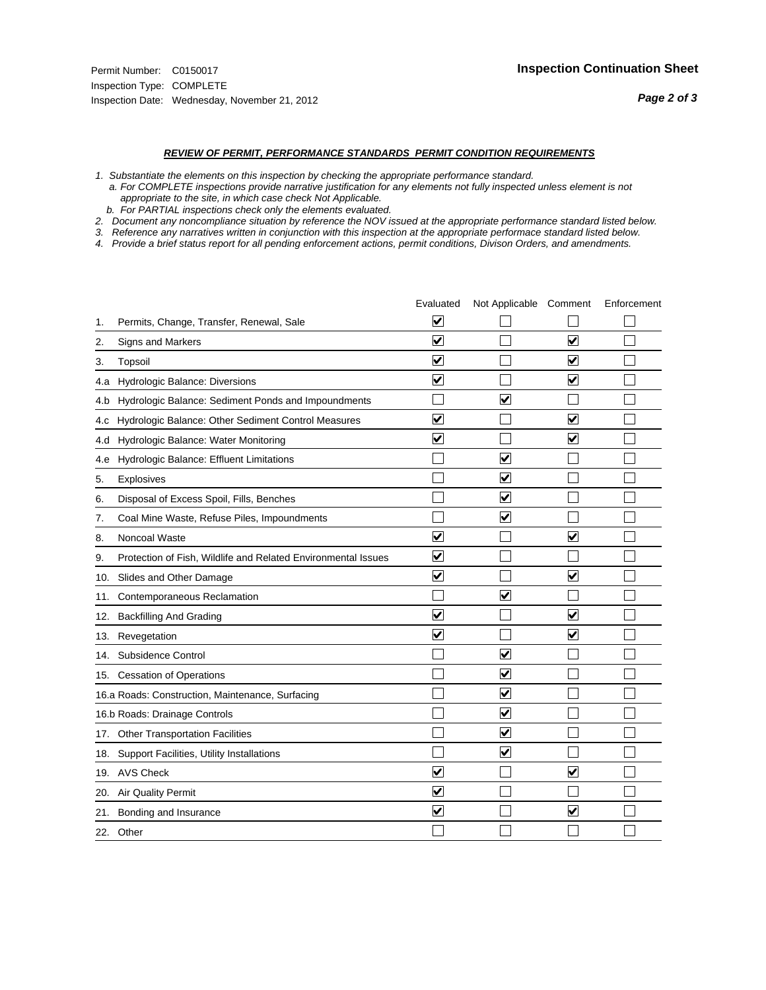#### *REVIEW OF PERMIT, PERFORMANCE STANDARDS PERMIT CONDITION REQUIREMENTS*

*1. Substantiate the elements on this inspection by checking the appropriate performance standard.*

 *a. For COMPLETE inspections provide narrative justification for any elements not fully inspected unless element is not appropriate to the site, in which case check Not Applicable.*

 *b. For PARTIAL inspections check only the elements evaluated.*

*2. Document any noncompliance situation by reference the NOV issued at the appropriate performance standard listed below.*

*3. Reference any narratives written in conjunction with this inspection at the appropriate performace standard listed below.*

*4. Provide a brief status report for all pending enforcement actions, permit conditions, Divison Orders, and amendments.*

|     |                                                               | Evaluated               | Not Applicable Comment          |                         | Enforcement |
|-----|---------------------------------------------------------------|-------------------------|---------------------------------|-------------------------|-------------|
| 1.  | Permits, Change, Transfer, Renewal, Sale                      | ⊻                       |                                 |                         |             |
| 2.  | Signs and Markers                                             | $\overline{\mathbf{v}}$ |                                 | $\overline{\mathbf{v}}$ |             |
| 3.  | Topsoil                                                       | $\overline{\mathbf{v}}$ |                                 | $\overline{\mathbf{v}}$ |             |
| 4.a | Hydrologic Balance: Diversions                                | $\blacktriangledown$    |                                 | $\blacktriangledown$    |             |
| 4.b | Hydrologic Balance: Sediment Ponds and Impoundments           |                         | $\overline{\mathbf{v}}$         |                         |             |
| 4.c | Hydrologic Balance: Other Sediment Control Measures           | $\overline{\mathbf{v}}$ |                                 | $\blacktriangledown$    |             |
| 4.d | Hydrologic Balance: Water Monitoring                          | $\overline{\mathbf{v}}$ |                                 | $\overline{\mathbf{v}}$ |             |
| 4.e | Hydrologic Balance: Effluent Limitations                      |                         | $\overline{\blacktriangledown}$ |                         |             |
| 5.  | <b>Explosives</b>                                             |                         | $\overline{\mathbf{v}}$         |                         |             |
| 6.  | Disposal of Excess Spoil, Fills, Benches                      |                         | $\blacktriangledown$            |                         |             |
| 7.  | Coal Mine Waste, Refuse Piles, Impoundments                   |                         | $\overline{\mathbf{v}}$         |                         |             |
| 8.  | Noncoal Waste                                                 | $\overline{\mathbf{v}}$ |                                 | $\blacktriangledown$    |             |
| 9.  | Protection of Fish, Wildlife and Related Environmental Issues | ⊽                       |                                 |                         |             |
|     | 10. Slides and Other Damage                                   | $\overline{\mathbf{v}}$ |                                 | $\overline{\mathbf{v}}$ |             |
| 11. | Contemporaneous Reclamation                                   |                         | $\blacktriangledown$            |                         |             |
| 12. | <b>Backfilling And Grading</b>                                | $\overline{\mathbf{v}}$ |                                 | $\blacktriangledown$    |             |
| 13. | Revegetation                                                  | $\overline{\mathbf{v}}$ |                                 | ☑                       |             |
| 14. | Subsidence Control                                            |                         | ✓                               |                         |             |
|     | 15. Cessation of Operations                                   |                         | $\blacktriangledown$            |                         |             |
|     | 16.a Roads: Construction, Maintenance, Surfacing              |                         | $\overline{\mathsf{v}}$         |                         |             |
|     | 16.b Roads: Drainage Controls                                 |                         | $\blacktriangledown$            |                         |             |
|     | 17. Other Transportation Facilities                           |                         | $\overline{\mathbf{v}}$         |                         |             |
| 18. | Support Facilities, Utility Installations                     |                         | $\overline{\blacktriangledown}$ |                         |             |
|     | 19. AVS Check                                                 | ⊽                       |                                 | $\overline{\mathbf{v}}$ |             |
|     | 20. Air Quality Permit                                        | $\blacktriangledown$    |                                 |                         |             |
| 21. | Bonding and Insurance                                         | $\overline{\mathbf{v}}$ |                                 | $\overline{\mathbf{v}}$ |             |
|     | 22. Other                                                     |                         |                                 |                         |             |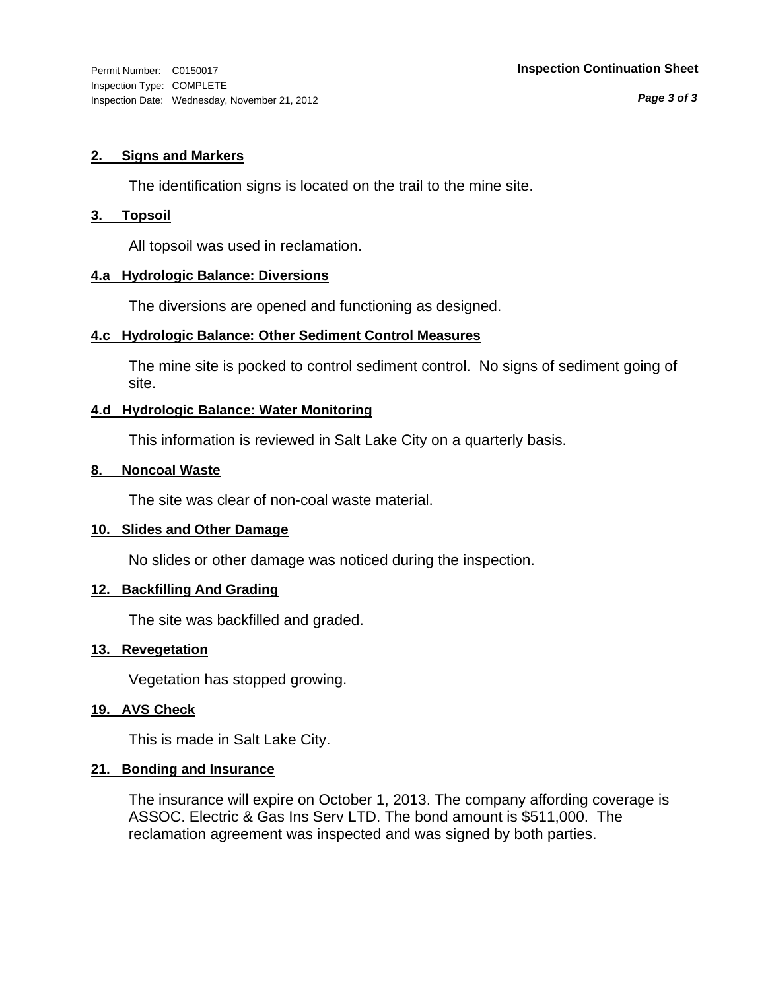*Page 3 of 3*

#### **2. Signs and Markers**

The identification signs is located on the trail to the mine site.

#### **3. Topsoil**

All topsoil was used in reclamation.

#### **4.a Hydrologic Balance: Diversions**

The diversions are opened and functioning as designed.

#### **4.c Hydrologic Balance: Other Sediment Control Measures**

The mine site is pocked to control sediment control. No signs of sediment going of site.

#### **4.d Hydrologic Balance: Water Monitoring**

This information is reviewed in Salt Lake City on a quarterly basis.

#### **8. Noncoal Waste**

The site was clear of non-coal waste material.

#### **10. Slides and Other Damage**

No slides or other damage was noticed during the inspection.

#### **12. Backfilling And Grading**

The site was backfilled and graded.

#### **13. Revegetation**

Vegetation has stopped growing.

#### **19. AVS Check**

This is made in Salt Lake City.

#### **21. Bonding and Insurance**

The insurance will expire on October 1, 2013. The company affording coverage is ASSOC. Electric & Gas Ins Serv LTD. The bond amount is \$511,000. The reclamation agreement was inspected and was signed by both parties.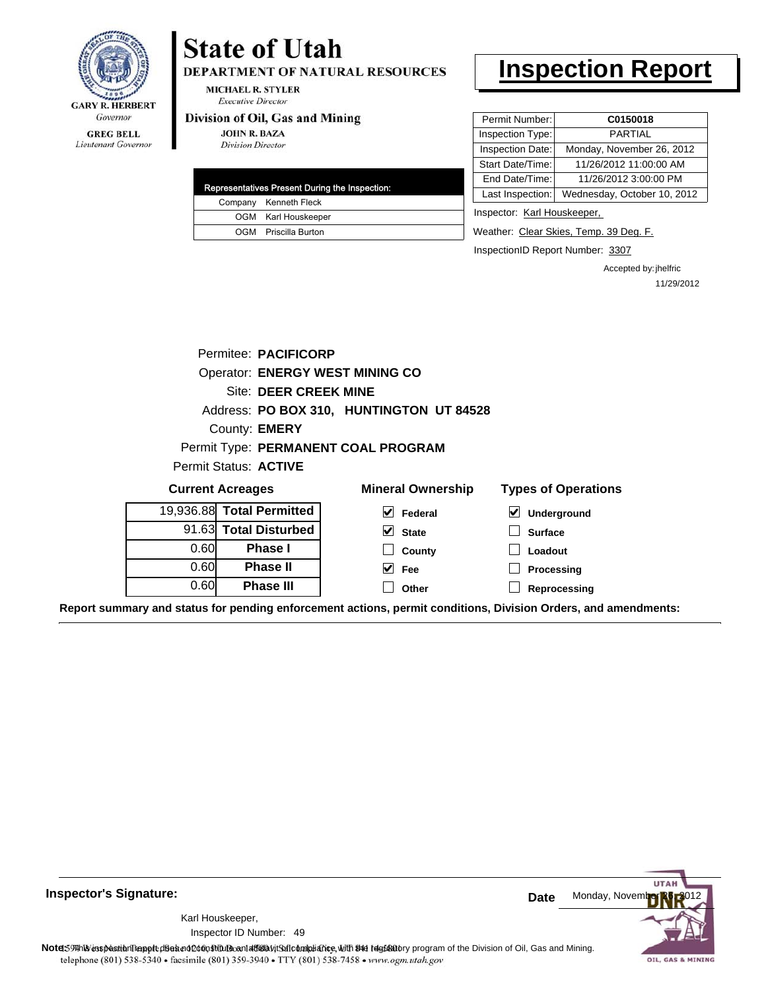

**GREG BELL** Lieutenant Governor

## **State of Utah**

DEPARTMENT OF NATURAL RESOURCES

**MICHAEL R. STYLER Executive Director** 

#### Division of Oil, Gas and Mining

**JOHN R. BAZA Division Director** 

| Representatives Present During the Inspection: |
|------------------------------------------------|
| Company Kenneth Fleck                          |
| OGM Karl Houskeeper                            |
| OGM Priscilla Burton                           |

## **Inspection Report**

| Permit Number:   | C0150018                    |
|------------------|-----------------------------|
| Inspection Type: | PARTIAI                     |
| Inspection Date: | Monday, November 26, 2012   |
| Start Date/Time: | 11/26/2012 11:00:00 AM      |
| End Date/Time:   | 11/26/2012 3:00:00 PM       |
| Last Inspection: | Wednesday, October 10, 2012 |
|                  |                             |

Inspector: Karl Houskeeper,

Weather: Clear Skies, Temp. 39 Deg. F.

InspectionID Report Number: 3307

Accepted by: jhelfric 11/29/2012

|      | Permitee: PACIFICORP                   |                                          |                            |  |
|------|----------------------------------------|------------------------------------------|----------------------------|--|
|      |                                        |                                          |                            |  |
|      | <b>Operator: ENERGY WEST MINING CO</b> |                                          |                            |  |
|      | Site: DEER CREEK MINE                  |                                          |                            |  |
|      |                                        | Address: PO BOX 310, HUNTINGTON UT 84528 |                            |  |
|      | County: <b>EMERY</b>                   |                                          |                            |  |
|      |                                        | Permit Type: PERMANENT COAL PROGRAM      |                            |  |
|      | Permit Status: ACTIVE                  |                                          |                            |  |
|      |                                        |                                          |                            |  |
|      | <b>Current Acreages</b>                | <b>Mineral Ownership</b>                 | <b>Types of Operations</b> |  |
|      | 19,936.88 Total Permitted              | V<br>Federal                             | M<br>Underground           |  |
|      | 91.63 Total Disturbed                  | $\vee$ State                             | <b>Surface</b>             |  |
| 0.60 | Phase I                                | County                                   | Loadout                    |  |
| 0.60 | <b>Phase II</b>                        | V<br>Fee                                 | Processing                 |  |
| 0.60 | <b>Phase III</b>                       | Other                                    | Reprocessing               |  |

**Report summary and status for pending enforcement actions, permit conditions, Division Orders, and amendments:**

**Inspector's Signature:**

49 Inspector ID Number:Karl Houskeeper,



Note: 59 This inspection report does not do an affidavit Suite and Affidavit Constitute and Division of Coli, Gas and Mining.<br>telephone (801) 538-5340 • facsimile (801) 359-3940 • TTY (801) 538-7458 • www.ogm.utah.gov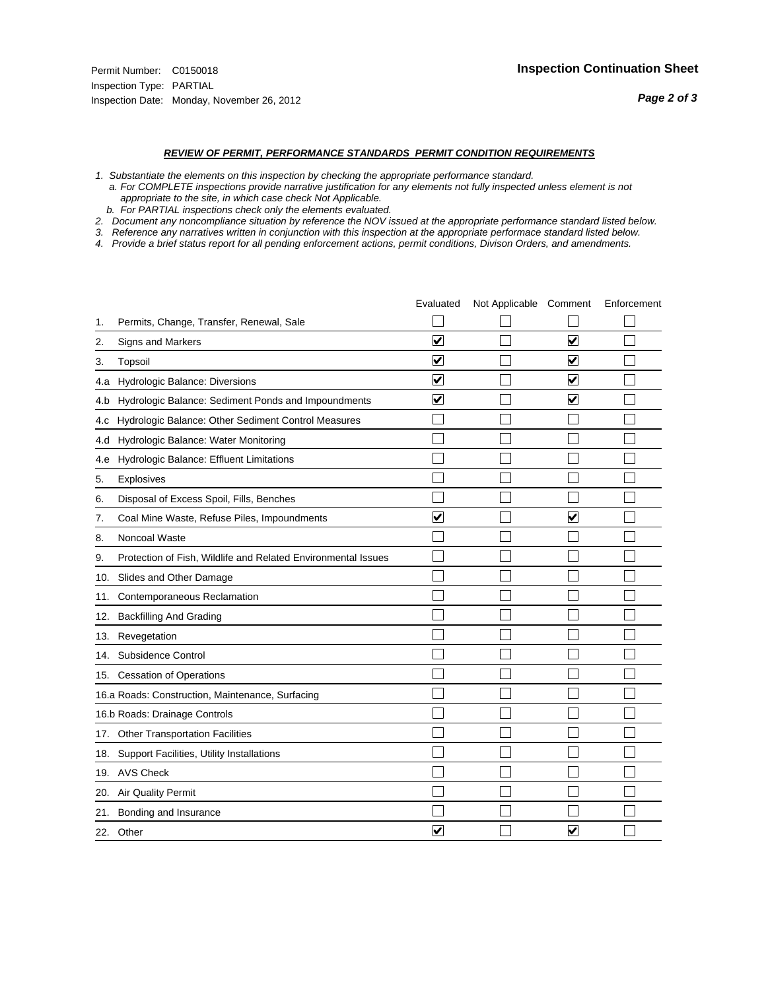- *1. Substantiate the elements on this inspection by checking the appropriate performance standard.*
- *a. For COMPLETE inspections provide narrative justification for any elements not fully inspected unless element is not appropriate to the site, in which case check Not Applicable.*
- *b. For PARTIAL inspections check only the elements evaluated.*
- *2. Document any noncompliance situation by reference the NOV issued at the appropriate performance standard listed below.*
- *3. Reference any narratives written in conjunction with this inspection at the appropriate performace standard listed below.*
- *4. Provide a brief status report for all pending enforcement actions, permit conditions, Divison Orders, and amendments.*

|     |                                                               | Evaluated               | Not Applicable Comment |                         | Enforcement |
|-----|---------------------------------------------------------------|-------------------------|------------------------|-------------------------|-------------|
| 1.  | Permits, Change, Transfer, Renewal, Sale                      |                         |                        |                         |             |
| 2.  | <b>Signs and Markers</b>                                      | $\overline{\mathbf{v}}$ |                        | $\blacktriangledown$    |             |
| 3.  | Topsoil                                                       | $\overline{\mathbf{v}}$ |                        | $\overline{\mathsf{v}}$ |             |
| 4.a | Hydrologic Balance: Diversions                                | $\blacktriangledown$    |                        | $\blacktriangledown$    |             |
| 4.b | Hydrologic Balance: Sediment Ponds and Impoundments           | ⊻                       |                        | ⊻                       |             |
| 4.c | Hydrologic Balance: Other Sediment Control Measures           |                         |                        |                         |             |
| 4.d | Hydrologic Balance: Water Monitoring                          |                         |                        |                         |             |
| 4.e | Hydrologic Balance: Effluent Limitations                      |                         |                        |                         |             |
| 5.  | <b>Explosives</b>                                             |                         |                        |                         |             |
| 6.  | Disposal of Excess Spoil, Fills, Benches                      |                         |                        |                         |             |
| 7.  | Coal Mine Waste, Refuse Piles, Impoundments                   | $\overline{\mathbf{v}}$ |                        | $\blacktriangledown$    |             |
| 8.  | Noncoal Waste                                                 |                         |                        |                         |             |
| 9.  | Protection of Fish, Wildlife and Related Environmental Issues |                         |                        |                         |             |
|     | 10. Slides and Other Damage                                   |                         |                        |                         |             |
| 11. | Contemporaneous Reclamation                                   |                         |                        |                         |             |
| 12. | <b>Backfilling And Grading</b>                                |                         |                        |                         |             |
| 13. | Revegetation                                                  |                         |                        |                         |             |
| 14. | Subsidence Control                                            |                         |                        |                         |             |
|     | 15. Cessation of Operations                                   |                         |                        |                         |             |
|     | 16.a Roads: Construction, Maintenance, Surfacing              |                         |                        |                         |             |
|     | 16.b Roads: Drainage Controls                                 |                         |                        |                         |             |
|     | 17. Other Transportation Facilities                           |                         |                        |                         |             |
| 18. | Support Facilities, Utility Installations                     |                         |                        |                         |             |
|     | 19. AVS Check                                                 |                         |                        |                         |             |
| 20. | Air Quality Permit                                            |                         |                        |                         |             |
| 21. | Bonding and Insurance                                         |                         |                        |                         |             |
|     | 22. Other                                                     | $\overline{\mathbf{v}}$ |                        | $\overline{\mathbf{v}}$ |             |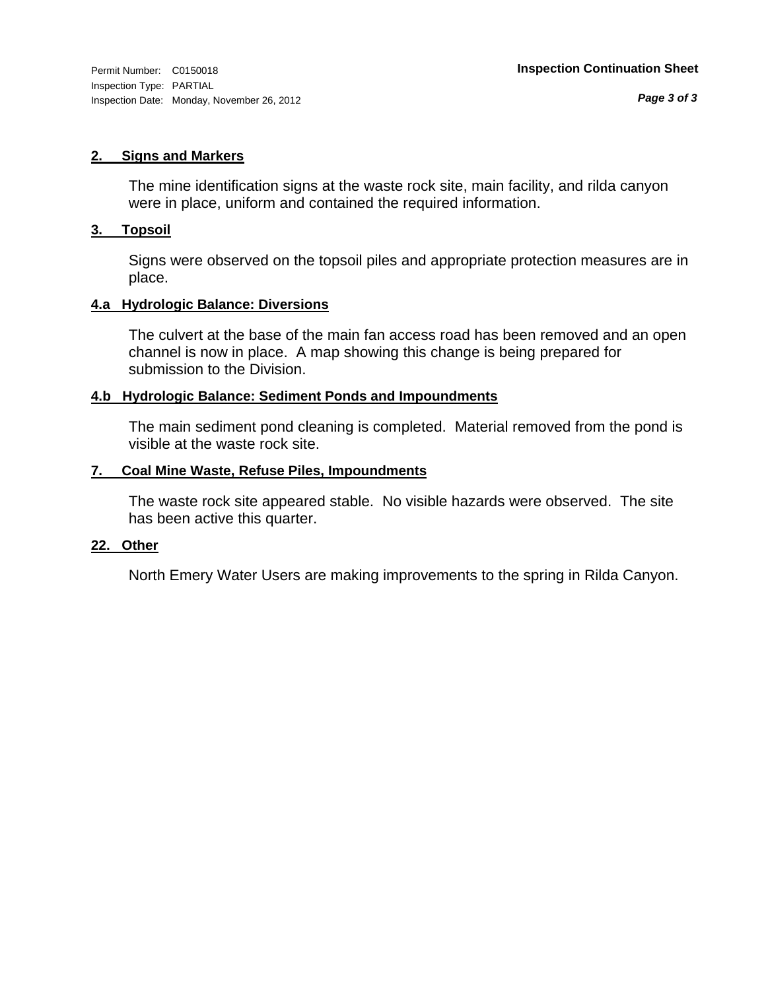#### **2. Signs and Markers**

The mine identification signs at the waste rock site, main facility, and rilda canyon were in place, uniform and contained the required information.

#### **3. Topsoil**

Signs were observed on the topsoil piles and appropriate protection measures are in place.

#### **4.a Hydrologic Balance: Diversions**

The culvert at the base of the main fan access road has been removed and an open channel is now in place. A map showing this change is being prepared for submission to the Division.

#### **4.b Hydrologic Balance: Sediment Ponds and Impoundments**

The main sediment pond cleaning is completed. Material removed from the pond is visible at the waste rock site.

#### **7. Coal Mine Waste, Refuse Piles, Impoundments**

The waste rock site appeared stable. No visible hazards were observed. The site has been active this quarter.

#### **22. Other**

North Emery Water Users are making improvements to the spring in Rilda Canyon.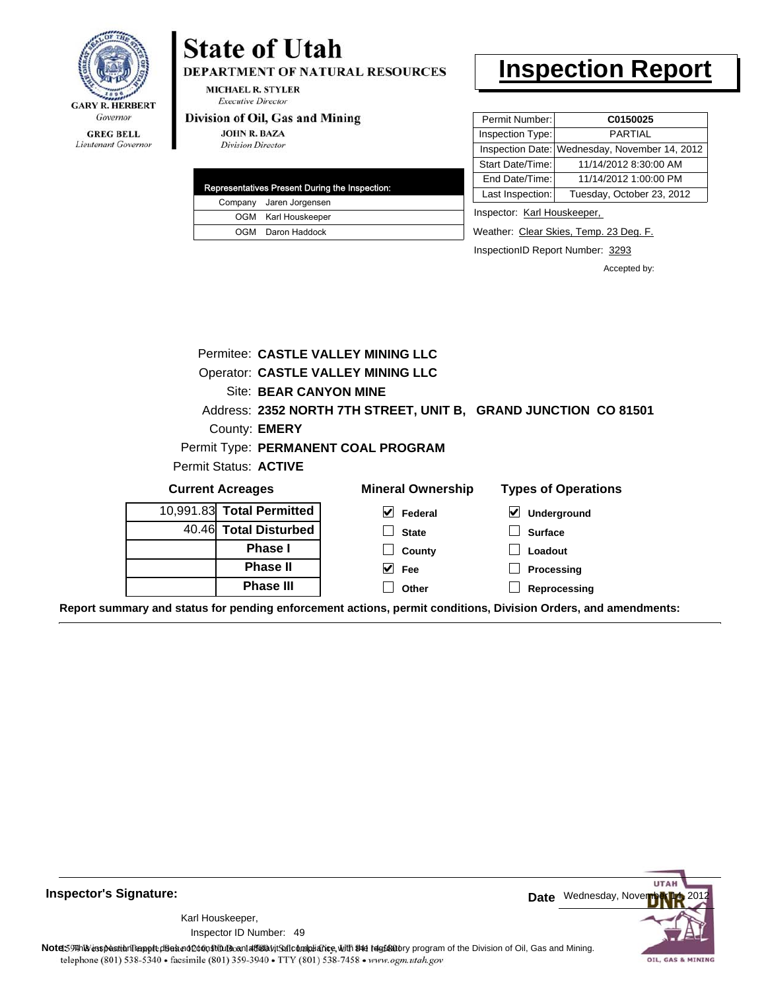

#### **GREG BELL** Lieutenant Governor

# **State of Utah**

DEPARTMENT OF NATURAL RESOURCES

**MICHAEL R. STYLER Executive Director** 

#### Division of Oil, Gas and Mining

**JOHN R. BAZA Division Director** 

| Representatives Present During the Inspection: |
|------------------------------------------------|
| Company Jaren Jorgensen                        |
| OGM Karl Houskeeper                            |
| OGM Daron Haddock                              |

## **Inspection Report**

| Permit Number:   | C0150025                                      |
|------------------|-----------------------------------------------|
| Inspection Type: | PARTIAI                                       |
|                  | Inspection Date: Wednesday, November 14, 2012 |
| Start Date/Time: | 11/14/2012 8:30:00 AM                         |
| End Date/Time:   | 11/14/2012 1:00:00 PM                         |
| Last Inspection: | Tuesday, October 23, 2012                     |
|                  |                                               |

Inspector: Karl Houskeeper,

Weather: Clear Skies, Temp. 23 Deg. F.

InspectionID Report Number: 3293

Accepted by:

|                         |                           | Permitee: CASTLE VALLEY MINING LLC        |                                                                 |
|-------------------------|---------------------------|-------------------------------------------|-----------------------------------------------------------------|
|                         |                           | <b>Operator: CASTLE VALLEY MINING LLC</b> |                                                                 |
| Site: BEAR CANYON MINE  |                           |                                           |                                                                 |
|                         |                           |                                           | Address: 2352 NORTH 7TH STREET, UNIT B, GRAND JUNCTION CO 81501 |
|                         | County: <b>EMERY</b>      |                                           |                                                                 |
|                         |                           | Permit Type: PERMANENT COAL PROGRAM       |                                                                 |
|                         | Permit Status: ACTIVE     |                                           |                                                                 |
| <b>Current Acreages</b> |                           | <b>Mineral Ownership</b>                  | <b>Types of Operations</b>                                      |
|                         | 10,991.83 Total Permitted | V<br>Federal                              | $\boldsymbol{\mathsf{v}}$<br>Underground                        |
|                         | 40.46 Total Disturbed     | <b>State</b>                              | <b>Surface</b>                                                  |
|                         | <b>Phase I</b>            | County                                    | Loadout                                                         |
|                         | <b>Phase II</b>           | Fee                                       | Processing                                                      |
|                         | <b>Phase III</b>          | Other                                     | Reprocessing                                                    |

**Report summary and status for pending enforcement actions, permit conditions, Division Orders, and amendments:**

**Inspector's Signature:**

49 Inspector ID Number:Karl Houskeeper,



Note: 59 This inspection report does not do an affidavit Suite and Affidavit Constitute and Division of Coli, Gas and Mining.<br>telephone (801) 538-5340 • facsimile (801) 359-3940 • TTY (801) 538-7458 • www.ogm.utah.gov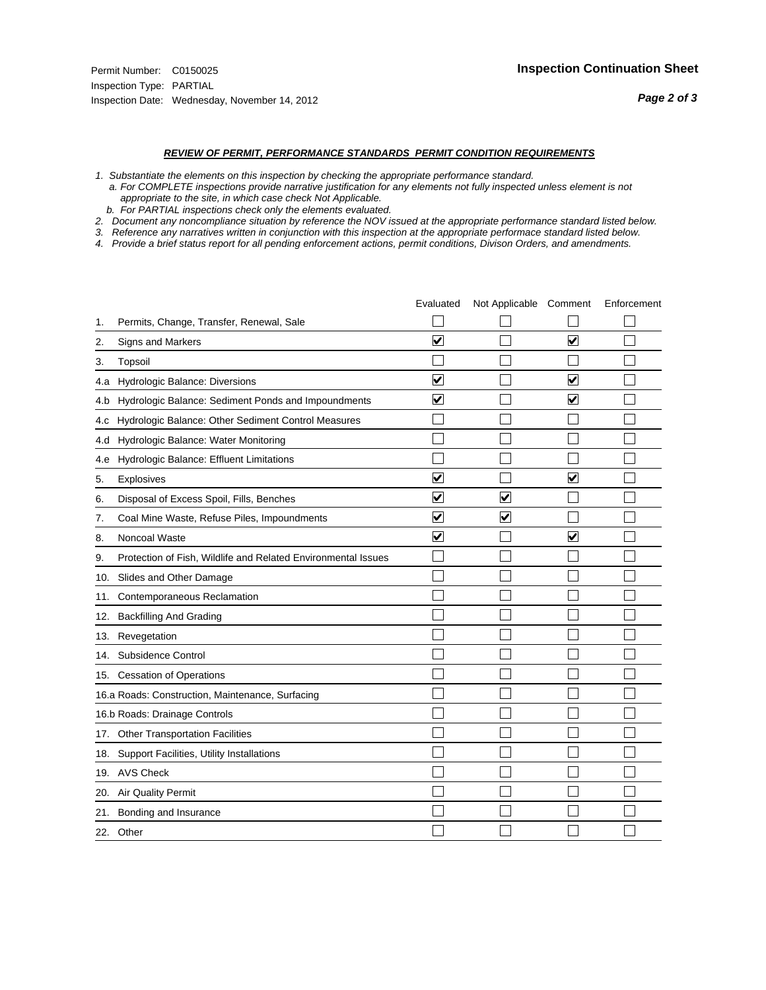- *1. Substantiate the elements on this inspection by checking the appropriate performance standard.*
- *a. For COMPLETE inspections provide narrative justification for any elements not fully inspected unless element is not appropriate to the site, in which case check Not Applicable.*
- *b. For PARTIAL inspections check only the elements evaluated.*
- *2. Document any noncompliance situation by reference the NOV issued at the appropriate performance standard listed below.*
- *3. Reference any narratives written in conjunction with this inspection at the appropriate performace standard listed below.*
- *4. Provide a brief status report for all pending enforcement actions, permit conditions, Divison Orders, and amendments.*

|     |                                                               | Evaluated               | Not Applicable Comment  |   | Enforcement |
|-----|---------------------------------------------------------------|-------------------------|-------------------------|---|-------------|
| 1.  | Permits, Change, Transfer, Renewal, Sale                      |                         |                         |   |             |
| 2.  | Signs and Markers                                             | $\overline{\mathbf{v}}$ |                         | ☑ |             |
| 3.  | Topsoil                                                       |                         |                         |   |             |
| 4.a | Hydrologic Balance: Diversions                                | $\blacktriangledown$    |                         | V |             |
| 4.b | Hydrologic Balance: Sediment Ponds and Impoundments           | ⊻                       |                         | V |             |
| 4.c | Hydrologic Balance: Other Sediment Control Measures           |                         |                         |   |             |
| 4.d | Hydrologic Balance: Water Monitoring                          |                         |                         |   |             |
| 4.e | Hydrologic Balance: Effluent Limitations                      |                         |                         |   |             |
| 5.  | <b>Explosives</b>                                             | $\overline{\mathbf{v}}$ |                         | ☑ |             |
| 6.  | Disposal of Excess Spoil, Fills, Benches                      | ⊻                       | $\bm{\mathsf{v}}$       |   |             |
| 7.  | Coal Mine Waste, Refuse Piles, Impoundments                   | $\overline{\mathbf{v}}$ | $\overline{\mathbf{v}}$ |   |             |
| 8.  | Noncoal Waste                                                 | $\overline{\mathsf{v}}$ |                         | V |             |
| 9.  | Protection of Fish, Wildlife and Related Environmental Issues |                         |                         |   |             |
| 10. | Slides and Other Damage                                       |                         |                         |   |             |
| 11. | Contemporaneous Reclamation                                   |                         |                         |   |             |
| 12. | <b>Backfilling And Grading</b>                                |                         |                         |   |             |
| 13. | Revegetation                                                  |                         |                         |   |             |
| 14. | Subsidence Control                                            |                         |                         |   |             |
|     | 15. Cessation of Operations                                   |                         |                         |   |             |
|     | 16.a Roads: Construction, Maintenance, Surfacing              |                         |                         |   |             |
|     | 16.b Roads: Drainage Controls                                 |                         |                         |   |             |
| 17. | <b>Other Transportation Facilities</b>                        |                         |                         |   |             |
| 18. | Support Facilities, Utility Installations                     |                         |                         |   |             |
|     | 19. AVS Check                                                 |                         |                         |   |             |
| 20. | <b>Air Quality Permit</b>                                     |                         |                         |   |             |
| 21. | Bonding and Insurance                                         |                         |                         |   |             |
|     | 22. Other                                                     |                         |                         |   |             |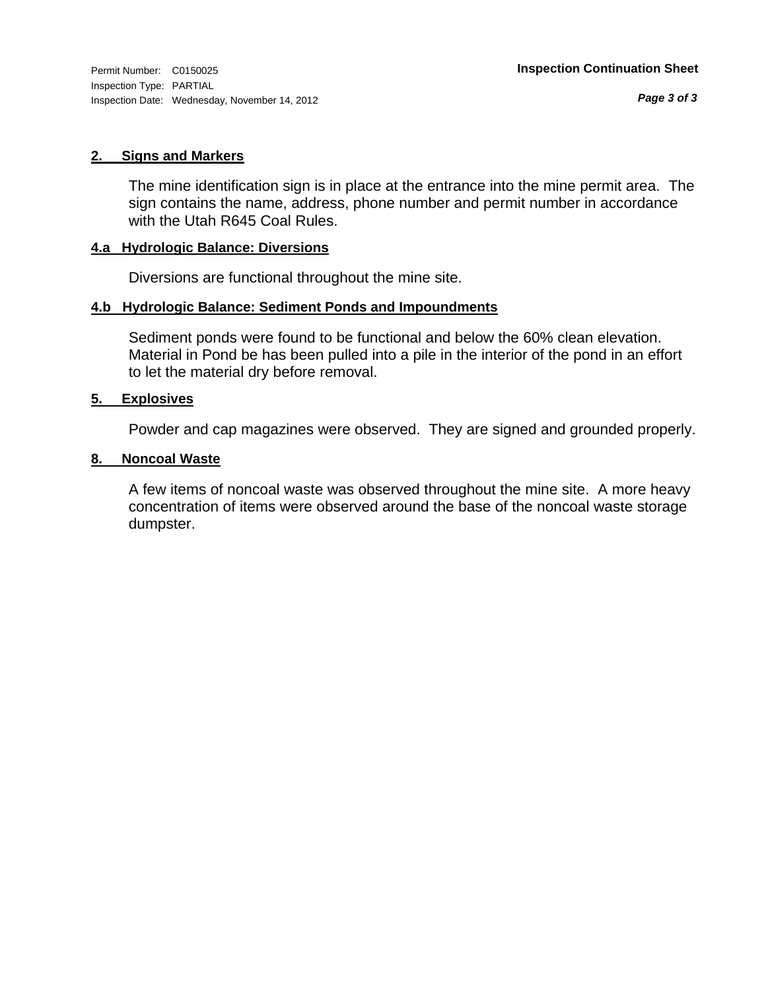#### **2. Signs and Markers**

The mine identification sign is in place at the entrance into the mine permit area. The sign contains the name, address, phone number and permit number in accordance with the Utah R645 Coal Rules.

#### **4.a Hydrologic Balance: Diversions**

Diversions are functional throughout the mine site.

#### **4.b Hydrologic Balance: Sediment Ponds and Impoundments**

Sediment ponds were found to be functional and below the 60% clean elevation. Material in Pond be has been pulled into a pile in the interior of the pond in an effort to let the material dry before removal.

#### **5. Explosives**

Powder and cap magazines were observed. They are signed and grounded properly.

#### **8. Noncoal Waste**

A few items of noncoal waste was observed throughout the mine site. A more heavy concentration of items were observed around the base of the noncoal waste storage dumpster.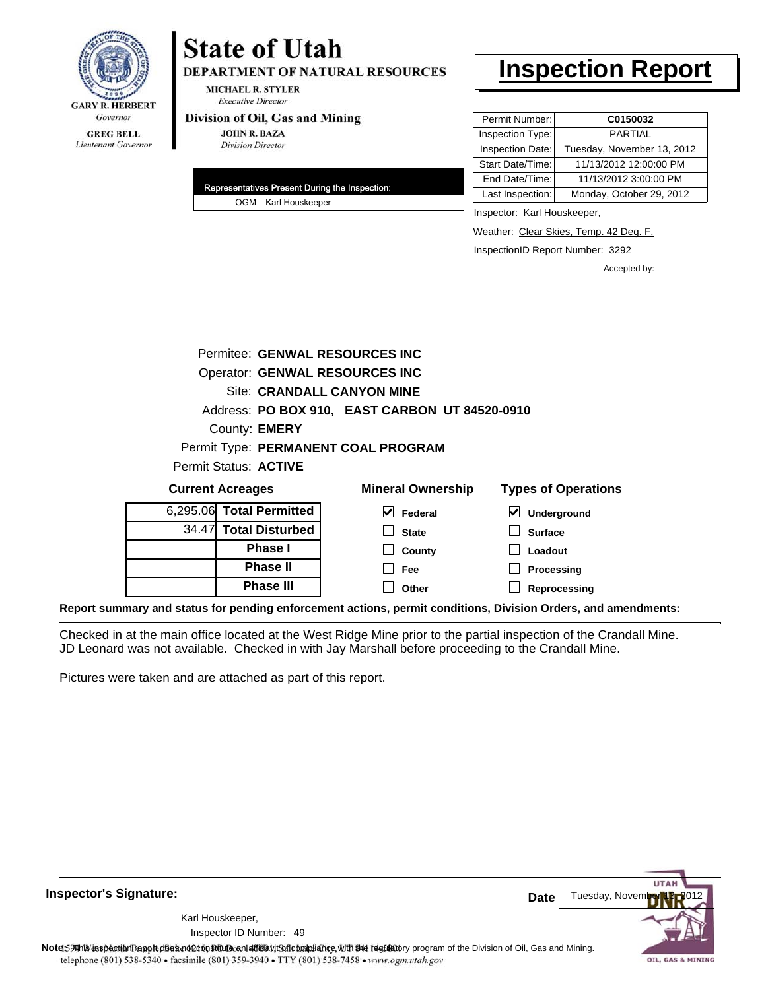

# **State of Utah**

**DEPARTMENT OF NATURAL RESOURCES** 

**MICHAEL R. STYLER Executive Director** 

#### Division of Oil, Gas and Mining

**JOHN R. BAZA Division Director** 

| Representatives Present During the Inspection: |
|------------------------------------------------|
| OGM Karl Houskeeper                            |

## **Inspection Report**

| Permit Number:   | C0150032                   |
|------------------|----------------------------|
| Inspection Type: | <b>PARTIAL</b>             |
| Inspection Date: | Tuesday, November 13, 2012 |
| Start Date/Time: | 11/13/2012 12:00:00 PM     |
| End Date/Time:   | 11/13/2012 3:00:00 PM      |
| Last Inspection: | Monday, October 29, 2012   |
|                  |                            |

Inspector: Karl Houskeeper,

Weather: Clear Skies, Temp. 42 Deg. F.

InspectionID Report Number: 3292

Accepted by:

|                            | Permitee: GENWAL RESOURCES INC |                                                |                                          |
|----------------------------|--------------------------------|------------------------------------------------|------------------------------------------|
|                            | Operator: GENWAL RESOURCES INC |                                                |                                          |
| Site: CRANDALL CANYON MINE |                                |                                                |                                          |
|                            |                                | Address: PO BOX 910, EAST CARBON UT 84520-0910 |                                          |
|                            | County: <b>EMERY</b>           |                                                |                                          |
|                            |                                | Permit Type: PERMANENT COAL PROGRAM            |                                          |
|                            | Permit Status: ACTIVE          |                                                |                                          |
|                            | <b>Current Acreages</b>        | <b>Mineral Ownership</b>                       | <b>Types of Operations</b>               |
|                            | 6,295.06 Total Permitted       | M<br>Federal                                   | $\boldsymbol{\mathsf{v}}$<br>Underground |
| 34.47                      | <b>Total Disturbed</b>         | <b>State</b>                                   | <b>Surface</b>                           |
|                            | <b>Phase I</b>                 | County                                         | Loadout                                  |
|                            | <b>Phase II</b>                | Fee                                            | Processing                               |
|                            | <b>Phase III</b>               | Other                                          | Reprocessing                             |

**Report summary and status for pending enforcement actions, permit conditions, Division Orders, and amendments:**

Checked in at the main office located at the West Ridge Mine prior to the partial inspection of the Crandall Mine. JD Leonard was not available. Checked in with Jay Marshall before proceeding to the Crandall Mine.

Pictures were taken and are attached as part of this report.

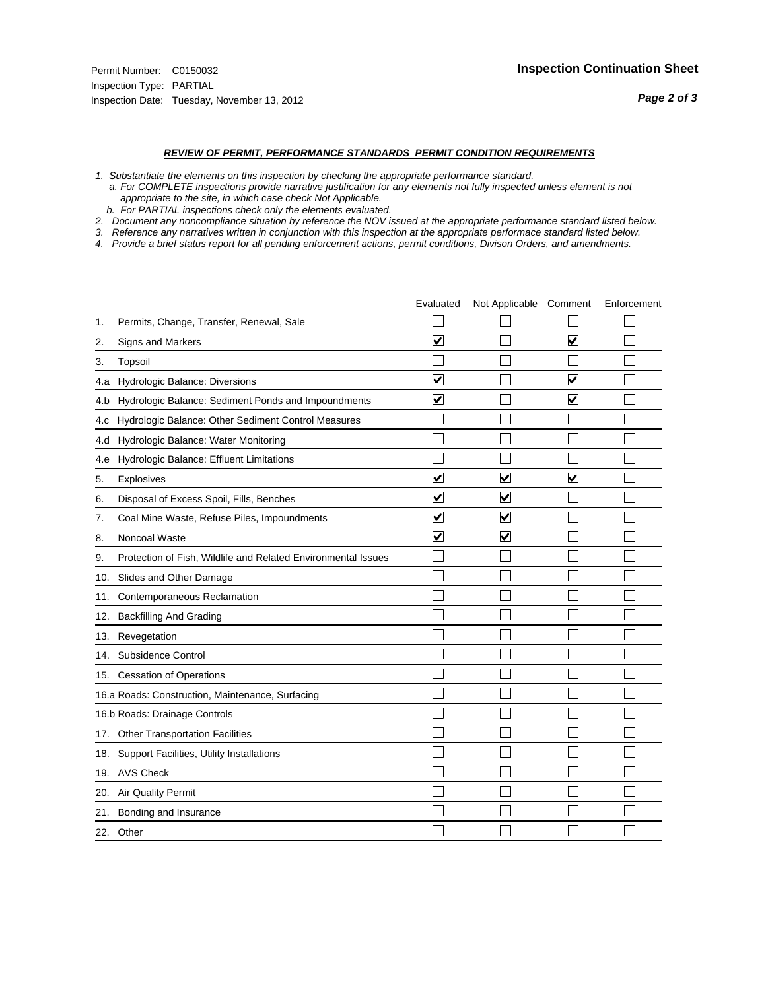- *1. Substantiate the elements on this inspection by checking the appropriate performance standard.*
- *a. For COMPLETE inspections provide narrative justification for any elements not fully inspected unless element is not appropriate to the site, in which case check Not Applicable.*
- *b. For PARTIAL inspections check only the elements evaluated.*
- *2. Document any noncompliance situation by reference the NOV issued at the appropriate performance standard listed below.*
- *3. Reference any narratives written in conjunction with this inspection at the appropriate performace standard listed below.*
- *4. Provide a brief status report for all pending enforcement actions, permit conditions, Divison Orders, and amendments.*

|     |                                                               | Evaluated               | Not Applicable Comment          |                         | Enforcement |
|-----|---------------------------------------------------------------|-------------------------|---------------------------------|-------------------------|-------------|
| 1.  | Permits, Change, Transfer, Renewal, Sale                      |                         |                                 |                         |             |
| 2.  | <b>Signs and Markers</b>                                      | $\overline{\mathbf{v}}$ |                                 | $\blacktriangledown$    |             |
| 3.  | Topsoil                                                       |                         |                                 |                         |             |
| 4.a | Hydrologic Balance: Diversions                                | $\blacktriangledown$    |                                 | $\overline{\mathbf{v}}$ |             |
| 4.b | Hydrologic Balance: Sediment Ponds and Impoundments           | $\blacktriangledown$    |                                 | ⊻                       |             |
| 4.c | Hydrologic Balance: Other Sediment Control Measures           |                         |                                 |                         |             |
| 4.d | Hydrologic Balance: Water Monitoring                          |                         |                                 |                         |             |
| 4.e | Hydrologic Balance: Effluent Limitations                      |                         |                                 |                         |             |
| 5.  | <b>Explosives</b>                                             | $\overline{\mathbf{v}}$ | $\blacktriangledown$            | ⊽                       |             |
| 6.  | Disposal of Excess Spoil, Fills, Benches                      | $\overline{\mathsf{v}}$ | $\overline{\mathbf{v}}$         |                         |             |
| 7.  | Coal Mine Waste, Refuse Piles, Impoundments                   | $\overline{\mathbf{v}}$ | $\blacktriangledown$            |                         |             |
| 8.  | Noncoal Waste                                                 | $\overline{\mathsf{v}}$ | $\overline{\blacktriangledown}$ |                         |             |
| 9.  | Protection of Fish, Wildlife and Related Environmental Issues |                         |                                 |                         |             |
|     | 10. Slides and Other Damage                                   |                         |                                 |                         |             |
| 11. | Contemporaneous Reclamation                                   |                         |                                 |                         |             |
| 12. | <b>Backfilling And Grading</b>                                |                         |                                 |                         |             |
| 13. | Revegetation                                                  |                         |                                 |                         |             |
| 14. | Subsidence Control                                            |                         |                                 |                         |             |
|     | 15. Cessation of Operations                                   |                         |                                 |                         |             |
|     | 16.a Roads: Construction, Maintenance, Surfacing              |                         |                                 |                         |             |
|     | 16.b Roads: Drainage Controls                                 |                         |                                 |                         |             |
|     | 17. Other Transportation Facilities                           |                         |                                 |                         |             |
| 18. | Support Facilities, Utility Installations                     |                         |                                 |                         |             |
|     | 19. AVS Check                                                 |                         |                                 |                         |             |
| 20. | Air Quality Permit                                            |                         |                                 |                         |             |
| 21. | Bonding and Insurance                                         |                         |                                 |                         |             |
|     | 22. Other                                                     |                         |                                 |                         |             |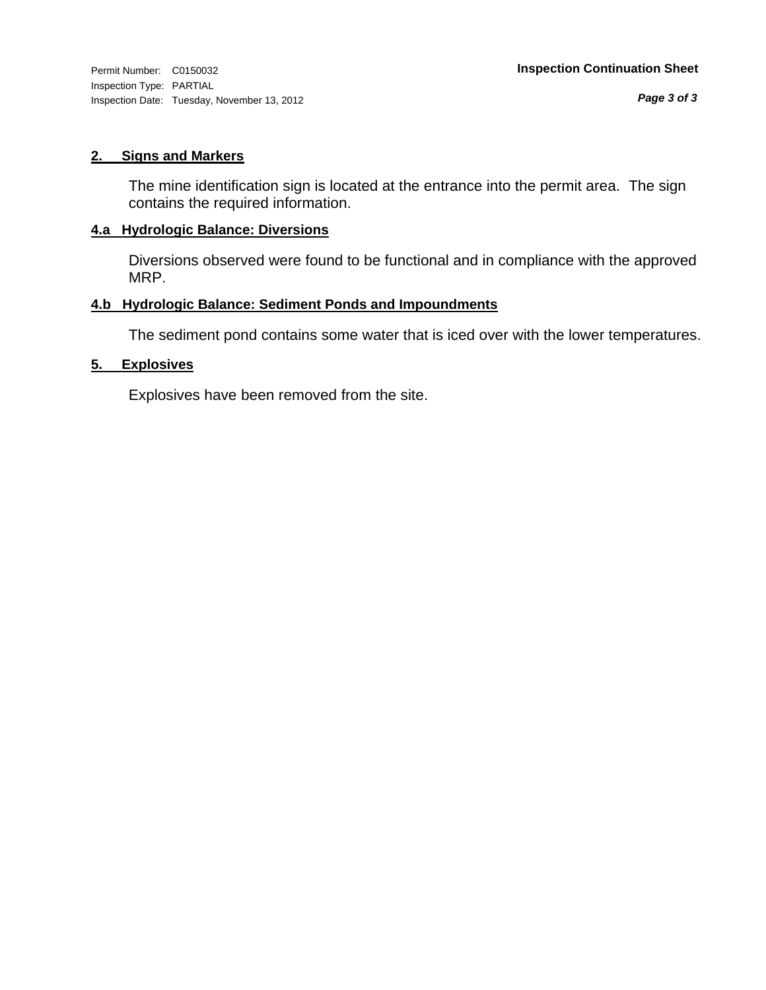Inspection Type: PARTIAL Inspection Date: Tuesday, November 13, 2012

#### **2. Signs and Markers**

The mine identification sign is located at the entrance into the permit area. The sign contains the required information.

#### **4.a Hydrologic Balance: Diversions**

Diversions observed were found to be functional and in compliance with the approved MRP.

#### **4.b Hydrologic Balance: Sediment Ponds and Impoundments**

The sediment pond contains some water that is iced over with the lower temperatures.

#### **5. Explosives**

Explosives have been removed from the site.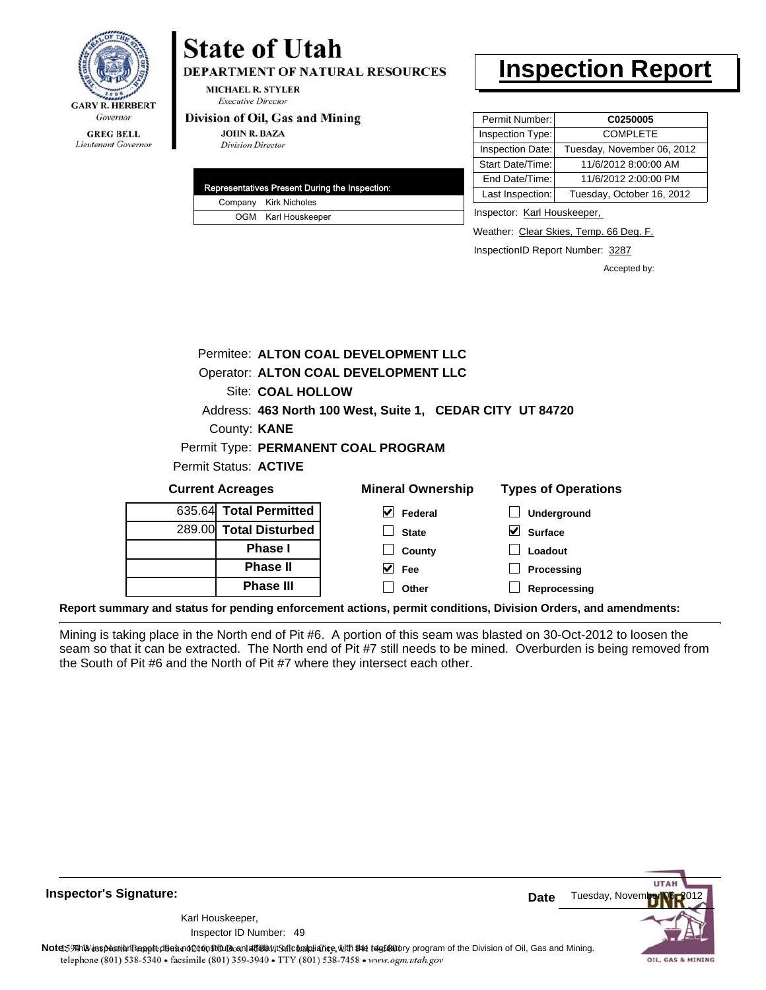

Lieutenant Governor

## **State of Utah**

**DEPARTMENT OF NATURAL RESOURCES** 

**MICHAEL R. STYLER Executive Director** 

#### Division of Oil, Gas and Mining

**JOHN R. BAZA Division Director** 

|  | Representatives Present During the Inspection: |
|--|------------------------------------------------|
|  | Company Kirk Nicholes                          |
|  | OGM Karl Houskeeper                            |

### **Inspection Report**

| Permit Number:   | C0250005                   |
|------------------|----------------------------|
| Inspection Type: | <b>COMPLETE</b>            |
| Inspection Date: | Tuesday, November 06, 2012 |
| Start Date/Time: | 11/6/2012 8:00:00 AM       |
| End Date/Time:   | 11/6/2012 2:00:00 PM       |
| Last Inspection: | Tuesday, October 16, 2012  |

Inspector: Karl Houskeeper,

Weather: Clear Skies, Temp. 66 Deg. F.

InspectionID Report Number: 3287

Accepted by:

|                                                           |                        | Permitee: ALTON COAL DEVELOPMENT LLC |                            |  |
|-----------------------------------------------------------|------------------------|--------------------------------------|----------------------------|--|
|                                                           |                        | Operator: ALTON COAL DEVELOPMENT LLC |                            |  |
|                                                           | Site: COAL HOLLOW      |                                      |                            |  |
| Address: 463 North 100 West, Suite 1, CEDAR CITY UT 84720 |                        |                                      |                            |  |
|                                                           | County: <b>KANE</b>    |                                      |                            |  |
|                                                           |                        | Permit Type: PERMANENT COAL PROGRAM  |                            |  |
| Permit Status: ACTIVE                                     |                        |                                      |                            |  |
| <b>Current Acreages</b>                                   |                        | <b>Mineral Ownership</b>             | <b>Types of Operations</b> |  |
|                                                           | 635.64 Total Permitted | M<br>Federal                         | Underground                |  |
|                                                           | 289.00 Total Disturbed | <b>State</b>                         | V<br><b>Surface</b>        |  |

| 289.00 Total Disturbed |
|------------------------|
| <b>Phase I</b>         |
| <b>Phase II</b>        |
| <b>Phase III</b>       |

| eral Ownership          | <b>Types of Oper</b>         |
|-------------------------|------------------------------|
| $\triangledown$ Federal | $\Box$ Undergrour            |
| $\Box$ State            | $\sqrt{\phantom{a}}$ Surface |
| $\Box$ County           | $\Box$ Loadout               |
| $\vee$ Fee              | $\Box$ Processing            |

**Reprocessing**

**Report summary and status for pending enforcement actions, permit conditions, Division Orders, and amendments:**

Mining is taking place in the North end of Pit #6. A portion of this seam was blasted on 30-Oct-2012 to loosen the seam so that it can be extracted. The North end of Pit #7 still needs to be mined. Overburden is being removed from the South of Pit #6 and the North of Pit #7 where they intersect each other.

**Other**

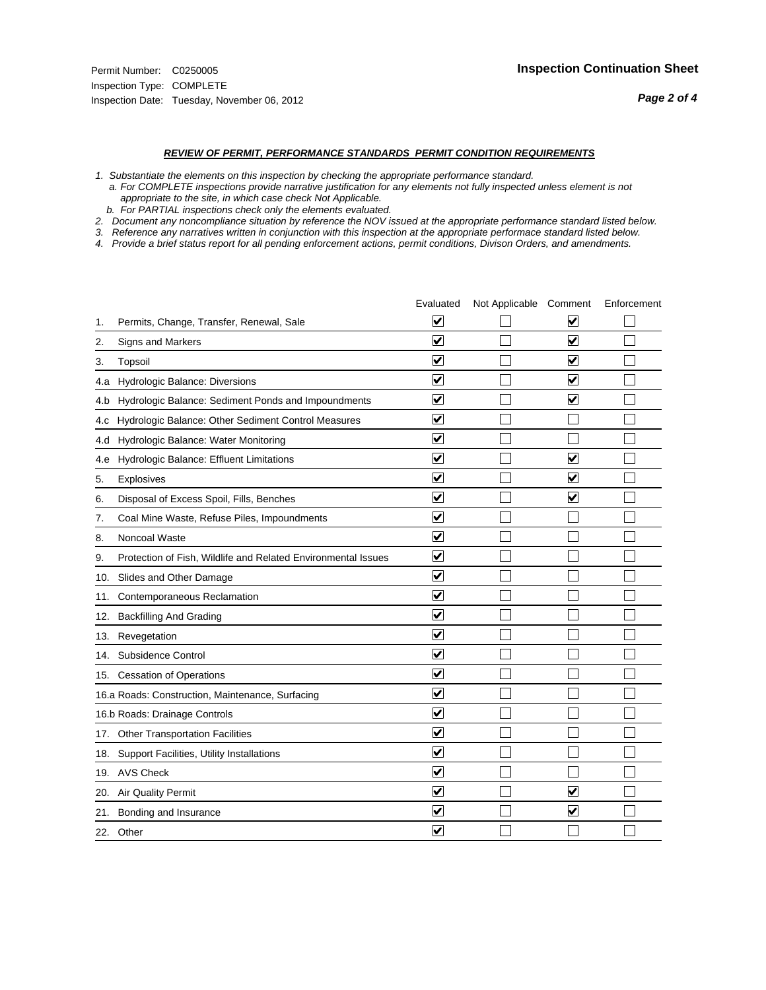#### *REVIEW OF PERMIT, PERFORMANCE STANDARDS PERMIT CONDITION REQUIREMENTS*

*1. Substantiate the elements on this inspection by checking the appropriate performance standard.*

 *a. For COMPLETE inspections provide narrative justification for any elements not fully inspected unless element is not appropriate to the site, in which case check Not Applicable.*

 *b. For PARTIAL inspections check only the elements evaluated.*

*2. Document any noncompliance situation by reference the NOV issued at the appropriate performance standard listed below.*

*3. Reference any narratives written in conjunction with this inspection at the appropriate performace standard listed below.*

*4. Provide a brief status report for all pending enforcement actions, permit conditions, Divison Orders, and amendments.*

|     |                                                               | Evaluated               | Not Applicable Comment |                         | Enforcement |
|-----|---------------------------------------------------------------|-------------------------|------------------------|-------------------------|-------------|
| 1.  | Permits, Change, Transfer, Renewal, Sale                      | $\overline{\mathbf{v}}$ |                        | V                       |             |
| 2.  | Signs and Markers                                             | $\overline{\mathbf{v}}$ |                        | $\blacktriangledown$    |             |
| 3.  | Topsoil                                                       | $\overline{\mathbf{v}}$ |                        | $\overline{\mathsf{v}}$ |             |
| 4.a | Hydrologic Balance: Diversions                                | $\overline{\mathbf{v}}$ |                        | $\blacktriangledown$    |             |
| 4.b | Hydrologic Balance: Sediment Ponds and Impoundments           | $\blacktriangledown$    |                        | ⊻                       |             |
| 4.C | Hydrologic Balance: Other Sediment Control Measures           | $\overline{\mathbf{v}}$ |                        |                         |             |
| 4.d | Hydrologic Balance: Water Monitoring                          | $\overline{\mathbf{v}}$ |                        |                         |             |
| 4.e | Hydrologic Balance: Effluent Limitations                      | $\overline{\mathbf{v}}$ |                        | $\overline{\mathbf{v}}$ |             |
| 5.  | <b>Explosives</b>                                             | $\overline{\mathbf{v}}$ |                        | ⊽                       |             |
| 6.  | Disposal of Excess Spoil, Fills, Benches                      | $\blacktriangledown$    |                        | $\blacktriangledown$    |             |
| 7.  | Coal Mine Waste, Refuse Piles, Impoundments                   | $\overline{\mathbf{v}}$ |                        |                         |             |
| 8.  | Noncoal Waste                                                 | $\overline{\mathbf{v}}$ |                        |                         |             |
| 9.  | Protection of Fish, Wildlife and Related Environmental Issues | $\overline{\mathbf{v}}$ |                        |                         |             |
|     | 10. Slides and Other Damage                                   | $\overline{\mathbf{v}}$ |                        |                         |             |
| 11. | Contemporaneous Reclamation                                   | ⊽                       |                        |                         |             |
| 12. | <b>Backfilling And Grading</b>                                | $\overline{\mathbf{v}}$ |                        |                         |             |
| 13. | Revegetation                                                  | $\overline{\mathbf{v}}$ |                        |                         |             |
| 14. | Subsidence Control                                            | $\overline{\mathbf{v}}$ |                        |                         |             |
|     | 15. Cessation of Operations                                   | $\overline{\mathbf{v}}$ |                        |                         |             |
|     | 16.a Roads: Construction, Maintenance, Surfacing              | $\blacktriangledown$    |                        |                         |             |
|     | 16.b Roads: Drainage Controls                                 | $\overline{\mathbf{v}}$ |                        |                         |             |
| 17. | <b>Other Transportation Facilities</b>                        | $\overline{\mathbf{v}}$ |                        |                         |             |
| 18. | Support Facilities, Utility Installations                     | $\overline{\mathbf{v}}$ |                        |                         |             |
|     | 19. AVS Check                                                 | $\overline{\mathbf{v}}$ |                        |                         |             |
| 20. | <b>Air Quality Permit</b>                                     | $\checkmark$            |                        | $\blacktriangledown$    |             |
| 21. | Bonding and Insurance                                         | $\blacktriangledown$    |                        | $\blacktriangledown$    |             |
|     | 22. Other                                                     | $\overline{\mathbf{v}}$ |                        |                         |             |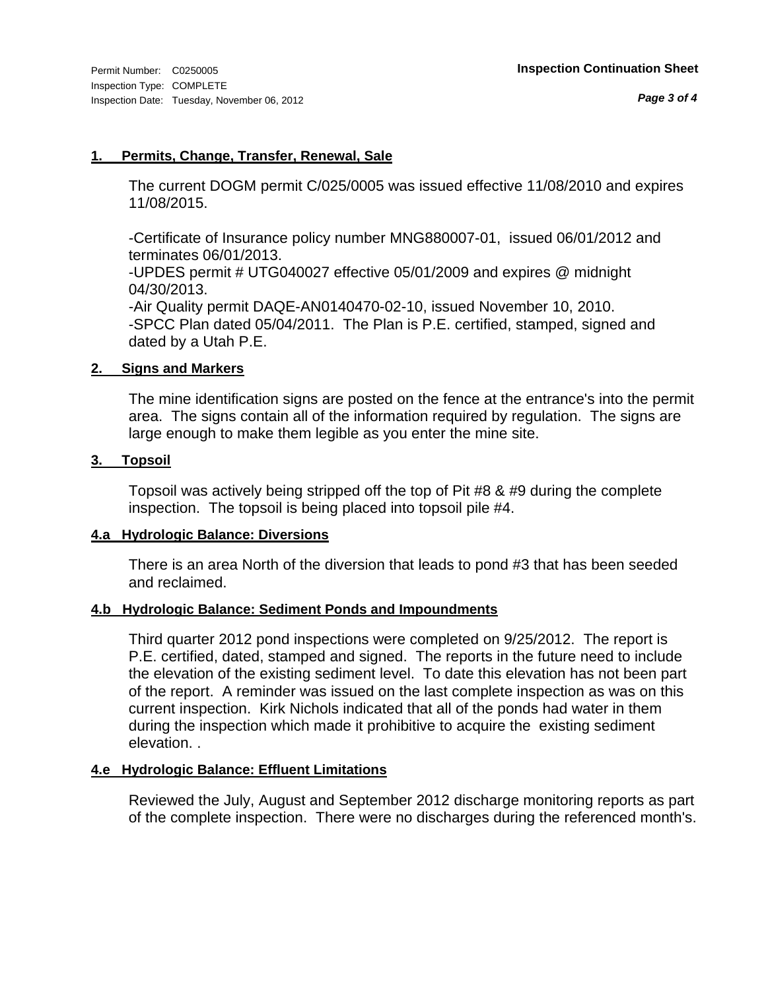#### **1. Permits, Change, Transfer, Renewal, Sale**

The current DOGM permit C/025/0005 was issued effective 11/08/2010 and expires 11/08/2015.

-Certificate of Insurance policy number MNG880007-01, issued 06/01/2012 and terminates 06/01/2013.

-UPDES permit # UTG040027 effective 05/01/2009 and expires @ midnight 04/30/2013.

-Air Quality permit DAQE-AN0140470-02-10, issued November 10, 2010. -SPCC Plan dated 05/04/2011. The Plan is P.E. certified, stamped, signed and dated by a Utah P.E.

#### **2. Signs and Markers**

The mine identification signs are posted on the fence at the entrance's into the permit area. The signs contain all of the information required by regulation. The signs are large enough to make them legible as you enter the mine site.

#### **3. Topsoil**

Topsoil was actively being stripped off the top of Pit #8 & #9 during the complete inspection. The topsoil is being placed into topsoil pile #4.

#### **4.a Hydrologic Balance: Diversions**

There is an area North of the diversion that leads to pond #3 that has been seeded and reclaimed.

#### **4.b Hydrologic Balance: Sediment Ponds and Impoundments**

Third quarter 2012 pond inspections were completed on 9/25/2012. The report is P.E. certified, dated, stamped and signed. The reports in the future need to include the elevation of the existing sediment level. To date this elevation has not been part of the report. A reminder was issued on the last complete inspection as was on this current inspection. Kirk Nichols indicated that all of the ponds had water in them during the inspection which made it prohibitive to acquire the existing sediment elevation. .

#### **4.e Hydrologic Balance: Effluent Limitations**

Reviewed the July, August and September 2012 discharge monitoring reports as part of the complete inspection. There were no discharges during the referenced month's.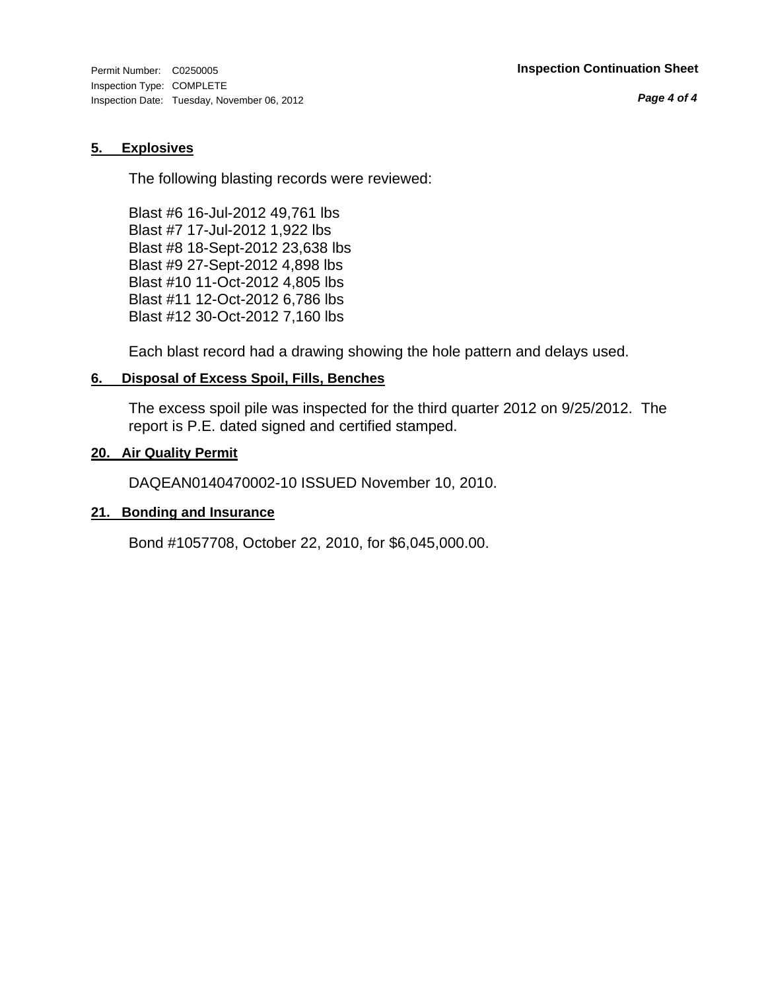Inspection Type: COMPLETE Inspection Date: Tuesday, November 06, 2012

*Page 4 of 4*

#### **5. Explosives**

The following blasting records were reviewed:

Blast #6 16-Jul-2012 49,761 lbs Blast #7 17-Jul-2012 1,922 lbs Blast #8 18-Sept-2012 23,638 lbs Blast #9 27-Sept-2012 4,898 lbs Blast #10 11-Oct-2012 4,805 lbs Blast #11 12-Oct-2012 6,786 lbs Blast #12 30-Oct-2012 7,160 lbs

Each blast record had a drawing showing the hole pattern and delays used.

#### **6. Disposal of Excess Spoil, Fills, Benches**

The excess spoil pile was inspected for the third quarter 2012 on 9/25/2012. The report is P.E. dated signed and certified stamped.

#### **20. Air Quality Permit**

DAQEAN0140470002-10 ISSUED November 10, 2010.

#### **21. Bonding and Insurance**

Bond #1057708, October 22, 2010, for \$6,045,000.00.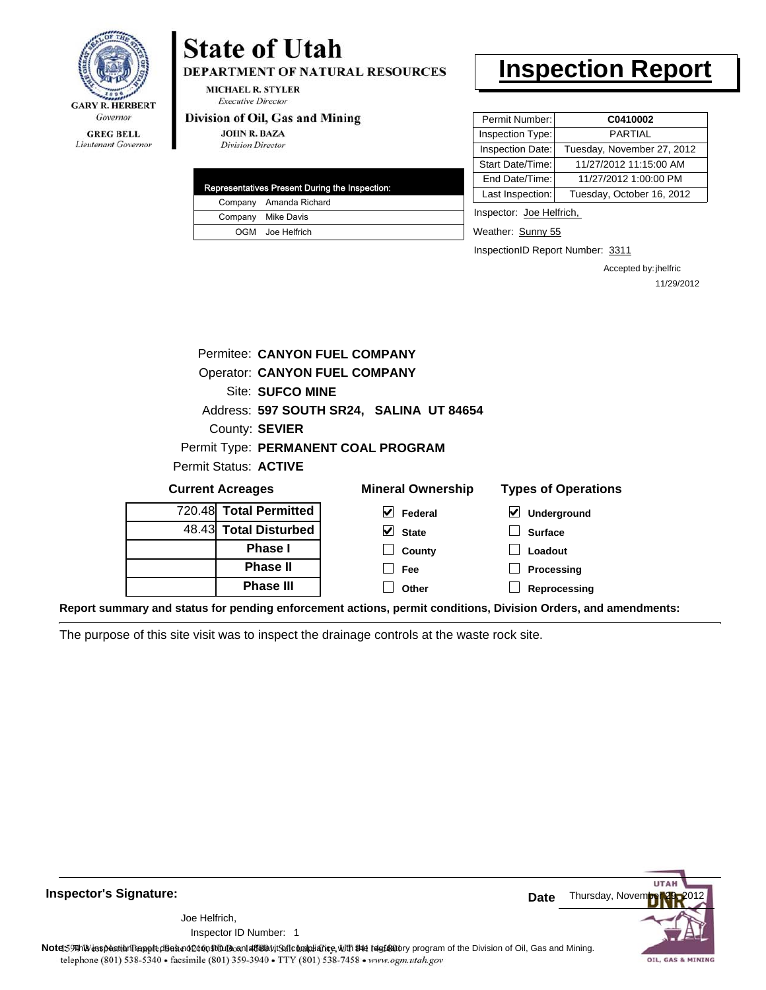

#### **GREG BELL** Lieutenant Governor

# **State of Utah**

DEPARTMENT OF NATURAL RESOURCES

**MICHAEL R. STYLER Executive Director** 

#### Division of Oil, Gas and Mining

**JOHN R. BAZA Division Director** 

| Representatives Present During the Inspection: |
|------------------------------------------------|
| Company Amanda Richard                         |
| Company Mike Davis                             |
| OGM Joe Helfrich                               |

## **Inspection Report**

| Permit Number:   | C0410002                   |
|------------------|----------------------------|
| Inspection Type: | <b>PARTIAL</b>             |
| Inspection Date: | Tuesday, November 27, 2012 |
| Start Date/Time: | 11/27/2012 11:15:00 AM     |
| End Date/Time:   | 11/27/2012 1:00:00 PM      |
| Last Inspection: | Tuesday, October 16, 2012  |
|                  |                            |

Inspector: Joe Helfrich,

Weather: Sunny 55

InspectionID Report Number: 3311

Accepted by: jhelfric 11/29/2012

| Permitee: CANYON FUEL COMPANY        |                                          |                            |
|--------------------------------------|------------------------------------------|----------------------------|
| <b>Operator: CANYON FUEL COMPANY</b> |                                          |                            |
| Site: SUFCO MINE                     |                                          |                            |
|                                      | Address: 597 SOUTH SR24, SALINA UT 84654 |                            |
| County: SEVIER                       |                                          |                            |
|                                      | Permit Type: PERMANENT COAL PROGRAM      |                            |
| Permit Status: <b>ACTIVE</b>         |                                          |                            |
| <b>Current Acreages</b>              | <b>Mineral Ownership</b>                 | <b>Types of Operations</b> |
| 720.48 Total Permitted               | Federal                                  | <b>Underground</b>         |
|                                      |                                          |                            |

| 720.40 TOtal Permitted |
|------------------------|
| 48.43 Total Disturbed  |
| <b>Phase</b> I         |
| <b>Phase II</b>        |
| <b>Phase III</b>       |

| שוויט וטוויט שוטו        |
|--------------------------|
| $\triangleright$ Federal |
| $\vee$ State             |

**County Fee Other**

| $\triangleright$ Underground |
|------------------------------|
| $\Box$ Surface               |
| $\Box$ Loadout               |
| $\Box$ Processing            |

**Reprocessing**

**Report summary and status for pending enforcement actions, permit conditions, Division Orders, and amendments:**

The purpose of this site visit was to inspect the drainage controls at the waste rock site.



**Inspector's Signature:**

1 Inspector ID Number:Joe Helfrich,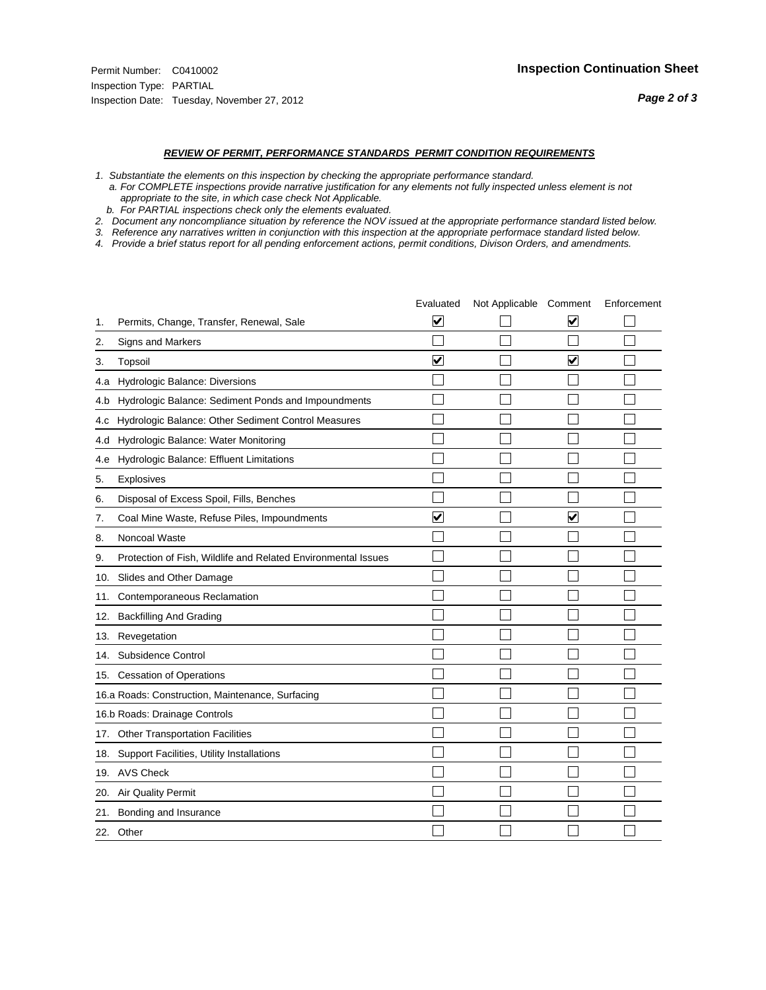- *1. Substantiate the elements on this inspection by checking the appropriate performance standard.*
- *a. For COMPLETE inspections provide narrative justification for any elements not fully inspected unless element is not appropriate to the site, in which case check Not Applicable.*
- *b. For PARTIAL inspections check only the elements evaluated.*
- *2. Document any noncompliance situation by reference the NOV issued at the appropriate performance standard listed below.*
- *3. Reference any narratives written in conjunction with this inspection at the appropriate performace standard listed below.*
- *4. Provide a brief status report for all pending enforcement actions, permit conditions, Divison Orders, and amendments.*

|     |                                                               | Evaluated                       | Not Applicable Comment |                         | Enforcement |
|-----|---------------------------------------------------------------|---------------------------------|------------------------|-------------------------|-------------|
| 1.  | Permits, Change, Transfer, Renewal, Sale                      | $\overline{\blacktriangledown}$ |                        | V                       |             |
| 2.  | <b>Signs and Markers</b>                                      |                                 |                        |                         |             |
| 3.  | Topsoil                                                       | $\overline{\mathbf{v}}$         |                        | $\overline{\mathsf{v}}$ |             |
| 4.a | Hydrologic Balance: Diversions                                |                                 |                        |                         |             |
| 4.b | Hydrologic Balance: Sediment Ponds and Impoundments           |                                 |                        |                         |             |
| 4.c | Hydrologic Balance: Other Sediment Control Measures           |                                 |                        |                         |             |
| 4.d | Hydrologic Balance: Water Monitoring                          |                                 |                        |                         |             |
| 4.e | Hydrologic Balance: Effluent Limitations                      |                                 |                        |                         |             |
| 5.  | <b>Explosives</b>                                             |                                 |                        |                         |             |
| 6.  | Disposal of Excess Spoil, Fills, Benches                      |                                 |                        |                         |             |
| 7.  | Coal Mine Waste, Refuse Piles, Impoundments                   | $\overline{\mathbf{v}}$         |                        | $\blacktriangledown$    |             |
| 8.  | Noncoal Waste                                                 |                                 |                        |                         |             |
| 9.  | Protection of Fish, Wildlife and Related Environmental Issues |                                 |                        |                         |             |
|     | 10. Slides and Other Damage                                   |                                 |                        |                         |             |
| 11. | Contemporaneous Reclamation                                   |                                 |                        |                         |             |
| 12. | <b>Backfilling And Grading</b>                                |                                 |                        |                         |             |
| 13. | Revegetation                                                  |                                 |                        |                         |             |
| 14. | Subsidence Control                                            |                                 |                        |                         |             |
|     | 15. Cessation of Operations                                   |                                 |                        |                         |             |
|     | 16.a Roads: Construction, Maintenance, Surfacing              |                                 |                        |                         |             |
|     | 16.b Roads: Drainage Controls                                 |                                 |                        |                         |             |
|     | 17. Other Transportation Facilities                           |                                 |                        |                         |             |
| 18. | Support Facilities, Utility Installations                     |                                 |                        |                         |             |
|     | 19. AVS Check                                                 |                                 |                        |                         |             |
| 20. | Air Quality Permit                                            |                                 |                        |                         |             |
| 21. | Bonding and Insurance                                         |                                 |                        |                         |             |
|     | 22. Other                                                     |                                 |                        |                         |             |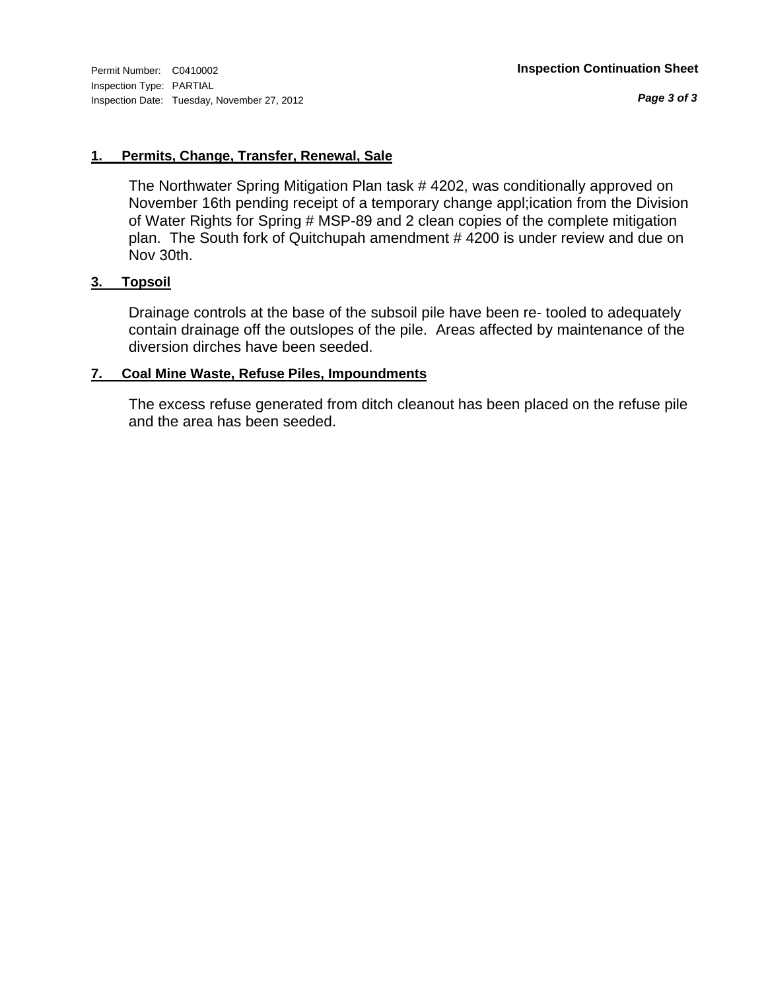*Page 3 of 3*

#### **1. Permits, Change, Transfer, Renewal, Sale**

The Northwater Spring Mitigation Plan task # 4202, was conditionally approved on November 16th pending receipt of a temporary change appl;ication from the Division of Water Rights for Spring # MSP-89 and 2 clean copies of the complete mitigation plan. The South fork of Quitchupah amendment # 4200 is under review and due on Nov 30th.

#### **3. Topsoil**

Drainage controls at the base of the subsoil pile have been re- tooled to adequately contain drainage off the outslopes of the pile. Areas affected by maintenance of the diversion dirches have been seeded.

#### **7. Coal Mine Waste, Refuse Piles, Impoundments**

The excess refuse generated from ditch cleanout has been placed on the refuse pile and the area has been seeded.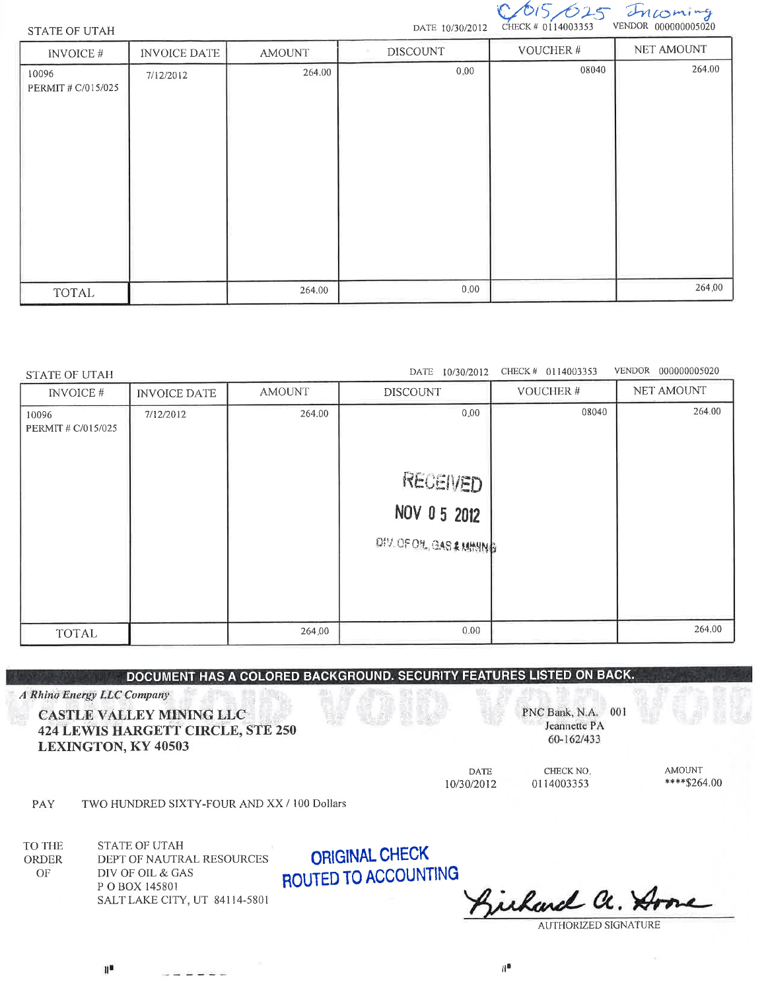

VENDOR 000000005020

#### **STATE OF UTAH**

**STATE OF UTAH** 

| <b>INVOICE#</b>             | <b>INVOICE DATE</b> | <b>AMOUNT</b> | <b>DISCOUNT</b> | VOUCHER# | NET AMOUNT |
|-----------------------------|---------------------|---------------|-----------------|----------|------------|
| 10096<br>PERMIT # C/015/025 | 7/12/2012           | 264.00        | 0,00            | 08040    | 264.00     |
| <b>TOTAL</b>                |                     | 264.00        | 0.00            |          | 264.00     |

#### DATE 10/30/2012 CHECK # 0114003353 VENDOR 000000005020

| <b>INVOICE#</b>            | <b>INVOICE DATE</b> | <b>AMOUNT</b> | <b>DISCOUNT</b>         | VOUCHER# | NET AMOUNT |
|----------------------------|---------------------|---------------|-------------------------|----------|------------|
| 10096<br>PERMIT# C/015/025 | 7/12/2012           | 264.00        | 0.00                    | 08040    | 264.00     |
|                            |                     |               | RECEIVED                |          |            |
|                            |                     |               | NOV 0 5 2012            |          |            |
|                            |                     |               | DIV.OFOIL, GAS & MINING |          |            |
|                            |                     |               |                         |          |            |
|                            |                     |               |                         |          |            |
| <b>TOTAL</b>               |                     | 264,00        | 0.00                    |          | 264.00     |

#### DOCUMENT HAS A COLORED BACKGROUND. SECURITY FEATURES LISTED ON BACK.

A Rhino Energy LLC Company

#### CASTLE VALLEY MINING LLC **424 LEWIS HARGETT CIRCLE, STE 250 LEXINGTON, KY 40503**

PNC Bank, N.A. 001 Jeannette PA

60-162/433

**AMOUNT** \*\*\*\*\$264.00

10/30/2012

**DATE** 

CHECK NO. 0114003353

TWO HUNDRED SIXTY-FOUR AND XX / 100 Dollars PAY

دانون والوادي

TO THE **STATE OF UTAH** DEPT OF NAUTRAL RESOURCES ORDER DIV OF OIL & GAS  $\mathcal{O}\mathcal{F}$ P O BOX 145801 SALT LAKE CITY, UT 84114-5801

**ORIGINAL CHECK** ROUTED TO ACCOUNTING

richard Cc. X

**AUTHORIZED SIGNATURE** 

 $\mathbf{H}^{\mathbf{B}}$ 

 $\mathbb{R}^n$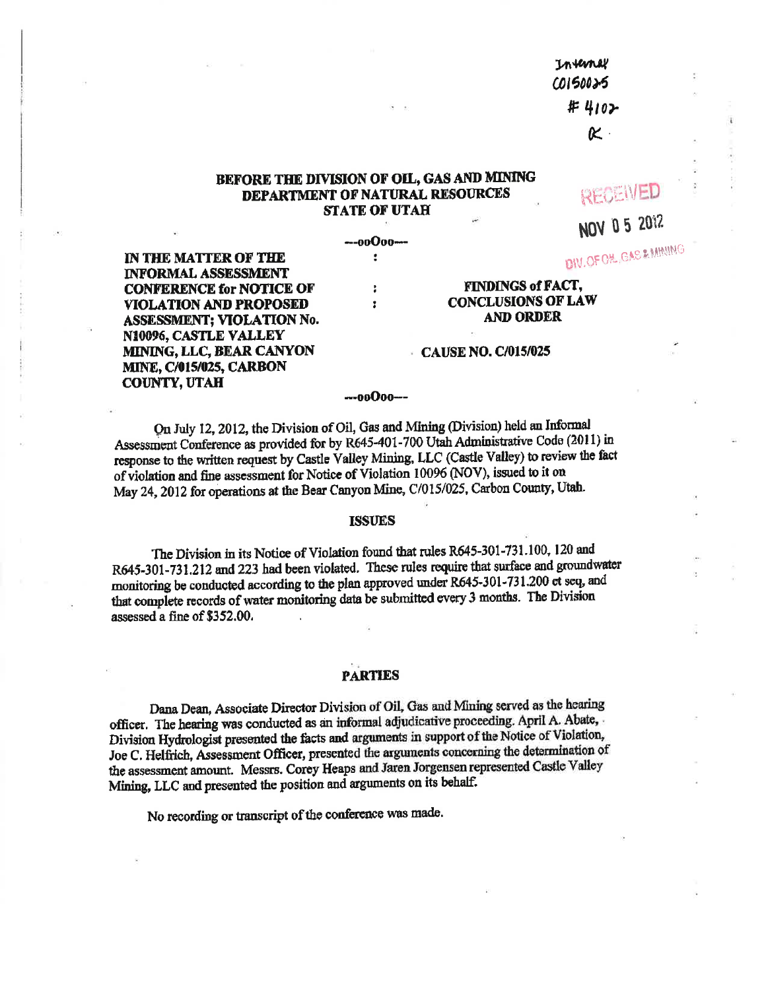Inverney **COISO025** #4102

 $\boldsymbol{\kappa}$  .

#### BEFORE THE DIVISION OF OIL, GAS AND MINING DEPARTMENT OF NATURAL RESOURCES **STATE OF UTAH**

---00000---

÷

ł

 $\ddot{\phantom{a}}$ 

RECEIVED

NOV 0 5 2012

DIV.OF OH GAS & MINING

IN THE MATTER OF THE **INFORMAL ASSESSMENT CONFERENCE for NOTICE OF VIOLATION AND PROPOSED ASSESSMENT; VIOLATION No.** N10096, CASTLE VALLEY MINING, LLC, BEAR CANYON **MINE, C/015/025, CARBON COUNTY, UTAH** 

#### **FINDINGS of FACT, CONCLUSIONS OF LAW AND ORDER**

#### CAUSE NO. C/015/025

#### ---00000---

On July 12, 2012, the Division of Oil, Gas and Mining (Division) held an Informal Assessment Conference as provided for by R645-401-700 Utah Administrative Code (2011) in response to the written request by Castle Valley Mining, LLC (Castle Valley) to review the fact of violation and fine assessment for Notice of Violation 10096 (NOV), issued to it on May 24, 2012 for operations at the Bear Canyon Mine, C/015/025, Carbon County, Utah.

#### **ISSUES**

The Division in its Notice of Violation found that rules R645-301-731.100, 120 and R645-301-731.212 and 223 had been violated. These rules require that surface and groundwater monitoring be conducted according to the plan approved under R645-301-731.200 et seq, and that complete records of water monitoring data be submitted every 3 months. The Division assessed a fine of \$352.00.

#### **PARTIES**

Dana Dean, Associate Director Division of Oil, Gas and Mining served as the hearing officer. The hearing was conducted as an informal adjudicative proceeding. April A. Abate, Division Hydrologist presented the facts and arguments in support of the Notice of Violation, Joe C. Helfrich, Assessment Officer, presented the arguments concerning the determination of the assessment amount. Messrs. Corey Heaps and Jaren Jorgensen represented Castle Valley Mining, LLC and presented the position and arguments on its behalf.

No recording or transcript of the conference was made.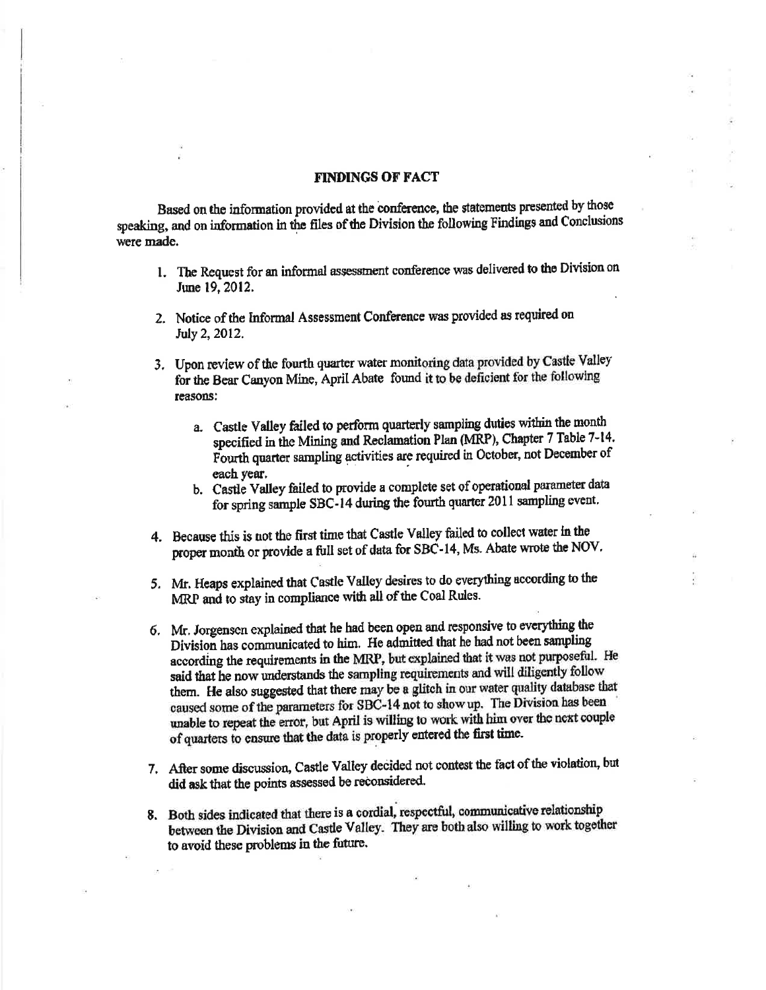#### **FINDINGS OF FACT**

Based on the information provided at the conference, the statements presented by those speaking, and on information in the files of the Division the following Findings and Conclusions were made.

- 1. The Request for an informal assessment conference was delivered to the Division on June 19, 2012.
- 2. Notice of the Informal Assessment Conference was provided as required on July 2, 2012.
- 3. Upon review of the fourth quarter water monitoring data provided by Castle Valley for the Bear Canyon Mine, April Abate found it to be deficient for the following reasons:
	- a. Castle Valley failed to perform quarterly sampling duties within the month specified in the Mining and Reclamation Plan (MRP), Chapter 7 Table 7-14. Fourth quarter sampling activities are required in October, not December of each vear.
	- b. Castle Valley failed to provide a complete set of operational parameter data for spring sample SBC-14 during the fourth quarter 2011 sampling event.
- 4. Because this is not the first time that Castle Valley failed to collect water in the proper month or provide a full set of data for SBC-14, Ms. Abate wrote the NOV.
- 5. Mr. Heaps explained that Castle Valley desires to do everything according to the MRP and to stay in compliance with all of the Coal Rules.
- 6. Mr. Jorgensen explained that he had been open and responsive to everything the Division has communicated to him. He admitted that he had not been sampling according the requirements in the MRP, but explained that it was not purposeful. He said that he now understands the sampling requirements and will diligently follow them. He also suggested that there may be a glitch in our water quality database that caused some of the parameters for SBC-14 not to show up. The Division has been unable to repeat the error, but April is willing to work with him over the next couple of quarters to ensure that the data is properly entered the first time.
- 7. After some discussion, Castle Valley decided not contest the fact of the violation, but did ask that the points assessed be reconsidered.
- 8. Both sides indicated that there is a cordial, respectful, communicative relationship between the Division and Castle Valley. They are both also willing to work together to avoid these problems in the future.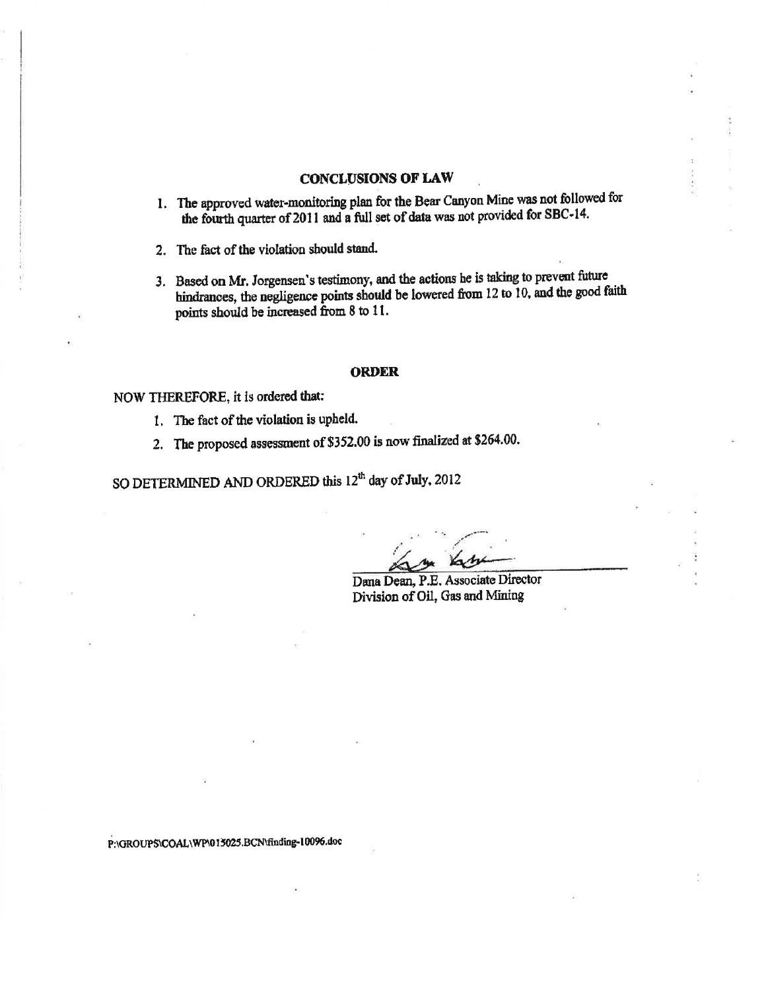#### **CONCLUSIONS OF LAW**

1. The approved water-monitoring plan for the Bear Canyon Mine was not followed for the fourth quarter of 2011 and a full set of data was not provided for SBC-14.

2. The fact of the violation should stand.

3. Based on Mr. Jorgensen's testimony, and the actions he is taking to prevent future hindrances, the negligence points should be lowered from 12 to 10, and the good faith points should be increased from 8 to 11.

#### **ORDER**

#### NOW THEREFORE, it is ordered that:

- 1. The fact of the violation is upheld.
- 2. The proposed assessment of \$352.00 is now finalized at \$264.00.

SO DETERMINED AND ORDERED this 12<sup>th</sup> day of July, 2012

Dana Dean, P.E. Associate Director Division of Oil, Gas and Mining

P:\GROUPS\COAL\WP\015025.BCN\finding-10096.doc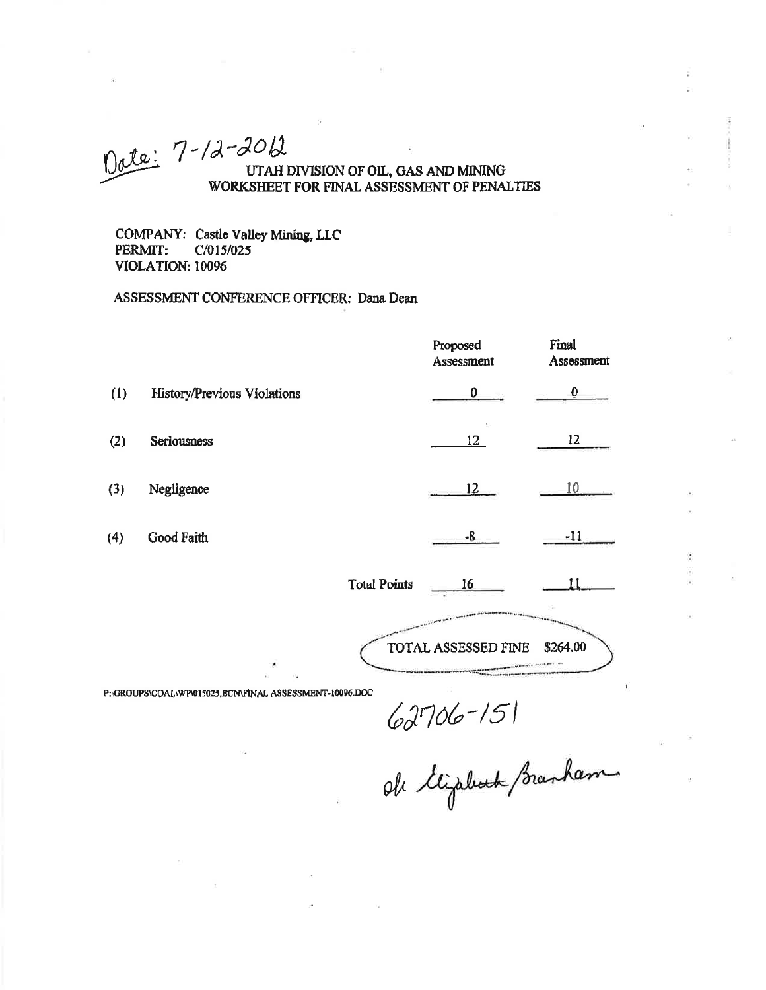### Dete: 7-12-2012 UTAH DIVISION OF OIL, GAS AND MINING WORKSHEET FOR FINAL ASSESSMENT OF PENALTIES

COMPANY: Castle Valley Mining, LLC PERMIT: C/015/025 **VIOLATION: 10096** 

#### ASSESSMENT CONFERENCE OFFICER: Dana Dean

|     |                             | Proposed<br>Assessment | Final<br>Assessment |
|-----|-----------------------------|------------------------|---------------------|
| (1) | History/Previous Violations | 0                      |                     |
| (2) | Seriousness                 | 12                     | 12                  |
| (3) | Negligence                  | $12 \ \mu$             |                     |
| (4) | Good Faith                  | $-8$                   | $-11$               |
|     |                             |                        |                     |

**Total Points** 

TOTAL ASSESSED FINE \$264.00

 $16$ 

11

P: GROUPS\COAL\WP\015025,BCN\FINAL ASSESSMENT-10096.DOC

62706-151<br>Oh Kijabat Branham